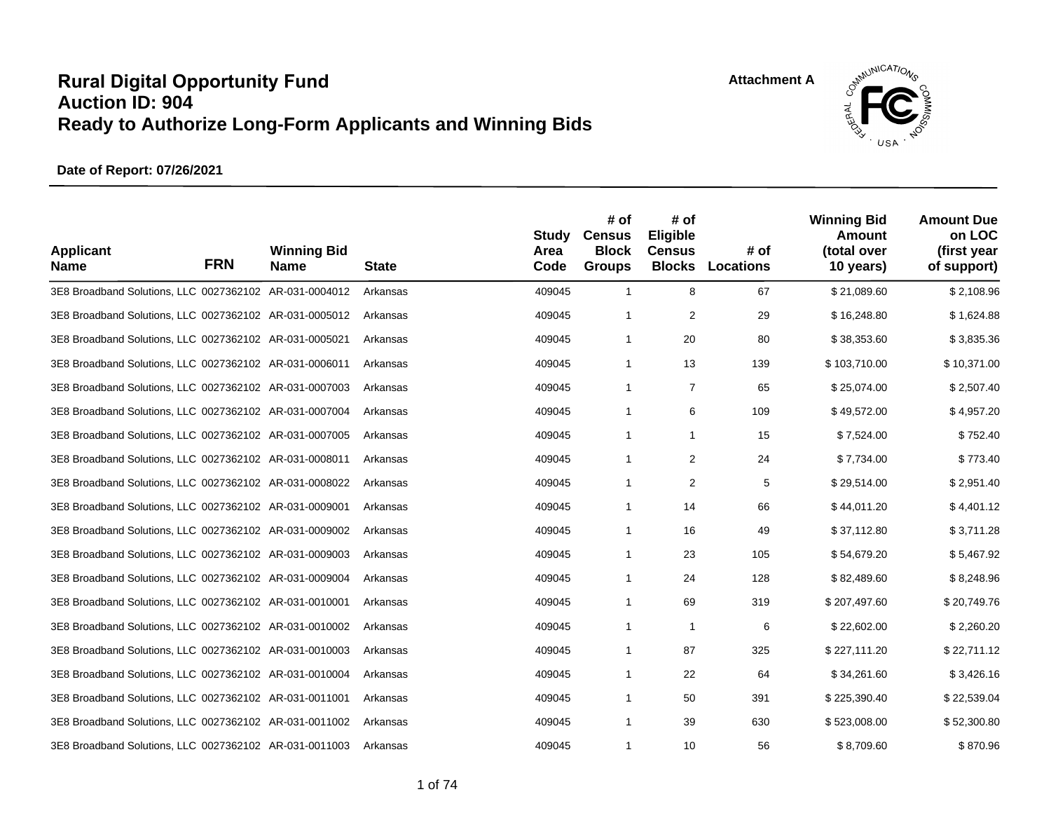

| <b>Applicant</b><br><b>Name</b>                        | <b>FRN</b> | <b>Winning Bid</b><br><b>Name</b> | <b>State</b> | Study<br>Area<br>Code | # of<br><b>Census</b><br><b>Block</b><br><b>Groups</b> | # of<br>Eligible<br><b>Census</b><br><b>Blocks</b> | # of<br>Locations | <b>Winning Bid</b><br><b>Amount</b><br>(total over<br>10 years) | <b>Amount Due</b><br>on LOC<br>(first year<br>of support) |
|--------------------------------------------------------|------------|-----------------------------------|--------------|-----------------------|--------------------------------------------------------|----------------------------------------------------|-------------------|-----------------------------------------------------------------|-----------------------------------------------------------|
| 3E8 Broadband Solutions, LLC 0027362102 AR-031-0004012 |            |                                   | Arkansas     | 409045                | $\mathbf{1}$                                           | 8                                                  | 67                | \$21,089.60                                                     | \$2,108.96                                                |
| 3E8 Broadband Solutions, LLC 0027362102 AR-031-0005012 |            |                                   | Arkansas     | 409045                | 1                                                      | 2                                                  | 29                | \$16,248.80                                                     | \$1,624.88                                                |
| 3E8 Broadband Solutions, LLC 0027362102 AR-031-0005021 |            |                                   | Arkansas     | 409045                | $\mathbf{1}$                                           | 20                                                 | 80                | \$38,353.60                                                     | \$3,835.36                                                |
| 3E8 Broadband Solutions, LLC 0027362102 AR-031-0006011 |            |                                   | Arkansas     | 409045                | $\mathbf{1}$                                           | 13                                                 | 139               | \$103,710.00                                                    | \$10,371.00                                               |
| 3E8 Broadband Solutions, LLC 0027362102 AR-031-0007003 |            |                                   | Arkansas     | 409045                | $\mathbf{1}$                                           | 7                                                  | 65                | \$25,074.00                                                     | \$2,507.40                                                |
| 3E8 Broadband Solutions, LLC 0027362102 AR-031-0007004 |            |                                   | Arkansas     | 409045                | $\mathbf{1}$                                           | 6                                                  | 109               | \$49,572.00                                                     | \$4,957.20                                                |
| 3E8 Broadband Solutions, LLC 0027362102 AR-031-0007005 |            |                                   | Arkansas     | 409045                | $\mathbf{1}$                                           | $\mathbf{1}$                                       | 15                | \$7,524.00                                                      | \$752.40                                                  |
| 3E8 Broadband Solutions, LLC 0027362102 AR-031-0008011 |            |                                   | Arkansas     | 409045                | $\mathbf{1}$                                           | $\overline{2}$                                     | 24                | \$7,734.00                                                      | \$773.40                                                  |
| 3E8 Broadband Solutions, LLC 0027362102 AR-031-0008022 |            |                                   | Arkansas     | 409045                | $\mathbf{1}$                                           | $\overline{2}$                                     | 5                 | \$29,514.00                                                     | \$2,951.40                                                |
| 3E8 Broadband Solutions, LLC 0027362102 AR-031-0009001 |            |                                   | Arkansas     | 409045                | $\mathbf{1}$                                           | 14                                                 | 66                | \$44,011.20                                                     | \$4,401.12                                                |
| 3E8 Broadband Solutions, LLC 0027362102 AR-031-0009002 |            |                                   | Arkansas     | 409045                | $\mathbf{1}$                                           | 16                                                 | 49                | \$37,112.80                                                     | \$3,711.28                                                |
| 3E8 Broadband Solutions, LLC 0027362102 AR-031-0009003 |            |                                   | Arkansas     | 409045                | $\mathbf{1}$                                           | 23                                                 | 105               | \$54,679.20                                                     | \$5,467.92                                                |
| 3E8 Broadband Solutions, LLC 0027362102 AR-031-0009004 |            |                                   | Arkansas     | 409045                | $\mathbf{1}$                                           | 24                                                 | 128               | \$82,489.60                                                     | \$8,248.96                                                |
| 3E8 Broadband Solutions, LLC 0027362102 AR-031-0010001 |            |                                   | Arkansas     | 409045                | $\mathbf{1}$                                           | 69                                                 | 319               | \$207,497.60                                                    | \$20,749.76                                               |
| 3E8 Broadband Solutions, LLC 0027362102 AR-031-0010002 |            |                                   | Arkansas     | 409045                | $\mathbf{1}$                                           | $\overline{1}$                                     | 6                 | \$22,602.00                                                     | \$2,260.20                                                |
| 3E8 Broadband Solutions, LLC 0027362102 AR-031-0010003 |            |                                   | Arkansas     | 409045                | $\mathbf{1}$                                           | 87                                                 | 325               | \$227,111.20                                                    | \$22,711.12                                               |
| 3E8 Broadband Solutions, LLC 0027362102 AR-031-0010004 |            |                                   | Arkansas     | 409045                | $\mathbf{1}$                                           | 22                                                 | 64                | \$34,261.60                                                     | \$3,426.16                                                |
| 3E8 Broadband Solutions, LLC 0027362102 AR-031-0011001 |            |                                   | Arkansas     | 409045                | $\mathbf{1}$                                           | 50                                                 | 391               | \$225,390.40                                                    | \$22,539.04                                               |
| 3E8 Broadband Solutions, LLC 0027362102 AR-031-0011002 |            |                                   | Arkansas     | 409045                | $\mathbf{1}$                                           | 39                                                 | 630               | \$523,008.00                                                    | \$52,300.80                                               |
| 3E8 Broadband Solutions, LLC 0027362102 AR-031-0011003 |            |                                   | Arkansas     | 409045                | $\mathbf{1}$                                           | 10                                                 | 56                | \$8,709.60                                                      | \$870.96                                                  |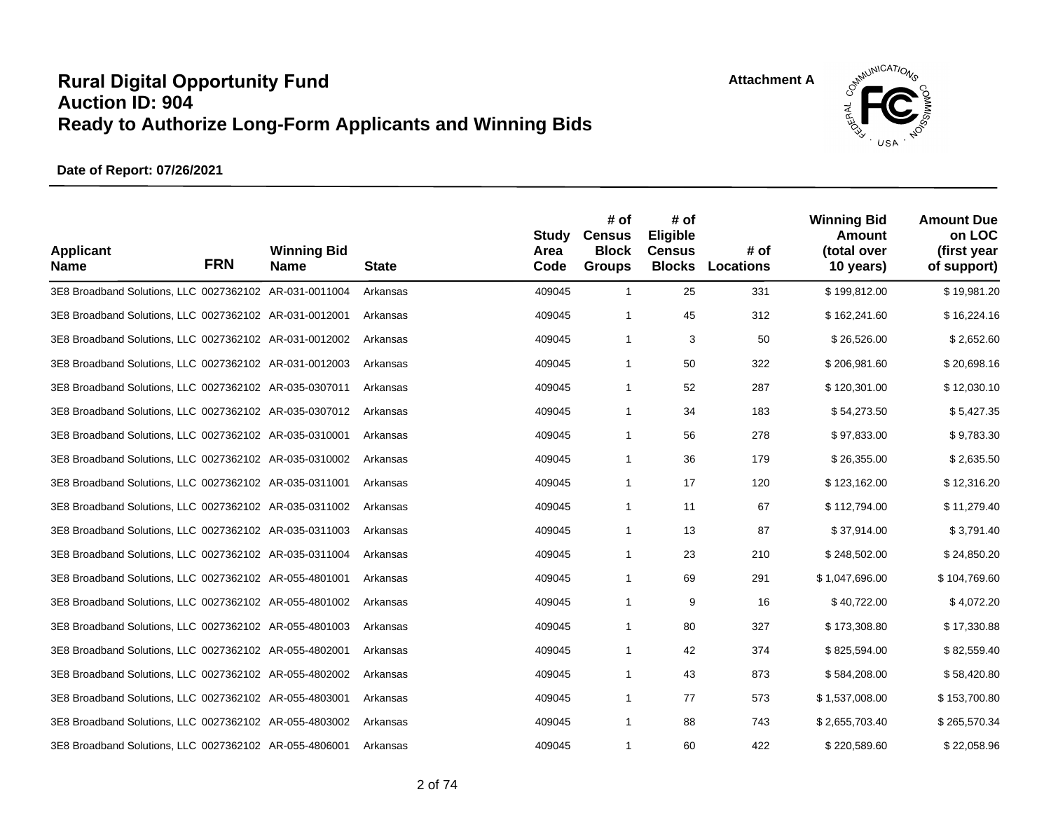**Attachment A**



| <b>Applicant</b><br><b>Name</b>                        | <b>FRN</b> | <b>Winning Bid</b><br><b>Name</b> | <b>State</b> | <b>Study</b><br>Area<br>Code | # of<br><b>Census</b><br><b>Block</b><br><b>Groups</b> | # of<br>Eligible<br><b>Census</b><br><b>Blocks</b> | # of<br>Locations | <b>Winning Bid</b><br><b>Amount</b><br>(total over<br>10 years) | <b>Amount Due</b><br>on LOC<br>(first year<br>of support) |
|--------------------------------------------------------|------------|-----------------------------------|--------------|------------------------------|--------------------------------------------------------|----------------------------------------------------|-------------------|-----------------------------------------------------------------|-----------------------------------------------------------|
| 3E8 Broadband Solutions, LLC 0027362102 AR-031-0011004 |            |                                   | Arkansas     | 409045                       | $\overline{1}$                                         | 25                                                 | 331               | \$199,812.00                                                    | \$19,981.20                                               |
| 3E8 Broadband Solutions, LLC 0027362102 AR-031-0012001 |            |                                   | Arkansas     | 409045                       | $\overline{1}$                                         | 45                                                 | 312               | \$162,241.60                                                    | \$16,224.16                                               |
| 3E8 Broadband Solutions, LLC 0027362102 AR-031-0012002 |            |                                   | Arkansas     | 409045                       | $\mathbf{1}$                                           | 3                                                  | 50                | \$26,526.00                                                     | \$2,652.60                                                |
| 3E8 Broadband Solutions, LLC 0027362102 AR-031-0012003 |            |                                   | Arkansas     | 409045                       | $\mathbf{1}$                                           | 50                                                 | 322               | \$206,981.60                                                    | \$20,698.16                                               |
| 3E8 Broadband Solutions, LLC 0027362102 AR-035-0307011 |            |                                   | Arkansas     | 409045                       | $\overline{1}$                                         | 52                                                 | 287               | \$120,301.00                                                    | \$12,030.10                                               |
| 3E8 Broadband Solutions, LLC 0027362102 AR-035-0307012 |            |                                   | Arkansas     | 409045                       | $\overline{1}$                                         | 34                                                 | 183               | \$54,273.50                                                     | \$5,427.35                                                |
| 3E8 Broadband Solutions, LLC 0027362102 AR-035-0310001 |            |                                   | Arkansas     | 409045                       | $\overline{1}$                                         | 56                                                 | 278               | \$97,833.00                                                     | \$9,783.30                                                |
| 3E8 Broadband Solutions, LLC 0027362102 AR-035-0310002 |            |                                   | Arkansas     | 409045                       | $\mathbf{1}$                                           | 36                                                 | 179               | \$26,355.00                                                     | \$2,635.50                                                |
| 3E8 Broadband Solutions, LLC 0027362102 AR-035-0311001 |            |                                   | Arkansas     | 409045                       | $\overline{1}$                                         | 17                                                 | 120               | \$123,162.00                                                    | \$12,316.20                                               |
| 3E8 Broadband Solutions, LLC 0027362102 AR-035-0311002 |            |                                   | Arkansas     | 409045                       | $\overline{1}$                                         | 11                                                 | 67                | \$112,794.00                                                    | \$11,279.40                                               |
| 3E8 Broadband Solutions, LLC 0027362102 AR-035-0311003 |            |                                   | Arkansas     | 409045                       | $\overline{1}$                                         | 13                                                 | 87                | \$37,914.00                                                     | \$3,791.40                                                |
| 3E8 Broadband Solutions, LLC 0027362102 AR-035-0311004 |            |                                   | Arkansas     | 409045                       | $\mathbf{1}$                                           | 23                                                 | 210               | \$248,502.00                                                    | \$24,850.20                                               |
| 3E8 Broadband Solutions, LLC 0027362102 AR-055-4801001 |            |                                   | Arkansas     | 409045                       | $\mathbf{1}$                                           | 69                                                 | 291               | \$1,047,696.00                                                  | \$104,769.60                                              |
| 3E8 Broadband Solutions, LLC 0027362102 AR-055-4801002 |            |                                   | Arkansas     | 409045                       | $\mathbf{1}$                                           | 9                                                  | 16                | \$40,722.00                                                     | \$4,072.20                                                |
| 3E8 Broadband Solutions, LLC 0027362102 AR-055-4801003 |            |                                   | Arkansas     | 409045                       | $\overline{1}$                                         | 80                                                 | 327               | \$173,308.80                                                    | \$17,330.88                                               |
| 3E8 Broadband Solutions, LLC 0027362102 AR-055-4802001 |            |                                   | Arkansas     | 409045                       | $\mathbf{1}$                                           | 42                                                 | 374               | \$825,594.00                                                    | \$82,559.40                                               |
| 3E8 Broadband Solutions, LLC 0027362102 AR-055-4802002 |            |                                   | Arkansas     | 409045                       | $\mathbf{1}$                                           | 43                                                 | 873               | \$584,208.00                                                    | \$58,420.80                                               |
| 3E8 Broadband Solutions, LLC 0027362102 AR-055-4803001 |            |                                   | Arkansas     | 409045                       | $\overline{1}$                                         | 77                                                 | 573               | \$1,537,008.00                                                  | \$153,700.80                                              |
| 3E8 Broadband Solutions, LLC 0027362102 AR-055-4803002 |            |                                   | Arkansas     | 409045                       | $\mathbf{1}$                                           | 88                                                 | 743               | \$2,655,703.40                                                  | \$265,570.34                                              |
| 3E8 Broadband Solutions, LLC 0027362102 AR-055-4806001 |            |                                   | Arkansas     | 409045                       | $\mathbf{1}$                                           | 60                                                 | 422               | \$220,589.60                                                    | \$22,058.96                                               |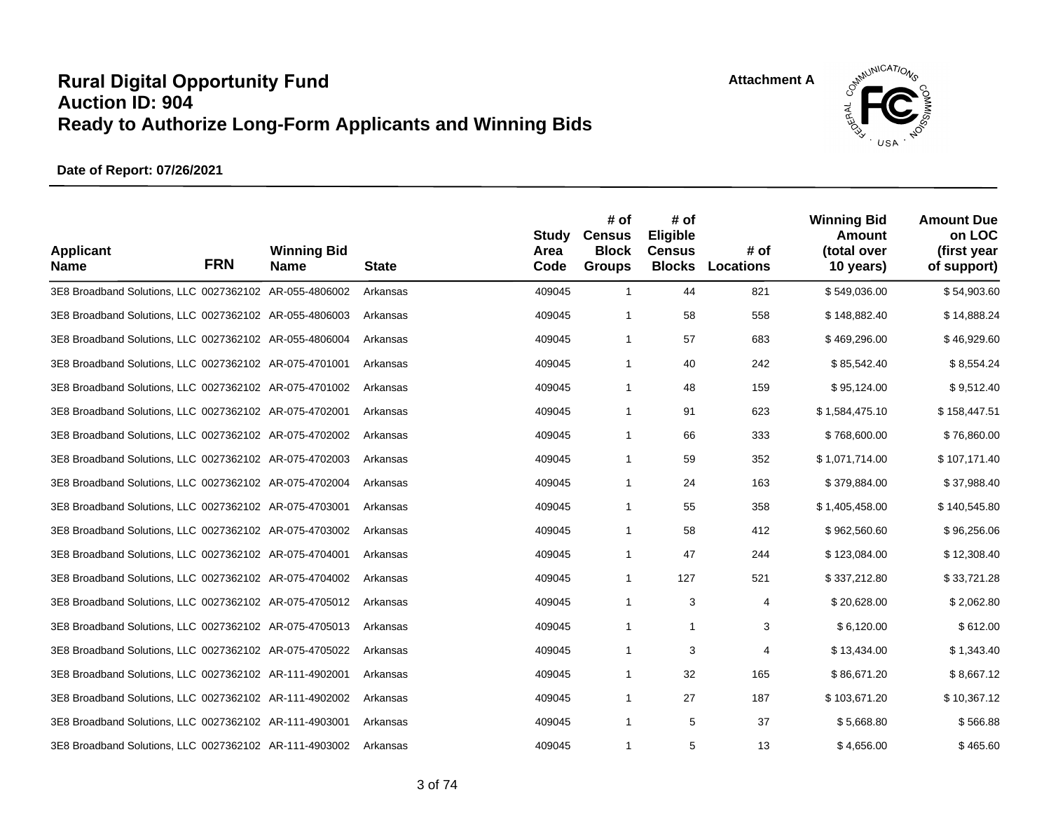**Attachment A**



| <b>Applicant</b><br><b>Name</b>                        | <b>FRN</b> | <b>Winning Bid</b><br><b>Name</b> | <b>State</b> | <b>Study</b><br>Area<br>Code | # of<br><b>Census</b><br><b>Block</b><br><b>Groups</b> | # of<br><b>Eligible</b><br><b>Census</b><br><b>Blocks</b> | # of<br>Locations | <b>Winning Bid</b><br><b>Amount</b><br>(total over<br>10 years) | <b>Amount Due</b><br>on LOC<br>(first year<br>of support) |
|--------------------------------------------------------|------------|-----------------------------------|--------------|------------------------------|--------------------------------------------------------|-----------------------------------------------------------|-------------------|-----------------------------------------------------------------|-----------------------------------------------------------|
| 3E8 Broadband Solutions, LLC 0027362102 AR-055-4806002 |            |                                   | Arkansas     | 409045                       | $\mathbf{1}$                                           | 44                                                        | 821               | \$549,036.00                                                    | \$54,903.60                                               |
| 3E8 Broadband Solutions, LLC 0027362102 AR-055-4806003 |            |                                   | Arkansas     | 409045                       | $\mathbf{1}$                                           | 58                                                        | 558               | \$148,882.40                                                    | \$14,888.24                                               |
| 3E8 Broadband Solutions, LLC 0027362102 AR-055-4806004 |            |                                   | Arkansas     | 409045                       | $\mathbf{1}$                                           | 57                                                        | 683               | \$469,296.00                                                    | \$46,929.60                                               |
| 3E8 Broadband Solutions, LLC 0027362102 AR-075-4701001 |            |                                   | Arkansas     | 409045                       | $\mathbf{1}$                                           | 40                                                        | 242               | \$85,542.40                                                     | \$8,554.24                                                |
| 3E8 Broadband Solutions, LLC 0027362102 AR-075-4701002 |            |                                   | Arkansas     | 409045                       | $\mathbf{1}$                                           | 48                                                        | 159               | \$95,124.00                                                     | \$9,512.40                                                |
| 3E8 Broadband Solutions, LLC 0027362102 AR-075-4702001 |            |                                   | Arkansas     | 409045                       | 1                                                      | 91                                                        | 623               | \$1,584,475.10                                                  | \$158,447.51                                              |
| 3E8 Broadband Solutions, LLC 0027362102 AR-075-4702002 |            |                                   | Arkansas     | 409045                       | $\mathbf{1}$                                           | 66                                                        | 333               | \$768,600.00                                                    | \$76,860.00                                               |
| 3E8 Broadband Solutions, LLC 0027362102 AR-075-4702003 |            |                                   | Arkansas     | 409045                       | $\mathbf{1}$                                           | 59                                                        | 352               | \$1,071,714.00                                                  | \$107,171.40                                              |
| 3E8 Broadband Solutions, LLC 0027362102 AR-075-4702004 |            |                                   | Arkansas     | 409045                       | $\mathbf{1}$                                           | 24                                                        | 163               | \$379,884.00                                                    | \$37,988.40                                               |
| 3E8 Broadband Solutions, LLC 0027362102 AR-075-4703001 |            |                                   | Arkansas     | 409045                       | $\mathbf{1}$                                           | 55                                                        | 358               | \$1,405,458.00                                                  | \$140,545.80                                              |
| 3E8 Broadband Solutions, LLC 0027362102 AR-075-4703002 |            |                                   | Arkansas     | 409045                       | $\mathbf{1}$                                           | 58                                                        | 412               | \$962,560.60                                                    | \$96,256.06                                               |
| 3E8 Broadband Solutions, LLC 0027362102 AR-075-4704001 |            |                                   | Arkansas     | 409045                       | $\mathbf{1}$                                           | 47                                                        | 244               | \$123,084.00                                                    | \$12,308.40                                               |
| 3E8 Broadband Solutions, LLC 0027362102 AR-075-4704002 |            |                                   | Arkansas     | 409045                       | $\mathbf{1}$                                           | 127                                                       | 521               | \$337,212.80                                                    | \$33,721.28                                               |
| 3E8 Broadband Solutions, LLC 0027362102 AR-075-4705012 |            |                                   | Arkansas     | 409045                       | $\mathbf{1}$                                           | 3                                                         | 4                 | \$20,628.00                                                     | \$2,062.80                                                |
| 3E8 Broadband Solutions, LLC 0027362102 AR-075-4705013 |            |                                   | Arkansas     | 409045                       | $\mathbf{1}$                                           | $\mathbf{1}$                                              | 3                 | \$6,120.00                                                      | \$612.00                                                  |
| 3E8 Broadband Solutions, LLC 0027362102 AR-075-4705022 |            |                                   | Arkansas     | 409045                       | 1                                                      | 3                                                         | 4                 | \$13,434.00                                                     | \$1,343.40                                                |
| 3E8 Broadband Solutions, LLC 0027362102 AR-111-4902001 |            |                                   | Arkansas     | 409045                       | 1                                                      | 32                                                        | 165               | \$86,671.20                                                     | \$8,667.12                                                |
| 3E8 Broadband Solutions, LLC 0027362102 AR-111-4902002 |            |                                   | Arkansas     | 409045                       | $\mathbf{1}$                                           | 27                                                        | 187               | \$103,671.20                                                    | \$10,367.12                                               |
| 3E8 Broadband Solutions, LLC 0027362102 AR-111-4903001 |            |                                   | Arkansas     | 409045                       | $\mathbf{1}$                                           | 5                                                         | 37                | \$5,668.80                                                      | \$566.88                                                  |
| 3E8 Broadband Solutions, LLC 0027362102 AR-111-4903002 |            |                                   | Arkansas     | 409045                       | $\mathbf{1}$                                           | 5                                                         | 13                | \$4,656.00                                                      | \$465.60                                                  |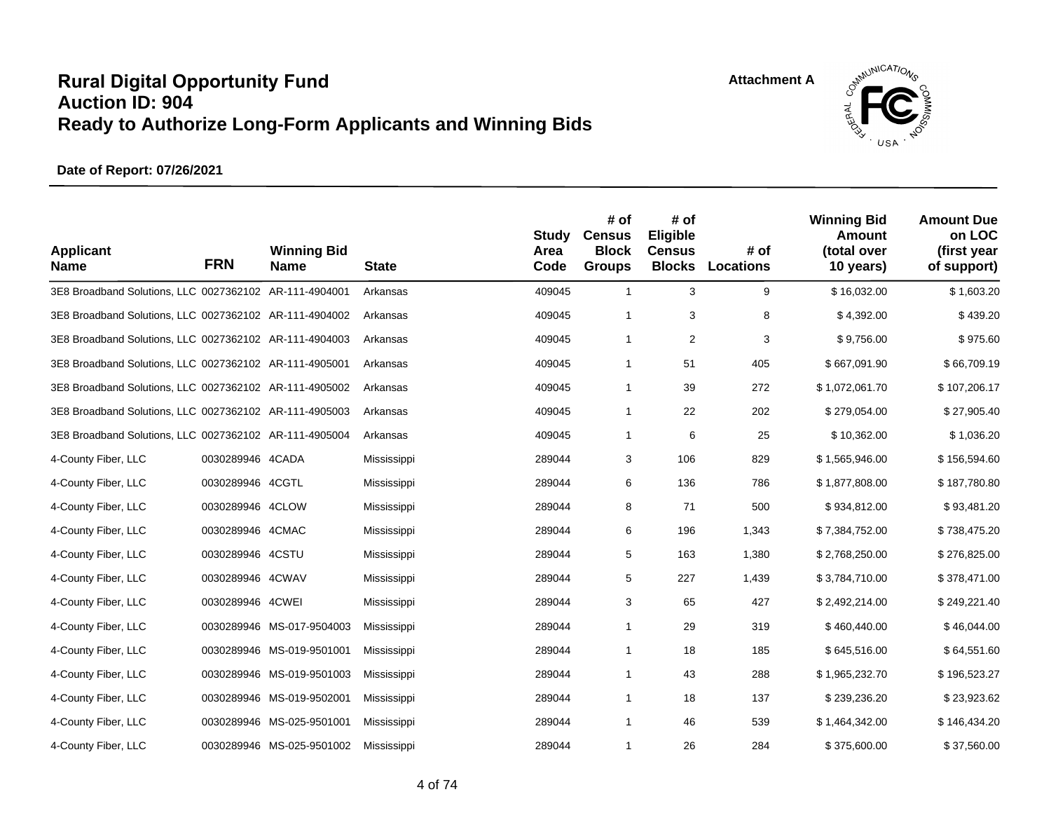

| <b>Applicant</b><br><b>Name</b>                        | <b>FRN</b>       | <b>Winning Bid</b><br><b>Name</b> | <b>State</b> | <b>Study</b><br>Area<br>Code | # of<br><b>Census</b><br><b>Block</b><br><b>Groups</b> | # of<br>Eligible<br><b>Census</b><br><b>Blocks</b> | # of<br>Locations | <b>Winning Bid</b><br><b>Amount</b><br>(total over<br>10 years) | <b>Amount Due</b><br>on LOC<br>(first year<br>of support) |
|--------------------------------------------------------|------------------|-----------------------------------|--------------|------------------------------|--------------------------------------------------------|----------------------------------------------------|-------------------|-----------------------------------------------------------------|-----------------------------------------------------------|
| 3E8 Broadband Solutions, LLC 0027362102 AR-111-4904001 |                  |                                   | Arkansas     | 409045                       | $\mathbf{1}$                                           | 3                                                  | 9                 | \$16,032.00                                                     | \$1,603.20                                                |
| 3E8 Broadband Solutions, LLC 0027362102 AR-111-4904002 |                  |                                   | Arkansas     | 409045                       | $\mathbf{1}$                                           | 3                                                  | 8                 | \$4,392.00                                                      | \$439.20                                                  |
| 3E8 Broadband Solutions, LLC 0027362102 AR-111-4904003 |                  |                                   | Arkansas     | 409045                       | $\mathbf{1}$                                           | 2                                                  | 3                 | \$9,756.00                                                      | \$975.60                                                  |
| 3E8 Broadband Solutions, LLC 0027362102 AR-111-4905001 |                  |                                   | Arkansas     | 409045                       | $\mathbf{1}$                                           | 51                                                 | 405               | \$667,091.90                                                    | \$66,709.19                                               |
| 3E8 Broadband Solutions, LLC 0027362102 AR-111-4905002 |                  |                                   | Arkansas     | 409045                       | $\mathbf{1}$                                           | 39                                                 | 272               | \$1,072,061.70                                                  | \$107,206.17                                              |
| 3E8 Broadband Solutions, LLC 0027362102 AR-111-4905003 |                  |                                   | Arkansas     | 409045                       | $\mathbf{1}$                                           | 22                                                 | 202               | \$279,054.00                                                    | \$27,905.40                                               |
| 3E8 Broadband Solutions, LLC 0027362102 AR-111-4905004 |                  |                                   | Arkansas     | 409045                       | $\mathbf{1}$                                           | 6                                                  | 25                | \$10,362.00                                                     | \$1,036.20                                                |
| 4-County Fiber, LLC                                    | 0030289946 4CADA |                                   | Mississippi  | 289044                       | 3                                                      | 106                                                | 829               | \$1,565,946.00                                                  | \$156,594.60                                              |
| 4-County Fiber, LLC                                    | 0030289946 4CGTL |                                   | Mississippi  | 289044                       | 6                                                      | 136                                                | 786               | \$1,877,808.00                                                  | \$187,780.80                                              |
| 4-County Fiber, LLC                                    | 0030289946 4CLOW |                                   | Mississippi  | 289044                       | 8                                                      | 71                                                 | 500               | \$934,812.00                                                    | \$93,481.20                                               |
| 4-County Fiber, LLC                                    | 0030289946 4CMAC |                                   | Mississippi  | 289044                       | 6                                                      | 196                                                | 1,343             | \$7,384,752.00                                                  | \$738,475.20                                              |
| 4-County Fiber, LLC                                    | 0030289946 4CSTU |                                   | Mississippi  | 289044                       | 5                                                      | 163                                                | 1,380             | \$2,768,250.00                                                  | \$276,825.00                                              |
| 4-County Fiber, LLC                                    | 0030289946 4CWAV |                                   | Mississippi  | 289044                       | 5                                                      | 227                                                | 1,439             | \$3,784,710.00                                                  | \$378,471.00                                              |
| 4-County Fiber, LLC                                    | 0030289946 4CWEI |                                   | Mississippi  | 289044                       | 3                                                      | 65                                                 | 427               | \$2,492,214.00                                                  | \$249,221.40                                              |
| 4-County Fiber, LLC                                    |                  | 0030289946 MS-017-9504003         | Mississippi  | 289044                       | $\mathbf{1}$                                           | 29                                                 | 319               | \$460,440.00                                                    | \$46,044.00                                               |
| 4-County Fiber, LLC                                    |                  | 0030289946 MS-019-9501001         | Mississippi  | 289044                       | $\mathbf{1}$                                           | 18                                                 | 185               | \$645,516.00                                                    | \$64,551.60                                               |
| 4-County Fiber, LLC                                    | 0030289946       | MS-019-9501003                    | Mississippi  | 289044                       | $\mathbf{1}$                                           | 43                                                 | 288               | \$1,965,232.70                                                  | \$196,523.27                                              |
| 4-County Fiber, LLC                                    |                  | 0030289946 MS-019-9502001         | Mississippi  | 289044                       | $\mathbf{1}$                                           | 18                                                 | 137               | \$239,236.20                                                    | \$23,923.62                                               |
| 4-County Fiber, LLC                                    |                  | 0030289946 MS-025-9501001         | Mississippi  | 289044                       | $\mathbf{1}$                                           | 46                                                 | 539               | \$1,464,342.00                                                  | \$146,434.20                                              |
| 4-County Fiber, LLC                                    |                  | 0030289946 MS-025-9501002         | Mississippi  | 289044                       | 1                                                      | 26                                                 | 284               | \$375,600.00                                                    | \$37,560.00                                               |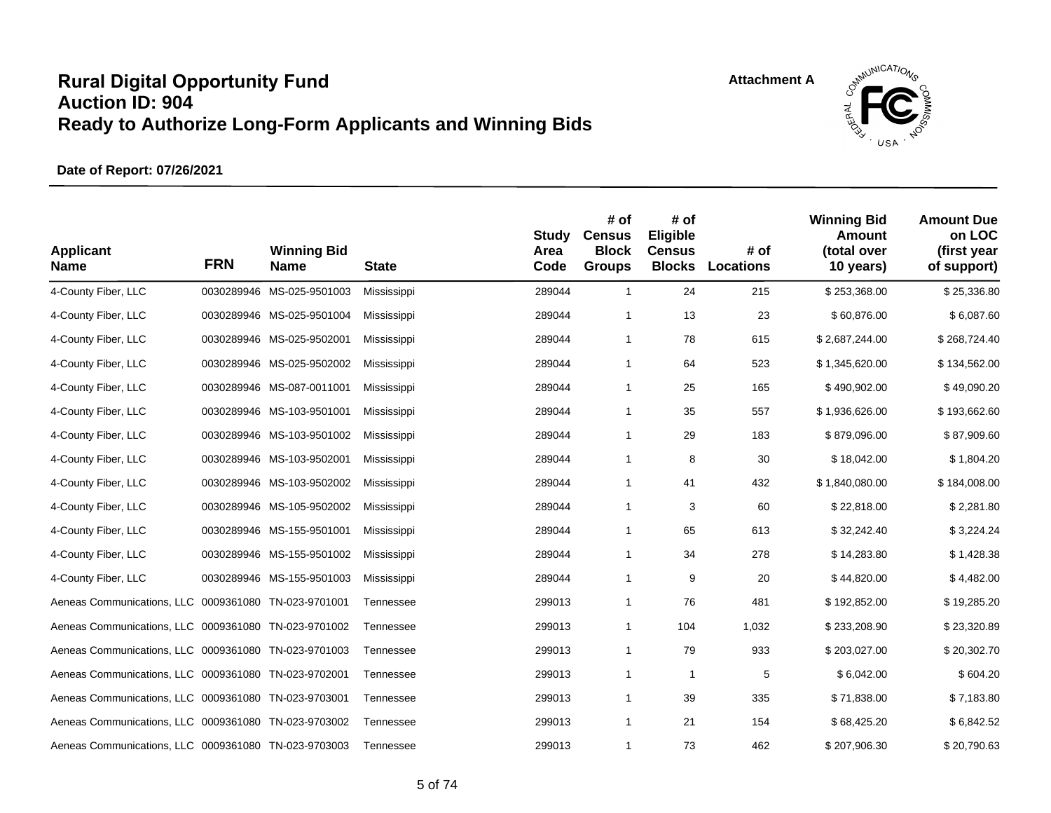

| <b>Applicant</b><br><b>Name</b>                      | <b>FRN</b> | <b>Winning Bid</b><br><b>Name</b> | <b>State</b> | <b>Study</b><br>Area<br>Code | # of<br><b>Census</b><br><b>Block</b><br><b>Groups</b> | # of<br>Eligible<br><b>Census</b><br><b>Blocks</b> | # of<br>Locations | <b>Winning Bid</b><br><b>Amount</b><br>(total over<br>10 years) | <b>Amount Due</b><br>on LOC<br>(first year<br>of support) |
|------------------------------------------------------|------------|-----------------------------------|--------------|------------------------------|--------------------------------------------------------|----------------------------------------------------|-------------------|-----------------------------------------------------------------|-----------------------------------------------------------|
| 4-County Fiber, LLC                                  |            | 0030289946 MS-025-9501003         | Mississippi  | 289044                       | $\mathbf{1}$                                           | 24                                                 | 215               | \$253,368.00                                                    | \$25,336.80                                               |
| 4-County Fiber, LLC                                  |            | 0030289946 MS-025-9501004         | Mississippi  | 289044                       | 1                                                      | 13                                                 | 23                | \$60,876.00                                                     | \$6,087.60                                                |
| 4-County Fiber, LLC                                  |            | 0030289946 MS-025-9502001         | Mississippi  | 289044                       | $\mathbf{1}$                                           | 78                                                 | 615               | \$2,687,244.00                                                  | \$268,724.40                                              |
| 4-County Fiber, LLC                                  |            | 0030289946 MS-025-9502002         | Mississippi  | 289044                       | $\mathbf{1}$                                           | 64                                                 | 523               | \$1,345,620.00                                                  | \$134,562.00                                              |
| 4-County Fiber, LLC                                  |            | 0030289946 MS-087-0011001         | Mississippi  | 289044                       | $\mathbf{1}$                                           | 25                                                 | 165               | \$490,902.00                                                    | \$49,090.20                                               |
| 4-County Fiber, LLC                                  |            | 0030289946 MS-103-9501001         | Mississippi  | 289044                       | $\mathbf{1}$                                           | 35                                                 | 557               | \$1,936,626.00                                                  | \$193,662.60                                              |
| 4-County Fiber, LLC                                  |            | 0030289946 MS-103-9501002         | Mississippi  | 289044                       | $\mathbf{1}$                                           | 29                                                 | 183               | \$879,096.00                                                    | \$87,909.60                                               |
| 4-County Fiber, LLC                                  |            | 0030289946 MS-103-9502001         | Mississippi  | 289044                       | $\mathbf{1}$                                           | 8                                                  | 30                | \$18,042.00                                                     | \$1,804.20                                                |
| 4-County Fiber, LLC                                  |            | 0030289946 MS-103-9502002         | Mississippi  | 289044                       | $\mathbf{1}$                                           | 41                                                 | 432               | \$1,840,080.00                                                  | \$184,008.00                                              |
| 4-County Fiber, LLC                                  |            | 0030289946 MS-105-9502002         | Mississippi  | 289044                       | $\mathbf{1}$                                           | 3                                                  | 60                | \$22,818.00                                                     | \$2,281.80                                                |
| 4-County Fiber, LLC                                  |            | 0030289946 MS-155-9501001         | Mississippi  | 289044                       | $\mathbf{1}$                                           | 65                                                 | 613               | \$32,242.40                                                     | \$3,224.24                                                |
| 4-County Fiber, LLC                                  |            | 0030289946 MS-155-9501002         | Mississippi  | 289044                       | $\mathbf{1}$                                           | 34                                                 | 278               | \$14,283.80                                                     | \$1,428.38                                                |
| 4-County Fiber, LLC                                  |            | 0030289946 MS-155-9501003         | Mississippi  | 289044                       | $\mathbf{1}$                                           | 9                                                  | 20                | \$44,820.00                                                     | \$4,482.00                                                |
| Aeneas Communications, LLC 0009361080 TN-023-9701001 |            |                                   | Tennessee    | 299013                       | 1                                                      | 76                                                 | 481               | \$192,852.00                                                    | \$19,285.20                                               |
| Aeneas Communications, LLC 0009361080 TN-023-9701002 |            |                                   | Tennessee    | 299013                       | $\mathbf{1}$                                           | 104                                                | 1,032             | \$233,208.90                                                    | \$23,320.89                                               |
| Aeneas Communications, LLC 0009361080 TN-023-9701003 |            |                                   | Tennessee    | 299013                       | 1                                                      | 79                                                 | 933               | \$203,027.00                                                    | \$20,302.70                                               |
| Aeneas Communications, LLC 0009361080 TN-023-9702001 |            |                                   | Tennessee    | 299013                       | 1                                                      | $\mathbf{1}$                                       | 5                 | \$6,042.00                                                      | \$604.20                                                  |
| Aeneas Communications, LLC 0009361080 TN-023-9703001 |            |                                   | Tennessee    | 299013                       | $\mathbf{1}$                                           | 39                                                 | 335               | \$71,838.00                                                     | \$7,183.80                                                |
| Aeneas Communications, LLC 0009361080 TN-023-9703002 |            |                                   | Tennessee    | 299013                       | $\mathbf{1}$                                           | 21                                                 | 154               | \$68,425.20                                                     | \$6,842.52                                                |
| Aeneas Communications, LLC 0009361080 TN-023-9703003 |            |                                   | Tennessee    | 299013                       | $\mathbf{1}$                                           | 73                                                 | 462               | \$207,906.30                                                    | \$20,790.63                                               |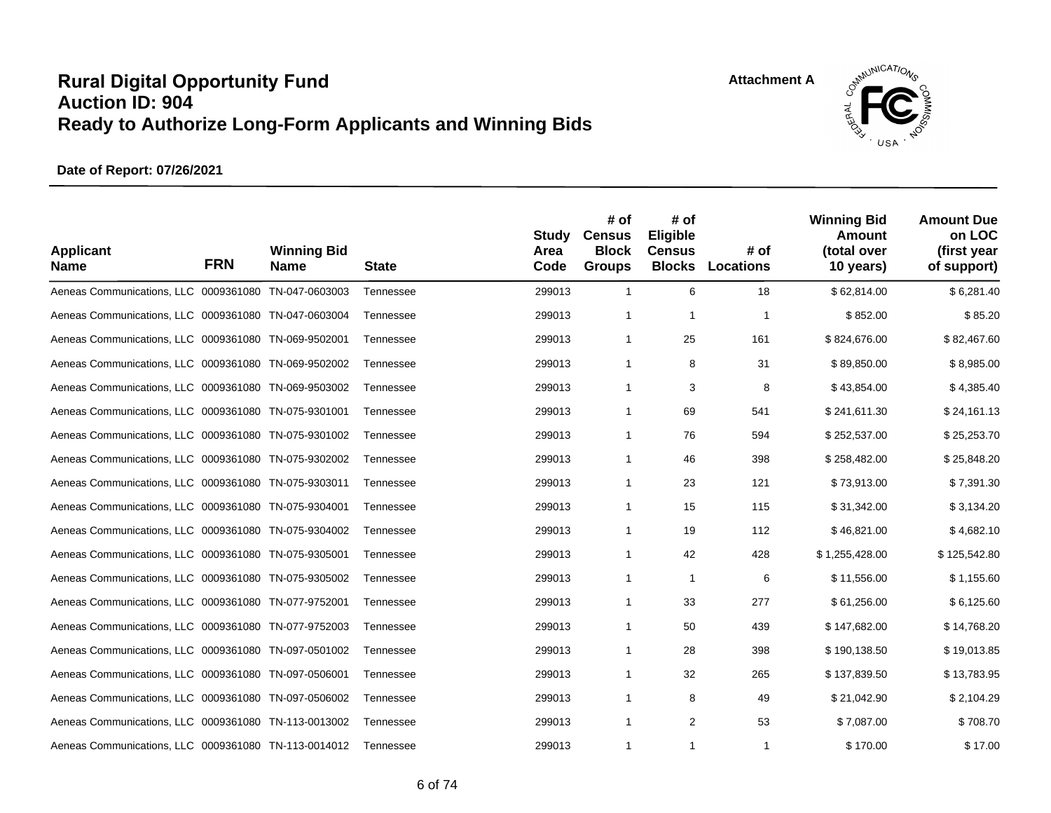**Attachment A**



| <b>Applicant</b><br><b>Name</b>                      | <b>FRN</b> | <b>Winning Bid</b><br><b>Name</b> | <b>State</b> | <b>Study</b><br>Area<br>Code | # of<br><b>Census</b><br><b>Block</b><br><b>Groups</b> | # of<br>Eligible<br><b>Census</b><br><b>Blocks</b> | # of<br>Locations | <b>Winning Bid</b><br><b>Amount</b><br>(total over<br>10 years) | <b>Amount Due</b><br>on LOC<br>(first year<br>of support) |
|------------------------------------------------------|------------|-----------------------------------|--------------|------------------------------|--------------------------------------------------------|----------------------------------------------------|-------------------|-----------------------------------------------------------------|-----------------------------------------------------------|
| Aeneas Communications, LLC 0009361080 TN-047-0603003 |            |                                   | Tennessee    | 299013                       | $\mathbf{1}$                                           | 6                                                  | 18                | \$62,814.00                                                     | \$6,281.40                                                |
| Aeneas Communications, LLC 0009361080 TN-047-0603004 |            |                                   | Tennessee    | 299013                       | $\mathbf{1}$                                           | $\mathbf{1}$                                       | $\mathbf 1$       | \$852.00                                                        | \$85.20                                                   |
| Aeneas Communications, LLC 0009361080 TN-069-9502001 |            |                                   | Tennessee    | 299013                       | $\mathbf{1}$                                           | 25                                                 | 161               | \$824,676.00                                                    | \$82,467.60                                               |
| Aeneas Communications, LLC 0009361080 TN-069-9502002 |            |                                   | Tennessee    | 299013                       | $\mathbf{1}$                                           | 8                                                  | 31                | \$89,850.00                                                     | \$8,985.00                                                |
| Aeneas Communications, LLC 0009361080 TN-069-9503002 |            |                                   | Tennessee    | 299013                       | $\mathbf{1}$                                           | 3                                                  | 8                 | \$43,854.00                                                     | \$4,385.40                                                |
| Aeneas Communications, LLC 0009361080 TN-075-9301001 |            |                                   | Tennessee    | 299013                       | $\mathbf{1}$                                           | 69                                                 | 541               | \$241,611.30                                                    | \$24,161.13                                               |
| Aeneas Communications, LLC 0009361080 TN-075-9301002 |            |                                   | Tennessee    | 299013                       | $\mathbf{1}$                                           | 76                                                 | 594               | \$252,537.00                                                    | \$25,253.70                                               |
| Aeneas Communications, LLC 0009361080 TN-075-9302002 |            |                                   | Tennessee    | 299013                       | $\mathbf{1}$                                           | 46                                                 | 398               | \$258,482.00                                                    | \$25,848.20                                               |
| Aeneas Communications, LLC 0009361080 TN-075-9303011 |            |                                   | Tennessee    | 299013                       | $\mathbf{1}$                                           | 23                                                 | 121               | \$73,913.00                                                     | \$7,391.30                                                |
| Aeneas Communications, LLC 0009361080 TN-075-9304001 |            |                                   | Tennessee    | 299013                       | $\mathbf{1}$                                           | 15                                                 | 115               | \$31,342.00                                                     | \$3,134.20                                                |
| Aeneas Communications, LLC 0009361080 TN-075-9304002 |            |                                   | Tennessee    | 299013                       | $\mathbf{1}$                                           | 19                                                 | 112               | \$46,821.00                                                     | \$4,682.10                                                |
| Aeneas Communications, LLC 0009361080 TN-075-9305001 |            |                                   | Tennessee    | 299013                       | $\mathbf{1}$                                           | 42                                                 | 428               | \$1,255,428.00                                                  | \$125,542.80                                              |
| Aeneas Communications, LLC 0009361080 TN-075-9305002 |            |                                   | Tennessee    | 299013                       | $\mathbf{1}$                                           | $\mathbf{1}$                                       | 6                 | \$11,556.00                                                     | \$1,155.60                                                |
| Aeneas Communications, LLC 0009361080 TN-077-9752001 |            |                                   | Tennessee    | 299013                       | $\mathbf{1}$                                           | 33                                                 | 277               | \$61,256.00                                                     | \$6,125.60                                                |
| Aeneas Communications, LLC 0009361080 TN-077-9752003 |            |                                   | Tennessee    | 299013                       | $\mathbf{1}$                                           | 50                                                 | 439               | \$147,682.00                                                    | \$14,768.20                                               |
| Aeneas Communications, LLC 0009361080 TN-097-0501002 |            |                                   | Tennessee    | 299013                       | $\mathbf{1}$                                           | 28                                                 | 398               | \$190,138.50                                                    | \$19,013.85                                               |
| Aeneas Communications, LLC 0009361080 TN-097-0506001 |            |                                   | Tennessee    | 299013                       | 1                                                      | 32                                                 | 265               | \$137,839.50                                                    | \$13,783.95                                               |
| Aeneas Communications, LLC 0009361080 TN-097-0506002 |            |                                   | Tennessee    | 299013                       | $\mathbf{1}$                                           | 8                                                  | 49                | \$21,042.90                                                     | \$2,104.29                                                |
| Aeneas Communications, LLC 0009361080 TN-113-0013002 |            |                                   | Tennessee    | 299013                       | $\mathbf{1}$                                           | 2                                                  | 53                | \$7,087.00                                                      | \$708.70                                                  |
| Aeneas Communications, LLC 0009361080 TN-113-0014012 |            |                                   | Tennessee    | 299013                       | 1                                                      | $\mathbf{1}$                                       | 1                 | \$170.00                                                        | \$17.00                                                   |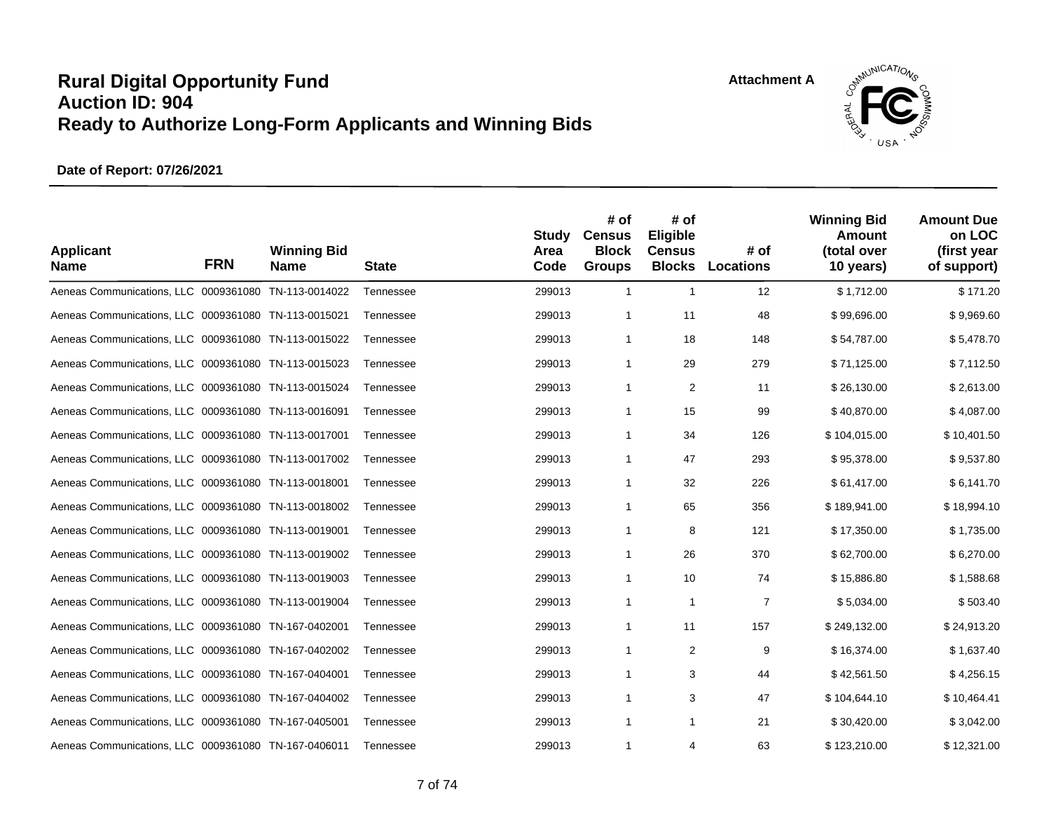**Attachment A**



| <b>Applicant</b><br><b>Name</b>                      | <b>FRN</b> | <b>Winning Bid</b><br><b>Name</b> | <b>State</b> | <b>Study</b><br>Area<br>Code | # of<br><b>Census</b><br><b>Block</b><br><b>Groups</b> | # of<br>Eligible<br><b>Census</b><br><b>Blocks</b> | # of<br><b>Locations</b> | <b>Winning Bid</b><br>Amount<br>(total over<br>10 years) | <b>Amount Due</b><br>on LOC<br>(first year<br>of support) |
|------------------------------------------------------|------------|-----------------------------------|--------------|------------------------------|--------------------------------------------------------|----------------------------------------------------|--------------------------|----------------------------------------------------------|-----------------------------------------------------------|
| Aeneas Communications, LLC 0009361080 TN-113-0014022 |            |                                   | Tennessee    | 299013                       | $\mathbf{1}$                                           | $\mathbf{1}$                                       | 12                       | \$1.712.00                                               | \$171.20                                                  |
| Aeneas Communications, LLC 0009361080 TN-113-0015021 |            |                                   | Tennessee    | 299013                       | $\mathbf{1}$                                           | 11                                                 | 48                       | \$99,696.00                                              | \$9,969.60                                                |
| Aeneas Communications, LLC 0009361080 TN-113-0015022 |            |                                   | Tennessee    | 299013                       | $\mathbf{1}$                                           | 18                                                 | 148                      | \$54,787.00                                              | \$5,478.70                                                |
| Aeneas Communications, LLC 0009361080 TN-113-0015023 |            |                                   | Tennessee    | 299013                       | $\mathbf{1}$                                           | 29                                                 | 279                      | \$71,125.00                                              | \$7,112.50                                                |
| Aeneas Communications, LLC 0009361080 TN-113-0015024 |            |                                   | Tennessee    | 299013                       | $\mathbf{1}$                                           | $\sqrt{2}$                                         | 11                       | \$26,130.00                                              | \$2,613.00                                                |
| Aeneas Communications, LLC 0009361080 TN-113-0016091 |            |                                   | Tennessee    | 299013                       | $\mathbf{1}$                                           | 15                                                 | 99                       | \$40,870.00                                              | \$4,087.00                                                |
| Aeneas Communications, LLC 0009361080 TN-113-0017001 |            |                                   | Tennessee    | 299013                       | $\mathbf{1}$                                           | 34                                                 | 126                      | \$104,015.00                                             | \$10,401.50                                               |
| Aeneas Communications, LLC 0009361080 TN-113-0017002 |            |                                   | Tennessee    | 299013                       | $\mathbf{1}$                                           | 47                                                 | 293                      | \$95,378.00                                              | \$9,537.80                                                |
| Aeneas Communications, LLC 0009361080 TN-113-0018001 |            |                                   | Tennessee    | 299013                       | $\mathbf{1}$                                           | 32                                                 | 226                      | \$61,417.00                                              | \$6,141.70                                                |
| Aeneas Communications, LLC 0009361080 TN-113-0018002 |            |                                   | Tennessee    | 299013                       | $\mathbf{1}$                                           | 65                                                 | 356                      | \$189,941.00                                             | \$18,994.10                                               |
| Aeneas Communications, LLC 0009361080 TN-113-0019001 |            |                                   | Tennessee    | 299013                       | $\mathbf{1}$                                           | 8                                                  | 121                      | \$17,350.00                                              | \$1,735.00                                                |
| Aeneas Communications, LLC 0009361080 TN-113-0019002 |            |                                   | Tennessee    | 299013                       | $\mathbf{1}$                                           | 26                                                 | 370                      | \$62,700.00                                              | \$6,270.00                                                |
| Aeneas Communications, LLC 0009361080 TN-113-0019003 |            |                                   | Tennessee    | 299013                       | $\mathbf{1}$                                           | 10                                                 | 74                       | \$15,886.80                                              | \$1,588.68                                                |
| Aeneas Communications, LLC 0009361080 TN-113-0019004 |            |                                   | Tennessee    | 299013                       | $\mathbf{1}$                                           | $\mathbf{1}$                                       | $\overline{7}$           | \$5,034.00                                               | \$503.40                                                  |
| Aeneas Communications, LLC 0009361080 TN-167-0402001 |            |                                   | Tennessee    | 299013                       | $\mathbf{1}$                                           | 11                                                 | 157                      | \$249,132.00                                             | \$24,913.20                                               |
| Aeneas Communications, LLC 0009361080 TN-167-0402002 |            |                                   | Tennessee    | 299013                       | $\mathbf{1}$                                           | 2                                                  | 9                        | \$16,374.00                                              | \$1,637.40                                                |
| Aeneas Communications, LLC 0009361080 TN-167-0404001 |            |                                   | Tennessee    | 299013                       | $\mathbf{1}$                                           | 3                                                  | 44                       | \$42,561.50                                              | \$4,256.15                                                |
| Aeneas Communications, LLC 0009361080 TN-167-0404002 |            |                                   | Tennessee    | 299013                       | $\mathbf{1}$                                           | 3                                                  | 47                       | \$104,644.10                                             | \$10,464.41                                               |
| Aeneas Communications, LLC 0009361080 TN-167-0405001 |            |                                   | Tennessee    | 299013                       | $\mathbf{1}$                                           | 1                                                  | 21                       | \$30,420.00                                              | \$3,042.00                                                |
| Aeneas Communications, LLC 0009361080 TN-167-0406011 |            |                                   | Tennessee    | 299013                       | 1                                                      | 4                                                  | 63                       | \$123,210.00                                             | \$12,321.00                                               |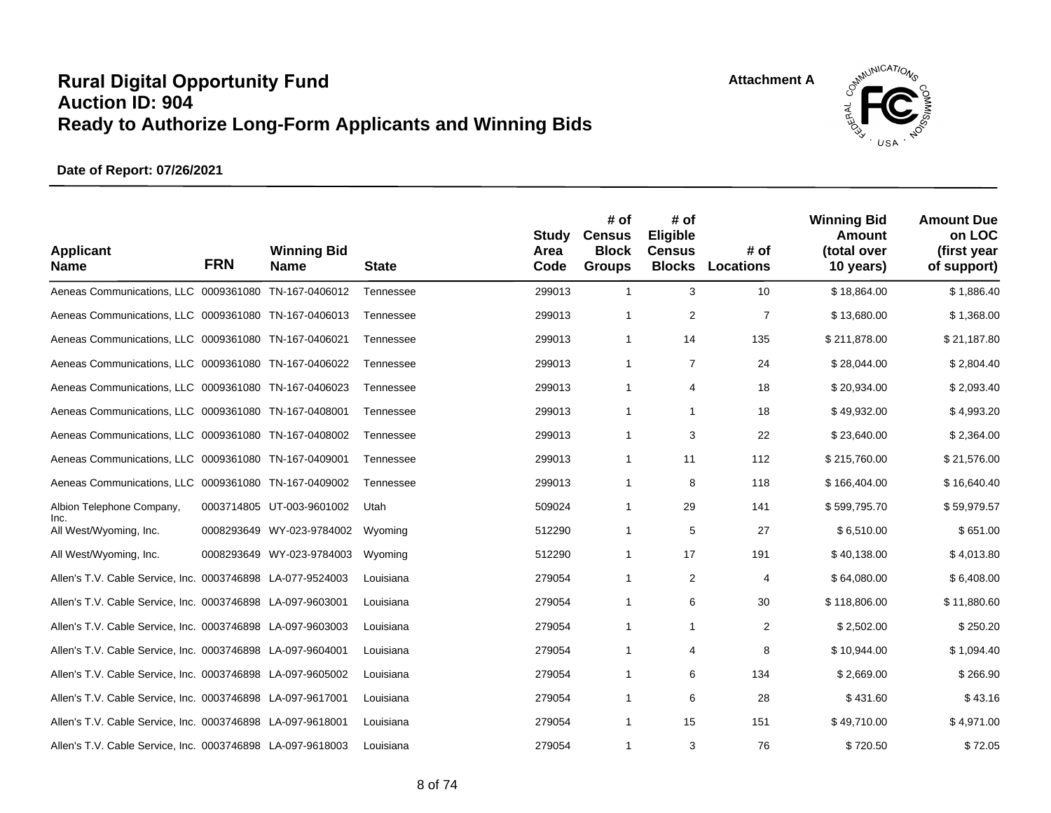**Attachment A**



| <b>Applicant</b><br><b>Name</b>                            | <b>FRN</b> | <b>Winning Bid</b><br><b>Name</b> | <b>State</b> | <b>Study</b><br>Area<br>Code | # of<br><b>Census</b><br><b>Block</b><br><b>Groups</b> | # of<br>Eligible<br><b>Census</b><br><b>Blocks</b> | # of<br>Locations | <b>Winning Bid</b><br>Amount<br>(total over<br>10 years) | <b>Amount Due</b><br>on LOC<br>(first year<br>of support) |
|------------------------------------------------------------|------------|-----------------------------------|--------------|------------------------------|--------------------------------------------------------|----------------------------------------------------|-------------------|----------------------------------------------------------|-----------------------------------------------------------|
| Aeneas Communications, LLC 0009361080 TN-167-0406012       |            |                                   | Tennessee    | 299013                       | $\mathbf{1}$                                           | 3                                                  | 10                | \$18,864.00                                              | \$1,886.40                                                |
| Aeneas Communications, LLC 0009361080 TN-167-0406013       |            |                                   | Tennessee    | 299013                       | $\mathbf{1}$                                           | $\overline{2}$                                     | $\overline{7}$    | \$13,680.00                                              | \$1,368.00                                                |
| Aeneas Communications, LLC 0009361080 TN-167-0406021       |            |                                   | Tennessee    | 299013                       | $\mathbf{1}$                                           | 14                                                 | 135               | \$211,878.00                                             | \$21,187.80                                               |
| Aeneas Communications, LLC 0009361080 TN-167-0406022       |            |                                   | Tennessee    | 299013                       | $\mathbf{1}$                                           | $\overline{7}$                                     | 24                | \$28,044.00                                              | \$2,804.40                                                |
| Aeneas Communications, LLC 0009361080 TN-167-0406023       |            |                                   | Tennessee    | 299013                       | 1                                                      | 4                                                  | 18                | \$20,934.00                                              | \$2,093.40                                                |
| Aeneas Communications, LLC 0009361080 TN-167-0408001       |            |                                   | Tennessee    | 299013                       | $\mathbf{1}$                                           | $\mathbf{1}$                                       | 18                | \$49,932.00                                              | \$4,993.20                                                |
| Aeneas Communications, LLC 0009361080 TN-167-0408002       |            |                                   | Tennessee    | 299013                       | $\mathbf{1}$                                           | 3                                                  | 22                | \$23,640.00                                              | \$2,364.00                                                |
| Aeneas Communications, LLC 0009361080 TN-167-0409001       |            |                                   | Tennessee    | 299013                       | $\mathbf{1}$                                           | 11                                                 | 112               | \$215,760.00                                             | \$21,576.00                                               |
| Aeneas Communications, LLC 0009361080 TN-167-0409002       |            |                                   | Tennessee    | 299013                       | $\mathbf{1}$                                           | 8                                                  | 118               | \$166,404.00                                             | \$16,640.40                                               |
| Albion Telephone Company,                                  |            | 0003714805 UT-003-9601002         | Utah         | 509024                       | $\mathbf{1}$                                           | 29                                                 | 141               | \$599,795.70                                             | \$59,979.57                                               |
| Inc.<br>All West/Wyoming, Inc.                             |            | 0008293649 WY-023-9784002         | Wyoming      | 512290                       | $\mathbf{1}$                                           | 5                                                  | 27                | \$6,510.00                                               | \$651.00                                                  |
| All West/Wyoming, Inc.                                     |            | 0008293649 WY-023-9784003         | Wyoming      | 512290                       | $\mathbf{1}$                                           | 17                                                 | 191               | \$40,138.00                                              | \$4,013.80                                                |
| Allen's T.V. Cable Service, Inc. 0003746898 LA-077-9524003 |            |                                   | Louisiana    | 279054                       | $\mathbf{1}$                                           | 2                                                  | 4                 | \$64,080.00                                              | \$6,408.00                                                |
| Allen's T.V. Cable Service, Inc. 0003746898 LA-097-9603001 |            |                                   | Louisiana    | 279054                       | $\mathbf{1}$                                           | 6                                                  | 30                | \$118,806.00                                             | \$11,880.60                                               |
| Allen's T.V. Cable Service, Inc. 0003746898 LA-097-9603003 |            |                                   | Louisiana    | 279054                       | $\mathbf{1}$                                           | $\mathbf{1}$                                       | 2                 | \$2,502.00                                               | \$250.20                                                  |
| Allen's T.V. Cable Service, Inc. 0003746898 LA-097-9604001 |            |                                   | Louisiana    | 279054                       | $\mathbf{1}$                                           | 4                                                  | 8                 | \$10,944.00                                              | \$1,094.40                                                |
| Allen's T.V. Cable Service, Inc. 0003746898 LA-097-9605002 |            |                                   | Louisiana    | 279054                       | $\mathbf{1}$                                           | 6                                                  | 134               | \$2,669.00                                               | \$266.90                                                  |
| Allen's T.V. Cable Service, Inc. 0003746898 LA-097-9617001 |            |                                   | Louisiana    | 279054                       | $\mathbf{1}$                                           | 6                                                  | 28                | \$431.60                                                 | \$43.16                                                   |
| Allen's T.V. Cable Service, Inc. 0003746898 LA-097-9618001 |            |                                   | Louisiana    | 279054                       | $\mathbf{1}$                                           | 15                                                 | 151               | \$49,710.00                                              | \$4,971.00                                                |
| Allen's T.V. Cable Service, Inc. 0003746898 LA-097-9618003 |            |                                   | Louisiana    | 279054                       | 1                                                      | 3                                                  | 76                | \$720.50                                                 | \$72.05                                                   |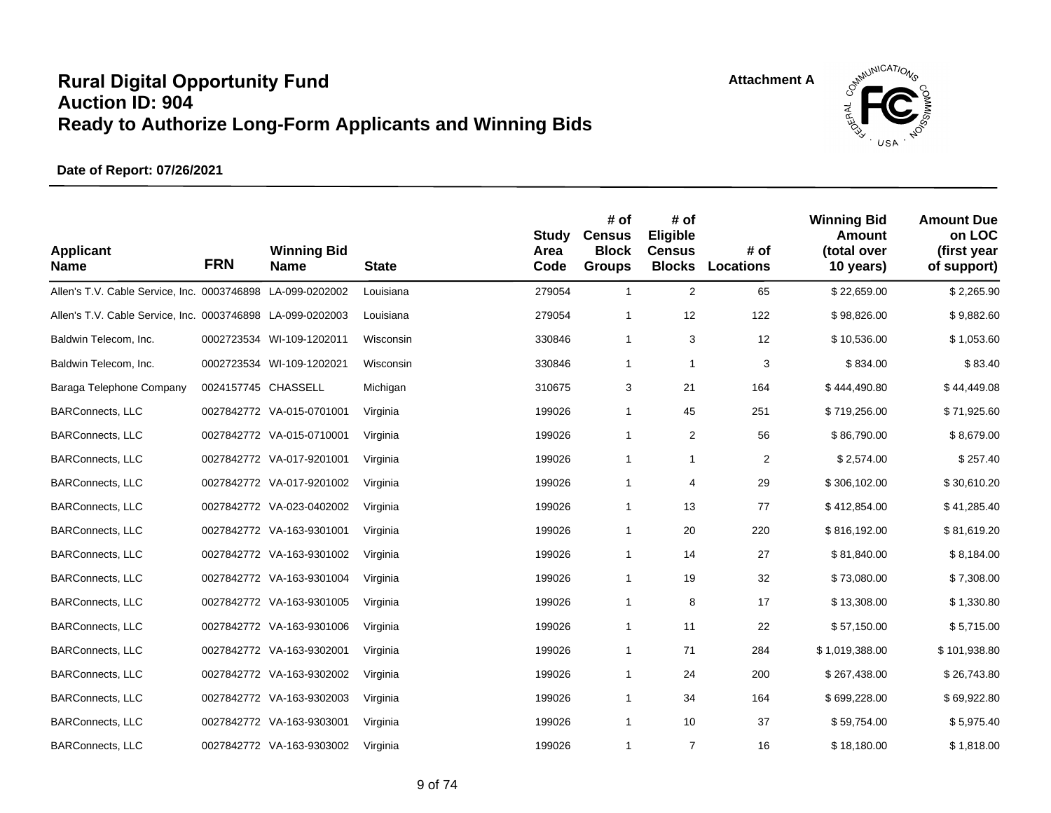

| <b>Applicant</b><br><b>Name</b>                            | <b>FRN</b>          | <b>Winning Bid</b><br><b>Name</b> | <b>State</b> | <b>Study</b><br>Area<br>Code | # of<br><b>Census</b><br><b>Block</b><br><b>Groups</b> | # of<br>Eligible<br><b>Census</b><br><b>Blocks</b> | # of<br>Locations | <b>Winning Bid</b><br>Amount<br>(total over<br>10 years) | <b>Amount Due</b><br>on LOC<br>(first year<br>of support) |
|------------------------------------------------------------|---------------------|-----------------------------------|--------------|------------------------------|--------------------------------------------------------|----------------------------------------------------|-------------------|----------------------------------------------------------|-----------------------------------------------------------|
| Allen's T.V. Cable Service, Inc. 0003746898 LA-099-0202002 |                     |                                   | Louisiana    | 279054                       | $\mathbf{1}$                                           | $\overline{c}$                                     | 65                | \$22,659.00                                              | \$2,265.90                                                |
| Allen's T.V. Cable Service, Inc. 0003746898 LA-099-0202003 |                     |                                   | Louisiana    | 279054                       | $\mathbf{1}$                                           | 12                                                 | 122               | \$98,826.00                                              | \$9,882.60                                                |
| Baldwin Telecom, Inc.                                      |                     | 0002723534 WI-109-1202011         | Wisconsin    | 330846                       | $\mathbf{1}$                                           | 3                                                  | 12                | \$10,536.00                                              | \$1,053.60                                                |
| Baldwin Telecom, Inc.                                      |                     | 0002723534 WI-109-1202021         | Wisconsin    | 330846                       | $\mathbf{1}$                                           | $\mathbf{1}$                                       | 3                 | \$834.00                                                 | \$83.40                                                   |
| Baraga Telephone Company                                   | 0024157745 CHASSELL |                                   | Michigan     | 310675                       | 3                                                      | 21                                                 | 164               | \$444,490.80                                             | \$44,449.08                                               |
| <b>BARConnects, LLC</b>                                    |                     | 0027842772 VA-015-0701001         | Virginia     | 199026                       | $\mathbf{1}$                                           | 45                                                 | 251               | \$719,256.00                                             | \$71,925.60                                               |
| <b>BARConnects, LLC</b>                                    |                     | 0027842772 VA-015-0710001         | Virginia     | 199026                       | $\mathbf{1}$                                           | $\overline{2}$                                     | 56                | \$86,790.00                                              | \$8,679.00                                                |
| <b>BARConnects, LLC</b>                                    |                     | 0027842772 VA-017-9201001         | Virginia     | 199026                       | $\mathbf{1}$                                           | 1                                                  | $\overline{2}$    | \$2,574.00                                               | \$257.40                                                  |
| <b>BARConnects, LLC</b>                                    |                     | 0027842772 VA-017-9201002         | Virginia     | 199026                       | $\mathbf{1}$                                           | 4                                                  | 29                | \$306,102.00                                             | \$30,610.20                                               |
| <b>BARConnects, LLC</b>                                    |                     | 0027842772 VA-023-0402002         | Virginia     | 199026                       | $\mathbf{1}$                                           | 13                                                 | 77                | \$412,854.00                                             | \$41,285.40                                               |
| <b>BARConnects, LLC</b>                                    |                     | 0027842772 VA-163-9301001         | Virginia     | 199026                       | $\mathbf{1}$                                           | 20                                                 | 220               | \$816,192.00                                             | \$81,619.20                                               |
| <b>BARConnects, LLC</b>                                    |                     | 0027842772 VA-163-9301002         | Virginia     | 199026                       | 1                                                      | 14                                                 | 27                | \$81,840.00                                              | \$8,184.00                                                |
| <b>BARConnects, LLC</b>                                    |                     | 0027842772 VA-163-9301004         | Virginia     | 199026                       | $\mathbf{1}$                                           | 19                                                 | 32                | \$73,080.00                                              | \$7,308.00                                                |
| <b>BARConnects, LLC</b>                                    |                     | 0027842772 VA-163-9301005         | Virginia     | 199026                       | $\mathbf{1}$                                           | 8                                                  | 17                | \$13,308.00                                              | \$1,330.80                                                |
| <b>BARConnects, LLC</b>                                    |                     | 0027842772 VA-163-9301006         | Virginia     | 199026                       | $\mathbf{1}$                                           | 11                                                 | 22                | \$57,150.00                                              | \$5,715.00                                                |
| <b>BARConnects, LLC</b>                                    |                     | 0027842772 VA-163-9302001         | Virginia     | 199026                       | $\mathbf{1}$                                           | 71                                                 | 284               | \$1,019,388.00                                           | \$101,938.80                                              |
| <b>BARConnects, LLC</b>                                    |                     | 0027842772 VA-163-9302002         | Virginia     | 199026                       | $\mathbf{1}$                                           | 24                                                 | 200               | \$267,438.00                                             | \$26,743.80                                               |
| <b>BARConnects, LLC</b>                                    |                     | 0027842772 VA-163-9302003         | Virginia     | 199026                       | $\mathbf{1}$                                           | 34                                                 | 164               | \$699,228.00                                             | \$69,922.80                                               |
| <b>BARConnects, LLC</b>                                    |                     | 0027842772 VA-163-9303001         | Virginia     | 199026                       | $\mathbf{1}$                                           | 10                                                 | 37                | \$59,754.00                                              | \$5,975.40                                                |
| <b>BARConnects, LLC</b>                                    |                     | 0027842772 VA-163-9303002         | Virginia     | 199026                       | 1                                                      | $\overline{7}$                                     | 16                | \$18,180.00                                              | \$1,818.00                                                |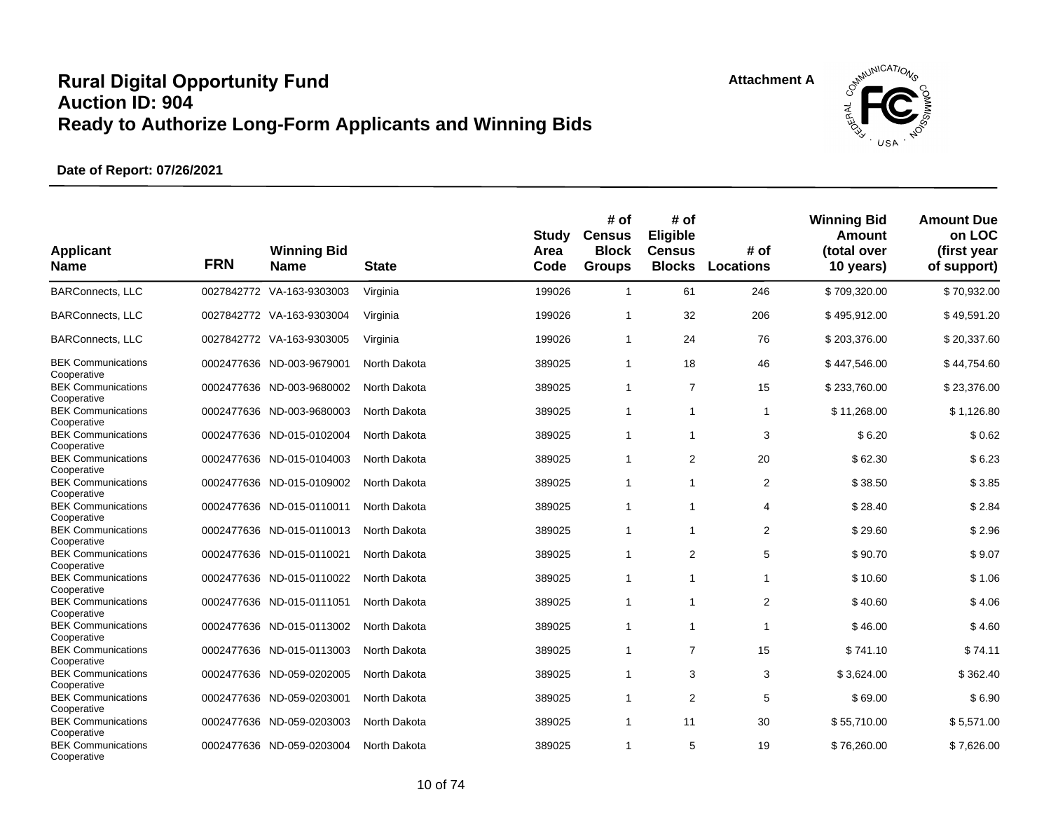

| <b>Applicant</b><br><b>Name</b>          | <b>FRN</b> | <b>Winning Bid</b><br><b>Name</b> | <b>State</b> | <b>Study</b><br>Area<br>Code | # of<br><b>Census</b><br><b>Block</b><br><b>Groups</b> | # of<br>Eligible<br><b>Census</b><br><b>Blocks</b> | # of<br>Locations | <b>Winning Bid</b><br>Amount<br>(total over<br>10 years) | <b>Amount Due</b><br>on LOC<br>(first year<br>of support) |
|------------------------------------------|------------|-----------------------------------|--------------|------------------------------|--------------------------------------------------------|----------------------------------------------------|-------------------|----------------------------------------------------------|-----------------------------------------------------------|
| <b>BARConnects, LLC</b>                  |            | 0027842772 VA-163-9303003         | Virginia     | 199026                       | $\mathbf{1}$                                           | 61                                                 | 246               | \$709,320.00                                             | \$70,932.00                                               |
| <b>BARConnects, LLC</b>                  |            | 0027842772 VA-163-9303004         | Virginia     | 199026                       | $\overline{1}$                                         | 32                                                 | 206               | \$495,912.00                                             | \$49,591.20                                               |
| <b>BARConnects, LLC</b>                  |            | 0027842772 VA-163-9303005         | Virginia     | 199026                       | $\overline{1}$                                         | 24                                                 | 76                | \$203,376.00                                             | \$20,337.60                                               |
| <b>BEK Communications</b>                |            | 0002477636 ND-003-9679001         | North Dakota | 389025                       | $\mathbf{1}$                                           | 18                                                 | 46                | \$447,546.00                                             | \$44,754.60                                               |
| Cooperative<br><b>BEK Communications</b> |            | 0002477636 ND-003-9680002         | North Dakota | 389025                       | $\mathbf{1}$                                           | $\overline{7}$                                     | 15                | \$233.760.00                                             | \$23,376.00                                               |
| Cooperative<br><b>BEK Communications</b> |            | 0002477636 ND-003-9680003         | North Dakota | 389025                       | $\overline{1}$                                         | $\overline{1}$                                     | 1                 | \$11,268.00                                              | \$1,126.80                                                |
| Cooperative<br><b>BEK Communications</b> |            | 0002477636 ND-015-0102004         | North Dakota | 389025                       | $\overline{1}$                                         | $\overline{1}$                                     | 3                 | \$6.20                                                   | \$0.62                                                    |
| Cooperative<br><b>BEK Communications</b> |            | 0002477636 ND-015-0104003         | North Dakota | 389025                       | $\overline{1}$                                         | $\overline{2}$                                     | 20                | \$62.30                                                  | \$6.23                                                    |
| Cooperative<br><b>BEK Communications</b> |            | 0002477636 ND-015-0109002         | North Dakota | 389025                       | $\overline{1}$                                         | -1                                                 | 2                 | \$38.50                                                  | \$3.85                                                    |
| Cooperative<br><b>BEK Communications</b> |            | 0002477636 ND-015-0110011         | North Dakota | 389025                       | $\overline{1}$                                         | 1                                                  | 4                 | \$28.40                                                  | \$2.84                                                    |
| Cooperative<br><b>BEK Communications</b> |            | 0002477636 ND-015-0110013         | North Dakota | 389025                       | $\mathbf{1}$                                           | $\mathbf 1$                                        | 2                 | \$29.60                                                  | \$2.96                                                    |
| Cooperative                              |            |                                   |              |                              |                                                        |                                                    |                   |                                                          |                                                           |
| <b>BEK Communications</b><br>Cooperative |            | 0002477636 ND-015-0110021         | North Dakota | 389025                       | $\overline{1}$                                         | 2                                                  | 5                 | \$90.70                                                  | \$9.07                                                    |
| <b>BEK Communications</b>                |            | 0002477636 ND-015-0110022         | North Dakota | 389025                       | $\overline{1}$                                         | $\overline{1}$                                     | 1                 | \$10.60                                                  | \$1.06                                                    |
| Cooperative<br><b>BEK Communications</b> |            | 0002477636 ND-015-0111051         | North Dakota | 389025                       | $\overline{1}$                                         | 1                                                  | 2                 | \$40.60                                                  | \$4.06                                                    |
| Cooperative<br><b>BEK Communications</b> |            | 0002477636 ND-015-0113002         | North Dakota | 389025                       | $\overline{1}$                                         | $\mathbf 1$                                        | 1                 | \$46.00                                                  | \$4.60                                                    |
| Cooperative                              |            |                                   |              |                              |                                                        |                                                    |                   |                                                          |                                                           |
| <b>BEK Communications</b><br>Cooperative | 0002477636 | ND-015-0113003                    | North Dakota | 389025                       | $\overline{1}$                                         | $\overline{7}$                                     | 15                | \$741.10                                                 | \$74.11                                                   |
| <b>BEK Communications</b>                |            | 0002477636 ND-059-0202005         | North Dakota | 389025                       | $\overline{1}$                                         | 3                                                  | 3                 | \$3,624.00                                               | \$362.40                                                  |
| Cooperative                              |            |                                   |              |                              |                                                        |                                                    |                   |                                                          |                                                           |
| <b>BEK Communications</b>                |            | 0002477636 ND-059-0203001         | North Dakota | 389025                       | $\mathbf{1}$                                           | $\overline{2}$                                     | 5                 | \$69.00                                                  | \$6.90                                                    |
| Cooperative<br><b>BEK Communications</b> |            | 0002477636 ND-059-0203003         | North Dakota | 389025                       | $\mathbf{1}$                                           | 11                                                 | 30                | \$55,710.00                                              | \$5,571.00                                                |
| Cooperative                              |            |                                   |              |                              |                                                        |                                                    |                   |                                                          |                                                           |
| <b>BEK Communications</b><br>Cooperative |            | 0002477636 ND-059-0203004         | North Dakota | 389025                       | $\overline{1}$                                         | 5                                                  | 19                | \$76,260.00                                              | \$7.626.00                                                |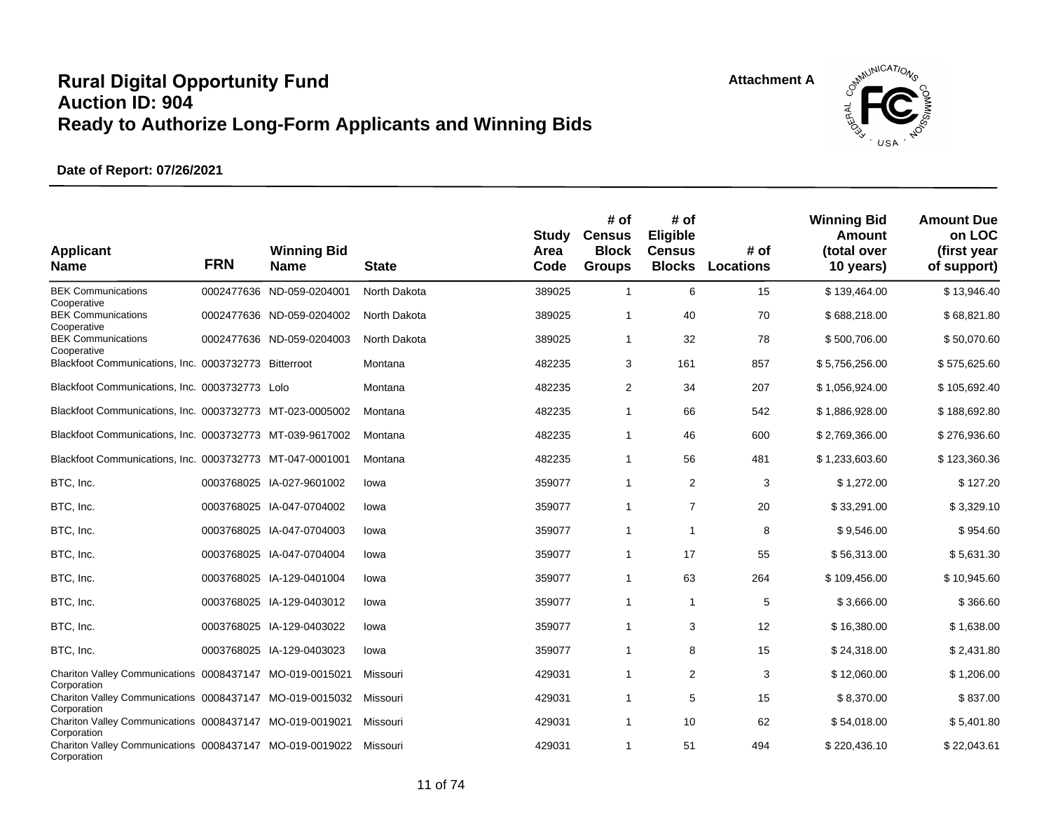

| <b>Applicant</b><br><b>Name</b>                                                        | <b>FRN</b> | <b>Winning Bid</b><br><b>Name</b> | <b>State</b> | Study<br>Area<br>Code | # of<br><b>Census</b><br><b>Block</b><br><b>Groups</b> | # of<br>Eligible<br><b>Census</b><br><b>Blocks</b> | # of<br><b>Locations</b> | <b>Winning Bid</b><br>Amount<br>(total over<br>10 years) | <b>Amount Due</b><br>on LOC<br>(first year<br>of support) |
|----------------------------------------------------------------------------------------|------------|-----------------------------------|--------------|-----------------------|--------------------------------------------------------|----------------------------------------------------|--------------------------|----------------------------------------------------------|-----------------------------------------------------------|
| <b>BEK Communications</b><br>Cooperative                                               |            | 0002477636 ND-059-0204001         | North Dakota | 389025                | $\overline{1}$                                         | 6                                                  | 15                       | \$139,464.00                                             | \$13,946.40                                               |
| <b>BEK Communications</b><br>Cooperative                                               | 0002477636 | ND-059-0204002                    | North Dakota | 389025                | $\overline{1}$                                         | 40                                                 | 70                       | \$688,218.00                                             | \$68,821.80                                               |
| <b>BEK Communications</b><br>Cooperative                                               |            | 0002477636 ND-059-0204003         | North Dakota | 389025                | -1                                                     | 32                                                 | 78                       | \$500,706.00                                             | \$50,070.60                                               |
| Blackfoot Communications, Inc. 0003732773 Bitterroot                                   |            |                                   | Montana      | 482235                | 3                                                      | 161                                                | 857                      | \$5,756,256.00                                           | \$575,625.60                                              |
| Blackfoot Communications, Inc. 0003732773 Lolo                                         |            |                                   | Montana      | 482235                | 2                                                      | 34                                                 | 207                      | \$1,056,924.00                                           | \$105,692.40                                              |
| Blackfoot Communications, Inc. 0003732773 MT-023-0005002                               |            |                                   | Montana      | 482235                | $\overline{1}$                                         | 66                                                 | 542                      | \$1,886,928.00                                           | \$188,692.80                                              |
| Blackfoot Communications, Inc. 0003732773 MT-039-9617002                               |            |                                   | Montana      | 482235                | $\overline{1}$                                         | 46                                                 | 600                      | \$2,769,366.00                                           | \$276,936.60                                              |
| Blackfoot Communications, Inc. 0003732773 MT-047-0001001                               |            |                                   | Montana      | 482235                | $\mathbf 1$                                            | 56                                                 | 481                      | \$1,233,603.60                                           | \$123,360.36                                              |
| BTC, Inc.                                                                              |            | 0003768025 IA-027-9601002         | lowa         | 359077                | $\overline{1}$                                         | $\overline{2}$                                     | 3                        | \$1,272.00                                               | \$127.20                                                  |
| BTC, Inc.                                                                              |            | 0003768025 IA-047-0704002         | lowa         | 359077                | -1                                                     | $\overline{7}$                                     | 20                       | \$33,291.00                                              | \$3,329.10                                                |
| BTC, Inc.                                                                              |            | 0003768025 IA-047-0704003         | lowa         | 359077                | $\mathbf 1$                                            | $\mathbf 1$                                        | 8                        | \$9,546.00                                               | \$954.60                                                  |
| BTC, Inc.                                                                              |            | 0003768025 IA-047-0704004         | lowa         | 359077                | -1                                                     | 17                                                 | 55                       | \$56,313.00                                              | \$5,631.30                                                |
| BTC, Inc.                                                                              |            | 0003768025 IA-129-0401004         | lowa         | 359077                | $\overline{1}$                                         | 63                                                 | 264                      | \$109,456.00                                             | \$10,945.60                                               |
| BTC, Inc.                                                                              |            | 0003768025 IA-129-0403012         | lowa         | 359077                | -1                                                     | $\mathbf{1}$                                       | 5                        | \$3,666.00                                               | \$366.60                                                  |
| BTC, Inc.                                                                              |            | 0003768025 IA-129-0403022         | lowa         | 359077                | -1                                                     | 3                                                  | 12                       | \$16,380.00                                              | \$1,638.00                                                |
| BTC, Inc.                                                                              |            | 0003768025 IA-129-0403023         | lowa         | 359077                | $\overline{1}$                                         | 8                                                  | 15                       | \$24,318.00                                              | \$2,431.80                                                |
| Chariton Valley Communications 0008437147 MO-019-0015021                               |            |                                   | Missouri     | 429031                | 1                                                      | 2                                                  | 3                        | \$12,060.00                                              | \$1,206.00                                                |
| Corporation<br>Chariton Valley Communications 0008437147                               |            | MO-019-0015032                    | Missouri     | 429031                | $\overline{1}$                                         | 5                                                  | 15                       | \$8,370.00                                               | \$837.00                                                  |
| Corporation<br>Chariton Valley Communications 0008437147 MO-019-0019021                |            |                                   | Missouri     | 429031                | -1                                                     | 10                                                 | 62                       | \$54,018.00                                              | \$5,401.80                                                |
| Corporation<br>Chariton Valley Communications 0008437147 MO-019-0019022<br>Corporation |            |                                   | Missouri     | 429031                | $\overline{1}$                                         | 51                                                 | 494                      | \$220,436.10                                             | \$22,043.61                                               |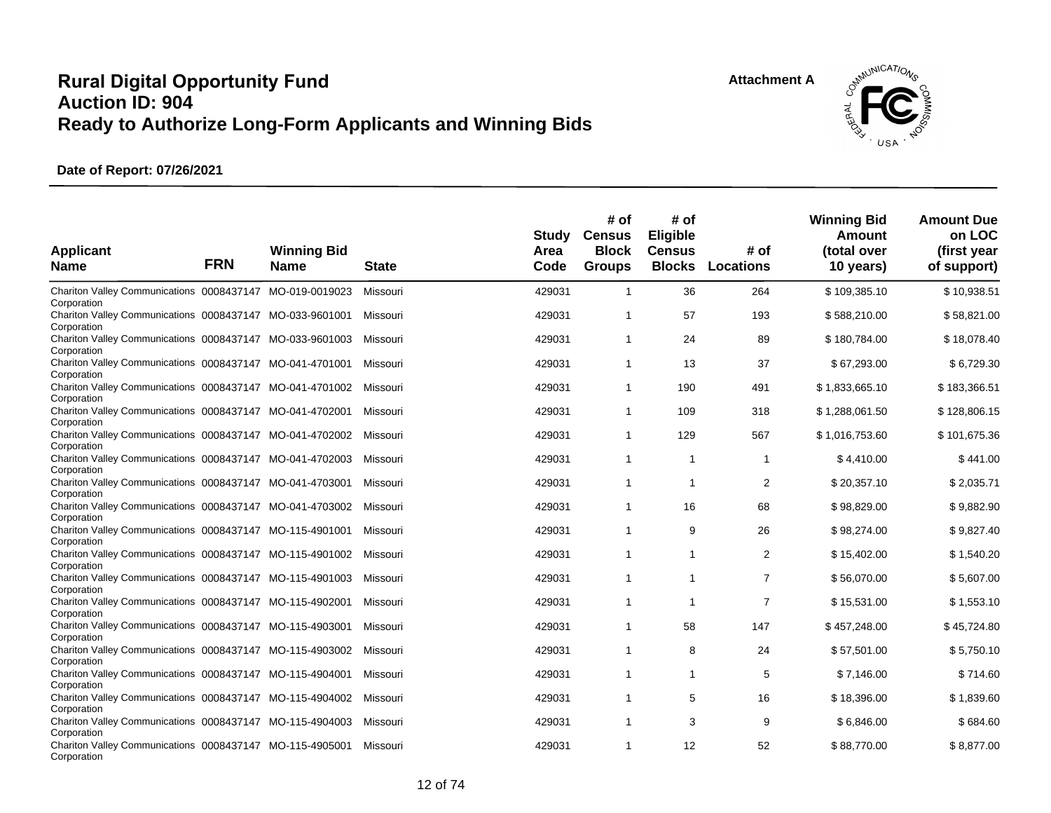**Attachment A**



| <b>Applicant</b><br><b>Name</b>                                                        | <b>FRN</b> | <b>Winning Bid</b><br><b>Name</b> | <b>State</b> | Study<br>Area<br>Code | # of<br><b>Census</b><br><b>Block</b><br><b>Groups</b> | # of<br><b>Eligible</b><br><b>Census</b><br><b>Blocks</b> | # of<br><b>Locations</b> | <b>Winning Bid</b><br>Amount<br>(total over<br>10 years) | <b>Amount Due</b><br>on LOC<br>(first year<br>of support) |
|----------------------------------------------------------------------------------------|------------|-----------------------------------|--------------|-----------------------|--------------------------------------------------------|-----------------------------------------------------------|--------------------------|----------------------------------------------------------|-----------------------------------------------------------|
| Chariton Valley Communications 0008437147<br>Corporation                               |            | MO-019-0019023                    | Missouri     | 429031                | $\mathbf{1}$                                           | 36                                                        | 264                      | \$109,385.10                                             | \$10,938.51                                               |
| Chariton Valley Communications 0008437147 MO-033-9601001<br>Corporation                |            |                                   | Missouri     | 429031                | 1                                                      | 57                                                        | 193                      | \$588,210.00                                             | \$58,821.00                                               |
| Chariton Valley Communications 0008437147 MO-033-9601003<br>Corporation                |            |                                   | Missouri     | 429031                | $\mathbf{1}$                                           | 24                                                        | 89                       | \$180,784.00                                             | \$18,078.40                                               |
| Chariton Valley Communications 0008437147 MO-041-4701001<br>Corporation                |            |                                   | Missouri     | 429031                | $\mathbf{1}$                                           | 13                                                        | 37                       | \$67,293.00                                              | \$6,729.30                                                |
| Chariton Valley Communications 0008437147 MO-041-4701002<br>Corporation                |            |                                   | Missouri     | 429031                | $\mathbf{1}$                                           | 190                                                       | 491                      | \$1,833,665.10                                           | \$183,366.51                                              |
| Chariton Valley Communications 0008437147 MO-041-4702001<br>Corporation                |            |                                   | Missouri     | 429031                | $\mathbf{1}$                                           | 109                                                       | 318                      | \$1,288,061.50                                           | \$128,806.15                                              |
| Chariton Valley Communications 0008437147 MO-041-4702002<br>Corporation                |            |                                   | Missouri     | 429031                | $\mathbf{1}$                                           | 129                                                       | 567                      | \$1,016,753.60                                           | \$101,675.36                                              |
| Chariton Valley Communications 0008437147 MO-041-4702003<br>Corporation                |            |                                   | Missouri     | 429031                | $\mathbf{1}$                                           | $\mathbf{1}$                                              | $\mathbf{1}$             | \$4,410.00                                               | \$441.00                                                  |
| Chariton Valley Communications 0008437147 MO-041-4703001<br>Corporation                |            |                                   | Missouri     | 429031                | 1                                                      | 1                                                         | $\overline{c}$           | \$20,357.10                                              | \$2,035.71                                                |
| Chariton Valley Communications 0008437147 MO-041-4703002                               |            |                                   | Missouri     | 429031                | $\mathbf{1}$                                           | 16                                                        | 68                       | \$98,829.00                                              | \$9,882.90                                                |
| Corporation<br>Chariton Valley Communications 0008437147 MO-115-4901001                |            |                                   | Missouri     | 429031                | $\mathbf{1}$                                           | 9                                                         | 26                       | \$98,274.00                                              | \$9,827.40                                                |
| Corporation<br>Chariton Valley Communications 0008437147 MO-115-4901002                |            |                                   | Missouri     | 429031                | $\mathbf{1}$                                           | $\mathbf{1}$                                              | $\overline{2}$           | \$15,402.00                                              | \$1,540.20                                                |
| Corporation<br>Chariton Valley Communications 0008437147 MO-115-4901003                |            |                                   | Missouri     | 429031                | $\mathbf{1}$                                           | $\mathbf{1}$                                              | $\overline{7}$           | \$56,070.00                                              | \$5,607.00                                                |
| Corporation<br>Chariton Valley Communications 0008437147 MO-115-4902001                |            |                                   | Missouri     | 429031                | 1                                                      | 1                                                         | $\overline{7}$           | \$15,531.00                                              | \$1,553.10                                                |
| Corporation<br>Chariton Valley Communications 0008437147 MO-115-4903001                |            |                                   | Missouri     | 429031                | $\mathbf{1}$                                           | 58                                                        | 147                      | \$457,248.00                                             | \$45,724.80                                               |
| Corporation<br>Chariton Valley Communications 0008437147 MO-115-4903002                |            |                                   | Missouri     | 429031                | $\mathbf{1}$                                           | 8                                                         | 24                       | \$57,501.00                                              | \$5,750.10                                                |
| Corporation<br>Chariton Valley Communications 0008437147 MO-115-4904001                |            |                                   | Missouri     | 429031                | $\mathbf{1}$                                           | $\mathbf{1}$                                              | 5                        | \$7,146.00                                               | \$714.60                                                  |
| Corporation<br>Chariton Valley Communications 0008437147 MO-115-4904002                |            |                                   | Missouri     | 429031                | $\mathbf{1}$                                           | 5                                                         | 16                       | \$18,396.00                                              | \$1,839.60                                                |
| Corporation<br>Chariton Valley Communications 0008437147 MO-115-4904003                |            |                                   | Missouri     | 429031                | $\mathbf{1}$                                           | 3                                                         | 9                        | \$6,846.00                                               | \$684.60                                                  |
| Corporation<br>Chariton Valley Communications 0008437147 MO-115-4905001<br>Corporation |            |                                   | Missouri     | 429031                | $\mathbf{1}$                                           | 12                                                        | 52                       | \$88,770.00                                              | \$8,877.00                                                |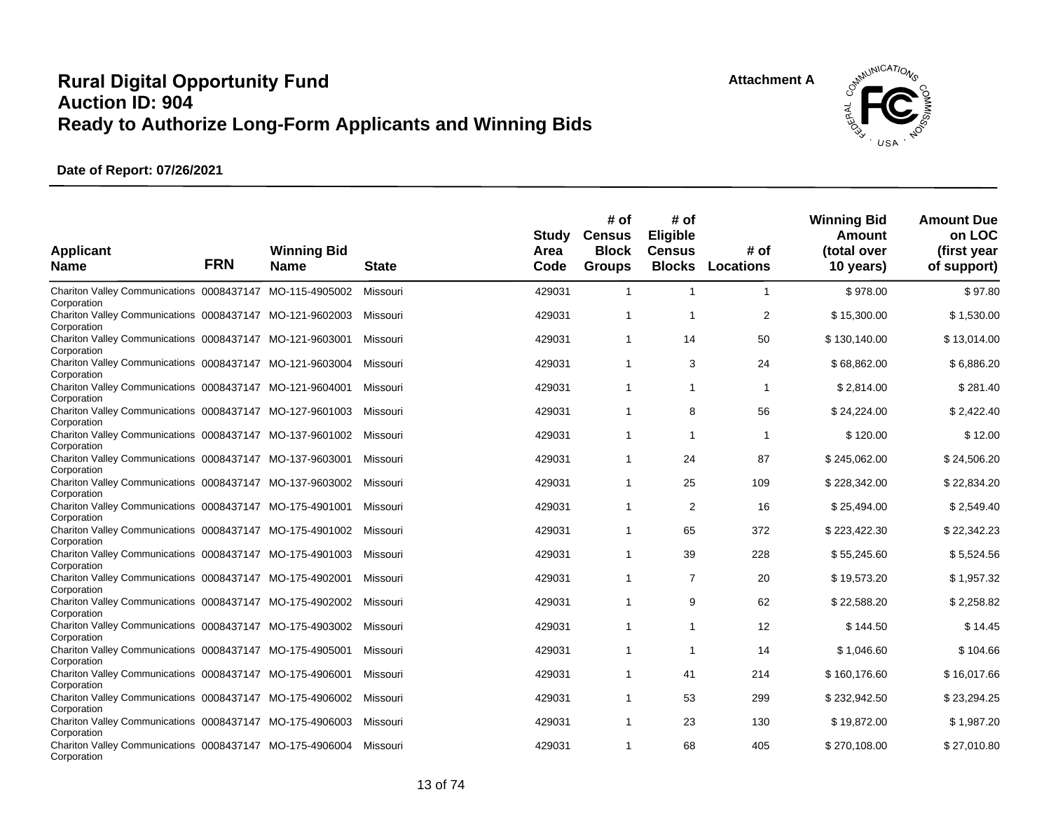**Attachment A**



| <b>Applicant</b><br><b>Name</b>                                                        | <b>FRN</b> | <b>Winning Bid</b><br><b>Name</b> | <b>State</b> | Study<br>Area<br>Code | # of<br><b>Census</b><br><b>Block</b><br><b>Groups</b> | # of<br><b>Eligible</b><br><b>Census</b><br><b>Blocks</b> | # of<br><b>Locations</b> | <b>Winning Bid</b><br>Amount<br>(total over<br>10 years) | <b>Amount Due</b><br>on LOC<br>(first year<br>of support) |
|----------------------------------------------------------------------------------------|------------|-----------------------------------|--------------|-----------------------|--------------------------------------------------------|-----------------------------------------------------------|--------------------------|----------------------------------------------------------|-----------------------------------------------------------|
| Chariton Valley Communications 0008437147 MO-115-4905002<br>Corporation                |            |                                   | Missouri     | 429031                | $\mathbf{1}$                                           | $\mathbf{1}$                                              | 1                        | \$978.00                                                 | \$97.80                                                   |
| Chariton Valley Communications 0008437147 MO-121-9602003<br>Corporation                |            |                                   | Missouri     | 429031                | 1                                                      | $\overline{1}$                                            | $\overline{2}$           | \$15,300.00                                              | \$1,530.00                                                |
| Chariton Valley Communications 0008437147 MO-121-9603001<br>Corporation                |            |                                   | Missouri     | 429031                | $\mathbf{1}$                                           | 14                                                        | 50                       | \$130,140.00                                             | \$13,014.00                                               |
| Chariton Valley Communications 0008437147 MO-121-9603004<br>Corporation                |            |                                   | Missouri     | 429031                | $\mathbf{1}$                                           | 3                                                         | 24                       | \$68,862.00                                              | \$6,886.20                                                |
| Chariton Valley Communications 0008437147 MO-121-9604001<br>Corporation                |            |                                   | Missouri     | 429031                | $\mathbf{1}$                                           | $\mathbf{1}$                                              | 1                        | \$2,814.00                                               | \$281.40                                                  |
| Chariton Valley Communications 0008437147 MO-127-9601003<br>Corporation                |            |                                   | Missouri     | 429031                | $\mathbf{1}$                                           | 8                                                         | 56                       | \$24,224.00                                              | \$2,422.40                                                |
| Chariton Valley Communications 0008437147 MO-137-9601002<br>Corporation                |            |                                   | Missouri     | 429031                | 1                                                      | -1                                                        | 1                        | \$120.00                                                 | \$12.00                                                   |
| Chariton Valley Communications 0008437147 MO-137-9603001<br>Corporation                |            |                                   | Missouri     | 429031                | $\overline{1}$                                         | 24                                                        | 87                       | \$245,062.00                                             | \$24,506.20                                               |
| Chariton Valley Communications 0008437147 MO-137-9603002<br>Corporation                |            |                                   | Missouri     | 429031                | $\mathbf{1}$                                           | 25                                                        | 109                      | \$228,342.00                                             | \$22,834.20                                               |
| Chariton Valley Communications 0008437147 MO-175-4901001<br>Corporation                |            |                                   | Missouri     | 429031                | $\mathbf{1}$                                           | $\overline{2}$                                            | 16                       | \$25,494.00                                              | \$2,549.40                                                |
| Chariton Valley Communications 0008437147 MO-175-4901002<br>Corporation                |            |                                   | Missouri     | 429031                | $\mathbf{1}$                                           | 65                                                        | 372                      | \$223,422.30                                             | \$22,342.23                                               |
| Chariton Valley Communications 0008437147 MO-175-4901003<br>Corporation                |            |                                   | Missouri     | 429031                | $\mathbf{1}$                                           | 39                                                        | 228                      | \$55,245.60                                              | \$5,524.56                                                |
| Chariton Valley Communications 0008437147 MO-175-4902001<br>Corporation                |            |                                   | Missouri     | 429031                | $\mathbf{1}$                                           | $\overline{7}$                                            | 20                       | \$19,573.20                                              | \$1,957.32                                                |
| Chariton Valley Communications 0008437147 MO-175-4902002<br>Corporation                |            |                                   | Missouri     | 429031                | $\mathbf{1}$                                           | 9                                                         | 62                       | \$22,588.20                                              | \$2,258.82                                                |
| Chariton Valley Communications 0008437147 MO-175-4903002<br>Corporation                |            |                                   | Missouri     | 429031                | $\mathbf{1}$                                           | 1                                                         | 12                       | \$144.50                                                 | \$14.45                                                   |
| Chariton Valley Communications 0008437147 MO-175-4905001                               |            |                                   | Missouri     | 429031                | $\mathbf{1}$                                           | $\mathbf{1}$                                              | 14                       | \$1,046.60                                               | \$104.66                                                  |
| Corporation<br>Chariton Valley Communications 0008437147 MO-175-4906001                |            |                                   | Missouri     | 429031                | $\mathbf 1$                                            | 41                                                        | 214                      | \$160,176.60                                             | \$16,017.66                                               |
| Corporation<br>Chariton Valley Communications 0008437147 MO-175-4906002                |            |                                   | Missouri     | 429031                | $\mathbf{1}$                                           | 53                                                        | 299                      | \$232,942.50                                             | \$23,294.25                                               |
| Corporation<br>Chariton Valley Communications 0008437147 MO-175-4906003                |            |                                   | Missouri     | 429031                | 1                                                      | 23                                                        | 130                      | \$19,872.00                                              | \$1,987.20                                                |
| Corporation<br>Chariton Valley Communications 0008437147 MO-175-4906004<br>Corporation |            |                                   | Missouri     | 429031                | $\mathbf 1$                                            | 68                                                        | 405                      | \$270,108.00                                             | \$27,010.80                                               |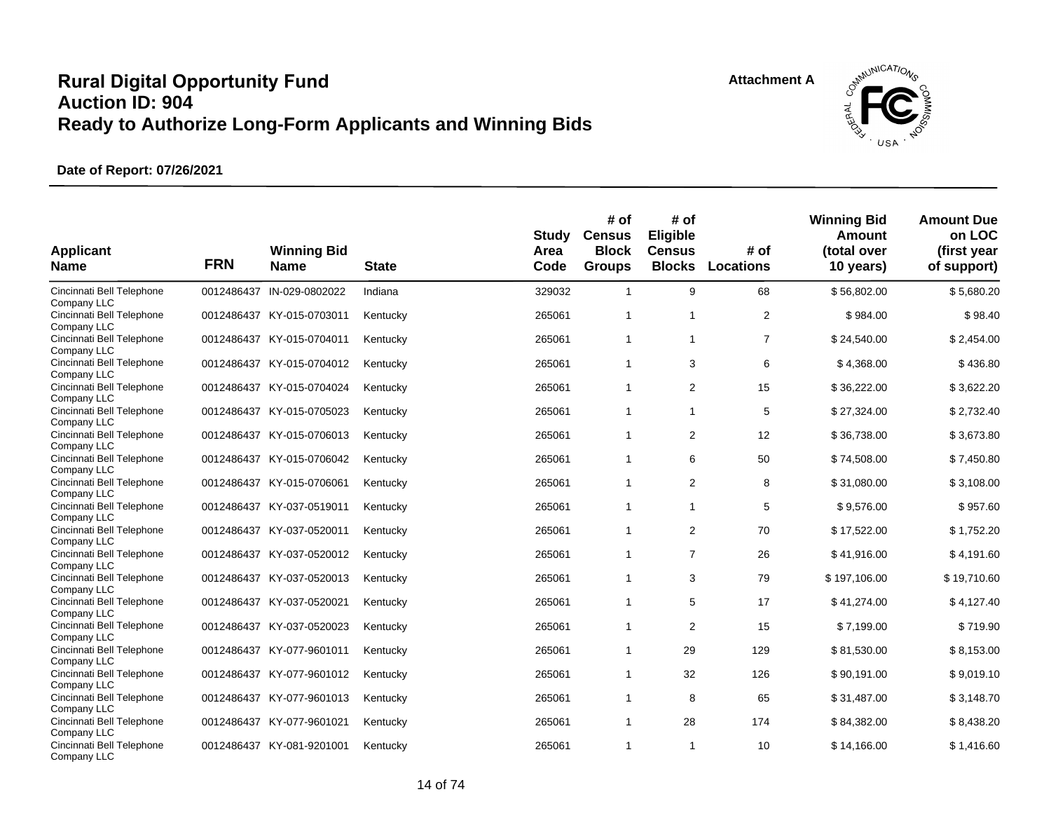

| <b>Applicant</b><br><b>Name</b>          | <b>FRN</b> | <b>Winning Bid</b><br><b>Name</b> | <b>State</b> | Study<br>Area<br>Code | # of<br><b>Census</b><br><b>Block</b><br><b>Groups</b> | # of<br>Eligible<br><b>Census</b><br><b>Blocks</b> | # of<br><b>Locations</b> | <b>Winning Bid</b><br>Amount<br>(total over<br>10 years) | <b>Amount Due</b><br>on LOC<br>(first year<br>of support) |
|------------------------------------------|------------|-----------------------------------|--------------|-----------------------|--------------------------------------------------------|----------------------------------------------------|--------------------------|----------------------------------------------------------|-----------------------------------------------------------|
| Cincinnati Bell Telephone<br>Company LLC |            | 0012486437 IN-029-0802022         | Indiana      | 329032                | $\overline{1}$                                         | 9                                                  | 68                       | \$56,802.00                                              | \$5,680.20                                                |
| Cincinnati Bell Telephone<br>Company LLC |            | 0012486437 KY-015-0703011         | Kentucky     | 265061                | $\overline{1}$                                         | $\overline{1}$                                     | 2                        | \$984.00                                                 | \$98.40                                                   |
| Cincinnati Bell Telephone<br>Company LLC |            | 0012486437 KY-015-0704011         | Kentucky     | 265061                | $\overline{1}$                                         | $\mathbf{1}$                                       | $\overline{7}$           | \$24,540.00                                              | \$2,454.00                                                |
| Cincinnati Bell Telephone<br>Company LLC |            | 0012486437 KY-015-0704012         | Kentucky     | 265061                | $\overline{1}$                                         | 3                                                  | 6                        | \$4,368.00                                               | \$436.80                                                  |
| Cincinnati Bell Telephone<br>Company LLC |            | 0012486437 KY-015-0704024         | Kentucky     | 265061                | $\overline{1}$                                         | 2                                                  | 15                       | \$36,222.00                                              | \$3,622.20                                                |
| Cincinnati Bell Telephone<br>Company LLC |            | 0012486437 KY-015-0705023         | Kentucky     | 265061                | $\overline{1}$                                         | $\mathbf{1}$                                       | 5                        | \$27,324.00                                              | \$2,732.40                                                |
| Cincinnati Bell Telephone<br>Company LLC |            | 0012486437 KY-015-0706013         | Kentucky     | 265061                | $\overline{1}$                                         | 2                                                  | 12                       | \$36,738.00                                              | \$3,673.80                                                |
| Cincinnati Bell Telephone<br>Company LLC |            | 0012486437 KY-015-0706042         | Kentucky     | 265061                | $\overline{1}$                                         | 6                                                  | 50                       | \$74,508.00                                              | \$7,450.80                                                |
| Cincinnati Bell Telephone<br>Company LLC |            | 0012486437 KY-015-0706061         | Kentucky     | 265061                | $\overline{1}$                                         | 2                                                  | 8                        | \$31,080.00                                              | \$3,108.00                                                |
| Cincinnati Bell Telephone<br>Company LLC |            | 0012486437 KY-037-0519011         | Kentucky     | 265061                | $\overline{1}$                                         | $\overline{1}$                                     | 5                        | \$9,576.00                                               | \$957.60                                                  |
| Cincinnati Bell Telephone<br>Company LLC | 0012486437 | KY-037-0520011                    | Kentucky     | 265061                | $\mathbf{1}$                                           | $\overline{2}$                                     | 70                       | \$17,522.00                                              | \$1,752.20                                                |
| Cincinnati Bell Telephone<br>Company LLC |            | 0012486437 KY-037-0520012         | Kentucky     | 265061                | $\mathbf{1}$                                           | $\overline{7}$                                     | 26                       | \$41,916.00                                              | \$4,191.60                                                |
| Cincinnati Bell Telephone<br>Company LLC |            | 0012486437 KY-037-0520013         | Kentucky     | 265061                | $\overline{1}$                                         | 3                                                  | 79                       | \$197,106.00                                             | \$19,710.60                                               |
| Cincinnati Bell Telephone<br>Company LLC |            | 0012486437 KY-037-0520021         | Kentucky     | 265061                | $\overline{1}$                                         | 5                                                  | 17                       | \$41,274.00                                              | \$4,127.40                                                |
| Cincinnati Bell Telephone<br>Company LLC |            | 0012486437 KY-037-0520023         | Kentucky     | 265061                | $\overline{1}$                                         | 2                                                  | 15                       | \$7,199.00                                               | \$719.90                                                  |
| Cincinnati Bell Telephone<br>Company LLC | 0012486437 | KY-077-9601011                    | Kentucky     | 265061                | $\overline{1}$                                         | 29                                                 | 129                      | \$81,530.00                                              | \$8,153.00                                                |
| Cincinnati Bell Telephone<br>Company LLC |            | 0012486437 KY-077-9601012         | Kentucky     | 265061                | $\overline{1}$                                         | 32                                                 | 126                      | \$90,191.00                                              | \$9,019.10                                                |
| Cincinnati Bell Telephone<br>Company LLC |            | 0012486437 KY-077-9601013         | Kentucky     | 265061                | $\overline{1}$                                         | 8                                                  | 65                       | \$31,487.00                                              | \$3,148.70                                                |
| Cincinnati Bell Telephone<br>Company LLC |            | 0012486437 KY-077-9601021         | Kentucky     | 265061                | $\mathbf{1}$                                           | 28                                                 | 174                      | \$84,382.00                                              | \$8,438.20                                                |
| Cincinnati Bell Telephone<br>Company LLC |            | 0012486437 KY-081-9201001         | Kentucky     | 265061                | $\overline{1}$                                         | $\mathbf{1}$                                       | 10                       | \$14,166.00                                              | \$1,416.60                                                |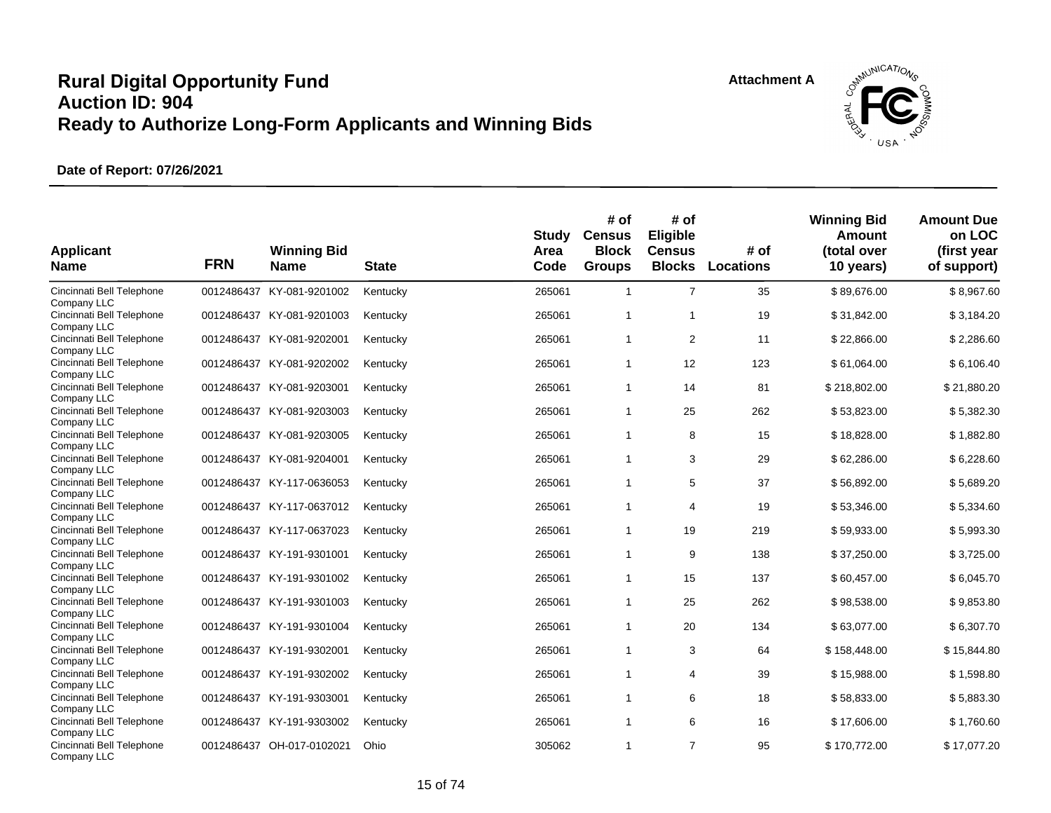

| <b>Applicant</b><br><b>Name</b>                         | <b>FRN</b> | <b>Winning Bid</b><br><b>Name</b> | <b>State</b> | <b>Study</b><br>Area<br>Code | # of<br><b>Census</b><br><b>Block</b><br><b>Groups</b> | # of<br>Eligible<br><b>Census</b><br><b>Blocks</b> | # of<br><b>Locations</b> | <b>Winning Bid</b><br><b>Amount</b><br>(total over<br>10 years) | <b>Amount Due</b><br>on LOC<br>(first year<br>of support) |
|---------------------------------------------------------|------------|-----------------------------------|--------------|------------------------------|--------------------------------------------------------|----------------------------------------------------|--------------------------|-----------------------------------------------------------------|-----------------------------------------------------------|
| Cincinnati Bell Telephone<br>Company LLC                |            | 0012486437 KY-081-9201002         | Kentucky     | 265061                       | $\overline{1}$                                         | $\overline{7}$                                     | 35                       | \$89,676.00                                                     | \$8,967.60                                                |
| Cincinnati Bell Telephone<br>Company LLC                |            | 0012486437 KY-081-9201003         | Kentucky     | 265061                       | $\overline{1}$                                         | $\overline{1}$                                     | 19                       | \$31,842.00                                                     | \$3,184.20                                                |
| Cincinnati Bell Telephone<br>Company LLC                |            | 0012486437 KY-081-9202001         | Kentucky     | 265061                       | $\overline{1}$                                         | 2                                                  | 11                       | \$22,866.00                                                     | \$2,286.60                                                |
| Cincinnati Bell Telephone<br>Company LLC                |            | 0012486437 KY-081-9202002         | Kentucky     | 265061                       | $\overline{1}$                                         | 12                                                 | 123                      | \$61,064.00                                                     | \$6,106.40                                                |
| Cincinnati Bell Telephone<br>Company LLC                |            | 0012486437 KY-081-9203001         | Kentucky     | 265061                       | $\overline{1}$                                         | 14                                                 | 81                       | \$218,802.00                                                    | \$21,880.20                                               |
| Cincinnati Bell Telephone<br>Company LLC                |            | 0012486437 KY-081-9203003         | Kentucky     | 265061                       | $\overline{1}$                                         | 25                                                 | 262                      | \$53,823.00                                                     | \$5,382.30                                                |
| Cincinnati Bell Telephone<br>Company LLC                |            | 0012486437 KY-081-9203005         | Kentucky     | 265061                       | $\overline{1}$                                         | 8                                                  | 15                       | \$18,828.00                                                     | \$1,882.80                                                |
| Cincinnati Bell Telephone<br>Company LLC                |            | 0012486437 KY-081-9204001         | Kentucky     | 265061                       | $\overline{1}$                                         | 3                                                  | 29                       | \$62,286.00                                                     | \$6,228.60                                                |
| Cincinnati Bell Telephone<br>Company LLC                |            | 0012486437 KY-117-0636053         | Kentucky     | 265061                       | $\overline{1}$                                         | 5                                                  | 37                       | \$56,892.00                                                     | \$5,689.20                                                |
| Cincinnati Bell Telephone<br>Company LLC                |            | 0012486437 KY-117-0637012         | Kentucky     | 265061                       | $\overline{1}$                                         | 4                                                  | 19                       | \$53,346.00                                                     | \$5,334.60                                                |
| Cincinnati Bell Telephone                               |            | 0012486437 KY-117-0637023         | Kentucky     | 265061                       | $\overline{1}$                                         | 19                                                 | 219                      | \$59,933.00                                                     | \$5,993.30                                                |
| Company LLC<br>Cincinnati Bell Telephone<br>Company LLC |            | 0012486437 KY-191-9301001         | Kentucky     | 265061                       | $\overline{1}$                                         | 9                                                  | 138                      | \$37,250.00                                                     | \$3,725.00                                                |
| Cincinnati Bell Telephone<br>Company LLC                |            | 0012486437 KY-191-9301002         | Kentucky     | 265061                       | $\overline{1}$                                         | 15                                                 | 137                      | \$60,457.00                                                     | \$6,045.70                                                |
| Cincinnati Bell Telephone<br>Company LLC                |            | 0012486437 KY-191-9301003         | Kentucky     | 265061                       | $\mathbf{1}$                                           | 25                                                 | 262                      | \$98,538.00                                                     | \$9,853.80                                                |
| Cincinnati Bell Telephone                               |            | 0012486437 KY-191-9301004         | Kentucky     | 265061                       | $\overline{1}$                                         | 20                                                 | 134                      | \$63,077.00                                                     | \$6,307.70                                                |
| Company LLC<br>Cincinnati Bell Telephone                |            | 0012486437 KY-191-9302001         | Kentucky     | 265061                       | $\overline{1}$                                         | 3                                                  | 64                       | \$158,448.00                                                    | \$15,844.80                                               |
| Company LLC<br>Cincinnati Bell Telephone                |            | 0012486437 KY-191-9302002         | Kentucky     | 265061                       | $\mathbf{1}$                                           | 4                                                  | 39                       | \$15,988.00                                                     | \$1,598.80                                                |
| Company LLC<br>Cincinnati Bell Telephone                |            | 0012486437 KY-191-9303001         | Kentucky     | 265061                       | $\overline{1}$                                         | 6                                                  | 18                       | \$58,833.00                                                     | \$5,883.30                                                |
| Company LLC<br>Cincinnati Bell Telephone                |            | 0012486437 KY-191-9303002         | Kentucky     | 265061                       | $\mathbf{1}$                                           | 6                                                  | 16                       | \$17,606.00                                                     | \$1,760.60                                                |
| Company LLC<br>Cincinnati Bell Telephone<br>Company LLC |            | 0012486437 OH-017-0102021         | Ohio         | 305062                       | $\overline{1}$                                         | $\overline{7}$                                     | 95                       | \$170.772.00                                                    | \$17,077.20                                               |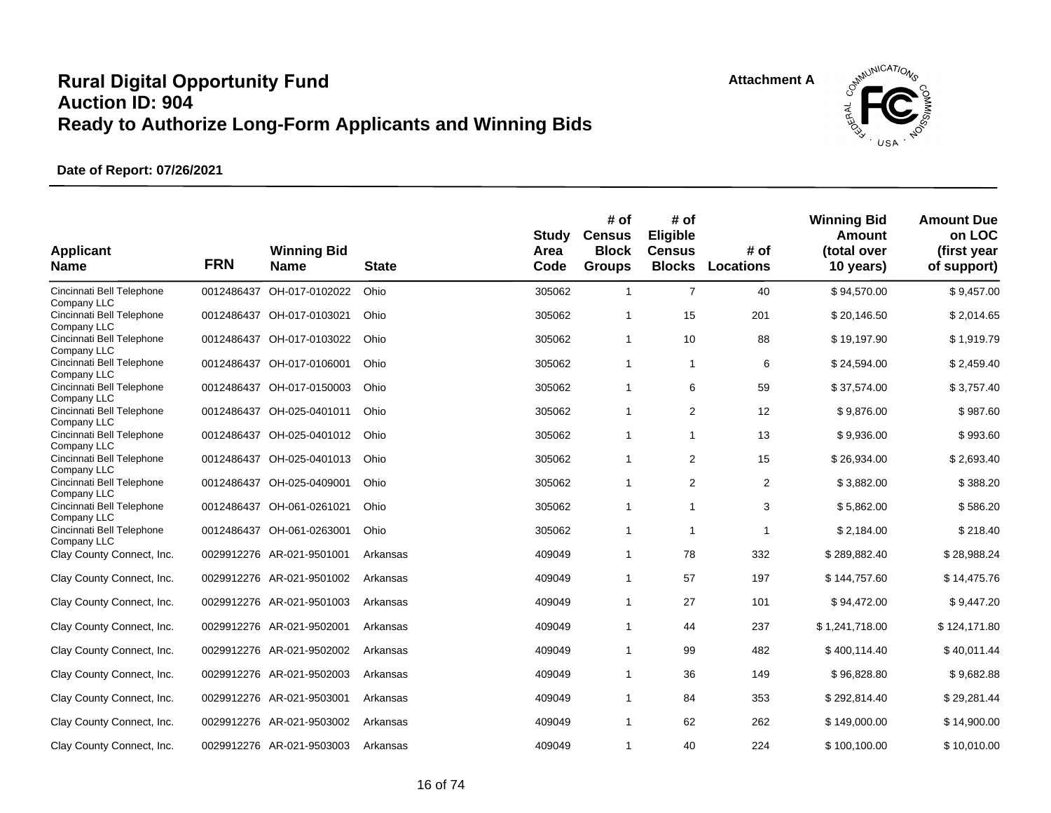

| <b>Applicant</b><br><b>Name</b>                         | <b>FRN</b> | <b>Winning Bid</b><br><b>Name</b> | <b>State</b> | Study<br>Area<br>Code | # of<br><b>Census</b><br><b>Block</b><br><b>Groups</b> | # of<br>Eligible<br><b>Census</b><br><b>Blocks</b> | # of<br>Locations | <b>Winning Bid</b><br>Amount<br>(total over<br>10 years) | <b>Amount Due</b><br>on LOC<br>(first year<br>of support) |
|---------------------------------------------------------|------------|-----------------------------------|--------------|-----------------------|--------------------------------------------------------|----------------------------------------------------|-------------------|----------------------------------------------------------|-----------------------------------------------------------|
| Cincinnati Bell Telephone                               | 0012486437 | OH-017-0102022                    | Ohio         | 305062                | $\mathbf{1}$                                           | $\overline{7}$                                     | 40                | \$94,570.00                                              | \$9,457.00                                                |
| Company LLC<br>Cincinnati Bell Telephone<br>Company LLC |            | 0012486437 OH-017-0103021         | Ohio         | 305062                | $\overline{1}$                                         | 15                                                 | 201               | \$20,146.50                                              | \$2,014.65                                                |
| Cincinnati Bell Telephone<br>Company LLC                |            | 0012486437 OH-017-0103022         | Ohio         | 305062                | $\overline{1}$                                         | 10                                                 | 88                | \$19,197.90                                              | \$1,919.79                                                |
| Cincinnati Bell Telephone<br>Company LLC                |            | 0012486437 OH-017-0106001         | Ohio         | 305062                | $\mathbf{1}$                                           | $\overline{1}$                                     | 6                 | \$24,594.00                                              | \$2,459.40                                                |
| Cincinnati Bell Telephone                               | 0012486437 | OH-017-0150003                    | Ohio         | 305062                | $\overline{1}$                                         | 6                                                  | 59                | \$37,574.00                                              | \$3,757.40                                                |
| Company LLC<br>Cincinnati Bell Telephone                | 0012486437 | OH-025-0401011                    | Ohio         | 305062                | $\overline{1}$                                         | 2                                                  | 12                | \$9,876.00                                               | \$987.60                                                  |
| Company LLC<br>Cincinnati Bell Telephone                |            | 0012486437 OH-025-0401012         | Ohio         | 305062                | $\mathbf{1}$                                           | $\mathbf{1}$                                       | 13                | \$9,936.00                                               | \$993.60                                                  |
| Company LLC<br>Cincinnati Bell Telephone                | 0012486437 | OH-025-0401013                    | Ohio         | 305062                | $\overline{1}$                                         | 2                                                  | 15                | \$26,934.00                                              | \$2,693.40                                                |
| Company LLC<br>Cincinnati Bell Telephone                | 0012486437 | OH-025-0409001                    | Ohio         | 305062                | $\overline{1}$                                         | 2                                                  | $\overline{2}$    | \$3,882.00                                               | \$388.20                                                  |
| Company LLC<br>Cincinnati Bell Telephone                |            | 0012486437 OH-061-0261021         | Ohio         | 305062                | $\overline{1}$                                         | $\overline{1}$                                     | 3                 | \$5,862.00                                               | \$586.20                                                  |
| Company LLC<br>Cincinnati Bell Telephone                |            | 0012486437 OH-061-0263001         | Ohio         | 305062                | $\mathbf{1}$                                           | $\overline{1}$                                     | 1                 | \$2,184.00                                               | \$218.40                                                  |
| Company LLC<br>Clay County Connect, Inc.                |            | 0029912276 AR-021-9501001         | Arkansas     | 409049                | $\overline{1}$                                         | 78                                                 | 332               | \$289,882.40                                             | \$28,988.24                                               |
| Clay County Connect, Inc.                               |            | 0029912276 AR-021-9501002         | Arkansas     | 409049                | $\overline{1}$                                         | 57                                                 | 197               | \$144,757.60                                             | \$14,475.76                                               |
| Clay County Connect, Inc.                               |            | 0029912276 AR-021-9501003         | Arkansas     | 409049                | $\overline{1}$                                         | 27                                                 | 101               | \$94,472.00                                              | \$9,447.20                                                |
| Clay County Connect, Inc.                               |            | 0029912276 AR-021-9502001         | Arkansas     | 409049                | $\overline{1}$                                         | 44                                                 | 237               | \$1,241,718.00                                           | \$124,171.80                                              |
| Clay County Connect, Inc.                               |            | 0029912276 AR-021-9502002         | Arkansas     | 409049                | $\overline{1}$                                         | 99                                                 | 482               | \$400,114.40                                             | \$40,011.44                                               |
| Clay County Connect, Inc.                               | 0029912276 | AR-021-9502003                    | Arkansas     | 409049                | $\overline{1}$                                         | 36                                                 | 149               | \$96,828.80                                              | \$9,682.88                                                |
| Clay County Connect, Inc.                               |            | 0029912276 AR-021-9503001         | Arkansas     | 409049                | $\overline{1}$                                         | 84                                                 | 353               | \$292,814.40                                             | \$29,281.44                                               |
| Clay County Connect, Inc.                               |            | 0029912276 AR-021-9503002         | Arkansas     | 409049                | $\mathbf{1}$                                           | 62                                                 | 262               | \$149,000.00                                             | \$14,900.00                                               |
| Clay County Connect, Inc.                               |            | 0029912276 AR-021-9503003         | Arkansas     | 409049                | $\overline{1}$                                         | 40                                                 | 224               | \$100,100.00                                             | \$10,010.00                                               |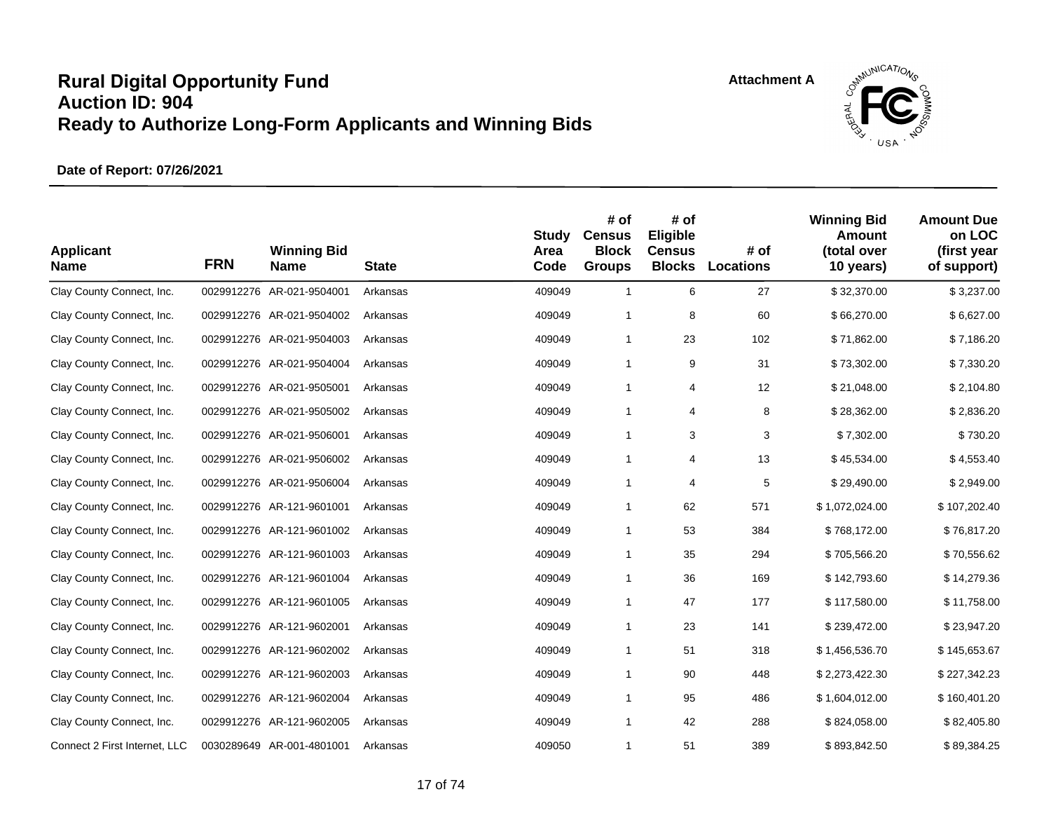

| <b>Applicant</b><br><b>Name</b> | <b>FRN</b> | <b>Winning Bid</b><br><b>Name</b> | <b>State</b> | <b>Study</b><br>Area<br>Code | # of<br><b>Census</b><br><b>Block</b><br><b>Groups</b> | # of<br>Eligible<br><b>Census</b><br><b>Blocks</b> | # of<br><b>Locations</b> | <b>Winning Bid</b><br><b>Amount</b><br>(total over<br>10 years) | <b>Amount Due</b><br>on LOC<br>(first year<br>of support) |
|---------------------------------|------------|-----------------------------------|--------------|------------------------------|--------------------------------------------------------|----------------------------------------------------|--------------------------|-----------------------------------------------------------------|-----------------------------------------------------------|
| Clay County Connect, Inc.       |            | 0029912276 AR-021-9504001         | Arkansas     | 409049                       | $\overline{1}$                                         | 6                                                  | 27                       | \$32,370.00                                                     | \$3,237.00                                                |
| Clay County Connect, Inc.       |            | 0029912276 AR-021-9504002         | Arkansas     | 409049                       | $\overline{1}$                                         | 8                                                  | 60                       | \$66,270.00                                                     | \$6,627.00                                                |
| Clay County Connect, Inc.       |            | 0029912276 AR-021-9504003         | Arkansas     | 409049                       | $\overline{1}$                                         | 23                                                 | 102                      | \$71,862.00                                                     | \$7,186.20                                                |
| Clay County Connect, Inc.       |            | 0029912276 AR-021-9504004         | Arkansas     | 409049                       | $\overline{1}$                                         | 9                                                  | 31                       | \$73,302.00                                                     | \$7,330.20                                                |
| Clay County Connect, Inc.       |            | 0029912276 AR-021-9505001         | Arkansas     | 409049                       | $\overline{1}$                                         | 4                                                  | 12                       | \$21,048.00                                                     | \$2,104.80                                                |
| Clay County Connect, Inc.       |            | 0029912276 AR-021-9505002         | Arkansas     | 409049                       | $\overline{1}$                                         | 4                                                  | 8                        | \$28,362.00                                                     | \$2,836.20                                                |
| Clay County Connect, Inc.       |            | 0029912276 AR-021-9506001         | Arkansas     | 409049                       | $\overline{1}$                                         | 3                                                  | 3                        | \$7,302.00                                                      | \$730.20                                                  |
| Clay County Connect, Inc.       |            | 0029912276 AR-021-9506002         | Arkansas     | 409049                       | $\mathbf{1}$                                           | 4                                                  | 13                       | \$45,534.00                                                     | \$4,553.40                                                |
| Clay County Connect, Inc.       |            | 0029912276 AR-021-9506004         | Arkansas     | 409049                       | $\overline{1}$                                         | 4                                                  | 5                        | \$29,490.00                                                     | \$2,949.00                                                |
| Clay County Connect, Inc.       |            | 0029912276 AR-121-9601001         | Arkansas     | 409049                       | $\overline{1}$                                         | 62                                                 | 571                      | \$1,072,024.00                                                  | \$107,202.40                                              |
| Clay County Connect, Inc.       |            | 0029912276 AR-121-9601002         | Arkansas     | 409049                       | $\overline{1}$                                         | 53                                                 | 384                      | \$768,172.00                                                    | \$76,817.20                                               |
| Clay County Connect, Inc.       |            | 0029912276 AR-121-9601003         | Arkansas     | 409049                       | $\mathbf{1}$                                           | 35                                                 | 294                      | \$705,566.20                                                    | \$70,556.62                                               |
| Clay County Connect, Inc.       |            | 0029912276 AR-121-9601004         | Arkansas     | 409049                       | $\overline{1}$                                         | 36                                                 | 169                      | \$142,793.60                                                    | \$14,279.36                                               |
| Clay County Connect, Inc.       |            | 0029912276 AR-121-9601005         | Arkansas     | 409049                       | $\overline{1}$                                         | 47                                                 | 177                      | \$117,580.00                                                    | \$11,758.00                                               |
| Clay County Connect, Inc.       |            | 0029912276 AR-121-9602001         | Arkansas     | 409049                       | $\mathbf{1}$                                           | 23                                                 | 141                      | \$239,472.00                                                    | \$23,947.20                                               |
| Clay County Connect, Inc.       |            | 0029912276 AR-121-9602002         | Arkansas     | 409049                       | $\overline{1}$                                         | 51                                                 | 318                      | \$1,456,536.70                                                  | \$145,653.67                                              |
| Clay County Connect, Inc.       |            | 0029912276 AR-121-9602003         | Arkansas     | 409049                       | $\overline{1}$                                         | 90                                                 | 448                      | \$2,273,422.30                                                  | \$227,342.23                                              |
| Clay County Connect, Inc.       |            | 0029912276 AR-121-9602004         | Arkansas     | 409049                       | $\overline{1}$                                         | 95                                                 | 486                      | \$1,604,012.00                                                  | \$160,401.20                                              |
| Clay County Connect, Inc.       |            | 0029912276 AR-121-9602005         | Arkansas     | 409049                       | $\mathbf{1}$                                           | 42                                                 | 288                      | \$824,058.00                                                    | \$82,405.80                                               |
| Connect 2 First Internet, LLC   |            | 0030289649 AR-001-4801001         | Arkansas     | 409050                       | $\mathbf{1}$                                           | 51                                                 | 389                      | \$893,842.50                                                    | \$89,384.25                                               |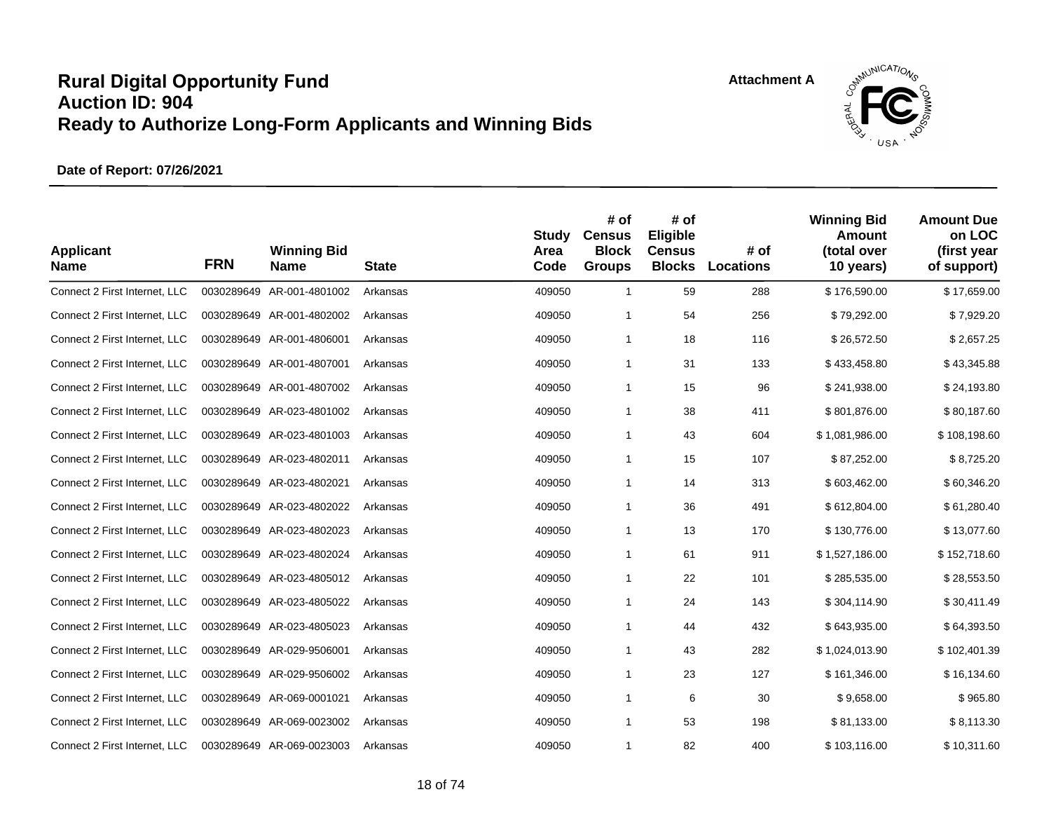

| <b>Applicant</b><br><b>Name</b> | <b>FRN</b> | <b>Winning Bid</b><br><b>Name</b> | <b>State</b> | <b>Study</b><br>Area<br>Code | # of<br><b>Census</b><br><b>Block</b><br><b>Groups</b> | # of<br>Eligible<br><b>Census</b><br><b>Blocks</b> | # of<br>Locations | <b>Winning Bid</b><br><b>Amount</b><br>(total over<br>10 years) | <b>Amount Due</b><br>on LOC<br>(first year<br>of support) |
|---------------------------------|------------|-----------------------------------|--------------|------------------------------|--------------------------------------------------------|----------------------------------------------------|-------------------|-----------------------------------------------------------------|-----------------------------------------------------------|
| Connect 2 First Internet, LLC   |            | 0030289649 AR-001-4801002         | Arkansas     | 409050                       | $\mathbf{1}$                                           | 59                                                 | 288               | \$176,590.00                                                    | \$17,659.00                                               |
| Connect 2 First Internet, LLC   |            | 0030289649 AR-001-4802002         | Arkansas     | 409050                       | 1                                                      | 54                                                 | 256               | \$79,292.00                                                     | \$7,929.20                                                |
| Connect 2 First Internet, LLC   |            | 0030289649 AR-001-4806001         | Arkansas     | 409050                       | 1                                                      | 18                                                 | 116               | \$26,572.50                                                     | \$2,657.25                                                |
| Connect 2 First Internet, LLC   |            | 0030289649 AR-001-4807001         | Arkansas     | 409050                       | 1                                                      | 31                                                 | 133               | \$433,458.80                                                    | \$43,345.88                                               |
| Connect 2 First Internet, LLC   |            | 0030289649 AR-001-4807002         | Arkansas     | 409050                       | 1                                                      | 15                                                 | 96                | \$241,938.00                                                    | \$24,193.80                                               |
| Connect 2 First Internet, LLC   |            | 0030289649 AR-023-4801002         | Arkansas     | 409050                       | 1                                                      | 38                                                 | 411               | \$801,876.00                                                    | \$80,187.60                                               |
| Connect 2 First Internet, LLC   |            | 0030289649 AR-023-4801003         | Arkansas     | 409050                       | 1                                                      | 43                                                 | 604               | \$1,081,986.00                                                  | \$108,198.60                                              |
| Connect 2 First Internet, LLC   |            | 0030289649 AR-023-4802011         | Arkansas     | 409050                       | 1                                                      | 15                                                 | 107               | \$87,252.00                                                     | \$8,725.20                                                |
| Connect 2 First Internet, LLC   |            | 0030289649 AR-023-4802021         | Arkansas     | 409050                       | 1                                                      | 14                                                 | 313               | \$603,462.00                                                    | \$60,346.20                                               |
| Connect 2 First Internet, LLC   |            | 0030289649 AR-023-4802022         | Arkansas     | 409050                       | 1                                                      | 36                                                 | 491               | \$612,804.00                                                    | \$61,280.40                                               |
| Connect 2 First Internet, LLC   |            | 0030289649 AR-023-4802023         | Arkansas     | 409050                       | $\mathbf{1}$                                           | 13                                                 | 170               | \$130,776.00                                                    | \$13,077.60                                               |
| Connect 2 First Internet, LLC   |            | 0030289649 AR-023-4802024         | Arkansas     | 409050                       | 1                                                      | 61                                                 | 911               | \$1,527,186.00                                                  | \$152,718.60                                              |
| Connect 2 First Internet, LLC   |            | 0030289649 AR-023-4805012         | Arkansas     | 409050                       | $\mathbf{1}$                                           | 22                                                 | 101               | \$285,535.00                                                    | \$28,553.50                                               |
| Connect 2 First Internet, LLC   |            | 0030289649 AR-023-4805022         | Arkansas     | 409050                       | 1                                                      | 24                                                 | 143               | \$304,114.90                                                    | \$30,411.49                                               |
| Connect 2 First Internet, LLC   |            | 0030289649 AR-023-4805023         | Arkansas     | 409050                       | 1                                                      | 44                                                 | 432               | \$643,935.00                                                    | \$64,393.50                                               |
| Connect 2 First Internet, LLC   |            | 0030289649 AR-029-9506001         | Arkansas     | 409050                       | 1                                                      | 43                                                 | 282               | \$1,024,013.90                                                  | \$102,401.39                                              |
| Connect 2 First Internet, LLC   |            | 0030289649 AR-029-9506002         | Arkansas     | 409050                       | $\mathbf{1}$                                           | 23                                                 | 127               | \$161,346.00                                                    | \$16,134.60                                               |
| Connect 2 First Internet, LLC   |            | 0030289649 AR-069-0001021         | Arkansas     | 409050                       | 1                                                      | 6                                                  | 30                | \$9,658.00                                                      | \$965.80                                                  |
| Connect 2 First Internet, LLC   |            | 0030289649 AR-069-0023002         | Arkansas     | 409050                       | 1                                                      | 53                                                 | 198               | \$81,133.00                                                     | \$8,113.30                                                |
| Connect 2 First Internet, LLC   |            | 0030289649 AR-069-0023003         | Arkansas     | 409050                       | 1                                                      | 82                                                 | 400               | \$103,116.00                                                    | \$10,311.60                                               |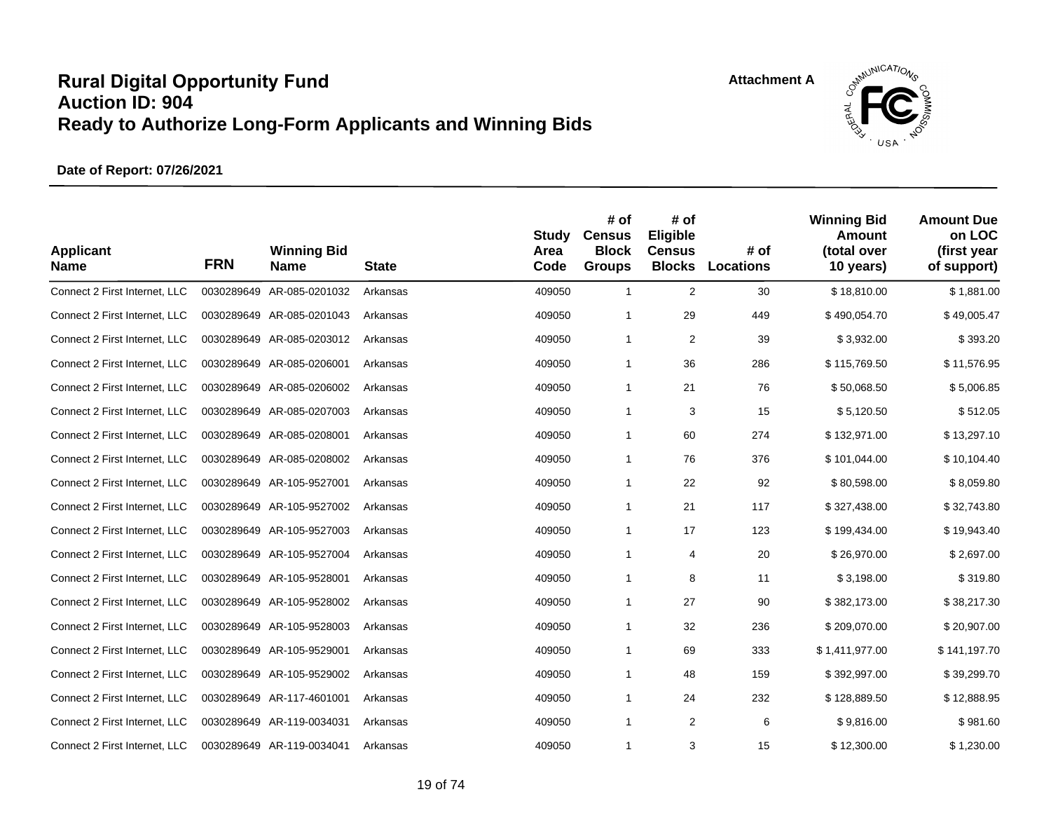![](_page_18_Picture_2.jpeg)

| <b>Applicant</b><br><b>Name</b> | <b>FRN</b> | <b>Winning Bid</b><br><b>Name</b> | <b>State</b> | <b>Study</b><br>Area<br>Code | # of<br><b>Census</b><br><b>Block</b><br><b>Groups</b> | # of<br>Eligible<br><b>Census</b><br><b>Blocks</b> | # of<br>Locations | <b>Winning Bid</b><br><b>Amount</b><br>(total over<br>10 years) | <b>Amount Due</b><br>on LOC<br>(first year<br>of support) |
|---------------------------------|------------|-----------------------------------|--------------|------------------------------|--------------------------------------------------------|----------------------------------------------------|-------------------|-----------------------------------------------------------------|-----------------------------------------------------------|
| Connect 2 First Internet, LLC   |            | 0030289649 AR-085-0201032         | Arkansas     | 409050                       | $\mathbf{1}$                                           | $\overline{2}$                                     | 30                | \$18,810.00                                                     | \$1,881.00                                                |
| Connect 2 First Internet, LLC   |            | 0030289649 AR-085-0201043         | Arkansas     | 409050                       | 1                                                      | 29                                                 | 449               | \$490,054.70                                                    | \$49,005.47                                               |
| Connect 2 First Internet, LLC   |            | 0030289649 AR-085-0203012         | Arkansas     | 409050                       | $\mathbf{1}$                                           | 2                                                  | 39                | \$3,932.00                                                      | \$393.20                                                  |
| Connect 2 First Internet, LLC   |            | 0030289649 AR-085-0206001         | Arkansas     | 409050                       | $\mathbf{1}$                                           | 36                                                 | 286               | \$115,769.50                                                    | \$11,576.95                                               |
| Connect 2 First Internet, LLC   |            | 0030289649 AR-085-0206002         | Arkansas     | 409050                       | $\mathbf{1}$                                           | 21                                                 | 76                | \$50,068.50                                                     | \$5,006.85                                                |
| Connect 2 First Internet, LLC   |            | 0030289649 AR-085-0207003         | Arkansas     | 409050                       | $\mathbf{1}$                                           | 3                                                  | 15                | \$5,120.50                                                      | \$512.05                                                  |
| Connect 2 First Internet, LLC   |            | 0030289649 AR-085-0208001         | Arkansas     | 409050                       | $\mathbf{1}$                                           | 60                                                 | 274               | \$132,971.00                                                    | \$13,297.10                                               |
| Connect 2 First Internet, LLC   |            | 0030289649 AR-085-0208002         | Arkansas     | 409050                       | $\mathbf{1}$                                           | 76                                                 | 376               | \$101,044.00                                                    | \$10,104.40                                               |
| Connect 2 First Internet, LLC   |            | 0030289649 AR-105-9527001         | Arkansas     | 409050                       | $\mathbf{1}$                                           | 22                                                 | 92                | \$80,598.00                                                     | \$8,059.80                                                |
| Connect 2 First Internet, LLC   |            | 0030289649 AR-105-9527002         | Arkansas     | 409050                       | 1                                                      | 21                                                 | 117               | \$327,438.00                                                    | \$32,743.80                                               |
| Connect 2 First Internet, LLC   |            | 0030289649 AR-105-9527003         | Arkansas     | 409050                       | $\mathbf{1}$                                           | 17                                                 | 123               | \$199,434.00                                                    | \$19,943.40                                               |
| Connect 2 First Internet, LLC   |            | 0030289649 AR-105-9527004         | Arkansas     | 409050                       | $\mathbf{1}$                                           | 4                                                  | 20                | \$26,970.00                                                     | \$2,697.00                                                |
| Connect 2 First Internet, LLC   |            | 0030289649 AR-105-9528001         | Arkansas     | 409050                       | $\mathbf{1}$                                           | 8                                                  | 11                | \$3,198.00                                                      | \$319.80                                                  |
| Connect 2 First Internet, LLC   |            | 0030289649 AR-105-9528002         | Arkansas     | 409050                       | $\mathbf{1}$                                           | 27                                                 | 90                | \$382,173.00                                                    | \$38,217.30                                               |
| Connect 2 First Internet, LLC   |            | 0030289649 AR-105-9528003         | Arkansas     | 409050                       | $\mathbf{1}$                                           | 32                                                 | 236               | \$209,070.00                                                    | \$20,907.00                                               |
| Connect 2 First Internet, LLC   |            | 0030289649 AR-105-9529001         | Arkansas     | 409050                       | $\mathbf{1}$                                           | 69                                                 | 333               | \$1,411,977.00                                                  | \$141,197.70                                              |
| Connect 2 First Internet, LLC   |            | 0030289649 AR-105-9529002         | Arkansas     | 409050                       | 1                                                      | 48                                                 | 159               | \$392,997.00                                                    | \$39,299.70                                               |
| Connect 2 First Internet, LLC   |            | 0030289649 AR-117-4601001         | Arkansas     | 409050                       | 1                                                      | 24                                                 | 232               | \$128,889.50                                                    | \$12,888.95                                               |
| Connect 2 First Internet, LLC   |            | 0030289649 AR-119-0034031         | Arkansas     | 409050                       | $\mathbf{1}$                                           | $\overline{\mathbf{c}}$                            | 6                 | \$9,816.00                                                      | \$981.60                                                  |
| Connect 2 First Internet, LLC   |            | 0030289649 AR-119-0034041         | Arkansas     | 409050                       | 1                                                      | 3                                                  | 15                | \$12,300.00                                                     | \$1,230.00                                                |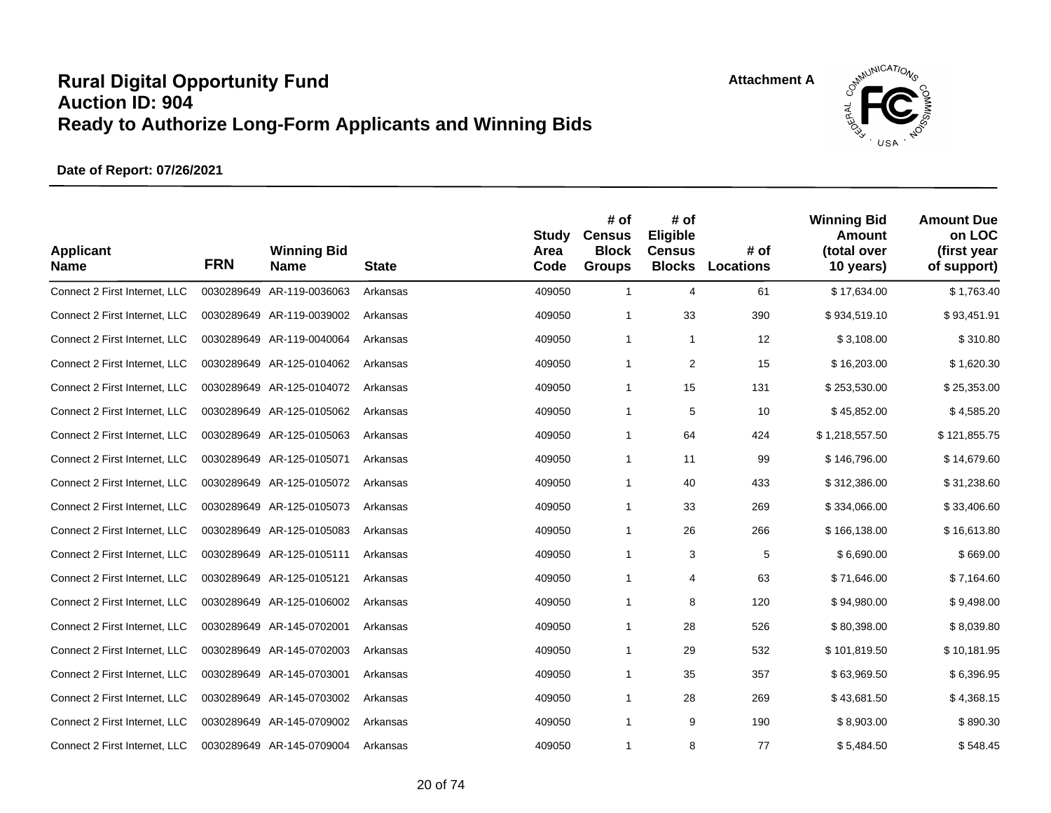![](_page_19_Picture_2.jpeg)

| <b>Applicant</b><br><b>Name</b> | <b>FRN</b> | <b>Winning Bid</b><br><b>Name</b> | <b>State</b> | <b>Study</b><br>Area<br>Code | # of<br><b>Census</b><br><b>Block</b><br><b>Groups</b> | # of<br>Eligible<br><b>Census</b><br><b>Blocks</b> | # of<br>Locations | <b>Winning Bid</b><br><b>Amount</b><br>(total over<br>10 years) | <b>Amount Due</b><br>on LOC<br>(first year<br>of support) |
|---------------------------------|------------|-----------------------------------|--------------|------------------------------|--------------------------------------------------------|----------------------------------------------------|-------------------|-----------------------------------------------------------------|-----------------------------------------------------------|
| Connect 2 First Internet, LLC   |            | 0030289649 AR-119-0036063         | Arkansas     | 409050                       | $\mathbf{1}$                                           | 4                                                  | 61                | \$17,634.00                                                     | \$1,763.40                                                |
| Connect 2 First Internet, LLC   |            | 0030289649 AR-119-0039002         | Arkansas     | 409050                       | 1                                                      | 33                                                 | 390               | \$934,519.10                                                    | \$93,451.91                                               |
| Connect 2 First Internet, LLC   |            | 0030289649 AR-119-0040064         | Arkansas     | 409050                       | $\mathbf{1}$                                           | $\mathbf{1}$                                       | 12                | \$3,108.00                                                      | \$310.80                                                  |
| Connect 2 First Internet, LLC   |            | 0030289649 AR-125-0104062         | Arkansas     | 409050                       | 1                                                      | $\overline{2}$                                     | 15                | \$16,203.00                                                     | \$1,620.30                                                |
| Connect 2 First Internet, LLC   |            | 0030289649 AR-125-0104072         | Arkansas     | 409050                       | 1                                                      | 15                                                 | 131               | \$253,530.00                                                    | \$25,353.00                                               |
| Connect 2 First Internet, LLC   |            | 0030289649 AR-125-0105062         | Arkansas     | 409050                       | 1                                                      | 5                                                  | 10                | \$45,852.00                                                     | \$4,585.20                                                |
| Connect 2 First Internet, LLC   |            | 0030289649 AR-125-0105063         | Arkansas     | 409050                       | 1                                                      | 64                                                 | 424               | \$1,218,557.50                                                  | \$121,855.75                                              |
| Connect 2 First Internet, LLC   |            | 0030289649 AR-125-0105071         | Arkansas     | 409050                       | 1                                                      | 11                                                 | 99                | \$146,796.00                                                    | \$14,679.60                                               |
| Connect 2 First Internet, LLC   |            | 0030289649 AR-125-0105072         | Arkansas     | 409050                       | 1                                                      | 40                                                 | 433               | \$312,386.00                                                    | \$31,238.60                                               |
| Connect 2 First Internet, LLC   |            | 0030289649 AR-125-0105073         | Arkansas     | 409050                       | 1                                                      | 33                                                 | 269               | \$334,066.00                                                    | \$33,406.60                                               |
| Connect 2 First Internet, LLC   |            | 0030289649 AR-125-0105083         | Arkansas     | 409050                       | $\mathbf{1}$                                           | 26                                                 | 266               | \$166,138.00                                                    | \$16,613.80                                               |
| Connect 2 First Internet, LLC   |            | 0030289649 AR-125-0105111         | Arkansas     | 409050                       | 1                                                      | 3                                                  | 5                 | \$6,690.00                                                      | \$669.00                                                  |
| Connect 2 First Internet, LLC   |            | 0030289649 AR-125-0105121         | Arkansas     | 409050                       | 1                                                      | 4                                                  | 63                | \$71,646.00                                                     | \$7,164.60                                                |
| Connect 2 First Internet, LLC   |            | 0030289649 AR-125-0106002         | Arkansas     | 409050                       | 1                                                      | 8                                                  | 120               | \$94,980.00                                                     | \$9,498.00                                                |
| Connect 2 First Internet, LLC   |            | 0030289649 AR-145-0702001         | Arkansas     | 409050                       | 1                                                      | 28                                                 | 526               | \$80,398.00                                                     | \$8,039.80                                                |
| Connect 2 First Internet, LLC   |            | 0030289649 AR-145-0702003         | Arkansas     | 409050                       | 1                                                      | 29                                                 | 532               | \$101,819.50                                                    | \$10,181.95                                               |
| Connect 2 First Internet, LLC   |            | 0030289649 AR-145-0703001         | Arkansas     | 409050                       | $\mathbf{1}$                                           | 35                                                 | 357               | \$63,969.50                                                     | \$6,396.95                                                |
| Connect 2 First Internet, LLC   |            | 0030289649 AR-145-0703002         | Arkansas     | 409050                       | 1                                                      | 28                                                 | 269               | \$43,681.50                                                     | \$4,368.15                                                |
| Connect 2 First Internet, LLC   |            | 0030289649 AR-145-0709002         | Arkansas     | 409050                       | $\mathbf{1}$                                           | 9                                                  | 190               | \$8,903.00                                                      | \$890.30                                                  |
| Connect 2 First Internet, LLC   |            | 0030289649 AR-145-0709004         | Arkansas     | 409050                       | 1                                                      | 8                                                  | 77                | \$5,484.50                                                      | \$548.45                                                  |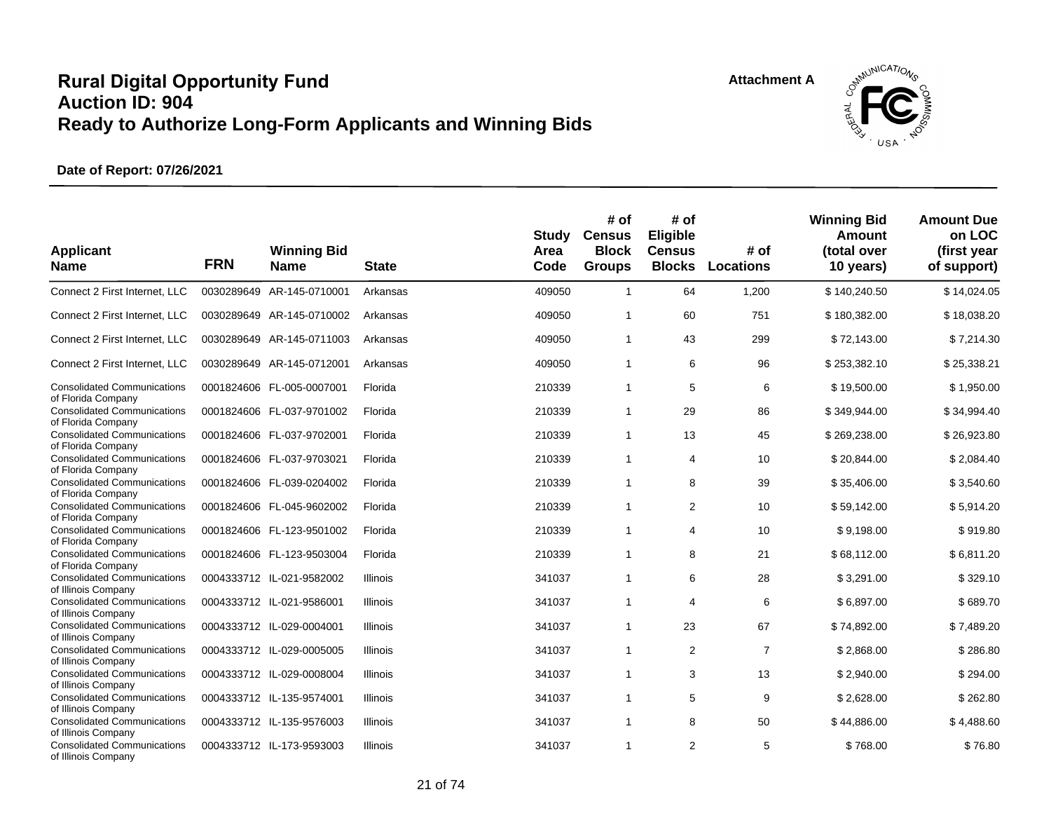![](_page_20_Picture_2.jpeg)

| <b>Applicant</b><br><b>Name</b>                           | <b>FRN</b> | <b>Winning Bid</b><br><b>Name</b> | <b>State</b>    | <b>Study</b><br>Area<br>Code | # of<br><b>Census</b><br><b>Block</b><br><b>Groups</b> | # of<br>Eligible<br><b>Census</b><br><b>Blocks</b> | # of<br>Locations | <b>Winning Bid</b><br>Amount<br>(total over<br>10 years) | <b>Amount Due</b><br>on LOC<br>(first year<br>of support) |
|-----------------------------------------------------------|------------|-----------------------------------|-----------------|------------------------------|--------------------------------------------------------|----------------------------------------------------|-------------------|----------------------------------------------------------|-----------------------------------------------------------|
| Connect 2 First Internet, LLC                             |            | 0030289649 AR-145-0710001         | Arkansas        | 409050                       | $\mathbf{1}$                                           | 64                                                 | 1,200             | \$140,240.50                                             | \$14,024.05                                               |
| Connect 2 First Internet, LLC                             |            | 0030289649 AR-145-0710002         | Arkansas        | 409050                       | $\mathbf{1}$                                           | 60                                                 | 751               | \$180,382.00                                             | \$18,038.20                                               |
| Connect 2 First Internet, LLC                             |            | 0030289649 AR-145-0711003         | Arkansas        | 409050                       | $\mathbf{1}$                                           | 43                                                 | 299               | \$72,143.00                                              | \$7,214.30                                                |
| Connect 2 First Internet, LLC                             |            | 0030289649 AR-145-0712001         | Arkansas        | 409050                       | $\mathbf{1}$                                           | 6                                                  | 96                | \$253,382.10                                             | \$25,338.21                                               |
| <b>Consolidated Communications</b>                        |            | 0001824606 FL-005-0007001         | Florida         | 210339                       | $\mathbf{1}$                                           | 5                                                  | 6                 | \$19,500.00                                              | \$1,950.00                                                |
| of Florida Company<br><b>Consolidated Communications</b>  |            | 0001824606 FL-037-9701002         | Florida         | 210339                       | $\mathbf{1}$                                           | 29                                                 | 86                | \$349,944.00                                             | \$34,994.40                                               |
| of Florida Company<br><b>Consolidated Communications</b>  |            | 0001824606 FL-037-9702001         | Florida         | 210339                       | $\mathbf{1}$                                           | 13                                                 | 45                | \$269,238.00                                             | \$26,923.80                                               |
| of Florida Company<br><b>Consolidated Communications</b>  |            | 0001824606 FL-037-9703021         | Florida         | 210339                       | $\mathbf{1}$                                           | 4                                                  | 10                | \$20,844.00                                              | \$2,084.40                                                |
| of Florida Company<br><b>Consolidated Communications</b>  |            | 0001824606 FL-039-0204002         | Florida         | 210339                       | $\mathbf{1}$                                           | 8                                                  | 39                | \$35,406.00                                              | \$3,540.60                                                |
| of Florida Company<br><b>Consolidated Communications</b>  |            | 0001824606 FL-045-9602002         | Florida         | 210339                       | $\mathbf{1}$                                           | 2                                                  | 10                | \$59,142.00                                              | \$5,914.20                                                |
| of Florida Company<br><b>Consolidated Communications</b>  |            | 0001824606 FL-123-9501002         | Florida         | 210339                       | $\mathbf{1}$                                           | 4                                                  | 10                | \$9,198.00                                               | \$919.80                                                  |
| of Florida Company<br><b>Consolidated Communications</b>  |            | 0001824606 FL-123-9503004         | Florida         | 210339                       | $\mathbf{1}$                                           | 8                                                  | 21                | \$68,112.00                                              | \$6,811.20                                                |
| of Florida Company<br><b>Consolidated Communications</b>  |            | 0004333712 IL-021-9582002         | <b>Illinois</b> | 341037                       | $\mathbf{1}$                                           | 6                                                  | 28                | \$3,291.00                                               | \$329.10                                                  |
| of Illinois Company                                       |            |                                   |                 |                              |                                                        |                                                    |                   |                                                          |                                                           |
| <b>Consolidated Communications</b><br>of Illinois Company |            | 0004333712 IL-021-9586001         | <b>Illinois</b> | 341037                       | $\mathbf{1}$                                           | $\overline{4}$                                     | 6                 | \$6,897.00                                               | \$689.70                                                  |
| <b>Consolidated Communications</b><br>of Illinois Company |            | 0004333712 IL-029-0004001         | Illinois        | 341037                       | $\mathbf{1}$                                           | 23                                                 | 67                | \$74,892.00                                              | \$7,489.20                                                |
| <b>Consolidated Communications</b>                        |            | 0004333712 IL-029-0005005         | Illinois        | 341037                       | $\mathbf{1}$                                           | 2                                                  | $\overline{7}$    | \$2,868.00                                               | \$286.80                                                  |
| of Illinois Company<br><b>Consolidated Communications</b> |            | 0004333712 IL-029-0008004         | <b>Illinois</b> | 341037                       | $\mathbf{1}$                                           | 3                                                  | 13                | \$2,940.00                                               | \$294.00                                                  |
| of Illinois Company<br><b>Consolidated Communications</b> |            | 0004333712 IL-135-9574001         | <b>Illinois</b> | 341037                       | $\mathbf{1}$                                           | 5                                                  | 9                 | \$2,628.00                                               | \$262.80                                                  |
| of Illinois Company<br><b>Consolidated Communications</b> |            |                                   |                 |                              |                                                        |                                                    | 50                | \$44,886.00                                              | \$4,488.60                                                |
| of Illinois Company                                       |            | 0004333712 IL-135-9576003         | <b>Illinois</b> | 341037                       | $\mathbf{1}$                                           | 8                                                  |                   |                                                          |                                                           |
| <b>Consolidated Communications</b><br>of Illinois Company |            | 0004333712 IL-173-9593003         | <b>Illinois</b> | 341037                       | $\mathbf{1}$                                           | 2                                                  | 5                 | \$768.00                                                 | \$76.80                                                   |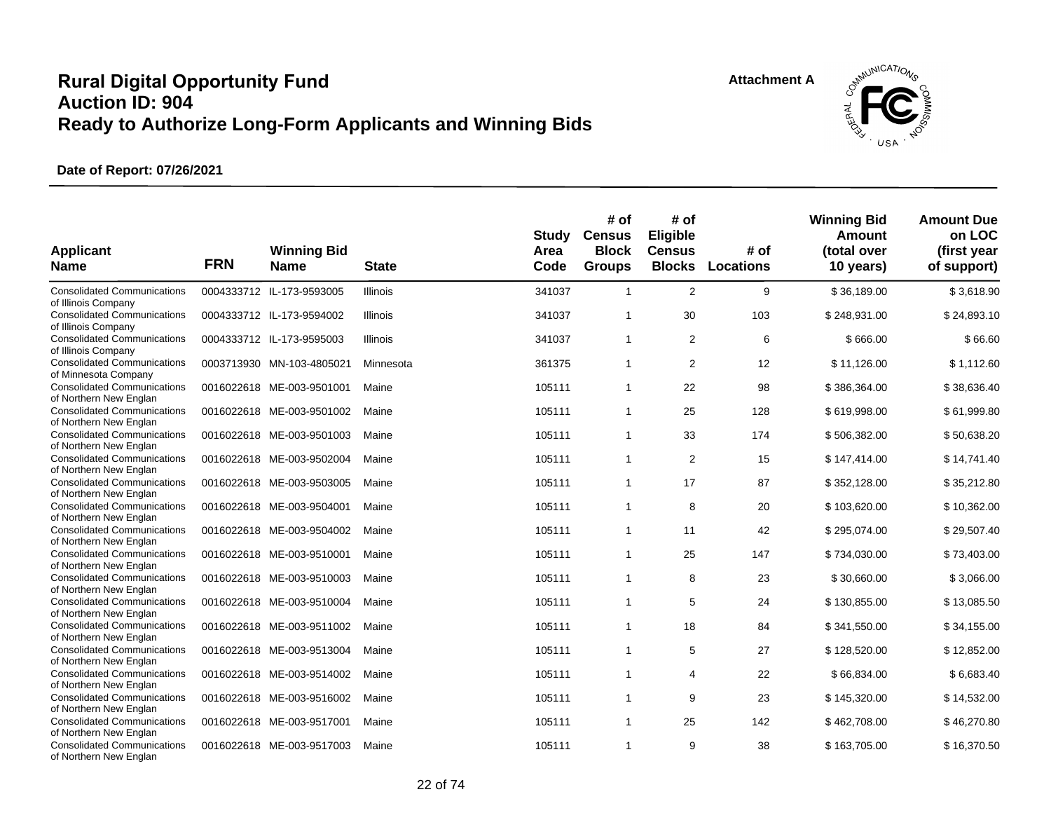![](_page_21_Picture_2.jpeg)

| <b>Applicant</b><br><b>Name</b>                              | <b>FRN</b> | <b>Winning Bid</b><br><b>Name</b> | <b>State</b>    | <b>Study</b><br>Area<br>Code | # of<br><b>Census</b><br><b>Block</b><br><b>Groups</b> | # of<br>Eligible<br><b>Census</b><br><b>Blocks</b> | # of<br><b>Locations</b> | <b>Winning Bid</b><br>Amount<br>(total over<br>10 years) | <b>Amount Due</b><br>on LOC<br>(first year<br>of support) |
|--------------------------------------------------------------|------------|-----------------------------------|-----------------|------------------------------|--------------------------------------------------------|----------------------------------------------------|--------------------------|----------------------------------------------------------|-----------------------------------------------------------|
| <b>Consolidated Communications</b><br>of Illinois Company    |            | 0004333712 IL-173-9593005         | <b>Illinois</b> | 341037                       | $\mathbf{1}$                                           | 2                                                  | 9                        | \$36,189.00                                              | \$3,618.90                                                |
| <b>Consolidated Communications</b><br>of Illinois Company    |            | 0004333712 IL-173-9594002         | <b>Illinois</b> | 341037                       | $\mathbf{1}$                                           | 30                                                 | 103                      | \$248,931.00                                             | \$24,893.10                                               |
| <b>Consolidated Communications</b><br>of Illinois Company    |            | 0004333712 IL-173-9595003         | <b>Illinois</b> | 341037                       | $\mathbf{1}$                                           | $\overline{2}$                                     | 6                        | \$666.00                                                 | \$66.60                                                   |
| <b>Consolidated Communications</b><br>of Minnesota Company   |            | 0003713930 MN-103-4805021         | Minnesota       | 361375                       | $\mathbf{1}$                                           | 2                                                  | 12                       | \$11,126.00                                              | \$1,112.60                                                |
| <b>Consolidated Communications</b><br>of Northern New Englan |            | 0016022618 ME-003-9501001         | Maine           | 105111                       | $\mathbf{1}$                                           | 22                                                 | 98                       | \$386,364.00                                             | \$38,636.40                                               |
| <b>Consolidated Communications</b><br>of Northern New Englan |            | 0016022618 ME-003-9501002         | Maine           | 105111                       | $\mathbf{1}$                                           | 25                                                 | 128                      | \$619,998.00                                             | \$61,999.80                                               |
| <b>Consolidated Communications</b><br>of Northern New Englan |            | 0016022618 ME-003-9501003         | Maine           | 105111                       | $\mathbf{1}$                                           | 33                                                 | 174                      | \$506,382.00                                             | \$50,638.20                                               |
| <b>Consolidated Communications</b><br>of Northern New Englan |            | 0016022618 ME-003-9502004         | Maine           | 105111                       | $\mathbf{1}$                                           | 2                                                  | 15                       | \$147,414.00                                             | \$14,741.40                                               |
| <b>Consolidated Communications</b><br>of Northern New Englan |            | 0016022618 ME-003-9503005         | Maine           | 105111                       | $\mathbf{1}$                                           | 17                                                 | 87                       | \$352,128.00                                             | \$35,212.80                                               |
| <b>Consolidated Communications</b><br>of Northern New Englan |            | 0016022618 ME-003-9504001         | Maine           | 105111                       | $\mathbf{1}$                                           | 8                                                  | 20                       | \$103,620.00                                             | \$10,362.00                                               |
| <b>Consolidated Communications</b><br>of Northern New Englan |            | 0016022618 ME-003-9504002         | Maine           | 105111                       | $\mathbf{1}$                                           | 11                                                 | 42                       | \$295,074.00                                             | \$29,507.40                                               |
| <b>Consolidated Communications</b><br>of Northern New Englan |            | 0016022618 ME-003-9510001         | Maine           | 105111                       | $\mathbf{1}$                                           | 25                                                 | 147                      | \$734,030.00                                             | \$73,403.00                                               |
| <b>Consolidated Communications</b><br>of Northern New Englan |            | 0016022618 ME-003-9510003         | Maine           | 105111                       | $\mathbf{1}$                                           | 8                                                  | 23                       | \$30,660.00                                              | \$3,066.00                                                |
| <b>Consolidated Communications</b><br>of Northern New Englan |            | 0016022618 ME-003-9510004         | Maine           | 105111                       | $\mathbf{1}$                                           | 5                                                  | 24                       | \$130,855.00                                             | \$13,085.50                                               |
| <b>Consolidated Communications</b><br>of Northern New Englan |            | 0016022618 ME-003-9511002         | Maine           | 105111                       | $\mathbf{1}$                                           | 18                                                 | 84                       | \$341,550.00                                             | \$34,155.00                                               |
| <b>Consolidated Communications</b><br>of Northern New Englan |            | 0016022618 ME-003-9513004         | Maine           | 105111                       | $\mathbf{1}$                                           | 5                                                  | 27                       | \$128,520.00                                             | \$12,852.00                                               |
| <b>Consolidated Communications</b><br>of Northern New Englan |            | 0016022618 ME-003-9514002         | Maine           | 105111                       | $\mathbf{1}$                                           | 4                                                  | 22                       | \$66,834.00                                              | \$6,683.40                                                |
| <b>Consolidated Communications</b><br>of Northern New Englan |            | 0016022618 ME-003-9516002         | Maine           | 105111                       | $\mathbf{1}$                                           | 9                                                  | 23                       | \$145,320.00                                             | \$14,532.00                                               |
| <b>Consolidated Communications</b><br>of Northern New Englan |            | 0016022618 ME-003-9517001         | Maine           | 105111                       | $\mathbf{1}$                                           | 25                                                 | 142                      | \$462,708.00                                             | \$46,270.80                                               |
| <b>Consolidated Communications</b><br>of Northern New Englan |            | 0016022618 ME-003-9517003         | Maine           | 105111                       | $\mathbf{1}$                                           | 9                                                  | 38                       | \$163,705.00                                             | \$16,370.50                                               |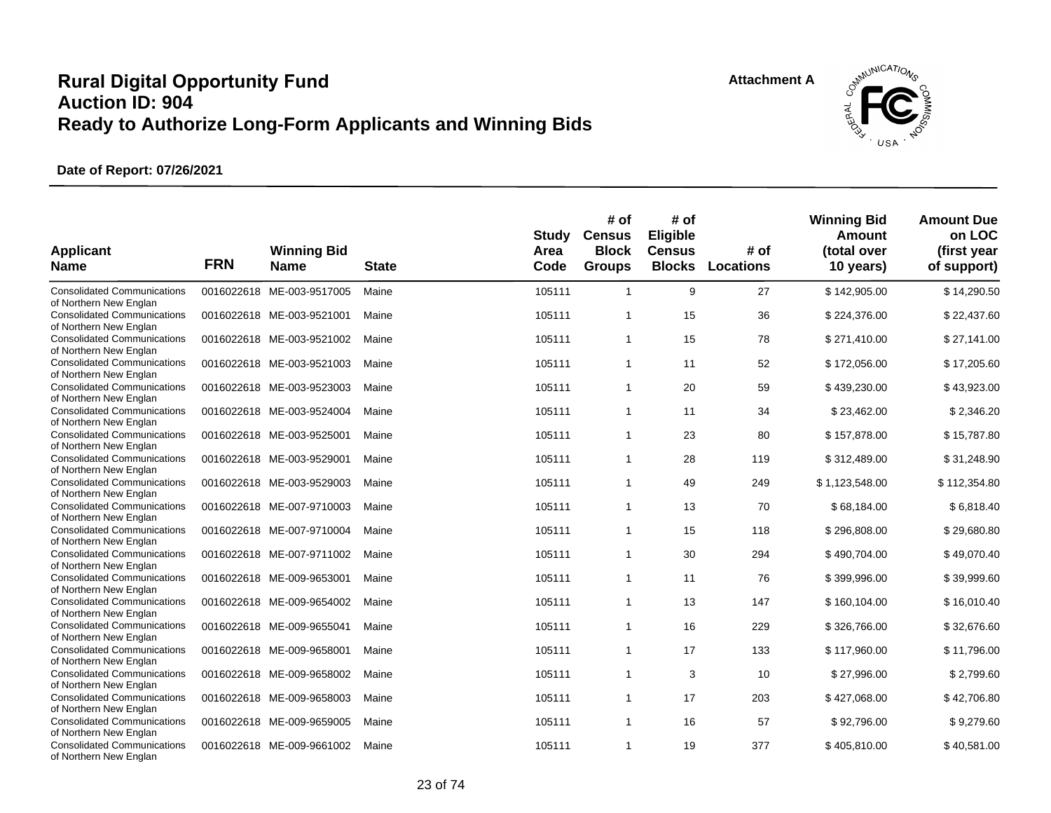![](_page_22_Picture_2.jpeg)

| <b>Applicant</b><br><b>Name</b>                                                        | <b>FRN</b> | <b>Winning Bid</b><br><b>Name</b> | <b>State</b> | <b>Study</b><br>Area<br>Code | # of<br><b>Census</b><br><b>Block</b><br><b>Groups</b> | # of<br>Eligible<br><b>Census</b><br><b>Blocks</b> | # of<br>Locations | <b>Winning Bid</b><br><b>Amount</b><br>(total over<br>10 years) | <b>Amount Due</b><br>on LOC<br>(first year<br>of support) |
|----------------------------------------------------------------------------------------|------------|-----------------------------------|--------------|------------------------------|--------------------------------------------------------|----------------------------------------------------|-------------------|-----------------------------------------------------------------|-----------------------------------------------------------|
| <b>Consolidated Communications</b><br>of Northern New Englan                           |            | 0016022618 ME-003-9517005         | Maine        | 105111                       | $\mathbf{1}$                                           | 9                                                  | 27                | \$142,905.00                                                    | \$14,290.50                                               |
| <b>Consolidated Communications</b><br>of Northern New Englan                           |            | 0016022618 ME-003-9521001         | Maine        | 105111                       | $\mathbf{1}$                                           | 15                                                 | 36                | \$224,376.00                                                    | \$22,437.60                                               |
| <b>Consolidated Communications</b><br>of Northern New Englan                           |            | 0016022618 ME-003-9521002         | Maine        | 105111                       | $\mathbf{1}$                                           | 15                                                 | 78                | \$271,410.00                                                    | \$27,141.00                                               |
| <b>Consolidated Communications</b><br>of Northern New Englan                           |            | 0016022618 ME-003-9521003         | Maine        | 105111                       | $\mathbf{1}$                                           | 11                                                 | 52                | \$172,056.00                                                    | \$17,205.60                                               |
| <b>Consolidated Communications</b><br>of Northern New Englan                           |            | 0016022618 ME-003-9523003         | Maine        | 105111                       | $\mathbf{1}$                                           | 20                                                 | 59                | \$439,230.00                                                    | \$43,923.00                                               |
| <b>Consolidated Communications</b><br>of Northern New Englan                           |            | 0016022618 ME-003-9524004         | Maine        | 105111                       | $\mathbf{1}$                                           | 11                                                 | 34                | \$23,462.00                                                     | \$2,346.20                                                |
| <b>Consolidated Communications</b><br>of Northern New Englan                           |            | 0016022618 ME-003-9525001         | Maine        | 105111                       | $\mathbf{1}$                                           | 23                                                 | 80                | \$157,878.00                                                    | \$15,787.80                                               |
| <b>Consolidated Communications</b><br>of Northern New Englan                           |            | 0016022618 ME-003-9529001         | Maine        | 105111                       | $\mathbf{1}$                                           | 28                                                 | 119               | \$312,489.00                                                    | \$31,248.90                                               |
| <b>Consolidated Communications</b><br>of Northern New Englan                           |            | 0016022618 ME-003-9529003         | Maine        | 105111                       | $\mathbf{1}$                                           | 49                                                 | 249               | \$1,123,548.00                                                  | \$112,354.80                                              |
| <b>Consolidated Communications</b>                                                     |            | 0016022618 ME-007-9710003         | Maine        | 105111                       | $\mathbf{1}$                                           | 13                                                 | 70                | \$68,184.00                                                     | \$6,818.40                                                |
| of Northern New Englan<br><b>Consolidated Communications</b><br>of Northern New Englan |            | 0016022618 ME-007-9710004         | Maine        | 105111                       | $\mathbf{1}$                                           | 15                                                 | 118               | \$296,808.00                                                    | \$29,680.80                                               |
| <b>Consolidated Communications</b><br>of Northern New Englan                           |            | 0016022618 ME-007-9711002         | Maine        | 105111                       | $\mathbf{1}$                                           | 30                                                 | 294               | \$490,704.00                                                    | \$49,070.40                                               |
| <b>Consolidated Communications</b><br>of Northern New Englan                           |            | 0016022618 ME-009-9653001         | Maine        | 105111                       | $\mathbf{1}$                                           | 11                                                 | 76                | \$399,996.00                                                    | \$39,999.60                                               |
| <b>Consolidated Communications</b>                                                     |            | 0016022618 ME-009-9654002         | Maine        | 105111                       | $\mathbf{1}$                                           | 13                                                 | 147               | \$160,104.00                                                    | \$16,010.40                                               |
| of Northern New Englan<br><b>Consolidated Communications</b>                           |            | 0016022618 ME-009-9655041         | Maine        | 105111                       | $\mathbf{1}$                                           | 16                                                 | 229               | \$326,766.00                                                    | \$32,676.60                                               |
| of Northern New Englan<br><b>Consolidated Communications</b>                           |            | 0016022618 ME-009-9658001         | Maine        | 105111                       | $\mathbf{1}$                                           | 17                                                 | 133               | \$117,960.00                                                    | \$11,796.00                                               |
| of Northern New Englan<br><b>Consolidated Communications</b>                           |            | 0016022618 ME-009-9658002         | Maine        | 105111                       | $\mathbf{1}$                                           | 3                                                  | 10                | \$27,996.00                                                     | \$2,799.60                                                |
| of Northern New Englan<br><b>Consolidated Communications</b>                           |            | 0016022618 ME-009-9658003         | Maine        | 105111                       | $\mathbf{1}$                                           | 17                                                 | 203               | \$427,068.00                                                    | \$42,706.80                                               |
| of Northern New Englan<br><b>Consolidated Communications</b>                           |            | 0016022618 ME-009-9659005         | Maine        | 105111                       | $\mathbf{1}$                                           | 16                                                 | 57                | \$92,796.00                                                     | \$9,279.60                                                |
| of Northern New Englan<br><b>Consolidated Communications</b><br>of Northern New Englan |            | 0016022618 ME-009-9661002         | Maine        | 105111                       | $\mathbf{1}$                                           | 19                                                 | 377               | \$405.810.00                                                    | \$40,581.00                                               |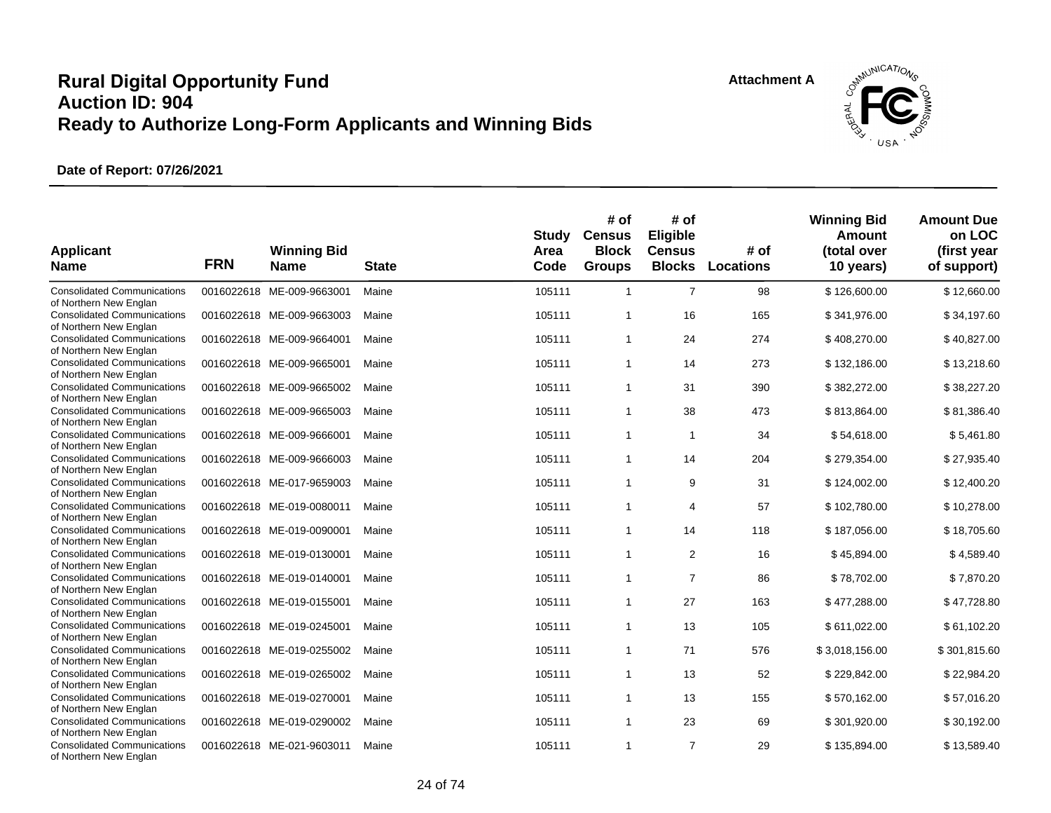![](_page_23_Picture_2.jpeg)

| <b>Applicant</b><br><b>Name</b>                              | <b>FRN</b> | <b>Winning Bid</b><br><b>Name</b> | <b>State</b> | <b>Study</b><br>Area<br>Code | # of<br><b>Census</b><br><b>Block</b><br><b>Groups</b> | # of<br>Eligible<br><b>Census</b><br><b>Blocks</b> | # of<br><b>Locations</b> | <b>Winning Bid</b><br><b>Amount</b><br>(total over<br>10 years) | <b>Amount Due</b><br>on LOC<br>(first year<br>of support) |
|--------------------------------------------------------------|------------|-----------------------------------|--------------|------------------------------|--------------------------------------------------------|----------------------------------------------------|--------------------------|-----------------------------------------------------------------|-----------------------------------------------------------|
| <b>Consolidated Communications</b><br>of Northern New Englan |            | 0016022618 ME-009-9663001         | Maine        | 105111                       | $\mathbf{1}$                                           | $\overline{7}$                                     | 98                       | \$126,600.00                                                    | \$12,660.00                                               |
| <b>Consolidated Communications</b><br>of Northern New Englan |            | 0016022618 ME-009-9663003         | Maine        | 105111                       | $\overline{1}$                                         | 16                                                 | 165                      | \$341,976.00                                                    | \$34,197.60                                               |
| <b>Consolidated Communications</b><br>of Northern New Englan |            | 0016022618 ME-009-9664001         | Maine        | 105111                       | $\mathbf{1}$                                           | 24                                                 | 274                      | \$408,270.00                                                    | \$40,827.00                                               |
| <b>Consolidated Communications</b><br>of Northern New Englan |            | 0016022618 ME-009-9665001         | Maine        | 105111                       | $\overline{1}$                                         | 14                                                 | 273                      | \$132,186.00                                                    | \$13,218.60                                               |
| <b>Consolidated Communications</b><br>of Northern New Englan |            | 0016022618 ME-009-9665002         | Maine        | 105111                       | $\overline{1}$                                         | 31                                                 | 390                      | \$382,272.00                                                    | \$38,227.20                                               |
| <b>Consolidated Communications</b><br>of Northern New Englan |            | 0016022618 ME-009-9665003         | Maine        | 105111                       | $\overline{1}$                                         | 38                                                 | 473                      | \$813,864.00                                                    | \$81,386.40                                               |
| <b>Consolidated Communications</b><br>of Northern New Englan |            | 0016022618 ME-009-9666001         | Maine        | 105111                       | $\overline{1}$                                         | $\mathbf{1}$                                       | 34                       | \$54,618.00                                                     | \$5,461.80                                                |
| <b>Consolidated Communications</b><br>of Northern New Englan |            | 0016022618 ME-009-9666003         | Maine        | 105111                       | $\overline{1}$                                         | 14                                                 | 204                      | \$279,354.00                                                    | \$27,935.40                                               |
| <b>Consolidated Communications</b><br>of Northern New Englan |            | 0016022618 ME-017-9659003         | Maine        | 105111                       | $\overline{1}$                                         | 9                                                  | 31                       | \$124,002.00                                                    | \$12,400.20                                               |
| <b>Consolidated Communications</b><br>of Northern New Englan |            | 0016022618 ME-019-0080011         | Maine        | 105111                       | $\overline{1}$                                         | 4                                                  | 57                       | \$102,780.00                                                    | \$10,278.00                                               |
| <b>Consolidated Communications</b><br>of Northern New Englan |            | 0016022618 ME-019-0090001         | Maine        | 105111                       | $\mathbf{1}$                                           | 14                                                 | 118                      | \$187,056.00                                                    | \$18,705.60                                               |
| <b>Consolidated Communications</b><br>of Northern New Englan |            | 0016022618 ME-019-0130001         | Maine        | 105111                       | $\mathbf{1}$                                           | 2                                                  | 16                       | \$45,894.00                                                     | \$4,589.40                                                |
| <b>Consolidated Communications</b><br>of Northern New Englan |            | 0016022618 ME-019-0140001         | Maine        | 105111                       | $\overline{1}$                                         | $\overline{7}$                                     | 86                       | \$78,702.00                                                     | \$7,870.20                                                |
| <b>Consolidated Communications</b><br>of Northern New Englan |            | 0016022618 ME-019-0155001         | Maine        | 105111                       | $\mathbf{1}$                                           | 27                                                 | 163                      | \$477,288.00                                                    | \$47,728.80                                               |
| <b>Consolidated Communications</b><br>of Northern New Englan |            | 0016022618 ME-019-0245001         | Maine        | 105111                       | $\mathbf{1}$                                           | 13                                                 | 105                      | \$611,022.00                                                    | \$61,102.20                                               |
| <b>Consolidated Communications</b><br>of Northern New Englan |            | 0016022618 ME-019-0255002         | Maine        | 105111                       | $\overline{1}$                                         | 71                                                 | 576                      | \$3,018,156.00                                                  | \$301,815.60                                              |
| <b>Consolidated Communications</b><br>of Northern New Englan |            | 0016022618 ME-019-0265002         | Maine        | 105111                       | $\overline{1}$                                         | 13                                                 | 52                       | \$229,842.00                                                    | \$22,984.20                                               |
| <b>Consolidated Communications</b><br>of Northern New Englan |            | 0016022618 ME-019-0270001         | Maine        | 105111                       | $\overline{1}$                                         | 13                                                 | 155                      | \$570,162.00                                                    | \$57,016.20                                               |
| <b>Consolidated Communications</b><br>of Northern New Englan |            | 0016022618 ME-019-0290002         | Maine        | 105111                       | $\mathbf{1}$                                           | 23                                                 | 69                       | \$301,920.00                                                    | \$30,192.00                                               |
| <b>Consolidated Communications</b><br>of Northern New Englan |            | 0016022618 ME-021-9603011         | Maine        | 105111                       | $\overline{1}$                                         | $\overline{7}$                                     | 29                       | \$135,894.00                                                    | \$13,589.40                                               |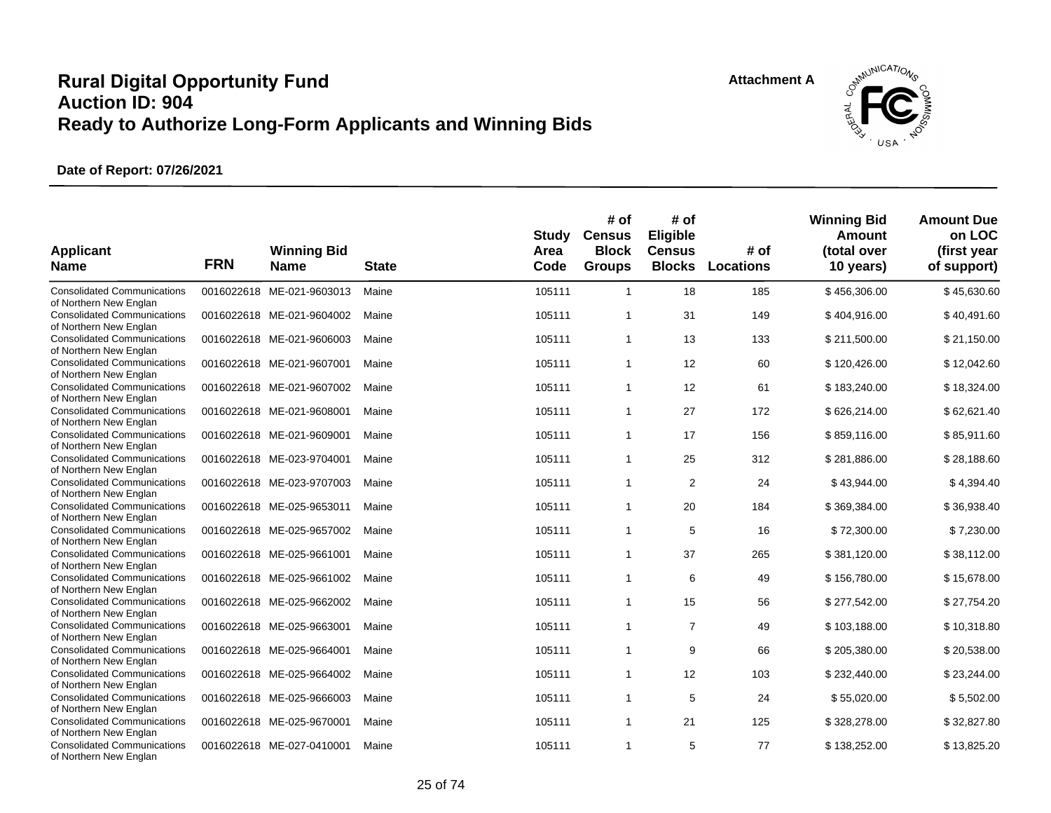![](_page_24_Picture_2.jpeg)

| <b>Applicant</b><br><b>Name</b>                              | <b>FRN</b> | <b>Winning Bid</b><br><b>Name</b> | <b>State</b> | <b>Study</b><br>Area<br>Code | # of<br><b>Census</b><br><b>Block</b><br><b>Groups</b> | # of<br>Eligible<br><b>Census</b><br><b>Blocks</b> | # of<br><b>Locations</b> | <b>Winning Bid</b><br>Amount<br>(total over<br>10 years) | <b>Amount Due</b><br>on LOC<br>(first year<br>of support) |
|--------------------------------------------------------------|------------|-----------------------------------|--------------|------------------------------|--------------------------------------------------------|----------------------------------------------------|--------------------------|----------------------------------------------------------|-----------------------------------------------------------|
| <b>Consolidated Communications</b><br>of Northern New Englan |            | 0016022618 ME-021-9603013         | Maine        | 105111                       | $\overline{1}$                                         | 18                                                 | 185                      | \$456,306.00                                             | \$45,630.60                                               |
| <b>Consolidated Communications</b><br>of Northern New Englan |            | 0016022618 ME-021-9604002         | Maine        | 105111                       | $\overline{1}$                                         | 31                                                 | 149                      | \$404,916.00                                             | \$40,491.60                                               |
| <b>Consolidated Communications</b><br>of Northern New Englan |            | 0016022618 ME-021-9606003         | Maine        | 105111                       | $\overline{1}$                                         | 13                                                 | 133                      | \$211,500.00                                             | \$21,150.00                                               |
| <b>Consolidated Communications</b><br>of Northern New Englan |            | 0016022618 ME-021-9607001         | Maine        | 105111                       | $\mathbf{1}$                                           | 12                                                 | 60                       | \$120,426.00                                             | \$12,042.60                                               |
| <b>Consolidated Communications</b><br>of Northern New Englan |            | 0016022618 ME-021-9607002         | Maine        | 105111                       | $\overline{1}$                                         | 12                                                 | 61                       | \$183,240.00                                             | \$18,324.00                                               |
| <b>Consolidated Communications</b><br>of Northern New Englan |            | 0016022618 ME-021-9608001         | Maine        | 105111                       | $\overline{1}$                                         | 27                                                 | 172                      | \$626,214.00                                             | \$62,621.40                                               |
| <b>Consolidated Communications</b><br>of Northern New Englan |            | 0016022618 ME-021-9609001         | Maine        | 105111                       | $\overline{1}$                                         | 17                                                 | 156                      | \$859,116.00                                             | \$85,911.60                                               |
| <b>Consolidated Communications</b><br>of Northern New Englan |            | 0016022618 ME-023-9704001         | Maine        | 105111                       | $\overline{1}$                                         | 25                                                 | 312                      | \$281,886.00                                             | \$28,188.60                                               |
| <b>Consolidated Communications</b><br>of Northern New Englan |            | 0016022618 ME-023-9707003         | Maine        | 105111                       | $\overline{1}$                                         | $\overline{2}$                                     | 24                       | \$43,944.00                                              | \$4,394.40                                                |
| <b>Consolidated Communications</b><br>of Northern New Englan |            | 0016022618 ME-025-9653011         | Maine        | 105111                       | $\overline{1}$                                         | 20                                                 | 184                      | \$369,384.00                                             | \$36,938.40                                               |
| <b>Consolidated Communications</b><br>of Northern New Englan |            | 0016022618 ME-025-9657002         | Maine        | 105111                       | $\mathbf{1}$                                           | 5                                                  | 16                       | \$72,300.00                                              | \$7,230.00                                                |
| <b>Consolidated Communications</b><br>of Northern New Englan |            | 0016022618 ME-025-9661001         | Maine        | 105111                       | $\overline{1}$                                         | 37                                                 | 265                      | \$381,120.00                                             | \$38,112.00                                               |
| <b>Consolidated Communications</b><br>of Northern New Englan |            | 0016022618 ME-025-9661002         | Maine        | 105111                       | $\overline{1}$                                         | 6                                                  | 49                       | \$156,780.00                                             | \$15,678.00                                               |
| <b>Consolidated Communications</b><br>of Northern New Englan |            | 0016022618 ME-025-9662002         | Maine        | 105111                       | $\overline{1}$                                         | 15                                                 | 56                       | \$277,542.00                                             | \$27,754.20                                               |
| <b>Consolidated Communications</b><br>of Northern New Englan |            | 0016022618 ME-025-9663001         | Maine        | 105111                       | $\overline{1}$                                         | $\overline{7}$                                     | 49                       | \$103,188.00                                             | \$10,318.80                                               |
| <b>Consolidated Communications</b><br>of Northern New Englan |            | 0016022618 ME-025-9664001         | Maine        | 105111                       | $\overline{1}$                                         | 9                                                  | 66                       | \$205,380.00                                             | \$20,538.00                                               |
| <b>Consolidated Communications</b><br>of Northern New Englan |            | 0016022618 ME-025-9664002         | Maine        | 105111                       | $\overline{1}$                                         | 12                                                 | 103                      | \$232,440.00                                             | \$23,244.00                                               |
| <b>Consolidated Communications</b><br>of Northern New Englan |            | 0016022618 ME-025-9666003         | Maine        | 105111                       | $\overline{1}$                                         | 5                                                  | 24                       | \$55,020.00                                              | \$5,502.00                                                |
| <b>Consolidated Communications</b><br>of Northern New Englan |            | 0016022618 ME-025-9670001         | Maine        | 105111                       | $\mathbf{1}$                                           | 21                                                 | 125                      | \$328,278.00                                             | \$32,827.80                                               |
| <b>Consolidated Communications</b><br>of Northern New Englan |            | 0016022618 ME-027-0410001         | Maine        | 105111                       | $\overline{1}$                                         | 5                                                  | 77                       | \$138,252.00                                             | \$13,825.20                                               |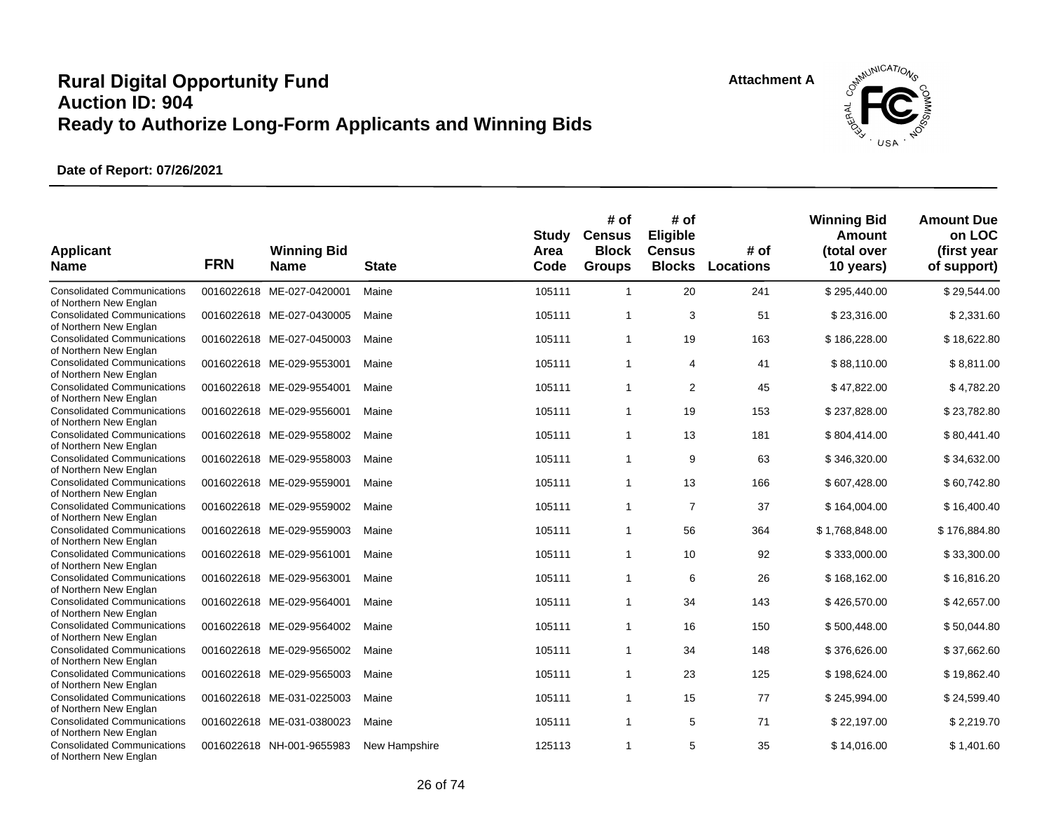![](_page_25_Picture_2.jpeg)

| <b>Applicant</b><br><b>Name</b>                              | <b>FRN</b> | <b>Winning Bid</b><br><b>Name</b> | <b>State</b>  | <b>Study</b><br>Area<br>Code | # of<br><b>Census</b><br><b>Block</b><br><b>Groups</b> | # of<br>Eligible<br><b>Census</b><br><b>Blocks</b> | # of<br>Locations | <b>Winning Bid</b><br>Amount<br>(total over<br>10 years) | <b>Amount Due</b><br>on LOC<br>(first year<br>of support) |
|--------------------------------------------------------------|------------|-----------------------------------|---------------|------------------------------|--------------------------------------------------------|----------------------------------------------------|-------------------|----------------------------------------------------------|-----------------------------------------------------------|
| <b>Consolidated Communications</b><br>of Northern New Englan |            | 0016022618 ME-027-0420001         | Maine         | 105111                       | $\overline{1}$                                         | 20                                                 | 241               | \$295,440.00                                             | \$29,544.00                                               |
| <b>Consolidated Communications</b><br>of Northern New Englan |            | 0016022618 ME-027-0430005         | Maine         | 105111                       | $\overline{1}$                                         | 3                                                  | 51                | \$23,316.00                                              | \$2,331.60                                                |
| <b>Consolidated Communications</b><br>of Northern New Englan |            | 0016022618 ME-027-0450003         | Maine         | 105111                       | $\overline{1}$                                         | 19                                                 | 163               | \$186,228.00                                             | \$18,622.80                                               |
| <b>Consolidated Communications</b><br>of Northern New Englan |            | 0016022618 ME-029-9553001         | Maine         | 105111                       | $\mathbf{1}$                                           | 4                                                  | 41                | \$88,110.00                                              | \$8,811.00                                                |
| <b>Consolidated Communications</b><br>of Northern New Englan |            | 0016022618 ME-029-9554001         | Maine         | 105111                       | $\overline{1}$                                         | 2                                                  | 45                | \$47,822.00                                              | \$4,782.20                                                |
| <b>Consolidated Communications</b><br>of Northern New Englan |            | 0016022618 ME-029-9556001         | Maine         | 105111                       | $\overline{1}$                                         | 19                                                 | 153               | \$237,828.00                                             | \$23,782.80                                               |
| <b>Consolidated Communications</b><br>of Northern New Englan |            | 0016022618 ME-029-9558002         | Maine         | 105111                       | $\overline{1}$                                         | 13                                                 | 181               | \$804,414.00                                             | \$80,441.40                                               |
| <b>Consolidated Communications</b><br>of Northern New Englan |            | 0016022618 ME-029-9558003         | Maine         | 105111                       | $\overline{1}$                                         | 9                                                  | 63                | \$346,320.00                                             | \$34,632.00                                               |
| <b>Consolidated Communications</b><br>of Northern New Englan |            | 0016022618 ME-029-9559001         | Maine         | 105111                       | $\overline{1}$                                         | 13                                                 | 166               | \$607,428.00                                             | \$60,742.80                                               |
| <b>Consolidated Communications</b><br>of Northern New Englan |            | 0016022618 ME-029-9559002         | Maine         | 105111                       | $\overline{1}$                                         | $\overline{7}$                                     | 37                | \$164,004.00                                             | \$16,400.40                                               |
| <b>Consolidated Communications</b><br>of Northern New Englan |            | 0016022618 ME-029-9559003         | Maine         | 105111                       | $\mathbf{1}$                                           | 56                                                 | 364               | \$1,768,848.00                                           | \$176,884.80                                              |
| <b>Consolidated Communications</b><br>of Northern New Englan |            | 0016022618 ME-029-9561001         | Maine         | 105111                       | $\overline{1}$                                         | 10                                                 | 92                | \$333,000.00                                             | \$33,300.00                                               |
| <b>Consolidated Communications</b><br>of Northern New Englan |            | 0016022618 ME-029-9563001         | Maine         | 105111                       | $\overline{1}$                                         | 6                                                  | 26                | \$168,162.00                                             | \$16,816.20                                               |
| <b>Consolidated Communications</b><br>of Northern New Englan |            | 0016022618 ME-029-9564001         | Maine         | 105111                       | $\overline{1}$                                         | 34                                                 | 143               | \$426,570.00                                             | \$42,657.00                                               |
| <b>Consolidated Communications</b><br>of Northern New Englan |            | 0016022618 ME-029-9564002         | Maine         | 105111                       | $\overline{1}$                                         | 16                                                 | 150               | \$500,448.00                                             | \$50,044.80                                               |
| <b>Consolidated Communications</b><br>of Northern New Englan |            | 0016022618 ME-029-9565002         | Maine         | 105111                       | $\overline{1}$                                         | 34                                                 | 148               | \$376,626.00                                             | \$37,662.60                                               |
| <b>Consolidated Communications</b><br>of Northern New Englan |            | 0016022618 ME-029-9565003         | Maine         | 105111                       | $\overline{1}$                                         | 23                                                 | 125               | \$198,624.00                                             | \$19,862.40                                               |
| <b>Consolidated Communications</b><br>of Northern New Englan |            | 0016022618 ME-031-0225003         | Maine         | 105111                       | $\mathbf{1}$                                           | 15                                                 | 77                | \$245,994.00                                             | \$24,599.40                                               |
| <b>Consolidated Communications</b><br>of Northern New Englan |            | 0016022618 ME-031-0380023         | Maine         | 105111                       | $\mathbf{1}$                                           | 5                                                  | 71                | \$22,197.00                                              | \$2,219.70                                                |
| <b>Consolidated Communications</b><br>of Northern New Englan |            | 0016022618 NH-001-9655983         | New Hampshire | 125113                       | $\overline{1}$                                         | 5                                                  | 35                | \$14,016.00                                              | \$1,401.60                                                |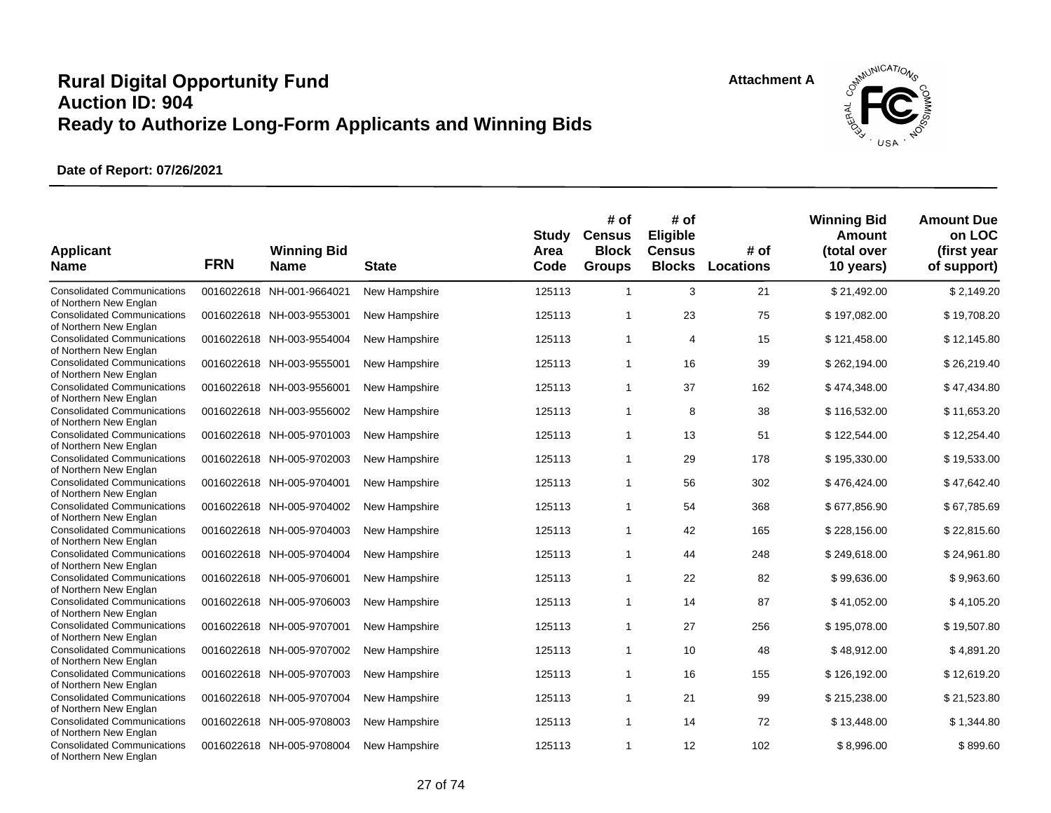![](_page_26_Picture_2.jpeg)

| <b>Applicant</b><br><b>Name</b>                                                        | <b>FRN</b> | <b>Winning Bid</b><br><b>Name</b> | <b>State</b>  | <b>Study</b><br>Area<br>Code | # of<br><b>Census</b><br><b>Block</b><br><b>Groups</b> | # of<br>Eligible<br><b>Census</b><br><b>Blocks</b> | # of<br>Locations | <b>Winning Bid</b><br>Amount<br>(total over<br>10 years) | <b>Amount Due</b><br>on LOC<br>(first year<br>of support) |
|----------------------------------------------------------------------------------------|------------|-----------------------------------|---------------|------------------------------|--------------------------------------------------------|----------------------------------------------------|-------------------|----------------------------------------------------------|-----------------------------------------------------------|
| <b>Consolidated Communications</b><br>of Northern New Englan                           |            | 0016022618 NH-001-9664021         | New Hampshire | 125113                       | $\overline{1}$                                         | 3                                                  | 21                | \$21,492.00                                              | \$2,149.20                                                |
| <b>Consolidated Communications</b><br>of Northern New Englan                           |            | 0016022618 NH-003-9553001         | New Hampshire | 125113                       | $\overline{1}$                                         | 23                                                 | 75                | \$197,082.00                                             | \$19,708.20                                               |
| <b>Consolidated Communications</b><br>of Northern New Englan                           |            | 0016022618 NH-003-9554004         | New Hampshire | 125113                       | $\overline{1}$                                         | 4                                                  | 15                | \$121,458.00                                             | \$12,145.80                                               |
| <b>Consolidated Communications</b><br>of Northern New Englan                           |            | 0016022618 NH-003-9555001         | New Hampshire | 125113                       | $\overline{1}$                                         | 16                                                 | 39                | \$262,194.00                                             | \$26,219.40                                               |
| <b>Consolidated Communications</b>                                                     |            | 0016022618 NH-003-9556001         | New Hampshire | 125113                       | $\overline{1}$                                         | 37                                                 | 162               | \$474,348.00                                             | \$47,434.80                                               |
| of Northern New Englan<br><b>Consolidated Communications</b><br>of Northern New Englan |            | 0016022618 NH-003-9556002         | New Hampshire | 125113                       | $\mathbf{1}$                                           | 8                                                  | 38                | \$116,532.00                                             | \$11,653.20                                               |
| <b>Consolidated Communications</b><br>of Northern New Englan                           |            | 0016022618 NH-005-9701003         | New Hampshire | 125113                       | $\overline{1}$                                         | 13                                                 | 51                | \$122,544.00                                             | \$12,254.40                                               |
| <b>Consolidated Communications</b><br>of Northern New Englan                           |            | 0016022618 NH-005-9702003         | New Hampshire | 125113                       | $\mathbf 1$                                            | 29                                                 | 178               | \$195,330.00                                             | \$19,533.00                                               |
| <b>Consolidated Communications</b><br>of Northern New Englan                           |            | 0016022618 NH-005-9704001         | New Hampshire | 125113                       | $\overline{1}$                                         | 56                                                 | 302               | \$476,424.00                                             | \$47,642.40                                               |
| <b>Consolidated Communications</b><br>of Northern New Englan                           |            | 0016022618 NH-005-9704002         | New Hampshire | 125113                       | $\mathbf 1$                                            | 54                                                 | 368               | \$677,856.90                                             | \$67,785.69                                               |
| <b>Consolidated Communications</b><br>of Northern New Englan                           |            | 0016022618 NH-005-9704003         | New Hampshire | 125113                       | $\overline{1}$                                         | 42                                                 | 165               | \$228,156.00                                             | \$22,815.60                                               |
| <b>Consolidated Communications</b><br>of Northern New Englan                           |            | 0016022618 NH-005-9704004         | New Hampshire | 125113                       | $\overline{1}$                                         | 44                                                 | 248               | \$249,618.00                                             | \$24,961.80                                               |
| <b>Consolidated Communications</b><br>of Northern New Englan                           |            | 0016022618 NH-005-9706001         | New Hampshire | 125113                       | $\overline{1}$                                         | 22                                                 | 82                | \$99,636.00                                              | \$9,963.60                                                |
| <b>Consolidated Communications</b><br>of Northern New Englan                           |            | 0016022618 NH-005-9706003         | New Hampshire | 125113                       | $\mathbf{1}$                                           | 14                                                 | 87                | \$41,052.00                                              | \$4,105.20                                                |
| <b>Consolidated Communications</b><br>of Northern New Englan                           |            | 0016022618 NH-005-9707001         | New Hampshire | 125113                       | $\overline{1}$                                         | 27                                                 | 256               | \$195,078.00                                             | \$19,507.80                                               |
| <b>Consolidated Communications</b><br>of Northern New Englan                           |            | 0016022618 NH-005-9707002         | New Hampshire | 125113                       | $\overline{1}$                                         | 10                                                 | 48                | \$48,912.00                                              | \$4,891.20                                                |
| <b>Consolidated Communications</b><br>of Northern New Englan                           |            | 0016022618 NH-005-9707003         | New Hampshire | 125113                       | $\overline{1}$                                         | 16                                                 | 155               | \$126,192.00                                             | \$12,619.20                                               |
| <b>Consolidated Communications</b><br>of Northern New Englan                           |            | 0016022618 NH-005-9707004         | New Hampshire | 125113                       | $\overline{1}$                                         | 21                                                 | 99                | \$215,238.00                                             | \$21,523.80                                               |
| <b>Consolidated Communications</b><br>of Northern New Englan                           |            | 0016022618 NH-005-9708003         | New Hampshire | 125113                       | $\mathbf{1}$                                           | 14                                                 | 72                | \$13,448.00                                              | \$1,344.80                                                |
| <b>Consolidated Communications</b><br>of Northern New Englan                           |            | 0016022618 NH-005-9708004         | New Hampshire | 125113                       | $\overline{1}$                                         | 12                                                 | 102               | \$8.996.00                                               | \$899.60                                                  |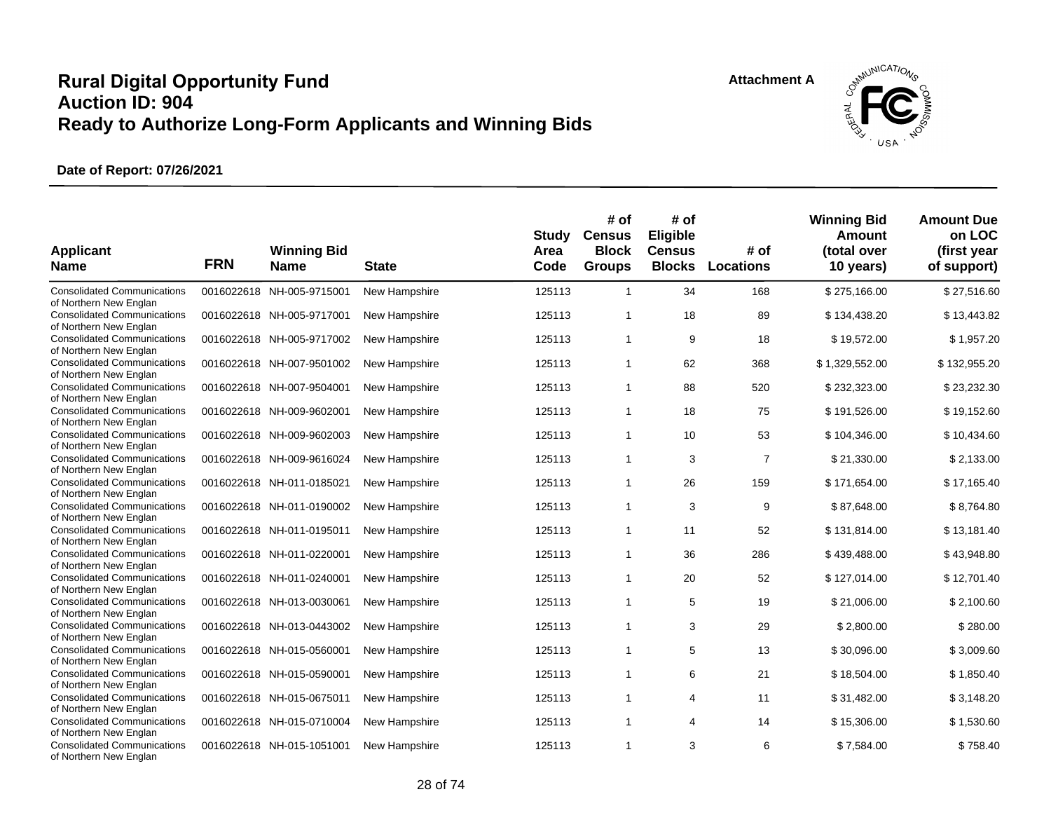![](_page_27_Picture_2.jpeg)

| <b>Applicant</b><br><b>Name</b>                                                        | <b>FRN</b> | <b>Winning Bid</b><br><b>Name</b> | <b>State</b>  | <b>Study</b><br>Area<br>Code | # of<br><b>Census</b><br><b>Block</b><br><b>Groups</b> | # of<br>Eligible<br><b>Census</b><br><b>Blocks</b> | # of<br><b>Locations</b> | <b>Winning Bid</b><br><b>Amount</b><br>(total over<br>10 years) | <b>Amount Due</b><br>on LOC<br>(first year<br>of support) |
|----------------------------------------------------------------------------------------|------------|-----------------------------------|---------------|------------------------------|--------------------------------------------------------|----------------------------------------------------|--------------------------|-----------------------------------------------------------------|-----------------------------------------------------------|
| <b>Consolidated Communications</b><br>of Northern New Englan                           |            | 0016022618 NH-005-9715001         | New Hampshire | 125113                       | $\overline{1}$                                         | 34                                                 | 168                      | \$275,166.00                                                    | \$27,516.60                                               |
| <b>Consolidated Communications</b><br>of Northern New Englan                           |            | 0016022618 NH-005-9717001         | New Hampshire | 125113                       | $\mathbf 1$                                            | 18                                                 | 89                       | \$134,438.20                                                    | \$13,443.82                                               |
| <b>Consolidated Communications</b><br>of Northern New Englan                           |            | 0016022618 NH-005-9717002         | New Hampshire | 125113                       | $\mathbf{1}$                                           | 9                                                  | 18                       | \$19,572.00                                                     | \$1,957.20                                                |
| <b>Consolidated Communications</b><br>of Northern New Englan                           |            | 0016022618 NH-007-9501002         | New Hampshire | 125113                       | $\overline{1}$                                         | 62                                                 | 368                      | \$1,329,552.00                                                  | \$132,955.20                                              |
| <b>Consolidated Communications</b><br>of Northern New Englan                           |            | 0016022618 NH-007-9504001         | New Hampshire | 125113                       | $\mathbf 1$                                            | 88                                                 | 520                      | \$232,323.00                                                    | \$23,232.30                                               |
| <b>Consolidated Communications</b><br>of Northern New Englan                           |            | 0016022618 NH-009-9602001         | New Hampshire | 125113                       | $\overline{1}$                                         | 18                                                 | 75                       | \$191,526.00                                                    | \$19,152.60                                               |
| <b>Consolidated Communications</b><br>of Northern New Englan                           |            | 0016022618 NH-009-9602003         | New Hampshire | 125113                       | $\overline{1}$                                         | 10                                                 | 53                       | \$104,346.00                                                    | \$10,434.60                                               |
| <b>Consolidated Communications</b><br>of Northern New Englan                           |            | 0016022618 NH-009-9616024         | New Hampshire | 125113                       | $\overline{1}$                                         | 3                                                  | $\overline{7}$           | \$21,330.00                                                     | \$2,133.00                                                |
| <b>Consolidated Communications</b><br>of Northern New Englan                           |            | 0016022618 NH-011-0185021         | New Hampshire | 125113                       | $\overline{1}$                                         | 26                                                 | 159                      | \$171,654.00                                                    | \$17,165.40                                               |
| <b>Consolidated Communications</b><br>of Northern New Englan                           |            | 0016022618 NH-011-0190002         | New Hampshire | 125113                       | $\overline{1}$                                         | 3                                                  | 9                        | \$87,648.00                                                     | \$8,764.80                                                |
| <b>Consolidated Communications</b><br>of Northern New Englan                           |            | 0016022618 NH-011-0195011         | New Hampshire | 125113                       | $\mathbf{1}$                                           | 11                                                 | 52                       | \$131,814.00                                                    | \$13,181.40                                               |
| <b>Consolidated Communications</b><br>of Northern New Englan                           |            | 0016022618 NH-011-0220001         | New Hampshire | 125113                       | $\overline{1}$                                         | 36                                                 | 286                      | \$439,488.00                                                    | \$43,948.80                                               |
| <b>Consolidated Communications</b><br>of Northern New Englan                           |            | 0016022618 NH-011-0240001         | New Hampshire | 125113                       | $\mathbf 1$                                            | 20                                                 | 52                       | \$127,014.00                                                    | \$12,701.40                                               |
| <b>Consolidated Communications</b>                                                     |            | 0016022618 NH-013-0030061         | New Hampshire | 125113                       | $\mathbf 1$                                            | 5                                                  | 19                       | \$21,006.00                                                     | \$2,100.60                                                |
| of Northern New Englan<br><b>Consolidated Communications</b>                           |            | 0016022618 NH-013-0443002         | New Hampshire | 125113                       | $\overline{1}$                                         | 3                                                  | 29                       | \$2,800.00                                                      | \$280.00                                                  |
| of Northern New Englan<br><b>Consolidated Communications</b>                           |            | 0016022618 NH-015-0560001         | New Hampshire | 125113                       | $\overline{1}$                                         | 5                                                  | 13                       | \$30,096.00                                                     | \$3,009.60                                                |
| of Northern New Englan<br><b>Consolidated Communications</b>                           |            | 0016022618 NH-015-0590001         | New Hampshire | 125113                       | $\overline{1}$                                         | 6                                                  | 21                       | \$18,504.00                                                     | \$1,850.40                                                |
| of Northern New Englan<br><b>Consolidated Communications</b>                           |            | 0016022618 NH-015-0675011         | New Hampshire | 125113                       | $\overline{1}$                                         | 4                                                  | 11                       | \$31,482.00                                                     | \$3,148.20                                                |
| of Northern New Englan<br><b>Consolidated Communications</b>                           |            | 0016022618 NH-015-0710004         | New Hampshire | 125113                       | $\overline{1}$                                         | 4                                                  | 14                       | \$15,306.00                                                     | \$1,530.60                                                |
| of Northern New Englan<br><b>Consolidated Communications</b><br>of Northern New Englan |            | 0016022618 NH-015-1051001         | New Hampshire | 125113                       | $\overline{1}$                                         | 3                                                  | 6                        | \$7.584.00                                                      | \$758.40                                                  |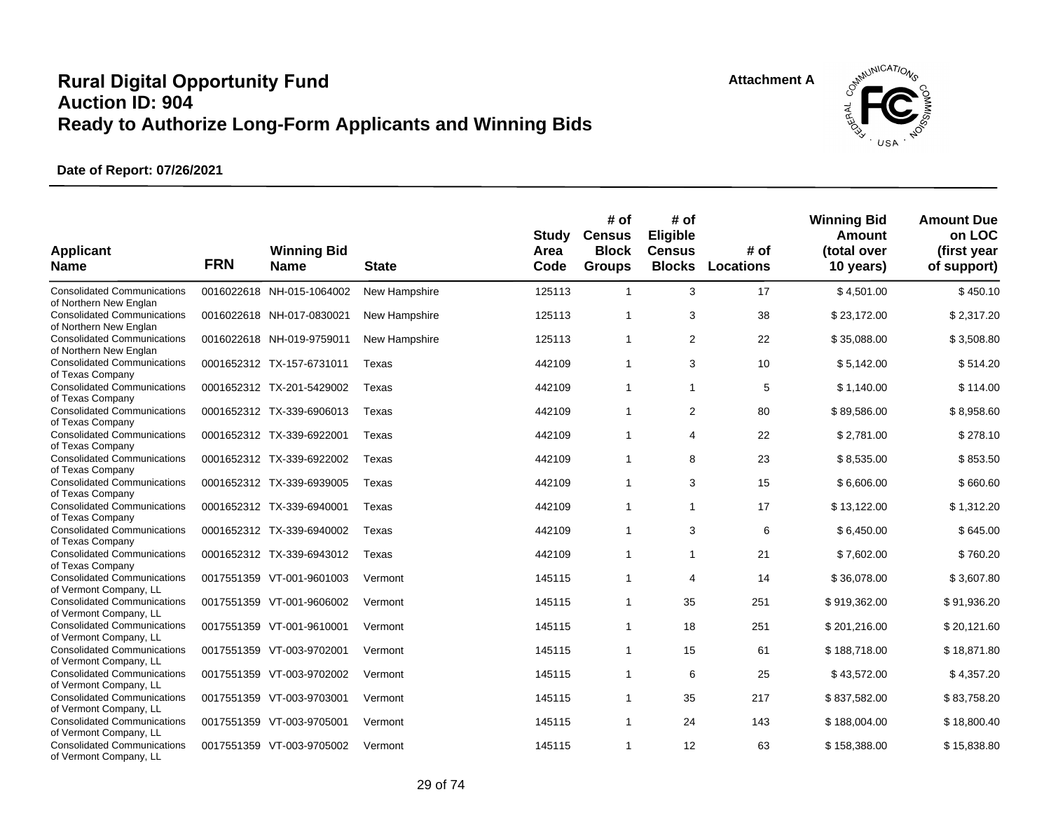![](_page_28_Picture_2.jpeg)

| <b>Applicant</b><br><b>Name</b>                                                        | <b>FRN</b> | <b>Winning Bid</b><br><b>Name</b> | <b>State</b>  | <b>Study</b><br>Area<br>Code | # of<br><b>Census</b><br><b>Block</b><br><b>Groups</b> | # of<br>Eligible<br><b>Census</b><br><b>Blocks</b> | # of<br><b>Locations</b> | <b>Winning Bid</b><br><b>Amount</b><br>(total over<br>10 years) | <b>Amount Due</b><br>on LOC<br>(first year<br>of support) |
|----------------------------------------------------------------------------------------|------------|-----------------------------------|---------------|------------------------------|--------------------------------------------------------|----------------------------------------------------|--------------------------|-----------------------------------------------------------------|-----------------------------------------------------------|
| <b>Consolidated Communications</b><br>of Northern New Englan                           |            | 0016022618 NH-015-1064002         | New Hampshire | 125113                       | $\mathbf{1}$                                           | 3                                                  | 17                       | \$4,501.00                                                      | \$450.10                                                  |
| <b>Consolidated Communications</b><br>of Northern New Englan                           |            | 0016022618 NH-017-0830021         | New Hampshire | 125113                       | $\mathbf{1}$                                           | 3                                                  | 38                       | \$23,172.00                                                     | \$2,317.20                                                |
| <b>Consolidated Communications</b><br>of Northern New Englan                           |            | 0016022618 NH-019-9759011         | New Hampshire | 125113                       | $\mathbf{1}$                                           | 2                                                  | 22                       | \$35,088.00                                                     | \$3,508.80                                                |
| <b>Consolidated Communications</b><br>of Texas Company                                 |            | 0001652312 TX-157-6731011         | Texas         | 442109                       | $\mathbf{1}$                                           | 3                                                  | 10                       | \$5,142.00                                                      | \$514.20                                                  |
| <b>Consolidated Communications</b><br>of Texas Company                                 |            | 0001652312 TX-201-5429002         | Texas         | 442109                       | $\mathbf{1}$                                           | $\mathbf{1}$                                       | 5                        | \$1,140.00                                                      | \$114.00                                                  |
| <b>Consolidated Communications</b><br>of Texas Company                                 |            | 0001652312 TX-339-6906013         | Texas         | 442109                       | $\mathbf{1}$                                           | 2                                                  | 80                       | \$89,586.00                                                     | \$8,958.60                                                |
| <b>Consolidated Communications</b><br>of Texas Company                                 |            | 0001652312 TX-339-6922001         | Texas         | 442109                       | $\mathbf{1}$                                           | $\overline{4}$                                     | 22                       | \$2,781.00                                                      | \$278.10                                                  |
| <b>Consolidated Communications</b><br>of Texas Company                                 |            | 0001652312 TX-339-6922002         | Texas         | 442109                       | $\mathbf{1}$                                           | 8                                                  | 23                       | \$8,535.00                                                      | \$853.50                                                  |
| <b>Consolidated Communications</b>                                                     |            | 0001652312 TX-339-6939005         | Texas         | 442109                       | $\mathbf{1}$                                           | 3                                                  | 15                       | \$6,606.00                                                      | \$660.60                                                  |
| of Texas Company<br><b>Consolidated Communications</b>                                 |            | 0001652312 TX-339-6940001         | Texas         | 442109                       | $\mathbf{1}$                                           | $\mathbf{1}$                                       | 17                       | \$13,122.00                                                     | \$1,312.20                                                |
| of Texas Company<br><b>Consolidated Communications</b>                                 |            | 0001652312 TX-339-6940002         | Texas         | 442109                       | $\mathbf{1}$                                           | 3                                                  | 6                        | \$6,450.00                                                      | \$645.00                                                  |
| of Texas Company<br><b>Consolidated Communications</b><br>of Texas Company             |            | 0001652312 TX-339-6943012         | Texas         | 442109                       | $\mathbf{1}$                                           | $\mathbf{1}$                                       | 21                       | \$7,602.00                                                      | \$760.20                                                  |
| <b>Consolidated Communications</b><br>of Vermont Company, LL                           |            | 0017551359 VT-001-9601003         | Vermont       | 145115                       | $\mathbf{1}$                                           | 4                                                  | 14                       | \$36,078.00                                                     | \$3,607.80                                                |
| <b>Consolidated Communications</b>                                                     |            | 0017551359 VT-001-9606002         | Vermont       | 145115                       | $\mathbf{1}$                                           | 35                                                 | 251                      | \$919,362.00                                                    | \$91,936.20                                               |
| of Vermont Company, LL<br><b>Consolidated Communications</b>                           |            | 0017551359 VT-001-9610001         | Vermont       | 145115                       | $\mathbf{1}$                                           | 18                                                 | 251                      | \$201,216.00                                                    | \$20,121.60                                               |
| of Vermont Company, LL<br><b>Consolidated Communications</b>                           |            | 0017551359 VT-003-9702001         | Vermont       | 145115                       | $\mathbf{1}$                                           | 15                                                 | 61                       | \$188,718.00                                                    | \$18,871.80                                               |
| of Vermont Company, LL<br><b>Consolidated Communications</b>                           |            | 0017551359 VT-003-9702002         | Vermont       | 145115                       | $\mathbf{1}$                                           | 6                                                  | 25                       | \$43,572.00                                                     | \$4,357.20                                                |
| of Vermont Company, LL<br><b>Consolidated Communications</b>                           |            | 0017551359 VT-003-9703001         | Vermont       | 145115                       | $\mathbf{1}$                                           | 35                                                 | 217                      | \$837,582.00                                                    | \$83,758.20                                               |
| of Vermont Company, LL<br><b>Consolidated Communications</b>                           |            | 0017551359 VT-003-9705001         | Vermont       | 145115                       | $\mathbf{1}$                                           | 24                                                 | 143                      | \$188,004.00                                                    | \$18,800.40                                               |
| of Vermont Company, LL<br><b>Consolidated Communications</b><br>of Vermont Company, LL |            | 0017551359 VT-003-9705002         | Vermont       | 145115                       | $\mathbf{1}$                                           | 12                                                 | 63                       | \$158,388.00                                                    | \$15,838.80                                               |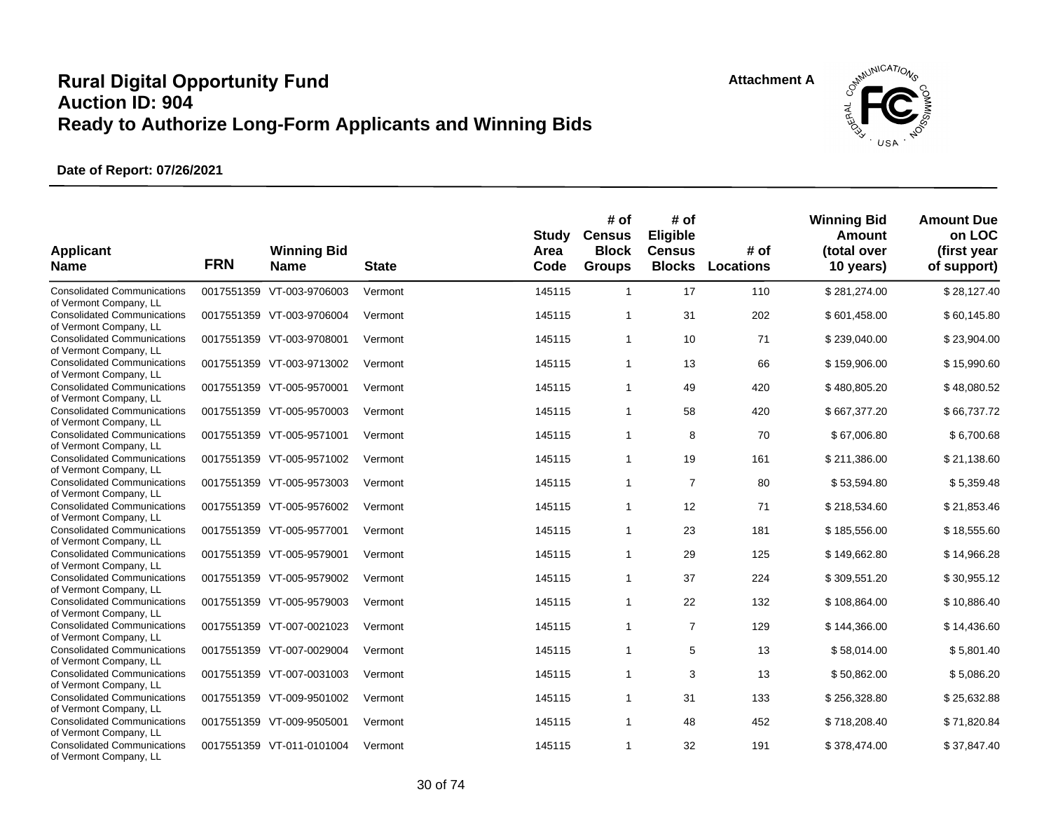![](_page_29_Picture_2.jpeg)

| <b>Applicant</b><br><b>Name</b>                                                        | <b>FRN</b> | <b>Winning Bid</b><br><b>Name</b> | <b>State</b> | <b>Study</b><br>Area<br>Code | # of<br><b>Census</b><br><b>Block</b><br><b>Groups</b> | # of<br>Eligible<br><b>Census</b><br><b>Blocks</b> | # of<br><b>Locations</b> | <b>Winning Bid</b><br><b>Amount</b><br>(total over<br>10 years) | <b>Amount Due</b><br>on LOC<br>(first year<br>of support) |
|----------------------------------------------------------------------------------------|------------|-----------------------------------|--------------|------------------------------|--------------------------------------------------------|----------------------------------------------------|--------------------------|-----------------------------------------------------------------|-----------------------------------------------------------|
| <b>Consolidated Communications</b><br>of Vermont Company, LL                           |            | 0017551359 VT-003-9706003         | Vermont      | 145115                       | $\mathbf{1}$                                           | 17                                                 | 110                      | \$281,274.00                                                    | \$28,127.40                                               |
| <b>Consolidated Communications</b><br>of Vermont Company, LL                           |            | 0017551359 VT-003-9706004         | Vermont      | 145115                       | $\mathbf{1}$                                           | 31                                                 | 202                      | \$601,458.00                                                    | \$60,145.80                                               |
| <b>Consolidated Communications</b><br>of Vermont Company, LL                           |            | 0017551359 VT-003-9708001         | Vermont      | 145115                       | $\mathbf{1}$                                           | 10                                                 | 71                       | \$239,040.00                                                    | \$23,904.00                                               |
| <b>Consolidated Communications</b><br>of Vermont Company, LL                           |            | 0017551359 VT-003-9713002         | Vermont      | 145115                       | $\mathbf{1}$                                           | 13                                                 | 66                       | \$159,906.00                                                    | \$15,990.60                                               |
| <b>Consolidated Communications</b><br>of Vermont Company, LL                           |            | 0017551359 VT-005-9570001         | Vermont      | 145115                       | $\mathbf{1}$                                           | 49                                                 | 420                      | \$480,805.20                                                    | \$48,080.52                                               |
| <b>Consolidated Communications</b><br>of Vermont Company, LL                           |            | 0017551359 VT-005-9570003         | Vermont      | 145115                       | $\mathbf{1}$                                           | 58                                                 | 420                      | \$667,377.20                                                    | \$66,737.72                                               |
| <b>Consolidated Communications</b><br>of Vermont Company, LL                           |            | 0017551359 VT-005-9571001         | Vermont      | 145115                       | $\mathbf{1}$                                           | 8                                                  | 70                       | \$67,006.80                                                     | \$6,700.68                                                |
| <b>Consolidated Communications</b><br>of Vermont Company, LL                           |            | 0017551359 VT-005-9571002         | Vermont      | 145115                       | $\mathbf{1}$                                           | 19                                                 | 161                      | \$211,386.00                                                    | \$21,138.60                                               |
| <b>Consolidated Communications</b><br>of Vermont Company, LL                           |            | 0017551359 VT-005-9573003         | Vermont      | 145115                       | $\mathbf{1}$                                           | $\overline{7}$                                     | 80                       | \$53,594.80                                                     | \$5,359.48                                                |
| <b>Consolidated Communications</b>                                                     |            | 0017551359 VT-005-9576002         | Vermont      | 145115                       | $\mathbf{1}$                                           | 12                                                 | 71                       | \$218,534.60                                                    | \$21,853.46                                               |
| of Vermont Company, LL<br><b>Consolidated Communications</b>                           |            | 0017551359 VT-005-9577001         | Vermont      | 145115                       | $\mathbf{1}$                                           | 23                                                 | 181                      | \$185,556.00                                                    | \$18,555.60                                               |
| of Vermont Company, LL<br><b>Consolidated Communications</b>                           |            | 0017551359 VT-005-9579001         | Vermont      | 145115                       | $\mathbf{1}$                                           | 29                                                 | 125                      | \$149,662.80                                                    | \$14,966.28                                               |
| of Vermont Company, LL<br><b>Consolidated Communications</b>                           |            | 0017551359 VT-005-9579002         | Vermont      | 145115                       | $\mathbf{1}$                                           | 37                                                 | 224                      | \$309,551.20                                                    | \$30,955.12                                               |
| of Vermont Company, LL<br><b>Consolidated Communications</b>                           |            | 0017551359 VT-005-9579003         | Vermont      | 145115                       | $\mathbf{1}$                                           | 22                                                 | 132                      | \$108,864.00                                                    | \$10,886.40                                               |
| of Vermont Company, LL<br><b>Consolidated Communications</b>                           |            | 0017551359 VT-007-0021023         | Vermont      | 145115                       | $\mathbf{1}$                                           | $\overline{7}$                                     | 129                      | \$144,366.00                                                    | \$14,436.60                                               |
| of Vermont Company, LL<br><b>Consolidated Communications</b>                           |            | 0017551359 VT-007-0029004         | Vermont      | 145115                       | 1                                                      | 5                                                  | 13                       | \$58,014.00                                                     | \$5,801.40                                                |
| of Vermont Company, LL<br><b>Consolidated Communications</b>                           |            | 0017551359 VT-007-0031003         | Vermont      | 145115                       | $\mathbf{1}$                                           | 3                                                  | 13                       | \$50,862.00                                                     | \$5,086.20                                                |
| of Vermont Company, LL<br><b>Consolidated Communications</b>                           |            | 0017551359 VT-009-9501002         | Vermont      | 145115                       | $\mathbf{1}$                                           | 31                                                 | 133                      | \$256,328.80                                                    | \$25,632.88                                               |
| of Vermont Company, LL<br><b>Consolidated Communications</b>                           |            | 0017551359 VT-009-9505001         | Vermont      | 145115                       | $\mathbf{1}$                                           | 48                                                 | 452                      | \$718,208.40                                                    | \$71,820.84                                               |
| of Vermont Company, LL<br><b>Consolidated Communications</b><br>of Vermont Company, LL |            | 0017551359 VT-011-0101004         | Vermont      | 145115                       | $\mathbf{1}$                                           | 32                                                 | 191                      | \$378,474.00                                                    | \$37,847.40                                               |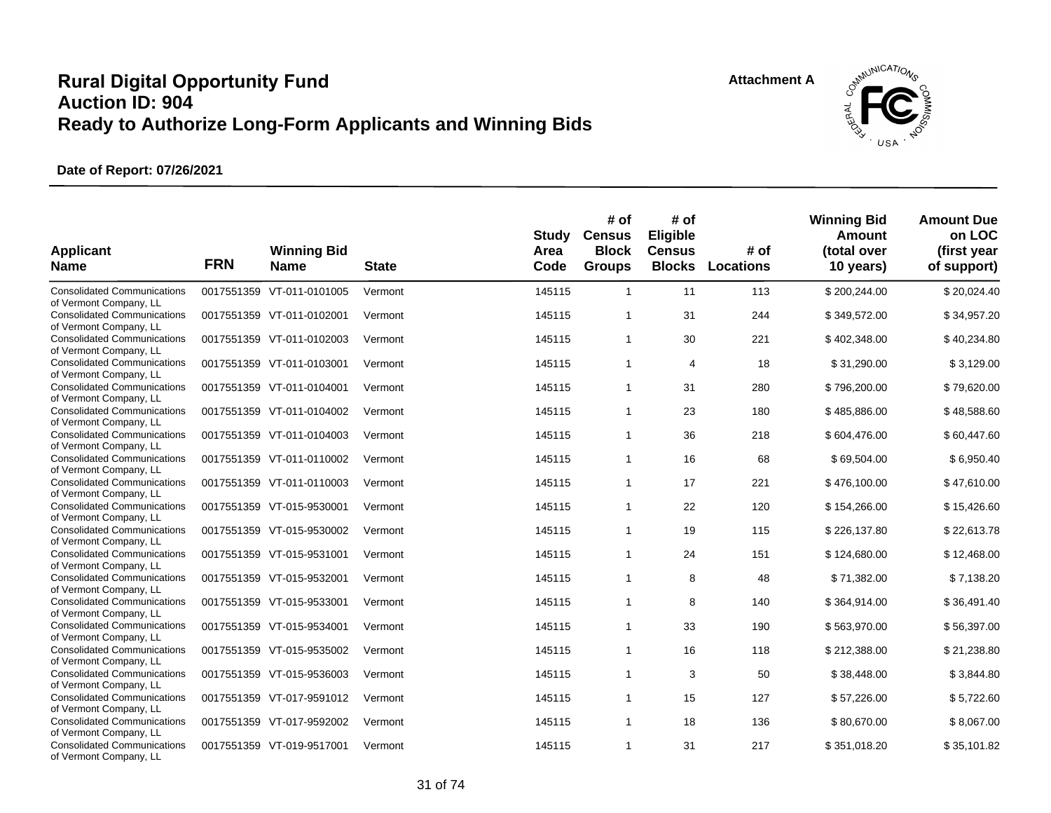![](_page_30_Picture_2.jpeg)

| <b>Applicant</b><br><b>Name</b>                              | <b>FRN</b> | <b>Winning Bid</b><br><b>Name</b> | <b>State</b> | <b>Study</b><br>Area<br>Code | # of<br><b>Census</b><br><b>Block</b><br><b>Groups</b> | # of<br>Eligible<br><b>Census</b><br><b>Blocks</b> | # of<br><b>Locations</b> | <b>Winning Bid</b><br><b>Amount</b><br>(total over<br>10 years) | <b>Amount Due</b><br>on LOC<br>(first year<br>of support) |
|--------------------------------------------------------------|------------|-----------------------------------|--------------|------------------------------|--------------------------------------------------------|----------------------------------------------------|--------------------------|-----------------------------------------------------------------|-----------------------------------------------------------|
| <b>Consolidated Communications</b><br>of Vermont Company, LL |            | 0017551359 VT-011-0101005         | Vermont      | 145115                       | $\mathbf{1}$                                           | 11                                                 | 113                      | \$200,244.00                                                    | \$20,024.40                                               |
| <b>Consolidated Communications</b><br>of Vermont Company, LL |            | 0017551359 VT-011-0102001         | Vermont      | 145115                       | $\mathbf{1}$                                           | 31                                                 | 244                      | \$349,572.00                                                    | \$34,957.20                                               |
| <b>Consolidated Communications</b><br>of Vermont Company, LL |            | 0017551359 VT-011-0102003         | Vermont      | 145115                       | $\mathbf{1}$                                           | 30                                                 | 221                      | \$402,348.00                                                    | \$40,234.80                                               |
| <b>Consolidated Communications</b><br>of Vermont Company, LL |            | 0017551359 VT-011-0103001         | Vermont      | 145115                       | $\mathbf{1}$                                           | $\overline{4}$                                     | 18                       | \$31,290.00                                                     | \$3,129.00                                                |
| <b>Consolidated Communications</b><br>of Vermont Company, LL |            | 0017551359 VT-011-0104001         | Vermont      | 145115                       | $\mathbf{1}$                                           | 31                                                 | 280                      | \$796,200.00                                                    | \$79,620.00                                               |
| <b>Consolidated Communications</b><br>of Vermont Company, LL |            | 0017551359 VT-011-0104002         | Vermont      | 145115                       | $\mathbf{1}$                                           | 23                                                 | 180                      | \$485,886.00                                                    | \$48,588.60                                               |
| <b>Consolidated Communications</b><br>of Vermont Company, LL |            | 0017551359 VT-011-0104003         | Vermont      | 145115                       | $\mathbf{1}$                                           | 36                                                 | 218                      | \$604,476.00                                                    | \$60,447.60                                               |
| <b>Consolidated Communications</b><br>of Vermont Company, LL |            | 0017551359 VT-011-0110002         | Vermont      | 145115                       | $\mathbf{1}$                                           | 16                                                 | 68                       | \$69,504.00                                                     | \$6,950.40                                                |
| <b>Consolidated Communications</b><br>of Vermont Company, LL |            | 0017551359 VT-011-0110003         | Vermont      | 145115                       | $\mathbf{1}$                                           | 17                                                 | 221                      | \$476,100.00                                                    | \$47,610.00                                               |
| <b>Consolidated Communications</b>                           |            | 0017551359 VT-015-9530001         | Vermont      | 145115                       | $\mathbf{1}$                                           | 22                                                 | 120                      | \$154,266.00                                                    | \$15,426.60                                               |
| of Vermont Company, LL<br><b>Consolidated Communications</b> |            | 0017551359 VT-015-9530002         | Vermont      | 145115                       | $\mathbf{1}$                                           | 19                                                 | 115                      | \$226,137.80                                                    | \$22,613.78                                               |
| of Vermont Company, LL<br><b>Consolidated Communications</b> |            | 0017551359 VT-015-9531001         | Vermont      | 145115                       | $\mathbf{1}$                                           | 24                                                 | 151                      | \$124,680.00                                                    | \$12,468.00                                               |
| of Vermont Company, LL<br><b>Consolidated Communications</b> |            | 0017551359 VT-015-9532001         | Vermont      | 145115                       | $\mathbf{1}$                                           | 8                                                  | 48                       | \$71,382.00                                                     | \$7,138.20                                                |
| of Vermont Company, LL<br><b>Consolidated Communications</b> |            | 0017551359 VT-015-9533001         | Vermont      | 145115                       | $\mathbf{1}$                                           | 8                                                  | 140                      | \$364,914.00                                                    | \$36,491.40                                               |
| of Vermont Company, LL<br><b>Consolidated Communications</b> |            | 0017551359 VT-015-9534001         | Vermont      | 145115                       | $\mathbf{1}$                                           | 33                                                 | 190                      | \$563,970.00                                                    | \$56,397.00                                               |
| of Vermont Company, LL<br><b>Consolidated Communications</b> |            | 0017551359 VT-015-9535002         | Vermont      | 145115                       | $\mathbf{1}$                                           | 16                                                 | 118                      | \$212,388.00                                                    | \$21,238.80                                               |
| of Vermont Company, LL<br><b>Consolidated Communications</b> |            | 0017551359 VT-015-9536003         | Vermont      | 145115                       | $\mathbf{1}$                                           | 3                                                  | 50                       | \$38,448.00                                                     | \$3,844.80                                                |
| of Vermont Company, LL<br><b>Consolidated Communications</b> |            | 0017551359 VT-017-9591012         | Vermont      | 145115                       | $\mathbf{1}$                                           | 15                                                 | 127                      | \$57,226.00                                                     | \$5,722.60                                                |
| of Vermont Company, LL                                       |            |                                   |              |                              |                                                        |                                                    |                          |                                                                 |                                                           |
| <b>Consolidated Communications</b><br>of Vermont Company, LL |            | 0017551359 VT-017-9592002         | Vermont      | 145115                       | $\mathbf{1}$                                           | 18                                                 | 136                      | \$80,670.00                                                     | \$8,067.00                                                |
| <b>Consolidated Communications</b><br>of Vermont Company, LL |            | 0017551359 VT-019-9517001         | Vermont      | 145115                       | $\mathbf{1}$                                           | 31                                                 | 217                      | \$351,018.20                                                    | \$35,101.82                                               |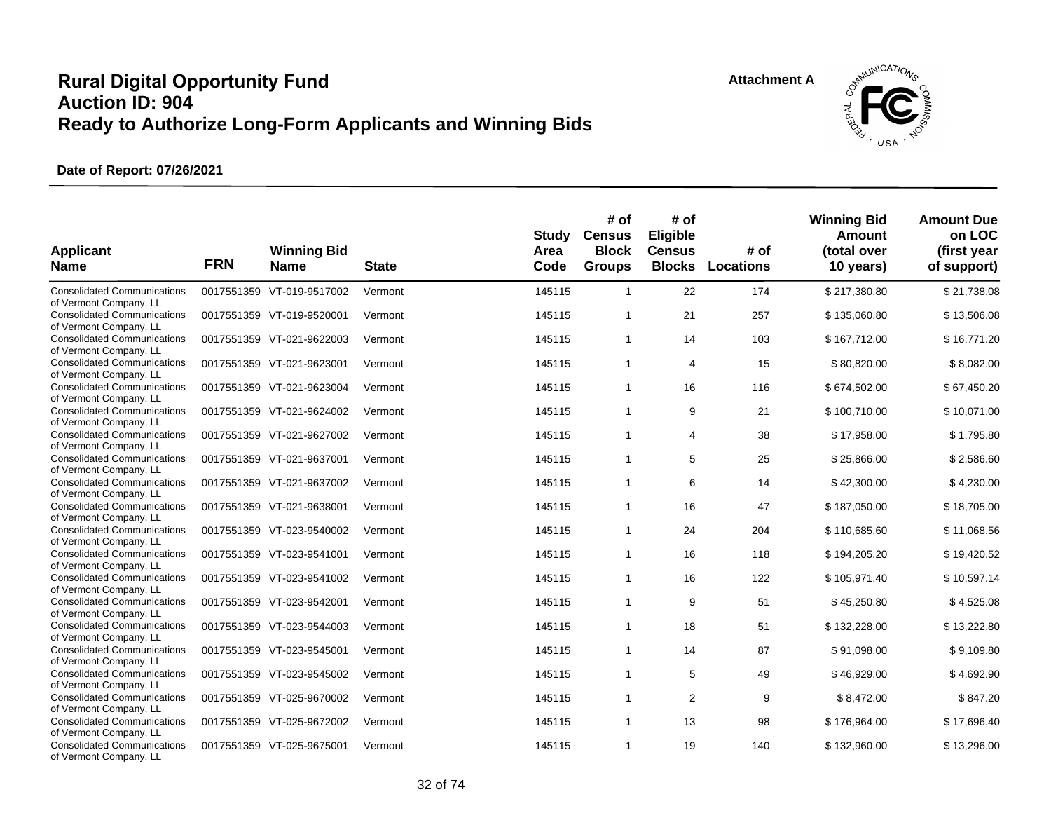![](_page_31_Picture_2.jpeg)

| <b>Applicant</b><br><b>Name</b>                                                        | <b>FRN</b> | <b>Winning Bid</b><br><b>Name</b> | <b>State</b> | <b>Study</b><br>Area<br>Code | # of<br><b>Census</b><br><b>Block</b><br><b>Groups</b> | # of<br>Eligible<br><b>Census</b><br><b>Blocks</b> | # of<br><b>Locations</b> | <b>Winning Bid</b><br><b>Amount</b><br>(total over<br>10 years) | <b>Amount Due</b><br>on LOC<br>(first year<br>of support) |
|----------------------------------------------------------------------------------------|------------|-----------------------------------|--------------|------------------------------|--------------------------------------------------------|----------------------------------------------------|--------------------------|-----------------------------------------------------------------|-----------------------------------------------------------|
| <b>Consolidated Communications</b><br>of Vermont Company, LL                           |            | 0017551359 VT-019-9517002         | Vermont      | 145115                       | $\mathbf{1}$                                           | 22                                                 | 174                      | \$217,380.80                                                    | \$21,738.08                                               |
| <b>Consolidated Communications</b><br>of Vermont Company, LL                           |            | 0017551359 VT-019-9520001         | Vermont      | 145115                       | $\mathbf{1}$                                           | 21                                                 | 257                      | \$135,060.80                                                    | \$13,506.08                                               |
| <b>Consolidated Communications</b><br>of Vermont Company, LL                           |            | 0017551359 VT-021-9622003         | Vermont      | 145115                       | $\mathbf{1}$                                           | 14                                                 | 103                      | \$167,712.00                                                    | \$16,771.20                                               |
| <b>Consolidated Communications</b><br>of Vermont Company, LL                           |            | 0017551359 VT-021-9623001         | Vermont      | 145115                       | $\mathbf{1}$                                           | $\overline{4}$                                     | 15                       | \$80,820.00                                                     | \$8,082.00                                                |
| <b>Consolidated Communications</b><br>of Vermont Company, LL                           |            | 0017551359 VT-021-9623004         | Vermont      | 145115                       | $\mathbf{1}$                                           | 16                                                 | 116                      | \$674,502.00                                                    | \$67,450.20                                               |
| <b>Consolidated Communications</b><br>of Vermont Company, LL                           |            | 0017551359 VT-021-9624002         | Vermont      | 145115                       | $\mathbf{1}$                                           | 9                                                  | 21                       | \$100,710.00                                                    | \$10,071.00                                               |
| <b>Consolidated Communications</b><br>of Vermont Company, LL                           |            | 0017551359 VT-021-9627002         | Vermont      | 145115                       | $\mathbf{1}$                                           | 4                                                  | 38                       | \$17,958.00                                                     | \$1,795.80                                                |
| <b>Consolidated Communications</b><br>of Vermont Company, LL                           |            | 0017551359 VT-021-9637001         | Vermont      | 145115                       | $\mathbf{1}$                                           | 5                                                  | 25                       | \$25,866.00                                                     | \$2,586.60                                                |
| <b>Consolidated Communications</b><br>of Vermont Company, LL                           |            | 0017551359 VT-021-9637002         | Vermont      | 145115                       | $\mathbf{1}$                                           | 6                                                  | 14                       | \$42,300.00                                                     | \$4,230.00                                                |
| <b>Consolidated Communications</b>                                                     |            | 0017551359 VT-021-9638001         | Vermont      | 145115                       | $\mathbf{1}$                                           | 16                                                 | 47                       | \$187,050.00                                                    | \$18,705.00                                               |
| of Vermont Company, LL<br><b>Consolidated Communications</b>                           |            | 0017551359 VT-023-9540002         | Vermont      | 145115                       | $\mathbf{1}$                                           | 24                                                 | 204                      | \$110,685.60                                                    | \$11,068.56                                               |
| of Vermont Company, LL<br><b>Consolidated Communications</b>                           |            | 0017551359 VT-023-9541001         | Vermont      | 145115                       | $\mathbf{1}$                                           | 16                                                 | 118                      | \$194,205.20                                                    | \$19,420.52                                               |
| of Vermont Company, LL<br><b>Consolidated Communications</b>                           |            | 0017551359 VT-023-9541002         | Vermont      | 145115                       | $\mathbf{1}$                                           | 16                                                 | 122                      | \$105,971.40                                                    | \$10,597.14                                               |
| of Vermont Company, LL<br><b>Consolidated Communications</b>                           |            | 0017551359 VT-023-9542001         | Vermont      | 145115                       | $\mathbf{1}$                                           | 9                                                  | 51                       | \$45,250.80                                                     | \$4,525.08                                                |
| of Vermont Company, LL<br><b>Consolidated Communications</b>                           |            | 0017551359 VT-023-9544003         | Vermont      | 145115                       | $\mathbf{1}$                                           | 18                                                 | 51                       | \$132,228.00                                                    | \$13,222.80                                               |
| of Vermont Company, LL<br><b>Consolidated Communications</b>                           |            | 0017551359 VT-023-9545001         | Vermont      | 145115                       | $\mathbf{1}$                                           | 14                                                 | 87                       | \$91,098.00                                                     | \$9,109.80                                                |
| of Vermont Company, LL<br><b>Consolidated Communications</b>                           |            | 0017551359 VT-023-9545002         | Vermont      | 145115                       | $\mathbf{1}$                                           | 5                                                  | 49                       | \$46,929.00                                                     | \$4,692.90                                                |
| of Vermont Company, LL<br><b>Consolidated Communications</b>                           |            | 0017551359 VT-025-9670002         | Vermont      | 145115                       | $\mathbf{1}$                                           | $\overline{2}$                                     | 9                        | \$8,472.00                                                      | \$847.20                                                  |
| of Vermont Company, LL<br><b>Consolidated Communications</b>                           |            | 0017551359 VT-025-9672002         | Vermont      | 145115                       | $\mathbf{1}$                                           | 13                                                 | 98                       | \$176,964.00                                                    | \$17,696.40                                               |
| of Vermont Company, LL<br><b>Consolidated Communications</b><br>of Vermont Company, LL |            | 0017551359 VT-025-9675001         | Vermont      | 145115                       | $\mathbf{1}$                                           | 19                                                 | 140                      | \$132,960.00                                                    | \$13,296.00                                               |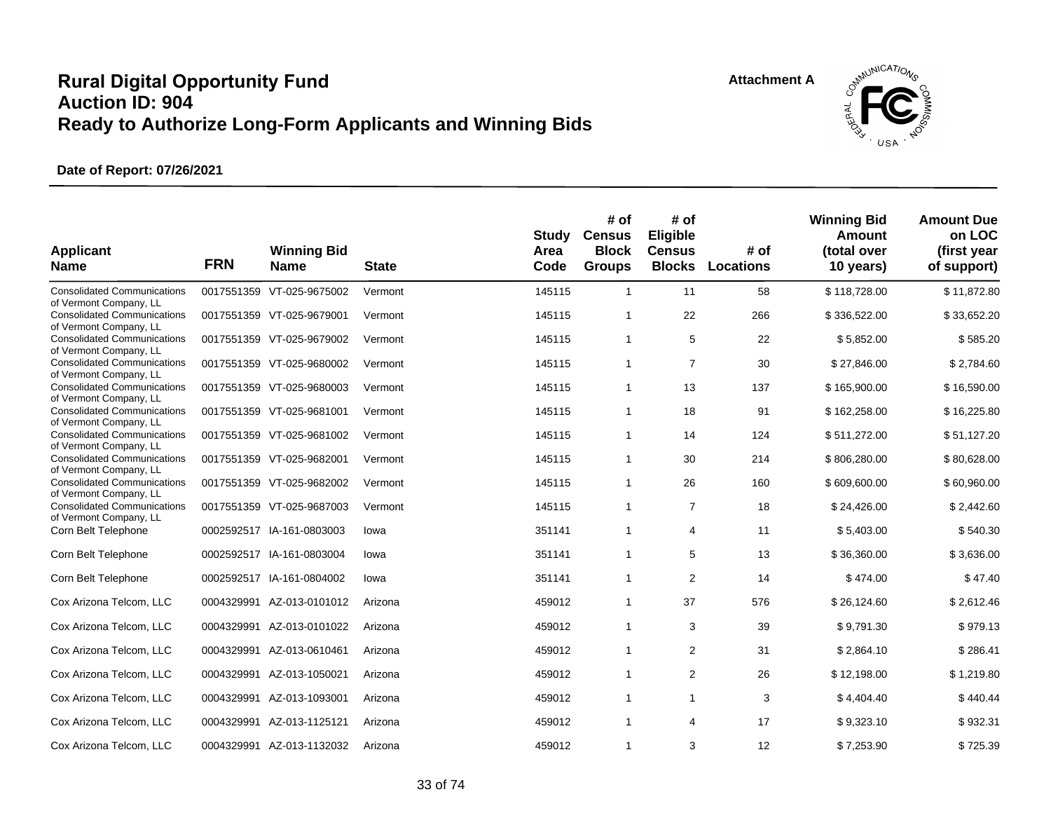![](_page_32_Picture_2.jpeg)

| <b>Applicant</b><br><b>Name</b>                              | <b>FRN</b> | <b>Winning Bid</b><br><b>Name</b> | <b>State</b> | <b>Study</b><br>Area<br>Code | # of<br><b>Census</b><br><b>Block</b><br><b>Groups</b> | # of<br>Eligible<br><b>Census</b><br><b>Blocks</b> | # of<br><b>Locations</b> | <b>Winning Bid</b><br>Amount<br>(total over<br>10 years) | <b>Amount Due</b><br>on LOC<br>(first year<br>of support) |
|--------------------------------------------------------------|------------|-----------------------------------|--------------|------------------------------|--------------------------------------------------------|----------------------------------------------------|--------------------------|----------------------------------------------------------|-----------------------------------------------------------|
| <b>Consolidated Communications</b><br>of Vermont Company, LL |            | 0017551359 VT-025-9675002         | Vermont      | 145115                       | $\mathbf{1}$                                           | 11                                                 | 58                       | \$118,728.00                                             | \$11,872.80                                               |
| <b>Consolidated Communications</b><br>of Vermont Company, LL |            | 0017551359 VT-025-9679001         | Vermont      | 145115                       | $\mathbf{1}$                                           | 22                                                 | 266                      | \$336,522.00                                             | \$33,652.20                                               |
| <b>Consolidated Communications</b><br>of Vermont Company, LL |            | 0017551359 VT-025-9679002         | Vermont      | 145115                       | $\mathbf{1}$                                           | 5                                                  | 22                       | \$5,852.00                                               | \$585.20                                                  |
| <b>Consolidated Communications</b><br>of Vermont Company, LL |            | 0017551359 VT-025-9680002         | Vermont      | 145115                       | $\mathbf{1}$                                           | $\overline{7}$                                     | 30                       | \$27,846.00                                              | \$2,784.60                                                |
| <b>Consolidated Communications</b><br>of Vermont Company, LL |            | 0017551359 VT-025-9680003         | Vermont      | 145115                       | $\mathbf{1}$                                           | 13                                                 | 137                      | \$165,900.00                                             | \$16,590.00                                               |
| <b>Consolidated Communications</b>                           |            | 0017551359 VT-025-9681001         | Vermont      | 145115                       | $\mathbf{1}$                                           | 18                                                 | 91                       | \$162,258.00                                             | \$16,225.80                                               |
| of Vermont Company, LL<br><b>Consolidated Communications</b> |            | 0017551359 VT-025-9681002         | Vermont      | 145115                       | $\mathbf{1}$                                           | 14                                                 | 124                      | \$511,272.00                                             | \$51,127.20                                               |
| of Vermont Company, LL<br><b>Consolidated Communications</b> |            | 0017551359 VT-025-9682001         | Vermont      | 145115                       | $\mathbf{1}$                                           | 30                                                 | 214                      | \$806,280.00                                             | \$80,628.00                                               |
| of Vermont Company, LL<br><b>Consolidated Communications</b> |            | 0017551359 VT-025-9682002         | Vermont      | 145115                       | $\mathbf{1}$                                           | 26                                                 | 160                      | \$609,600.00                                             | \$60,960.00                                               |
| of Vermont Company, LL<br><b>Consolidated Communications</b> |            | 0017551359 VT-025-9687003         | Vermont      | 145115                       | $\mathbf{1}$                                           | $\overline{7}$                                     | 18                       | \$24,426.00                                              | \$2,442.60                                                |
| of Vermont Company, LL<br>Corn Belt Telephone                |            | 0002592517 IA-161-0803003         | lowa         | 351141                       | $\mathbf{1}$                                           | 4                                                  | 11                       | \$5,403.00                                               | \$540.30                                                  |
| Corn Belt Telephone                                          |            | 0002592517 IA-161-0803004         | lowa         | 351141                       | $\mathbf{1}$                                           | 5                                                  | 13                       | \$36,360.00                                              | \$3,636.00                                                |
| Corn Belt Telephone                                          |            | 0002592517 IA-161-0804002         | lowa         | 351141                       | $\mathbf{1}$                                           | 2                                                  | 14                       | \$474.00                                                 | \$47.40                                                   |
| Cox Arizona Telcom, LLC                                      | 0004329991 | AZ-013-0101012                    | Arizona      | 459012                       | $\mathbf{1}$                                           | 37                                                 | 576                      | \$26,124.60                                              | \$2,612.46                                                |
| Cox Arizona Telcom, LLC                                      |            | 0004329991 AZ-013-0101022         | Arizona      | 459012                       | $\mathbf{1}$                                           | 3                                                  | 39                       | \$9,791.30                                               | \$979.13                                                  |
| Cox Arizona Telcom, LLC                                      | 0004329991 | AZ-013-0610461                    | Arizona      | 459012                       | $\mathbf{1}$                                           | 2                                                  | 31                       | \$2,864.10                                               | \$286.41                                                  |
| Cox Arizona Telcom, LLC                                      | 0004329991 | AZ-013-1050021                    | Arizona      | 459012                       | $\mathbf{1}$                                           | $\overline{2}$                                     | 26                       | \$12,198.00                                              | \$1,219.80                                                |
| Cox Arizona Telcom, LLC                                      |            | 0004329991 AZ-013-1093001         | Arizona      | 459012                       | $\mathbf{1}$                                           | $\mathbf{1}$                                       | 3                        | \$4,404.40                                               | \$440.44                                                  |
| Cox Arizona Telcom, LLC                                      |            | 0004329991 AZ-013-1125121         | Arizona      | 459012                       | $\mathbf{1}$                                           | 4                                                  | 17                       | \$9,323.10                                               | \$932.31                                                  |
| Cox Arizona Telcom, LLC                                      |            | 0004329991 AZ-013-1132032         | Arizona      | 459012                       | $\mathbf{1}$                                           | 3                                                  | 12                       | \$7,253.90                                               | \$725.39                                                  |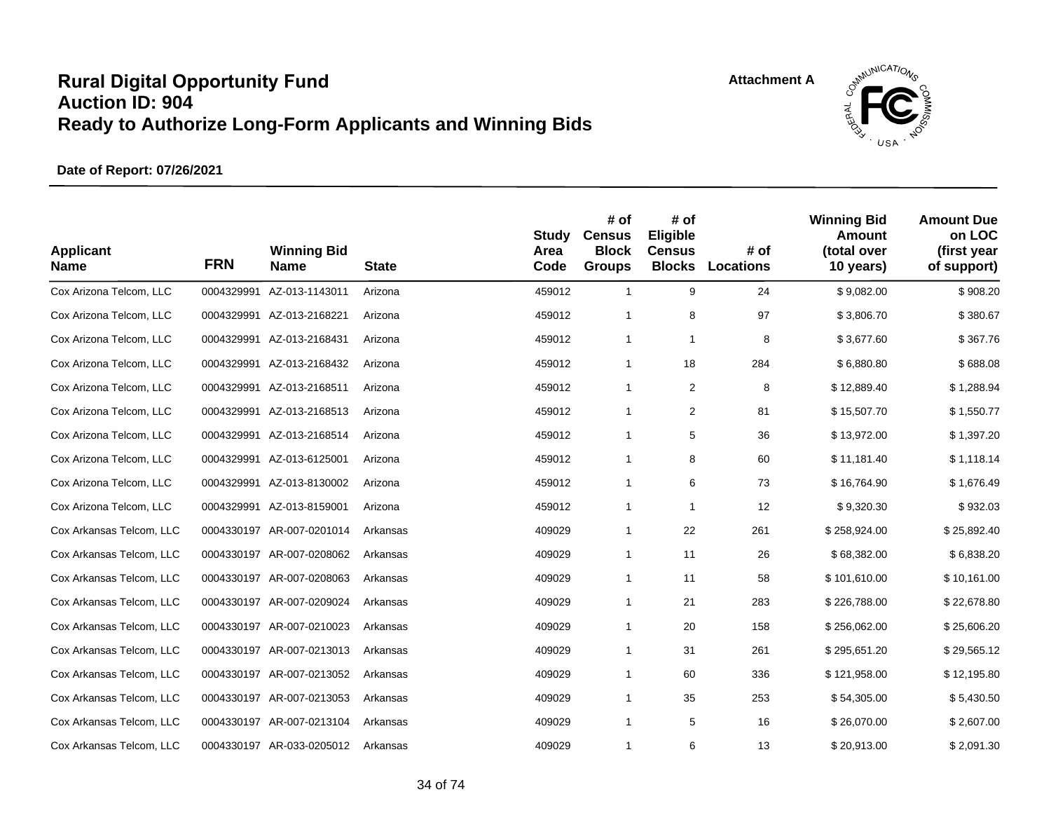![](_page_33_Picture_2.jpeg)

| <b>Applicant</b><br><b>Name</b> | <b>FRN</b> | <b>Winning Bid</b><br><b>Name</b> | <b>State</b> | <b>Study</b><br>Area<br>Code | # of<br><b>Census</b><br><b>Block</b><br><b>Groups</b> | # of<br>Eligible<br><b>Census</b><br><b>Blocks</b> | # of<br><b>Locations</b> | <b>Winning Bid</b><br>Amount<br>(total over<br>10 years) | <b>Amount Due</b><br>on LOC<br>(first year<br>of support) |
|---------------------------------|------------|-----------------------------------|--------------|------------------------------|--------------------------------------------------------|----------------------------------------------------|--------------------------|----------------------------------------------------------|-----------------------------------------------------------|
| Cox Arizona Telcom, LLC         | 0004329991 | AZ-013-1143011                    | Arizona      | 459012                       | $\mathbf{1}$                                           | 9                                                  | 24                       | \$9,082.00                                               | \$908.20                                                  |
| Cox Arizona Telcom, LLC         | 0004329991 | AZ-013-2168221                    | Arizona      | 459012                       | 1                                                      | 8                                                  | 97                       | \$3,806.70                                               | \$380.67                                                  |
| Cox Arizona Telcom, LLC         | 0004329991 | AZ-013-2168431                    | Arizona      | 459012                       | $\mathbf{1}$                                           | $\mathbf{1}$                                       | 8                        | \$3,677.60                                               | \$367.76                                                  |
| Cox Arizona Telcom, LLC         | 0004329991 | AZ-013-2168432                    | Arizona      | 459012                       | $\mathbf{1}$                                           | 18                                                 | 284                      | \$6,880.80                                               | \$688.08                                                  |
| Cox Arizona Telcom, LLC         | 0004329991 | AZ-013-2168511                    | Arizona      | 459012                       | $\mathbf{1}$                                           | $\overline{2}$                                     | 8                        | \$12,889.40                                              | \$1,288.94                                                |
| Cox Arizona Telcom, LLC         | 0004329991 | AZ-013-2168513                    | Arizona      | 459012                       | $\mathbf{1}$                                           | $\overline{2}$                                     | 81                       | \$15,507.70                                              | \$1,550.77                                                |
| Cox Arizona Telcom, LLC         | 0004329991 | AZ-013-2168514                    | Arizona      | 459012                       | $\mathbf{1}$                                           | 5                                                  | 36                       | \$13,972.00                                              | \$1,397.20                                                |
| Cox Arizona Telcom, LLC         | 0004329991 | AZ-013-6125001                    | Arizona      | 459012                       | $\mathbf{1}$                                           | 8                                                  | 60                       | \$11,181.40                                              | \$1,118.14                                                |
| Cox Arizona Telcom, LLC         | 0004329991 | AZ-013-8130002                    | Arizona      | 459012                       | $\mathbf{1}$                                           | 6                                                  | 73                       | \$16,764.90                                              | \$1,676.49                                                |
| Cox Arizona Telcom, LLC         | 0004329991 | AZ-013-8159001                    | Arizona      | 459012                       | $\mathbf{1}$                                           | $\mathbf{1}$                                       | 12                       | \$9,320.30                                               | \$932.03                                                  |
| Cox Arkansas Telcom, LLC        | 0004330197 | AR-007-0201014                    | Arkansas     | 409029                       | $\mathbf{1}$                                           | 22                                                 | 261                      | \$258,924.00                                             | \$25,892.40                                               |
| Cox Arkansas Telcom, LLC        |            | 0004330197 AR-007-0208062         | Arkansas     | 409029                       | $\mathbf{1}$                                           | 11                                                 | 26                       | \$68,382.00                                              | \$6,838.20                                                |
| Cox Arkansas Telcom, LLC        |            | 0004330197 AR-007-0208063         | Arkansas     | 409029                       | $\mathbf{1}$                                           | 11                                                 | 58                       | \$101,610.00                                             | \$10,161.00                                               |
| Cox Arkansas Telcom, LLC        | 0004330197 | AR-007-0209024                    | Arkansas     | 409029                       | $\mathbf{1}$                                           | 21                                                 | 283                      | \$226,788.00                                             | \$22,678.80                                               |
| Cox Arkansas Telcom, LLC        |            | 0004330197 AR-007-0210023         | Arkansas     | 409029                       | $\mathbf{1}$                                           | 20                                                 | 158                      | \$256,062.00                                             | \$25,606.20                                               |
| Cox Arkansas Telcom, LLC        |            | 0004330197 AR-007-0213013         | Arkansas     | 409029                       | $\mathbf{1}$                                           | 31                                                 | 261                      | \$295,651.20                                             | \$29,565.12                                               |
| Cox Arkansas Telcom, LLC        | 0004330197 | AR-007-0213052                    | Arkansas     | 409029                       | $\mathbf{1}$                                           | 60                                                 | 336                      | \$121,958.00                                             | \$12,195.80                                               |
| Cox Arkansas Telcom, LLC        |            | 0004330197 AR-007-0213053         | Arkansas     | 409029                       | $\mathbf{1}$                                           | 35                                                 | 253                      | \$54,305.00                                              | \$5,430.50                                                |
| Cox Arkansas Telcom, LLC        |            | 0004330197 AR-007-0213104         | Arkansas     | 409029                       | $\mathbf{1}$                                           | 5                                                  | 16                       | \$26,070.00                                              | \$2,607.00                                                |
| Cox Arkansas Telcom, LLC        |            | 0004330197 AR-033-0205012         | Arkansas     | 409029                       | $\mathbf{1}$                                           | 6                                                  | 13                       | \$20,913.00                                              | \$2,091.30                                                |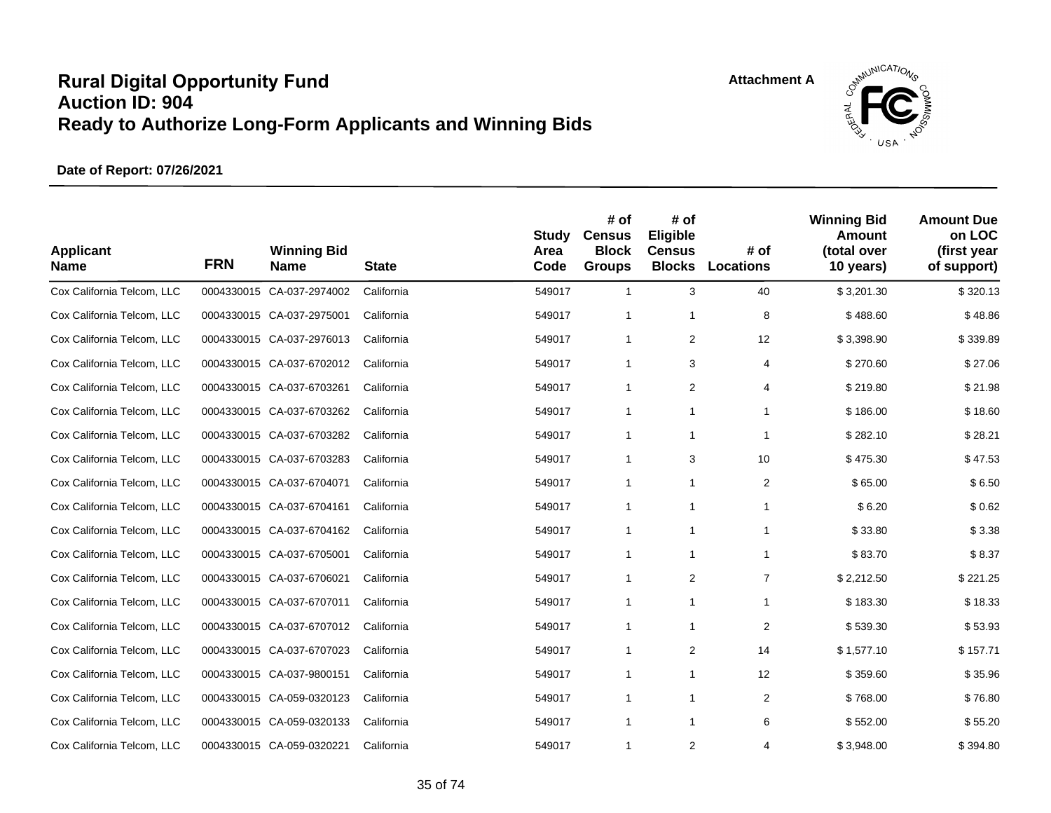![](_page_34_Picture_2.jpeg)

| <b>Applicant</b><br><b>Name</b> | <b>FRN</b> | <b>Winning Bid</b><br><b>Name</b> | <b>State</b> | <b>Study</b><br>Area<br>Code | # of<br><b>Census</b><br><b>Block</b><br><b>Groups</b> | # of<br>Eligible<br><b>Census</b><br><b>Blocks</b> | # of<br><b>Locations</b> | <b>Winning Bid</b><br>Amount<br>(total over<br>10 years) | <b>Amount Due</b><br>on LOC<br>(first year<br>of support) |
|---------------------------------|------------|-----------------------------------|--------------|------------------------------|--------------------------------------------------------|----------------------------------------------------|--------------------------|----------------------------------------------------------|-----------------------------------------------------------|
| Cox California Telcom, LLC      |            | 0004330015 CA-037-2974002         | California   | 549017                       | $\mathbf{1}$                                           | 3                                                  | 40                       | \$3,201.30                                               | \$320.13                                                  |
| Cox California Telcom, LLC      |            | 0004330015 CA-037-2975001         | California   | 549017                       | $\mathbf{1}$                                           | $\mathbf{1}$                                       | 8                        | \$488.60                                                 | \$48.86                                                   |
| Cox California Telcom, LLC      |            | 0004330015 CA-037-2976013         | California   | 549017                       | 1                                                      | 2                                                  | 12                       | \$3,398.90                                               | \$339.89                                                  |
| Cox California Telcom, LLC      |            | 0004330015 CA-037-6702012         | California   | 549017                       | 1                                                      | 3                                                  | 4                        | \$270.60                                                 | \$27.06                                                   |
| Cox California Telcom, LLC      |            | 0004330015 CA-037-6703261         | California   | 549017                       | 1                                                      | 2                                                  | 4                        | \$219.80                                                 | \$21.98                                                   |
| Cox California Telcom, LLC      |            | 0004330015 CA-037-6703262         | California   | 549017                       | 1                                                      | $\mathbf{1}$                                       | 1                        | \$186.00                                                 | \$18.60                                                   |
| Cox California Telcom, LLC      |            | 0004330015 CA-037-6703282         | California   | 549017                       | $\mathbf{1}$                                           | $\mathbf{1}$                                       | $\mathbf{1}$             | \$282.10                                                 | \$28.21                                                   |
| Cox California Telcom, LLC      |            | 0004330015 CA-037-6703283         | California   | 549017                       | 1                                                      | 3                                                  | 10                       | \$475.30                                                 | \$47.53                                                   |
| Cox California Telcom, LLC      |            | 0004330015 CA-037-6704071         | California   | 549017                       | 1                                                      | $\mathbf{1}$                                       | $\overline{2}$           | \$65.00                                                  | \$6.50                                                    |
| Cox California Telcom, LLC      |            | 0004330015 CA-037-6704161         | California   | 549017                       | $\mathbf{1}$                                           | $\mathbf{1}$                                       | 1                        | \$6.20                                                   | \$0.62                                                    |
| Cox California Telcom, LLC      |            | 0004330015 CA-037-6704162         | California   | 549017                       | 1                                                      | $\mathbf{1}$                                       | $\mathbf{1}$             | \$33.80                                                  | \$3.38                                                    |
| Cox California Telcom, LLC      |            | 0004330015 CA-037-6705001         | California   | 549017                       | $\mathbf{1}$                                           | 1                                                  | 1                        | \$83.70                                                  | \$8.37                                                    |
| Cox California Telcom, LLC      |            | 0004330015 CA-037-6706021         | California   | 549017                       | $\mathbf{1}$                                           | 2                                                  | $\overline{7}$           | \$2,212.50                                               | \$221.25                                                  |
| Cox California Telcom, LLC      |            | 0004330015 CA-037-6707011         | California   | 549017                       | $\mathbf{1}$                                           | $\mathbf{1}$                                       | $\mathbf{1}$             | \$183.30                                                 | \$18.33                                                   |
| Cox California Telcom, LLC      |            | 0004330015 CA-037-6707012         | California   | 549017                       | $\mathbf{1}$                                           | $\mathbf{1}$                                       | $\overline{2}$           | \$539.30                                                 | \$53.93                                                   |
| Cox California Telcom, LLC      |            | 0004330015 CA-037-6707023         | California   | 549017                       | 1                                                      | 2                                                  | 14                       | \$1,577.10                                               | \$157.71                                                  |
| Cox California Telcom, LLC      |            | 0004330015 CA-037-9800151         | California   | 549017                       | 1                                                      | $\mathbf{1}$                                       | 12                       | \$359.60                                                 | \$35.96                                                   |
| Cox California Telcom, LLC      |            | 0004330015 CA-059-0320123         | California   | 549017                       | $\mathbf{1}$                                           | $\mathbf{1}$                                       | $\overline{c}$           | \$768.00                                                 | \$76.80                                                   |
| Cox California Telcom, LLC      |            | 0004330015 CA-059-0320133         | California   | 549017                       | $\mathbf{1}$                                           | $\mathbf{1}$                                       | 6                        | \$552.00                                                 | \$55.20                                                   |
| Cox California Telcom, LLC      |            | 0004330015 CA-059-0320221         | California   | 549017                       | $\mathbf{1}$                                           | 2                                                  | 4                        | \$3,948.00                                               | \$394.80                                                  |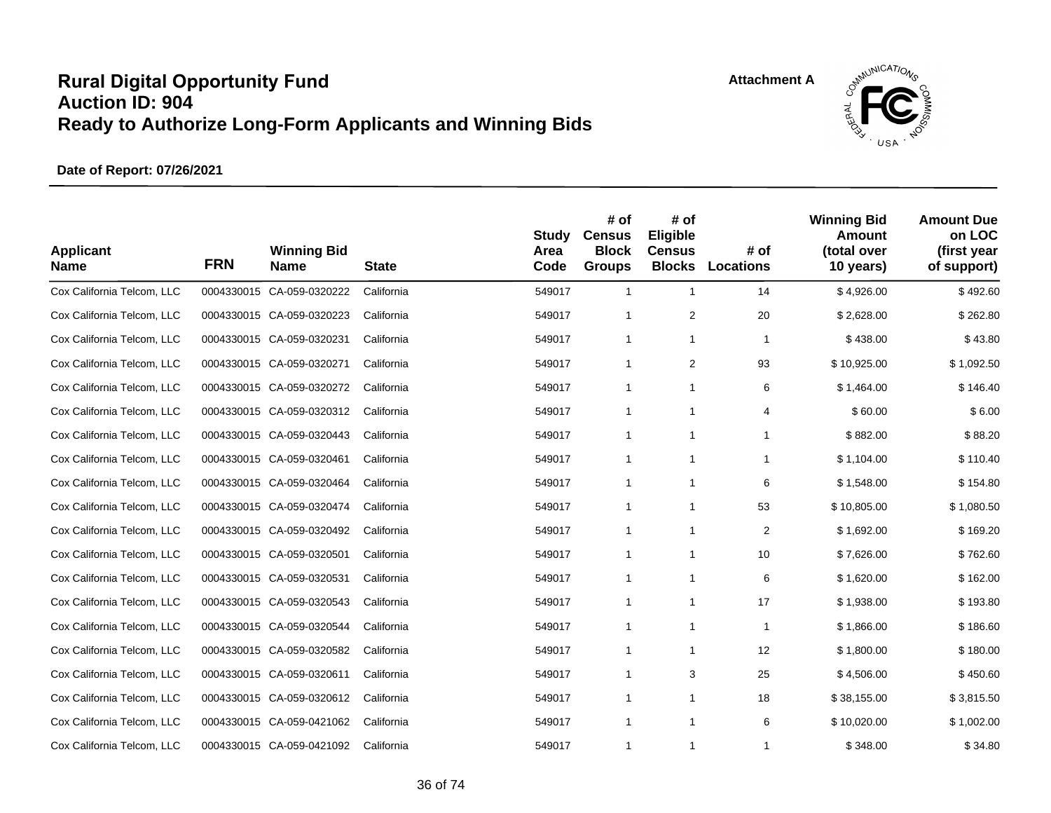![](_page_35_Picture_2.jpeg)

| <b>Applicant</b><br><b>Name</b> | <b>FRN</b> | <b>Winning Bid</b><br><b>Name</b> | <b>State</b> | <b>Study</b><br>Area<br>Code | # of<br><b>Census</b><br><b>Block</b><br><b>Groups</b> | # of<br>Eligible<br><b>Census</b><br><b>Blocks</b> | # of<br>Locations       | <b>Winning Bid</b><br><b>Amount</b><br>(total over<br>10 years) | <b>Amount Due</b><br>on LOC<br>(first year<br>of support) |
|---------------------------------|------------|-----------------------------------|--------------|------------------------------|--------------------------------------------------------|----------------------------------------------------|-------------------------|-----------------------------------------------------------------|-----------------------------------------------------------|
| Cox California Telcom, LLC      |            | 0004330015 CA-059-0320222         | California   | 549017                       | $\mathbf{1}$                                           | $\mathbf{1}$                                       | 14                      | \$4,926.00                                                      | \$492.60                                                  |
| Cox California Telcom, LLC      |            | 0004330015 CA-059-0320223         | California   | 549017                       | $\mathbf{1}$                                           | 2                                                  | 20                      | \$2,628.00                                                      | \$262.80                                                  |
| Cox California Telcom, LLC      |            | 0004330015 CA-059-0320231         | California   | 549017                       | $\mathbf{1}$                                           | $\mathbf{1}$                                       | $\mathbf{1}$            | \$438.00                                                        | \$43.80                                                   |
| Cox California Telcom, LLC      |            | 0004330015 CA-059-0320271         | California   | 549017                       | $\mathbf{1}$                                           | 2                                                  | 93                      | \$10,925.00                                                     | \$1,092.50                                                |
| Cox California Telcom, LLC      |            | 0004330015 CA-059-0320272         | California   | 549017                       | $\mathbf{1}$                                           | $\mathbf{1}$                                       | 6                       | \$1,464.00                                                      | \$146.40                                                  |
| Cox California Telcom, LLC      |            | 0004330015 CA-059-0320312         | California   | 549017                       | $\mathbf{1}$                                           | $\mathbf{1}$                                       | 4                       | \$60.00                                                         | \$6.00                                                    |
| Cox California Telcom, LLC      |            | 0004330015 CA-059-0320443         | California   | 549017                       | $\mathbf{1}$                                           | $\mathbf{1}$                                       | $\mathbf{1}$            | \$882.00                                                        | \$88.20                                                   |
| Cox California Telcom, LLC      |            | 0004330015 CA-059-0320461         | California   | 549017                       | $\mathbf{1}$                                           | $\mathbf{1}$                                       | $\mathbf{1}$            | \$1,104.00                                                      | \$110.40                                                  |
| Cox California Telcom, LLC      |            | 0004330015 CA-059-0320464         | California   | 549017                       | 1                                                      | $\mathbf{1}$                                       | 6                       | \$1,548.00                                                      | \$154.80                                                  |
| Cox California Telcom, LLC      |            | 0004330015 CA-059-0320474         | California   | 549017                       | $\mathbf{1}$                                           | $\mathbf{1}$                                       | 53                      | \$10,805.00                                                     | \$1,080.50                                                |
| Cox California Telcom, LLC      |            | 0004330015 CA-059-0320492         | California   | 549017                       | $\mathbf{1}$                                           | $\mathbf{1}$                                       | $\overline{\mathbf{c}}$ | \$1,692.00                                                      | \$169.20                                                  |
| Cox California Telcom, LLC      |            | 0004330015 CA-059-0320501         | California   | 549017                       | 1                                                      | 1                                                  | 10                      | \$7,626.00                                                      | \$762.60                                                  |
| Cox California Telcom, LLC      |            | 0004330015 CA-059-0320531         | California   | 549017                       | $\mathbf{1}$                                           | $\mathbf{1}$                                       | 6                       | \$1,620.00                                                      | \$162.00                                                  |
| Cox California Telcom, LLC      |            | 0004330015 CA-059-0320543         | California   | 549017                       | 1                                                      | $\mathbf{1}$                                       | 17                      | \$1,938.00                                                      | \$193.80                                                  |
| Cox California Telcom, LLC      |            | 0004330015 CA-059-0320544         | California   | 549017                       | $\mathbf{1}$                                           | $\mathbf{1}$                                       | $\mathbf{1}$            | \$1,866.00                                                      | \$186.60                                                  |
| Cox California Telcom, LLC      |            | 0004330015 CA-059-0320582         | California   | 549017                       | $\mathbf{1}$                                           | 1                                                  | 12                      | \$1,800.00                                                      | \$180.00                                                  |
| Cox California Telcom, LLC      |            | 0004330015 CA-059-0320611         | California   | 549017                       | 1                                                      | 3                                                  | 25                      | \$4,506.00                                                      | \$450.60                                                  |
| Cox California Telcom, LLC      |            | 0004330015 CA-059-0320612         | California   | 549017                       | $\mathbf{1}$                                           | $\mathbf{1}$                                       | 18                      | \$38,155.00                                                     | \$3,815.50                                                |
| Cox California Telcom, LLC      |            | 0004330015 CA-059-0421062         | California   | 549017                       | $\mathbf{1}$                                           | $\mathbf{1}$                                       | 6                       | \$10,020.00                                                     | \$1,002.00                                                |
| Cox California Telcom, LLC      |            | 0004330015 CA-059-0421092         | California   | 549017                       | $\mathbf{1}$                                           | 1                                                  | 1                       | \$348.00                                                        | \$34.80                                                   |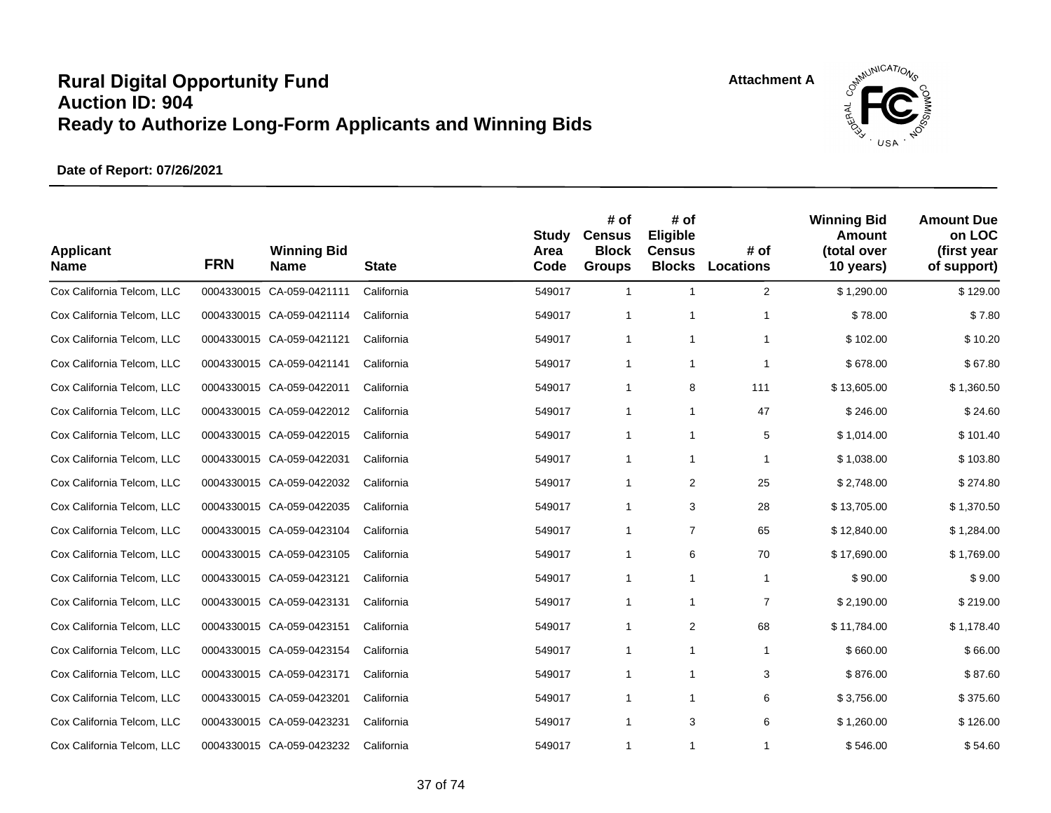

| <b>Applicant</b><br><b>Name</b> | <b>FRN</b> | <b>Winning Bid</b><br><b>Name</b> | <b>State</b> | <b>Study</b><br>Area<br>Code | # of<br><b>Census</b><br><b>Block</b><br><b>Groups</b> | # of<br>Eligible<br><b>Census</b><br><b>Blocks</b> | # of<br><b>Locations</b> | <b>Winning Bid</b><br><b>Amount</b><br>(total over<br>10 years) | <b>Amount Due</b><br>on LOC<br>(first year<br>of support) |
|---------------------------------|------------|-----------------------------------|--------------|------------------------------|--------------------------------------------------------|----------------------------------------------------|--------------------------|-----------------------------------------------------------------|-----------------------------------------------------------|
| Cox California Telcom, LLC      |            | 0004330015 CA-059-0421111         | California   | 549017                       | $\mathbf{1}$                                           | $\mathbf{1}$                                       | $\overline{2}$           | \$1,290.00                                                      | \$129.00                                                  |
| Cox California Telcom, LLC      |            | 0004330015 CA-059-0421114         | California   | 549017                       | 1                                                      | $\mathbf{1}$                                       | $\mathbf 1$              | \$78.00                                                         | \$7.80                                                    |
| Cox California Telcom, LLC      |            | 0004330015 CA-059-0421121         | California   | 549017                       | $\mathbf{1}$                                           | 1                                                  | $\mathbf 1$              | \$102.00                                                        | \$10.20                                                   |
| Cox California Telcom, LLC      |            | 0004330015 CA-059-0421141         | California   | 549017                       | 1                                                      | 1                                                  | $\mathbf 1$              | \$678.00                                                        | \$67.80                                                   |
| Cox California Telcom, LLC      |            | 0004330015 CA-059-0422011         | California   | 549017                       | 1                                                      | 8                                                  | 111                      | \$13,605.00                                                     | \$1,360.50                                                |
| Cox California Telcom, LLC      |            | 0004330015 CA-059-0422012         | California   | 549017                       | 1                                                      | 1                                                  | 47                       | \$246.00                                                        | \$24.60                                                   |
| Cox California Telcom, LLC      |            | 0004330015 CA-059-0422015         | California   | 549017                       | 1                                                      | 1                                                  | 5                        | \$1,014.00                                                      | \$101.40                                                  |
| Cox California Telcom, LLC      |            | 0004330015 CA-059-0422031         | California   | 549017                       | 1                                                      | 1                                                  | $\mathbf 1$              | \$1,038.00                                                      | \$103.80                                                  |
| Cox California Telcom, LLC      |            | 0004330015 CA-059-0422032         | California   | 549017                       | 1                                                      | 2                                                  | 25                       | \$2,748.00                                                      | \$274.80                                                  |
| Cox California Telcom, LLC      |            | 0004330015 CA-059-0422035         | California   | 549017                       | 1                                                      | 3                                                  | 28                       | \$13,705.00                                                     | \$1,370.50                                                |
| Cox California Telcom, LLC      |            | 0004330015 CA-059-0423104         | California   | 549017                       | 1                                                      | $\overline{7}$                                     | 65                       | \$12,840.00                                                     | \$1,284.00                                                |
| Cox California Telcom, LLC      |            | 0004330015 CA-059-0423105         | California   | 549017                       | 1                                                      | 6                                                  | 70                       | \$17,690.00                                                     | \$1,769.00                                                |
| Cox California Telcom, LLC      |            | 0004330015 CA-059-0423121         | California   | 549017                       | $\mathbf{1}$                                           | 1                                                  | $\mathbf{1}$             | \$90.00                                                         | \$9.00                                                    |
| Cox California Telcom, LLC      |            | 0004330015 CA-059-0423131         | California   | 549017                       | 1                                                      | 1                                                  | $\overline{7}$           | \$2,190.00                                                      | \$219.00                                                  |
| Cox California Telcom, LLC      |            | 0004330015 CA-059-0423151         | California   | 549017                       | 1                                                      | 2                                                  | 68                       | \$11,784.00                                                     | \$1,178.40                                                |
| Cox California Telcom, LLC      |            | 0004330015 CA-059-0423154         | California   | 549017                       | 1                                                      | 1                                                  | 1                        | \$660.00                                                        | \$66.00                                                   |
| Cox California Telcom, LLC      |            | 0004330015 CA-059-0423171         | California   | 549017                       | $\mathbf{1}$                                           | 1                                                  | 3                        | \$876.00                                                        | \$87.60                                                   |
| Cox California Telcom, LLC      |            | 0004330015 CA-059-0423201         | California   | 549017                       | 1                                                      | $\mathbf{1}$                                       | 6                        | \$3.756.00                                                      | \$375.60                                                  |
| Cox California Telcom, LLC      |            | 0004330015 CA-059-0423231         | California   | 549017                       | 1                                                      | 3                                                  | 6                        | \$1,260.00                                                      | \$126.00                                                  |
| Cox California Telcom, LLC      |            | 0004330015 CA-059-0423232         | California   | 549017                       | $\mathbf{1}$                                           | 1                                                  | 1                        | \$546.00                                                        | \$54.60                                                   |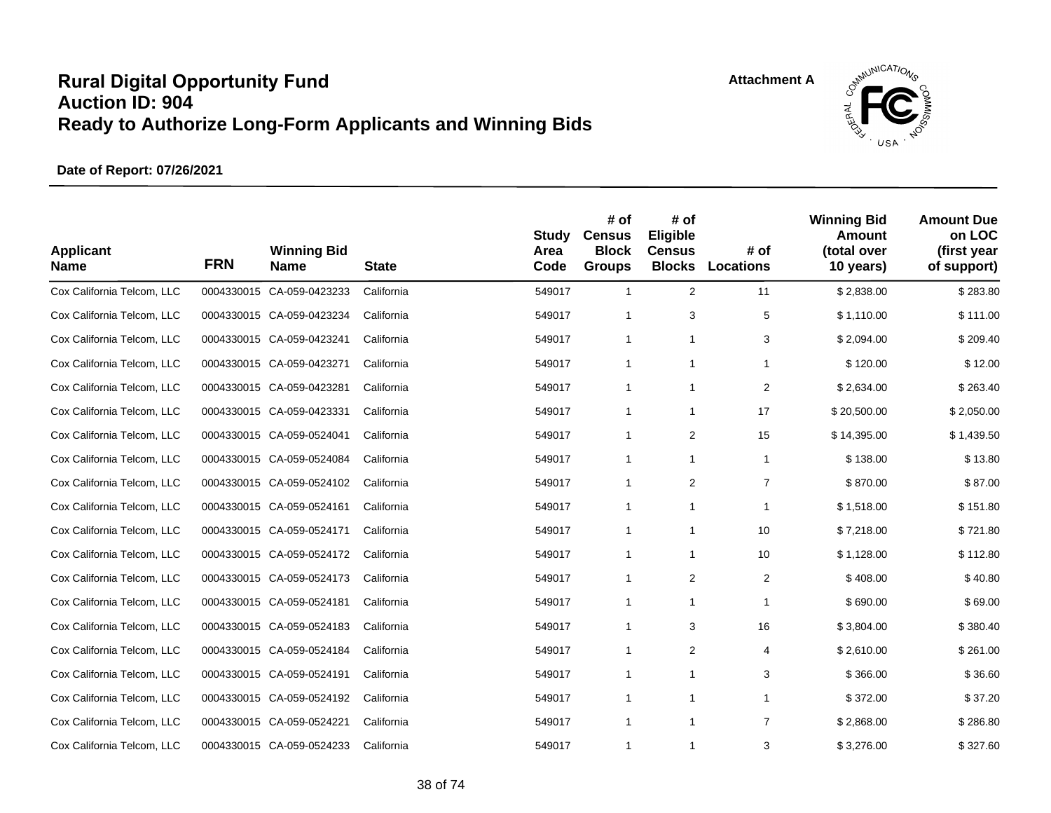

| <b>Applicant</b><br><b>Name</b> | <b>FRN</b> | <b>Winning Bid</b><br><b>Name</b> | <b>State</b> | <b>Study</b><br>Area<br>Code | # of<br><b>Census</b><br><b>Block</b><br><b>Groups</b> | # of<br>Eligible<br><b>Census</b><br><b>Blocks</b> | # of<br><b>Locations</b> | <b>Winning Bid</b><br><b>Amount</b><br>(total over<br>10 years) | <b>Amount Due</b><br>on LOC<br>(first year<br>of support) |
|---------------------------------|------------|-----------------------------------|--------------|------------------------------|--------------------------------------------------------|----------------------------------------------------|--------------------------|-----------------------------------------------------------------|-----------------------------------------------------------|
| Cox California Telcom, LLC      |            | 0004330015 CA-059-0423233         | California   | 549017                       | $\mathbf{1}$                                           | 2                                                  | 11                       | \$2,838.00                                                      | \$283.80                                                  |
| Cox California Telcom, LLC      |            | 0004330015 CA-059-0423234         | California   | 549017                       | 1                                                      | 3                                                  | 5                        | \$1,110.00                                                      | \$111.00                                                  |
| Cox California Telcom, LLC      |            | 0004330015 CA-059-0423241         | California   | 549017                       | 1                                                      | 1                                                  | 3                        | \$2,094.00                                                      | \$209.40                                                  |
| Cox California Telcom, LLC      |            | 0004330015 CA-059-0423271         | California   | 549017                       | 1                                                      | 1                                                  | 1                        | \$120.00                                                        | \$12.00                                                   |
| Cox California Telcom, LLC      |            | 0004330015 CA-059-0423281         | California   | 549017                       | $\mathbf{1}$                                           | 1                                                  | $\overline{2}$           | \$2,634.00                                                      | \$263.40                                                  |
| Cox California Telcom, LLC      |            | 0004330015 CA-059-0423331         | California   | 549017                       | 1                                                      | 1                                                  | 17                       | \$20,500.00                                                     | \$2,050.00                                                |
| Cox California Telcom, LLC      |            | 0004330015 CA-059-0524041         | California   | 549017                       | 1                                                      | 2                                                  | 15                       | \$14,395.00                                                     | \$1,439.50                                                |
| Cox California Telcom, LLC      |            | 0004330015 CA-059-0524084         | California   | 549017                       | 1                                                      | 1                                                  | 1                        | \$138.00                                                        | \$13.80                                                   |
| Cox California Telcom, LLC      |            | 0004330015 CA-059-0524102         | California   | 549017                       | 1                                                      | 2                                                  | $\overline{7}$           | \$870.00                                                        | \$87.00                                                   |
| Cox California Telcom, LLC      |            | 0004330015 CA-059-0524161         | California   | 549017                       | 1                                                      | 1                                                  | 1                        | \$1,518.00                                                      | \$151.80                                                  |
| Cox California Telcom, LLC      |            | 0004330015 CA-059-0524171         | California   | 549017                       | $\mathbf{1}$                                           | 1                                                  | 10                       | \$7,218.00                                                      | \$721.80                                                  |
| Cox California Telcom, LLC      |            | 0004330015 CA-059-0524172         | California   | 549017                       | 1                                                      | 1                                                  | 10                       | \$1,128.00                                                      | \$112.80                                                  |
| Cox California Telcom, LLC      |            | 0004330015 CA-059-0524173         | California   | 549017                       | $\mathbf{1}$                                           | 2                                                  | $\overline{2}$           | \$408.00                                                        | \$40.80                                                   |
| Cox California Telcom, LLC      |            | 0004330015 CA-059-0524181         | California   | 549017                       | 1                                                      | 1                                                  | 1                        | \$690.00                                                        | \$69.00                                                   |
| Cox California Telcom, LLC      |            | 0004330015 CA-059-0524183         | California   | 549017                       | 1                                                      | 3                                                  | 16                       | \$3,804.00                                                      | \$380.40                                                  |
| Cox California Telcom, LLC      |            | 0004330015 CA-059-0524184         | California   | 549017                       | 1                                                      | 2                                                  | 4                        | \$2,610.00                                                      | \$261.00                                                  |
| Cox California Telcom, LLC      |            | 0004330015 CA-059-0524191         | California   | 549017                       | $\mathbf{1}$                                           | 1                                                  | 3                        | \$366.00                                                        | \$36.60                                                   |
| Cox California Telcom, LLC      |            | 0004330015 CA-059-0524192         | California   | 549017                       | 1                                                      | $\mathbf{1}$                                       | 1                        | \$372.00                                                        | \$37.20                                                   |
| Cox California Telcom, LLC      |            | 0004330015 CA-059-0524221         | California   | 549017                       | 1                                                      | $\mathbf{1}$                                       | $\overline{7}$           | \$2,868.00                                                      | \$286.80                                                  |
| Cox California Telcom, LLC      |            | 0004330015 CA-059-0524233         | California   | 549017                       | $\mathbf{1}$                                           | $\mathbf{1}$                                       | 3                        | \$3,276.00                                                      | \$327.60                                                  |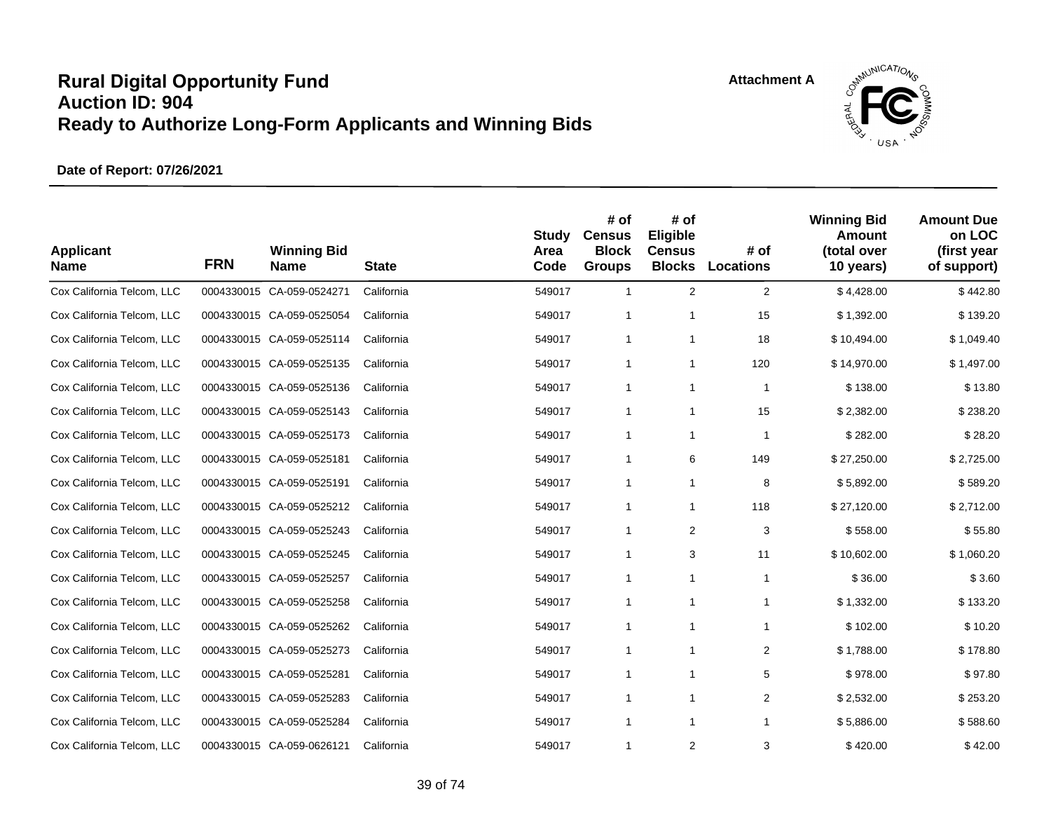

| <b>Applicant</b><br><b>Name</b> | <b>FRN</b> | <b>Winning Bid</b><br><b>Name</b> | <b>State</b> | <b>Study</b><br>Area<br>Code | # of<br><b>Census</b><br><b>Block</b><br><b>Groups</b> | # of<br>Eligible<br><b>Census</b><br><b>Blocks</b> | # of<br>Locations | <b>Winning Bid</b><br>Amount<br>(total over<br>10 years) | <b>Amount Due</b><br>on LOC<br>(first year<br>of support) |
|---------------------------------|------------|-----------------------------------|--------------|------------------------------|--------------------------------------------------------|----------------------------------------------------|-------------------|----------------------------------------------------------|-----------------------------------------------------------|
| Cox California Telcom, LLC      |            | 0004330015 CA-059-0524271         | California   | 549017                       | $\mathbf{1}$                                           | $\overline{2}$                                     | $\overline{2}$    | \$4,428.00                                               | \$442.80                                                  |
| Cox California Telcom, LLC      |            | 0004330015 CA-059-0525054         | California   | 549017                       | $\mathbf{1}$                                           | $\mathbf{1}$                                       | 15                | \$1,392.00                                               | \$139.20                                                  |
| Cox California Telcom, LLC      |            | 0004330015 CA-059-0525114         | California   | 549017                       | 1                                                      | 1                                                  | 18                | \$10,494.00                                              | \$1,049.40                                                |
| Cox California Telcom, LLC      |            | 0004330015 CA-059-0525135         | California   | 549017                       | 1                                                      | 1                                                  | 120               | \$14,970.00                                              | \$1,497.00                                                |
| Cox California Telcom, LLC      |            | 0004330015 CA-059-0525136         | California   | 549017                       | $\mathbf{1}$                                           | $\mathbf{1}$                                       | $\mathbf 1$       | \$138.00                                                 | \$13.80                                                   |
| Cox California Telcom, LLC      |            | 0004330015 CA-059-0525143         | California   | 549017                       | 1                                                      | 1                                                  | 15                | \$2,382.00                                               | \$238.20                                                  |
| Cox California Telcom, LLC      |            | 0004330015 CA-059-0525173         | California   | 549017                       | $\mathbf{1}$                                           | $\mathbf{1}$                                       | $\mathbf{1}$      | \$282.00                                                 | \$28.20                                                   |
| Cox California Telcom, LLC      |            | 0004330015 CA-059-0525181         | California   | 549017                       | 1                                                      | 6                                                  | 149               | \$27,250.00                                              | \$2,725.00                                                |
| Cox California Telcom, LLC      |            | 0004330015 CA-059-0525191         | California   | 549017                       | 1                                                      | $\mathbf{1}$                                       | 8                 | \$5,892.00                                               | \$589.20                                                  |
| Cox California Telcom, LLC      |            | 0004330015 CA-059-0525212         | California   | 549017                       | $\mathbf{1}$                                           | $\mathbf{1}$                                       | 118               | \$27,120.00                                              | \$2,712.00                                                |
| Cox California Telcom, LLC      |            | 0004330015 CA-059-0525243         | California   | 549017                       | 1                                                      | 2                                                  | 3                 | \$558.00                                                 | \$55.80                                                   |
| Cox California Telcom, LLC      |            | 0004330015 CA-059-0525245         | California   | 549017                       | $\mathbf{1}$                                           | 3                                                  | 11                | \$10,602.00                                              | \$1,060.20                                                |
| Cox California Telcom, LLC      |            | 0004330015 CA-059-0525257         | California   | 549017                       | $\mathbf{1}$                                           | $\mathbf{1}$                                       | $\mathbf{1}$      | \$36.00                                                  | \$3.60                                                    |
| Cox California Telcom, LLC      |            | 0004330015 CA-059-0525258         | California   | 549017                       | $\mathbf{1}$                                           | $\mathbf{1}$                                       | $\mathbf{1}$      | \$1,332.00                                               | \$133.20                                                  |
| Cox California Telcom, LLC      |            | 0004330015 CA-059-0525262         | California   | 549017                       | $\mathbf{1}$                                           | $\mathbf{1}$                                       | $\mathbf{1}$      | \$102.00                                                 | \$10.20                                                   |
| Cox California Telcom, LLC      |            | 0004330015 CA-059-0525273         | California   | 549017                       | $\mathbf{1}$                                           | $\mathbf{1}$                                       | $\overline{2}$    | \$1,788.00                                               | \$178.80                                                  |
| Cox California Telcom, LLC      |            | 0004330015 CA-059-0525281         | California   | 549017                       | 1                                                      | $\mathbf{1}$                                       | 5                 | \$978.00                                                 | \$97.80                                                   |
| Cox California Telcom, LLC      |            | 0004330015 CA-059-0525283         | California   | 549017                       | $\mathbf{1}$                                           | $\mathbf{1}$                                       | $\overline{2}$    | \$2,532.00                                               | \$253.20                                                  |
| Cox California Telcom, LLC      |            | 0004330015 CA-059-0525284         | California   | 549017                       | $\mathbf{1}$                                           | $\mathbf{1}$                                       | $\mathbf{1}$      | \$5,886.00                                               | \$588.60                                                  |
| Cox California Telcom, LLC      |            | 0004330015 CA-059-0626121         | California   | 549017                       | $\mathbf{1}$                                           | 2                                                  | 3                 | \$420.00                                                 | \$42.00                                                   |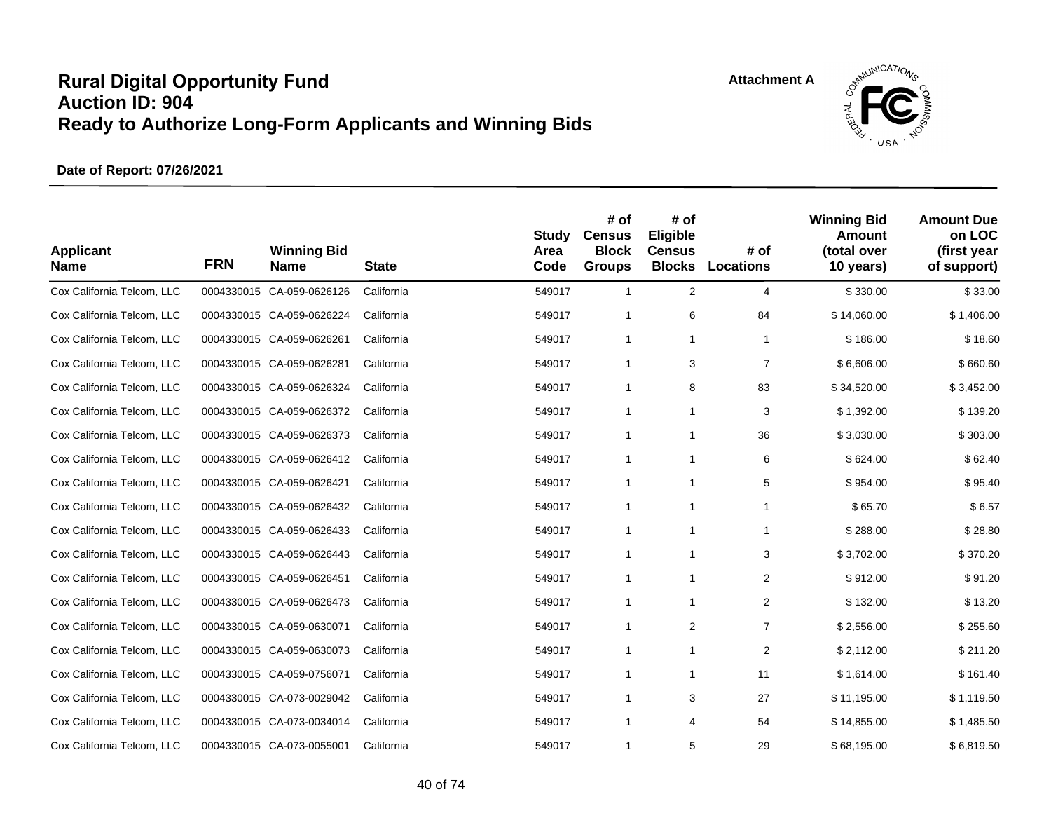

| <b>Applicant</b><br><b>Name</b> | <b>FRN</b> | <b>Winning Bid</b><br><b>Name</b> | <b>State</b> | <b>Study</b><br>Area<br>Code | # of<br><b>Census</b><br><b>Block</b><br><b>Groups</b> | # of<br>Eligible<br><b>Census</b><br><b>Blocks</b> | # of<br><b>Locations</b> | <b>Winning Bid</b><br>Amount<br>(total over<br>10 years) | <b>Amount Due</b><br>on LOC<br>(first year<br>of support) |
|---------------------------------|------------|-----------------------------------|--------------|------------------------------|--------------------------------------------------------|----------------------------------------------------|--------------------------|----------------------------------------------------------|-----------------------------------------------------------|
| Cox California Telcom, LLC      |            | 0004330015 CA-059-0626126         | California   | 549017                       | $\mathbf{1}$                                           | $\overline{2}$                                     | $\overline{4}$           | \$330.00                                                 | \$33.00                                                   |
| Cox California Telcom, LLC      |            | 0004330015 CA-059-0626224         | California   | 549017                       | $\mathbf{1}$                                           | 6                                                  | 84                       | \$14,060.00                                              | \$1,406.00                                                |
| Cox California Telcom, LLC      |            | 0004330015 CA-059-0626261         | California   | 549017                       | 1                                                      | 1                                                  | $\mathbf{1}$             | \$186.00                                                 | \$18.60                                                   |
| Cox California Telcom, LLC      |            | 0004330015 CA-059-0626281         | California   | 549017                       | 1                                                      | 3                                                  | $\overline{7}$           | \$6,606.00                                               | \$660.60                                                  |
| Cox California Telcom, LLC      |            | 0004330015 CA-059-0626324         | California   | 549017                       | 1                                                      | 8                                                  | 83                       | \$34,520.00                                              | \$3,452.00                                                |
| Cox California Telcom, LLC      |            | 0004330015 CA-059-0626372         | California   | 549017                       | 1                                                      | 1                                                  | 3                        | \$1,392.00                                               | \$139.20                                                  |
| Cox California Telcom, LLC      |            | 0004330015 CA-059-0626373         | California   | 549017                       | $\mathbf{1}$                                           | $\mathbf{1}$                                       | 36                       | \$3,030.00                                               | \$303.00                                                  |
| Cox California Telcom, LLC      |            | 0004330015 CA-059-0626412         | California   | 549017                       | 1                                                      | $\mathbf{1}$                                       | 6                        | \$624.00                                                 | \$62.40                                                   |
| Cox California Telcom, LLC      |            | 0004330015 CA-059-0626421         | California   | 549017                       | 1                                                      | $\mathbf{1}$                                       | 5                        | \$954.00                                                 | \$95.40                                                   |
| Cox California Telcom, LLC      |            | 0004330015 CA-059-0626432         | California   | 549017                       | $\mathbf{1}$                                           | $\mathbf{1}$                                       | $\mathbf 1$              | \$65.70                                                  | \$6.57                                                    |
| Cox California Telcom, LLC      |            | 0004330015 CA-059-0626433         | California   | 549017                       | 1                                                      | $\mathbf{1}$                                       | $\mathbf{1}$             | \$288.00                                                 | \$28.80                                                   |
| Cox California Telcom, LLC      |            | 0004330015 CA-059-0626443         | California   | 549017                       | $\mathbf{1}$                                           | 1                                                  | 3                        | \$3,702.00                                               | \$370.20                                                  |
| Cox California Telcom, LLC      |            | 0004330015 CA-059-0626451         | California   | 549017                       | $\mathbf{1}$                                           | $\mathbf{1}$                                       | $\overline{2}$           | \$912.00                                                 | \$91.20                                                   |
| Cox California Telcom, LLC      |            | 0004330015 CA-059-0626473         | California   | 549017                       | $\mathbf{1}$                                           | $\mathbf{1}$                                       | 2                        | \$132.00                                                 | \$13.20                                                   |
| Cox California Telcom, LLC      |            | 0004330015 CA-059-0630071         | California   | 549017                       | $\mathbf{1}$                                           | 2                                                  | $\overline{7}$           | \$2,556.00                                               | \$255.60                                                  |
| Cox California Telcom, LLC      |            | 0004330015 CA-059-0630073         | California   | 549017                       | 1                                                      | $\mathbf{1}$                                       | $\overline{2}$           | \$2,112.00                                               | \$211.20                                                  |
| Cox California Telcom, LLC      |            | 0004330015 CA-059-0756071         | California   | 549017                       | 1                                                      | $\mathbf{1}$                                       | 11                       | \$1,614.00                                               | \$161.40                                                  |
| Cox California Telcom, LLC      |            | 0004330015 CA-073-0029042         | California   | 549017                       | $\mathbf{1}$                                           | 3                                                  | 27                       | \$11,195.00                                              | \$1,119.50                                                |
| Cox California Telcom, LLC      |            | 0004330015 CA-073-0034014         | California   | 549017                       | $\mathbf{1}$                                           | 4                                                  | 54                       | \$14,855.00                                              | \$1,485.50                                                |
| Cox California Telcom, LLC      |            | 0004330015 CA-073-0055001         | California   | 549017                       | $\mathbf{1}$                                           | 5                                                  | 29                       | \$68,195.00                                              | \$6,819.50                                                |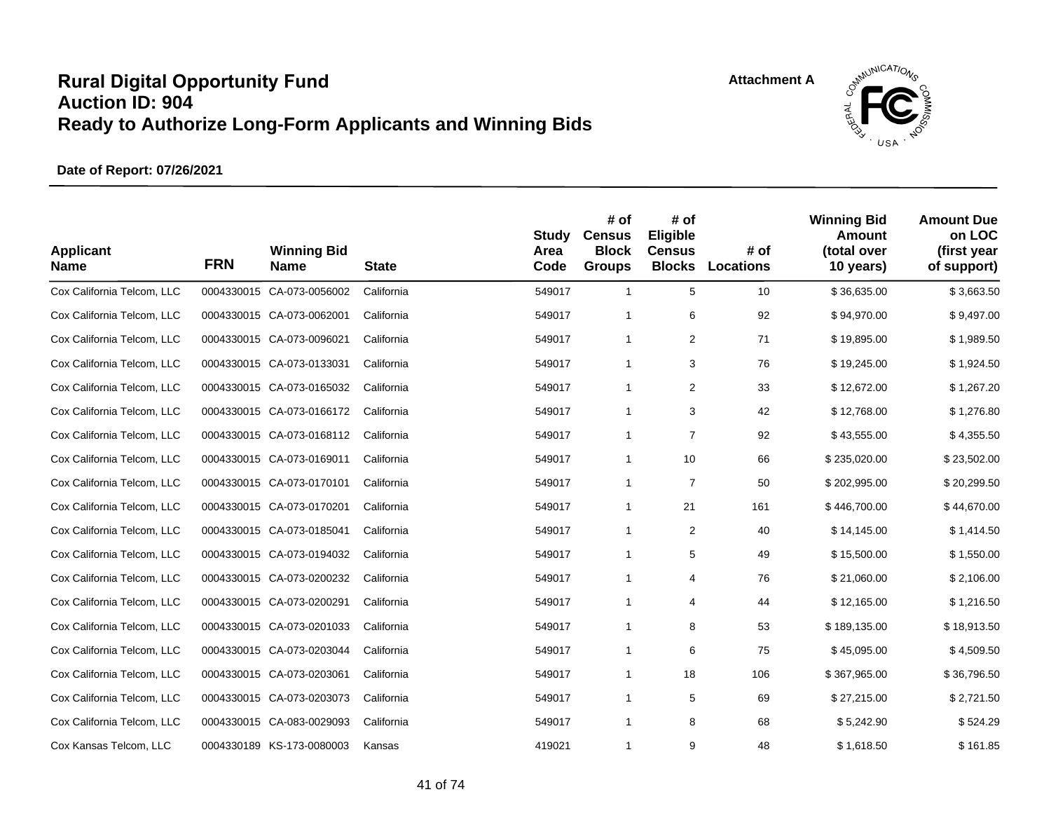

| <b>Applicant</b><br><b>Name</b> | <b>FRN</b> | <b>Winning Bid</b><br><b>Name</b> | <b>State</b> | <b>Study</b><br>Area<br>Code | # of<br><b>Census</b><br><b>Block</b><br><b>Groups</b> | # of<br>Eligible<br><b>Census</b><br><b>Blocks</b> | # of<br><b>Locations</b> | <b>Winning Bid</b><br>Amount<br>(total over<br>10 years) | <b>Amount Due</b><br>on LOC<br>(first year<br>of support) |
|---------------------------------|------------|-----------------------------------|--------------|------------------------------|--------------------------------------------------------|----------------------------------------------------|--------------------------|----------------------------------------------------------|-----------------------------------------------------------|
| Cox California Telcom, LLC      |            | 0004330015 CA-073-0056002         | California   | 549017                       | $\mathbf{1}$                                           | 5                                                  | 10                       | \$36,635.00                                              | \$3,663.50                                                |
| Cox California Telcom, LLC      |            | 0004330015 CA-073-0062001         | California   | 549017                       | $\mathbf{1}$                                           | 6                                                  | 92                       | \$94,970.00                                              | \$9,497.00                                                |
| Cox California Telcom, LLC      |            | 0004330015 CA-073-0096021         | California   | 549017                       | 1                                                      | 2                                                  | 71                       | \$19,895.00                                              | \$1,989.50                                                |
| Cox California Telcom, LLC      |            | 0004330015 CA-073-0133031         | California   | 549017                       | 1                                                      | 3                                                  | 76                       | \$19,245.00                                              | \$1,924.50                                                |
| Cox California Telcom, LLC      |            | 0004330015 CA-073-0165032         | California   | 549017                       | $\mathbf{1}$                                           | 2                                                  | 33                       | \$12,672.00                                              | \$1,267.20                                                |
| Cox California Telcom, LLC      |            | 0004330015 CA-073-0166172         | California   | 549017                       | 1                                                      | 3                                                  | 42                       | \$12,768.00                                              | \$1,276.80                                                |
| Cox California Telcom, LLC      |            | 0004330015 CA-073-0168112         | California   | 549017                       | $\mathbf{1}$                                           | $\overline{7}$                                     | 92                       | \$43,555.00                                              | \$4,355.50                                                |
| Cox California Telcom, LLC      |            | 0004330015 CA-073-0169011         | California   | 549017                       | 1                                                      | 10                                                 | 66                       | \$235,020.00                                             | \$23,502.00                                               |
| Cox California Telcom, LLC      |            | 0004330015 CA-073-0170101         | California   | 549017                       | 1                                                      | $\overline{7}$                                     | 50                       | \$202,995.00                                             | \$20,299.50                                               |
| Cox California Telcom, LLC      |            | 0004330015 CA-073-0170201         | California   | 549017                       | $\mathbf{1}$                                           | 21                                                 | 161                      | \$446,700.00                                             | \$44,670.00                                               |
| Cox California Telcom, LLC      |            | 0004330015 CA-073-0185041         | California   | 549017                       | 1                                                      | 2                                                  | 40                       | \$14,145.00                                              | \$1,414.50                                                |
| Cox California Telcom, LLC      |            | 0004330015 CA-073-0194032         | California   | 549017                       | $\mathbf{1}$                                           | 5                                                  | 49                       | \$15,500.00                                              | \$1,550.00                                                |
| Cox California Telcom, LLC      |            | 0004330015 CA-073-0200232         | California   | 549017                       | $\mathbf{1}$                                           | 4                                                  | 76                       | \$21,060.00                                              | \$2,106.00                                                |
| Cox California Telcom, LLC      |            | 0004330015 CA-073-0200291         | California   | 549017                       | $\mathbf{1}$                                           | 4                                                  | 44                       | \$12,165.00                                              | \$1,216.50                                                |
| Cox California Telcom, LLC      |            | 0004330015 CA-073-0201033         | California   | 549017                       | $\mathbf{1}$                                           | 8                                                  | 53                       | \$189,135.00                                             | \$18,913.50                                               |
| Cox California Telcom, LLC      |            | 0004330015 CA-073-0203044         | California   | 549017                       | $\mathbf{1}$                                           | 6                                                  | 75                       | \$45,095.00                                              | \$4,509.50                                                |
| Cox California Telcom, LLC      |            | 0004330015 CA-073-0203061         | California   | 549017                       | 1                                                      | 18                                                 | 106                      | \$367,965.00                                             | \$36,796.50                                               |
| Cox California Telcom, LLC      |            | 0004330015 CA-073-0203073         | California   | 549017                       | $\mathbf{1}$                                           | 5                                                  | 69                       | \$27,215.00                                              | \$2,721.50                                                |
| Cox California Telcom, LLC      |            | 0004330015 CA-083-0029093         | California   | 549017                       | $\mathbf{1}$                                           | 8                                                  | 68                       | \$5,242.90                                               | \$524.29                                                  |
| Cox Kansas Telcom, LLC          |            | 0004330189 KS-173-0080003         | Kansas       | 419021                       | $\mathbf{1}$                                           | 9                                                  | 48                       | \$1,618.50                                               | \$161.85                                                  |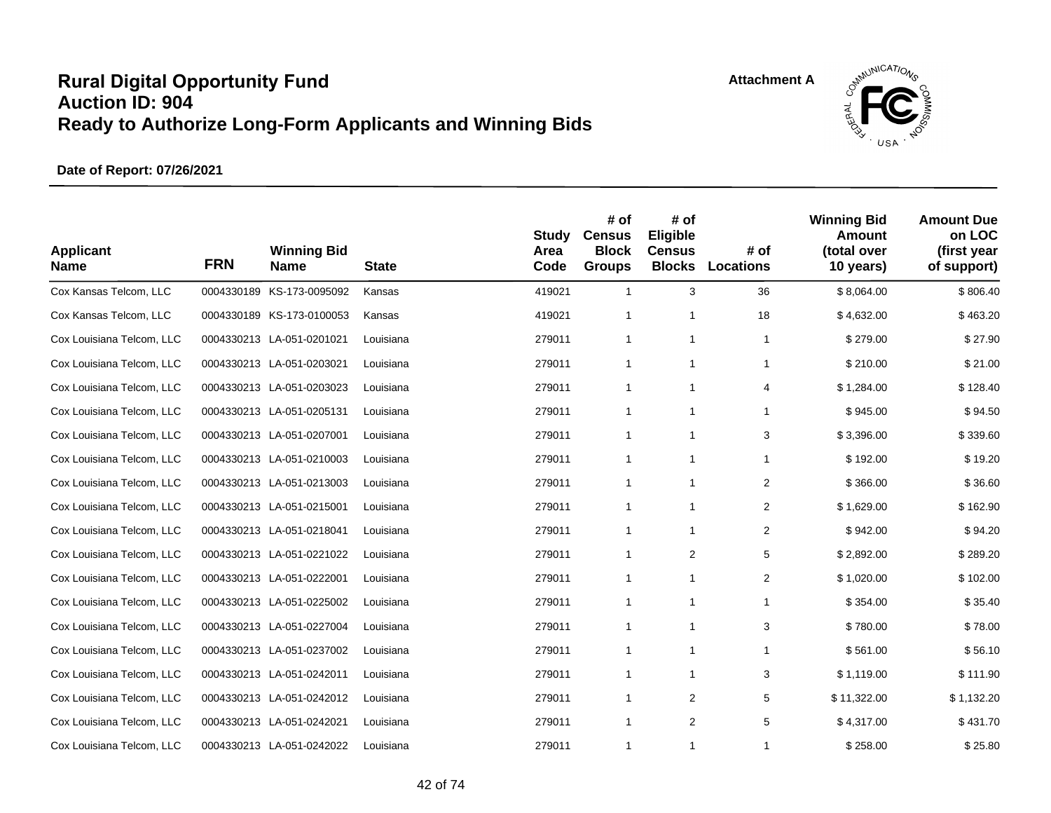

| <b>Applicant</b><br><b>Name</b> | <b>FRN</b> | <b>Winning Bid</b><br><b>Name</b> | <b>State</b> | <b>Study</b><br>Area<br>Code | # of<br><b>Census</b><br><b>Block</b><br><b>Groups</b> | # of<br>Eligible<br><b>Census</b><br><b>Blocks</b> | # of<br><b>Locations</b> | <b>Winning Bid</b><br>Amount<br>(total over<br>10 years) | <b>Amount Due</b><br>on LOC<br>(first year<br>of support) |
|---------------------------------|------------|-----------------------------------|--------------|------------------------------|--------------------------------------------------------|----------------------------------------------------|--------------------------|----------------------------------------------------------|-----------------------------------------------------------|
| Cox Kansas Telcom, LLC          |            | 0004330189 KS-173-0095092         | Kansas       | 419021                       | $\mathbf{1}$                                           | 3                                                  | 36                       | \$8,064.00                                               | \$806.40                                                  |
| Cox Kansas Telcom, LLC          |            | 0004330189 KS-173-0100053         | Kansas       | 419021                       | $\mathbf{1}$                                           | $\mathbf{1}$                                       | 18                       | \$4,632.00                                               | \$463.20                                                  |
| Cox Louisiana Telcom, LLC       |            | 0004330213 LA-051-0201021         | Louisiana    | 279011                       | 1                                                      | $\mathbf{1}$                                       | 1                        | \$279.00                                                 | \$27.90                                                   |
| Cox Louisiana Telcom, LLC       |            | 0004330213 LA-051-0203021         | Louisiana    | 279011                       | $\mathbf{1}$                                           | $\mathbf{1}$                                       | $\mathbf{1}$             | \$210.00                                                 | \$21.00                                                   |
| Cox Louisiana Telcom, LLC       |            | 0004330213 LA-051-0203023         | Louisiana    | 279011                       | 1                                                      | $\mathbf{1}$                                       | 4                        | \$1,284.00                                               | \$128.40                                                  |
| Cox Louisiana Telcom, LLC       |            | 0004330213 LA-051-0205131         | Louisiana    | 279011                       | $\mathbf{1}$                                           | $\mathbf{1}$                                       | 1                        | \$945.00                                                 | \$94.50                                                   |
| Cox Louisiana Telcom, LLC       |            | 0004330213 LA-051-0207001         | Louisiana    | 279011                       | $\mathbf{1}$                                           | $\mathbf{1}$                                       | 3                        | \$3,396.00                                               | \$339.60                                                  |
| Cox Louisiana Telcom, LLC       |            | 0004330213 LA-051-0210003         | Louisiana    | 279011                       | $\mathbf{1}$                                           | 1                                                  | 1                        | \$192.00                                                 | \$19.20                                                   |
| Cox Louisiana Telcom, LLC       |            | 0004330213 LA-051-0213003         | Louisiana    | 279011                       | $\mathbf{1}$                                           | $\mathbf{1}$                                       | $\overline{2}$           | \$366.00                                                 | \$36.60                                                   |
| Cox Louisiana Telcom, LLC       |            | 0004330213 LA-051-0215001         | Louisiana    | 279011                       | 1                                                      | $\mathbf{1}$                                       | $\overline{2}$           | \$1,629.00                                               | \$162.90                                                  |
| Cox Louisiana Telcom, LLC       |            | 0004330213 LA-051-0218041         | Louisiana    | 279011                       | $\mathbf{1}$                                           | $\mathbf{1}$                                       | 2                        | \$942.00                                                 | \$94.20                                                   |
| Cox Louisiana Telcom, LLC       |            | 0004330213 LA-051-0221022         | Louisiana    | 279011                       | $\mathbf{1}$                                           | 2                                                  | 5                        | \$2,892.00                                               | \$289.20                                                  |
| Cox Louisiana Telcom, LLC       |            | 0004330213 LA-051-0222001         | Louisiana    | 279011                       | $\mathbf{1}$                                           | $\mathbf{1}$                                       | $\overline{2}$           | \$1,020.00                                               | \$102.00                                                  |
| Cox Louisiana Telcom, LLC       |            | 0004330213 LA-051-0225002         | Louisiana    | 279011                       | 1                                                      | $\mathbf{1}$                                       | $\mathbf{1}$             | \$354.00                                                 | \$35.40                                                   |
| Cox Louisiana Telcom, LLC       |            | 0004330213 LA-051-0227004         | Louisiana    | 279011                       | $\mathbf{1}$                                           | $\mathbf{1}$                                       | 3                        | \$780.00                                                 | \$78.00                                                   |
| Cox Louisiana Telcom, LLC       |            | 0004330213 LA-051-0237002         | Louisiana    | 279011                       | 1                                                      | $\mathbf{1}$                                       | $\mathbf{1}$             | \$561.00                                                 | \$56.10                                                   |
| Cox Louisiana Telcom, LLC       |            | 0004330213 LA-051-0242011         | Louisiana    | 279011                       | 1                                                      | $\mathbf{1}$                                       | 3                        | \$1,119.00                                               | \$111.90                                                  |
| Cox Louisiana Telcom, LLC       |            | 0004330213 LA-051-0242012         | Louisiana    | 279011                       | $\mathbf{1}$                                           | 2                                                  | 5                        | \$11,322.00                                              | \$1,132.20                                                |
| Cox Louisiana Telcom, LLC       |            | 0004330213 LA-051-0242021         | Louisiana    | 279011                       | $\mathbf{1}$                                           | 2                                                  | 5                        | \$4,317.00                                               | \$431.70                                                  |
| Cox Louisiana Telcom, LLC       |            | 0004330213 LA-051-0242022         | Louisiana    | 279011                       | $\mathbf{1}$                                           | $\mathbf{1}$                                       | $\mathbf{1}$             | \$258.00                                                 | \$25.80                                                   |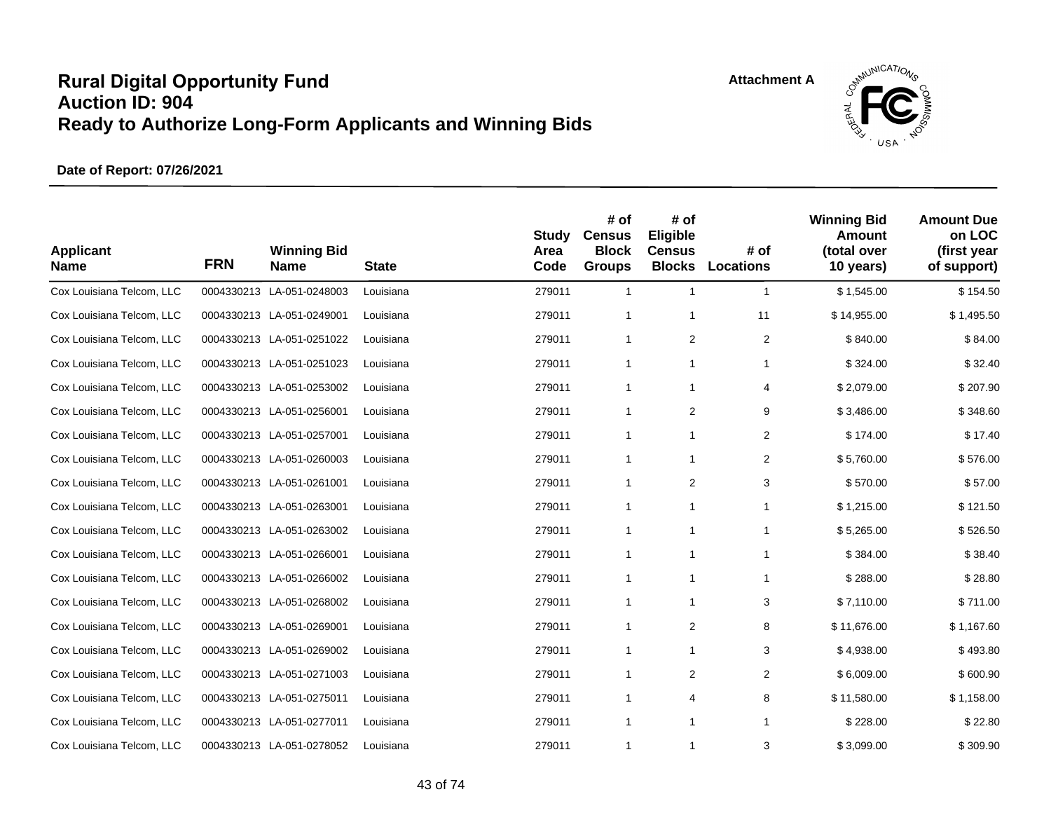

| <b>Applicant</b><br><b>Name</b> | <b>FRN</b> | <b>Winning Bid</b><br><b>Name</b> | <b>State</b> | <b>Study</b><br>Area<br>Code | # of<br><b>Census</b><br><b>Block</b><br><b>Groups</b> | # of<br>Eligible<br><b>Census</b><br><b>Blocks</b> | # of<br><b>Locations</b> | <b>Winning Bid</b><br>Amount<br>(total over<br>10 years) | <b>Amount Due</b><br>on LOC<br>(first year<br>of support) |
|---------------------------------|------------|-----------------------------------|--------------|------------------------------|--------------------------------------------------------|----------------------------------------------------|--------------------------|----------------------------------------------------------|-----------------------------------------------------------|
| Cox Louisiana Telcom, LLC       |            | 0004330213 LA-051-0248003         | Louisiana    | 279011                       | $\mathbf{1}$                                           | $\mathbf{1}$                                       | $\mathbf{1}$             | \$1,545.00                                               | \$154.50                                                  |
| Cox Louisiana Telcom, LLC       |            | 0004330213 LA-051-0249001         | Louisiana    | 279011                       | $\mathbf{1}$                                           | $\mathbf{1}$                                       | 11                       | \$14,955.00                                              | \$1,495.50                                                |
| Cox Louisiana Telcom, LLC       |            | 0004330213 LA-051-0251022         | Louisiana    | 279011                       | 1                                                      | 2                                                  | $\overline{\mathbf{c}}$  | \$840.00                                                 | \$84.00                                                   |
| Cox Louisiana Telcom, LLC       |            | 0004330213 LA-051-0251023         | Louisiana    | 279011                       | 1                                                      | $\mathbf{1}$                                       | 1                        | \$324.00                                                 | \$32.40                                                   |
| Cox Louisiana Telcom, LLC       |            | 0004330213 LA-051-0253002         | Louisiana    | 279011                       | 1                                                      | $\mathbf{1}$                                       | 4                        | \$2,079.00                                               | \$207.90                                                  |
| Cox Louisiana Telcom, LLC       |            | 0004330213 LA-051-0256001         | Louisiana    | 279011                       | $\mathbf{1}$                                           | 2                                                  | 9                        | \$3,486.00                                               | \$348.60                                                  |
| Cox Louisiana Telcom, LLC       |            | 0004330213 LA-051-0257001         | Louisiana    | 279011                       | $\mathbf{1}$                                           | $\mathbf{1}$                                       | 2                        | \$174.00                                                 | \$17.40                                                   |
| Cox Louisiana Telcom, LLC       |            | 0004330213 LA-051-0260003         | Louisiana    | 279011                       | $\mathbf{1}$                                           | 1                                                  | 2                        | \$5,760.00                                               | \$576.00                                                  |
| Cox Louisiana Telcom, LLC       |            | 0004330213 LA-051-0261001         | Louisiana    | 279011                       | $\mathbf{1}$                                           | 2                                                  | 3                        | \$570.00                                                 | \$57.00                                                   |
| Cox Louisiana Telcom, LLC       |            | 0004330213 LA-051-0263001         | Louisiana    | 279011                       | 1                                                      | $\mathbf{1}$                                       | 1                        | \$1,215.00                                               | \$121.50                                                  |
| Cox Louisiana Telcom, LLC       |            | 0004330213 LA-051-0263002         | Louisiana    | 279011                       | $\mathbf{1}$                                           | $\mathbf{1}$                                       | $\mathbf{1}$             | \$5,265.00                                               | \$526.50                                                  |
| Cox Louisiana Telcom, LLC       |            | 0004330213 LA-051-0266001         | Louisiana    | 279011                       | 1                                                      | $\mathbf{1}$                                       | $\mathbf{1}$             | \$384.00                                                 | \$38.40                                                   |
| Cox Louisiana Telcom, LLC       |            | 0004330213 LA-051-0266002         | Louisiana    | 279011                       | $\mathbf{1}$                                           | $\mathbf{1}$                                       | $\mathbf{1}$             | \$288.00                                                 | \$28.80                                                   |
| Cox Louisiana Telcom, LLC       |            | 0004330213 LA-051-0268002         | Louisiana    | 279011                       | 1                                                      | $\mathbf{1}$                                       | 3                        | \$7,110.00                                               | \$711.00                                                  |
| Cox Louisiana Telcom, LLC       |            | 0004330213 LA-051-0269001         | Louisiana    | 279011                       | $\mathbf{1}$                                           | 2                                                  | 8                        | \$11,676.00                                              | \$1,167.60                                                |
| Cox Louisiana Telcom, LLC       |            | 0004330213 LA-051-0269002         | Louisiana    | 279011                       | 1                                                      | $\mathbf{1}$                                       | 3                        | \$4,938.00                                               | \$493.80                                                  |
| Cox Louisiana Telcom, LLC       |            | 0004330213 LA-051-0271003         | Louisiana    | 279011                       | 1                                                      | $\overline{\mathbf{c}}$                            | $\overline{2}$           | \$6,009.00                                               | \$600.90                                                  |
| Cox Louisiana Telcom, LLC       |            | 0004330213 LA-051-0275011         | Louisiana    | 279011                       | $\mathbf{1}$                                           | 4                                                  | 8                        | \$11,580.00                                              | \$1,158.00                                                |
| Cox Louisiana Telcom, LLC       |            | 0004330213 LA-051-0277011         | Louisiana    | 279011                       | $\mathbf{1}$                                           | $\mathbf{1}$                                       | $\mathbf{1}$             | \$228.00                                                 | \$22.80                                                   |
| Cox Louisiana Telcom, LLC       |            | 0004330213 LA-051-0278052         | Louisiana    | 279011                       | $\mathbf{1}$                                           | $\mathbf{1}$                                       | 3                        | \$3,099.00                                               | \$309.90                                                  |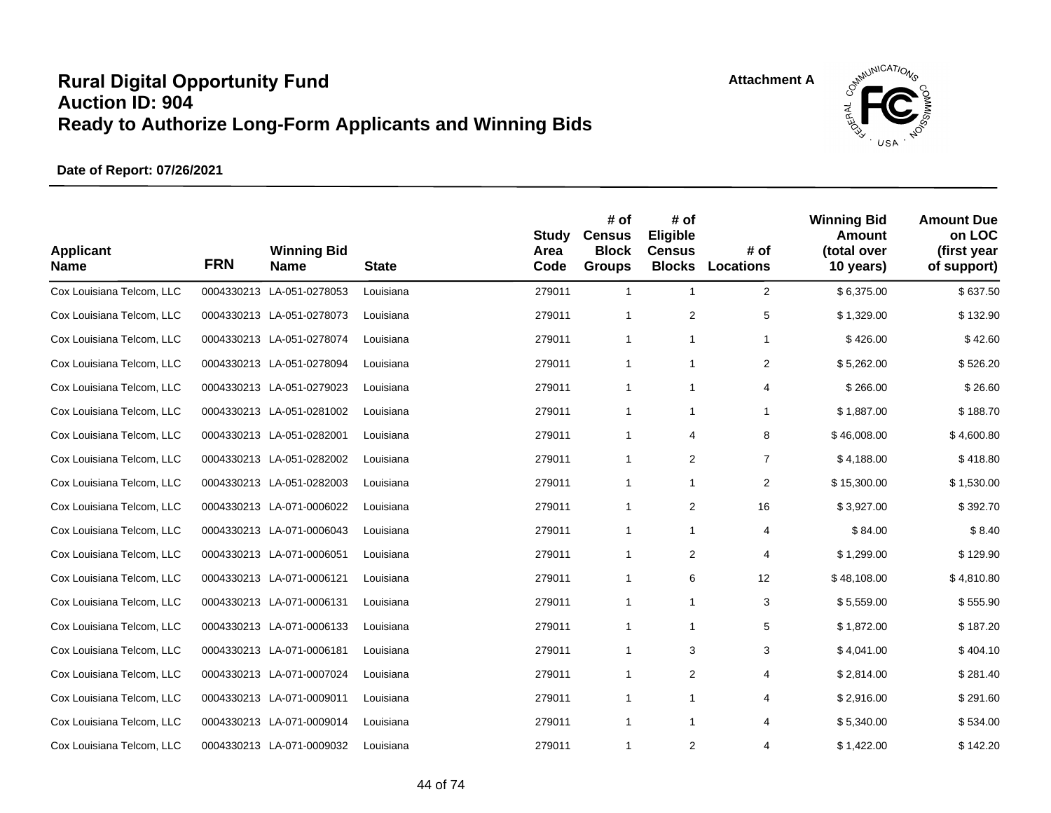

| <b>Applicant</b><br><b>Name</b> | <b>FRN</b> | <b>Winning Bid</b><br><b>Name</b> | <b>State</b> | <b>Study</b><br>Area<br>Code | # of<br><b>Census</b><br><b>Block</b><br><b>Groups</b> | # of<br>Eligible<br><b>Census</b><br><b>Blocks</b> | # of<br>Locations | <b>Winning Bid</b><br>Amount<br>(total over<br>10 years) | <b>Amount Due</b><br>on LOC<br>(first year<br>of support) |
|---------------------------------|------------|-----------------------------------|--------------|------------------------------|--------------------------------------------------------|----------------------------------------------------|-------------------|----------------------------------------------------------|-----------------------------------------------------------|
| Cox Louisiana Telcom, LLC       |            | 0004330213 LA-051-0278053         | Louisiana    | 279011                       | $\mathbf{1}$                                           | $\mathbf{1}$                                       | $\overline{2}$    | \$6,375.00                                               | \$637.50                                                  |
| Cox Louisiana Telcom, LLC       |            | 0004330213 LA-051-0278073         | Louisiana    | 279011                       | $\mathbf{1}$                                           | 2                                                  | 5                 | \$1,329.00                                               | \$132.90                                                  |
| Cox Louisiana Telcom, LLC       |            | 0004330213 LA-051-0278074         | Louisiana    | 279011                       | 1                                                      | $\mathbf{1}$                                       | $\mathbf{1}$      | \$426.00                                                 | \$42.60                                                   |
| Cox Louisiana Telcom, LLC       |            | 0004330213 LA-051-0278094         | Louisiana    | 279011                       | 1                                                      | 1                                                  | $\overline{2}$    | \$5.262.00                                               | \$526.20                                                  |
| Cox Louisiana Telcom, LLC       |            | 0004330213 LA-051-0279023         | Louisiana    | 279011                       | $\mathbf{1}$                                           | 1                                                  | 4                 | \$266.00                                                 | \$26.60                                                   |
| Cox Louisiana Telcom, LLC       |            | 0004330213 LA-051-0281002         | Louisiana    | 279011                       | 1                                                      | 1                                                  | 1                 | \$1,887.00                                               | \$188.70                                                  |
| Cox Louisiana Telcom, LLC       |            | 0004330213 LA-051-0282001         | Louisiana    | 279011                       | $\mathbf{1}$                                           | 4                                                  | 8                 | \$46,008.00                                              | \$4,600.80                                                |
| Cox Louisiana Telcom, LLC       |            | 0004330213 LA-051-0282002         | Louisiana    | 279011                       | 1                                                      | $\overline{\mathbf{c}}$                            | $\overline{7}$    | \$4,188.00                                               | \$418.80                                                  |
| Cox Louisiana Telcom, LLC       |            | 0004330213 LA-051-0282003         | Louisiana    | 279011                       | 1                                                      | 1                                                  | $\overline{2}$    | \$15,300.00                                              | \$1,530.00                                                |
| Cox Louisiana Telcom, LLC       |            | 0004330213 LA-071-0006022         | Louisiana    | 279011                       | $\mathbf{1}$                                           | $\overline{\mathbf{c}}$                            | 16                | \$3,927.00                                               | \$392.70                                                  |
| Cox Louisiana Telcom, LLC       |            | 0004330213 LA-071-0006043         | Louisiana    | 279011                       | 1                                                      | 1                                                  | 4                 | \$84.00                                                  | \$8.40                                                    |
| Cox Louisiana Telcom, LLC       |            | 0004330213 LA-071-0006051         | Louisiana    | 279011                       | $\mathbf{1}$                                           | 2                                                  | 4                 | \$1,299.00                                               | \$129.90                                                  |
| Cox Louisiana Telcom, LLC       |            | 0004330213 LA-071-0006121         | Louisiana    | 279011                       | $\mathbf{1}$                                           | 6                                                  | 12                | \$48,108.00                                              | \$4,810.80                                                |
| Cox Louisiana Telcom, LLC       |            | 0004330213 LA-071-0006131         | Louisiana    | 279011                       | $\mathbf{1}$                                           | $\mathbf{1}$                                       | 3                 | \$5,559.00                                               | \$555.90                                                  |
| Cox Louisiana Telcom, LLC       |            | 0004330213 LA-071-0006133         | Louisiana    | 279011                       | $\mathbf{1}$                                           | $\mathbf{1}$                                       | 5                 | \$1,872.00                                               | \$187.20                                                  |
| Cox Louisiana Telcom, LLC       |            | 0004330213 LA-071-0006181         | Louisiana    | 279011                       | $\mathbf{1}$                                           | 3                                                  | 3                 | \$4,041.00                                               | \$404.10                                                  |
| Cox Louisiana Telcom, LLC       |            | 0004330213 LA-071-0007024         | Louisiana    | 279011                       | 1                                                      | $\overline{\mathbf{c}}$                            | 4                 | \$2,814.00                                               | \$281.40                                                  |
| Cox Louisiana Telcom, LLC       |            | 0004330213 LA-071-0009011         | Louisiana    | 279011                       | $\mathbf{1}$                                           | $\mathbf{1}$                                       | 4                 | \$2,916.00                                               | \$291.60                                                  |
| Cox Louisiana Telcom, LLC       |            | 0004330213 LA-071-0009014         | Louisiana    | 279011                       | $\mathbf{1}$                                           | $\mathbf{1}$                                       | 4                 | \$5,340.00                                               | \$534.00                                                  |
| Cox Louisiana Telcom, LLC       |            | 0004330213 LA-071-0009032         | Louisiana    | 279011                       | $\mathbf{1}$                                           | 2                                                  | 4                 | \$1,422.00                                               | \$142.20                                                  |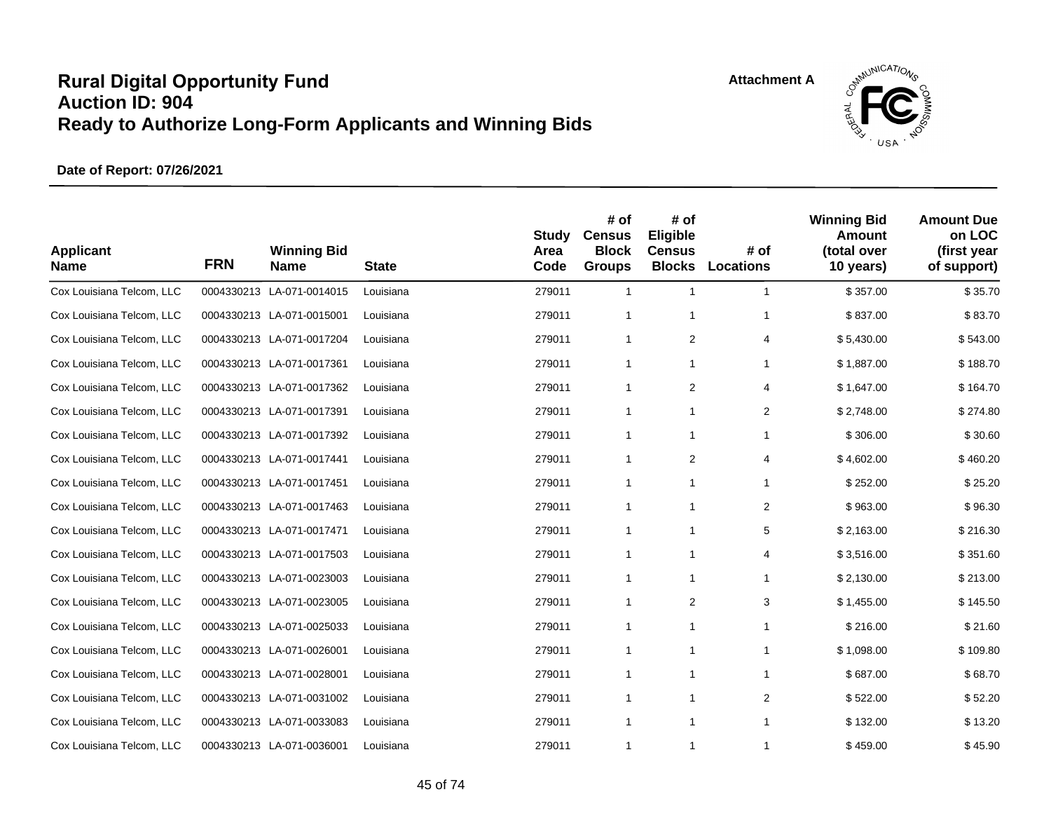

| <b>Applicant</b><br><b>Name</b> | <b>FRN</b> | <b>Winning Bid</b><br><b>Name</b> | <b>State</b> | <b>Study</b><br>Area<br>Code | # of<br><b>Census</b><br><b>Block</b><br><b>Groups</b> | # of<br>Eligible<br><b>Census</b><br><b>Blocks</b> | # of<br><b>Locations</b> | <b>Winning Bid</b><br>Amount<br>(total over<br>10 years) | <b>Amount Due</b><br>on LOC<br>(first year<br>of support) |
|---------------------------------|------------|-----------------------------------|--------------|------------------------------|--------------------------------------------------------|----------------------------------------------------|--------------------------|----------------------------------------------------------|-----------------------------------------------------------|
| Cox Louisiana Telcom, LLC       |            | 0004330213 LA-071-0014015         | Louisiana    | 279011                       | $\mathbf{1}$                                           | $\mathbf{1}$                                       | $\mathbf{1}$             | \$357.00                                                 | \$35.70                                                   |
| Cox Louisiana Telcom, LLC       |            | 0004330213 LA-071-0015001         | Louisiana    | 279011                       | $\mathbf{1}$                                           | $\mathbf{1}$                                       | $\mathbf{1}$             | \$837.00                                                 | \$83.70                                                   |
| Cox Louisiana Telcom, LLC       |            | 0004330213 LA-071-0017204         | Louisiana    | 279011                       | 1                                                      | 2                                                  | 4                        | \$5,430.00                                               | \$543.00                                                  |
| Cox Louisiana Telcom, LLC       |            | 0004330213 LA-071-0017361         | Louisiana    | 279011                       | $\mathbf{1}$                                           | 1                                                  | 1                        | \$1,887.00                                               | \$188.70                                                  |
| Cox Louisiana Telcom, LLC       |            | 0004330213 LA-071-0017362         | Louisiana    | 279011                       | $\mathbf{1}$                                           | 2                                                  | 4                        | \$1,647.00                                               | \$164.70                                                  |
| Cox Louisiana Telcom, LLC       |            | 0004330213 LA-071-0017391         | Louisiana    | 279011                       | 1                                                      | $\mathbf{1}$                                       | $\overline{2}$           | \$2,748.00                                               | \$274.80                                                  |
| Cox Louisiana Telcom, LLC       |            | 0004330213 LA-071-0017392         | Louisiana    | 279011                       | $\mathbf{1}$                                           | $\mathbf{1}$                                       | $\mathbf{1}$             | \$306.00                                                 | \$30.60                                                   |
| Cox Louisiana Telcom, LLC       |            | 0004330213 LA-071-0017441         | Louisiana    | 279011                       | 1                                                      | $\overline{\mathbf{c}}$                            | 4                        | \$4,602.00                                               | \$460.20                                                  |
| Cox Louisiana Telcom, LLC       |            | 0004330213 LA-071-0017451         | Louisiana    | 279011                       | 1                                                      | $\mathbf{1}$                                       | $\mathbf{1}$             | \$252.00                                                 | \$25.20                                                   |
| Cox Louisiana Telcom, LLC       |            | 0004330213 LA-071-0017463         | Louisiana    | 279011                       | $\mathbf{1}$                                           | $\mathbf{1}$                                       | $\overline{2}$           | \$963.00                                                 | \$96.30                                                   |
| Cox Louisiana Telcom, LLC       |            | 0004330213 LA-071-0017471         | Louisiana    | 279011                       | 1                                                      | $\mathbf{1}$                                       | 5                        | \$2,163.00                                               | \$216.30                                                  |
| Cox Louisiana Telcom, LLC       |            | 0004330213 LA-071-0017503         | Louisiana    | 279011                       | $\mathbf{1}$                                           | $\mathbf{1}$                                       | 4                        | \$3,516.00                                               | \$351.60                                                  |
| Cox Louisiana Telcom, LLC       |            | 0004330213 LA-071-0023003         | Louisiana    | 279011                       | $\mathbf{1}$                                           | $\mathbf{1}$                                       | 1                        | \$2,130.00                                               | \$213.00                                                  |
| Cox Louisiana Telcom, LLC       |            | 0004330213 LA-071-0023005         | Louisiana    | 279011                       | $\mathbf{1}$                                           | 2                                                  | 3                        | \$1,455.00                                               | \$145.50                                                  |
| Cox Louisiana Telcom, LLC       |            | 0004330213 LA-071-0025033         | Louisiana    | 279011                       | $\mathbf{1}$                                           | $\mathbf{1}$                                       | $\mathbf{1}$             | \$216.00                                                 | \$21.60                                                   |
| Cox Louisiana Telcom, LLC       |            | 0004330213 LA-071-0026001         | Louisiana    | 279011                       | 1                                                      | $\mathbf{1}$                                       | $\mathbf{1}$             | \$1,098.00                                               | \$109.80                                                  |
| Cox Louisiana Telcom, LLC       |            | 0004330213 LA-071-0028001         | Louisiana    | 279011                       | 1                                                      | $\mathbf{1}$                                       | $\mathbf{1}$             | \$687.00                                                 | \$68.70                                                   |
| Cox Louisiana Telcom, LLC       |            | 0004330213 LA-071-0031002         | Louisiana    | 279011                       | $\mathbf{1}$                                           | $\mathbf{1}$                                       | $\overline{2}$           | \$522.00                                                 | \$52.20                                                   |
| Cox Louisiana Telcom, LLC       |            | 0004330213 LA-071-0033083         | Louisiana    | 279011                       | $\mathbf{1}$                                           | $\mathbf{1}$                                       | $\mathbf{1}$             | \$132.00                                                 | \$13.20                                                   |
| Cox Louisiana Telcom, LLC       |            | 0004330213 LA-071-0036001         | Louisiana    | 279011                       | $\mathbf{1}$                                           | $\mathbf{1}$                                       | $\mathbf{1}$             | \$459.00                                                 | \$45.90                                                   |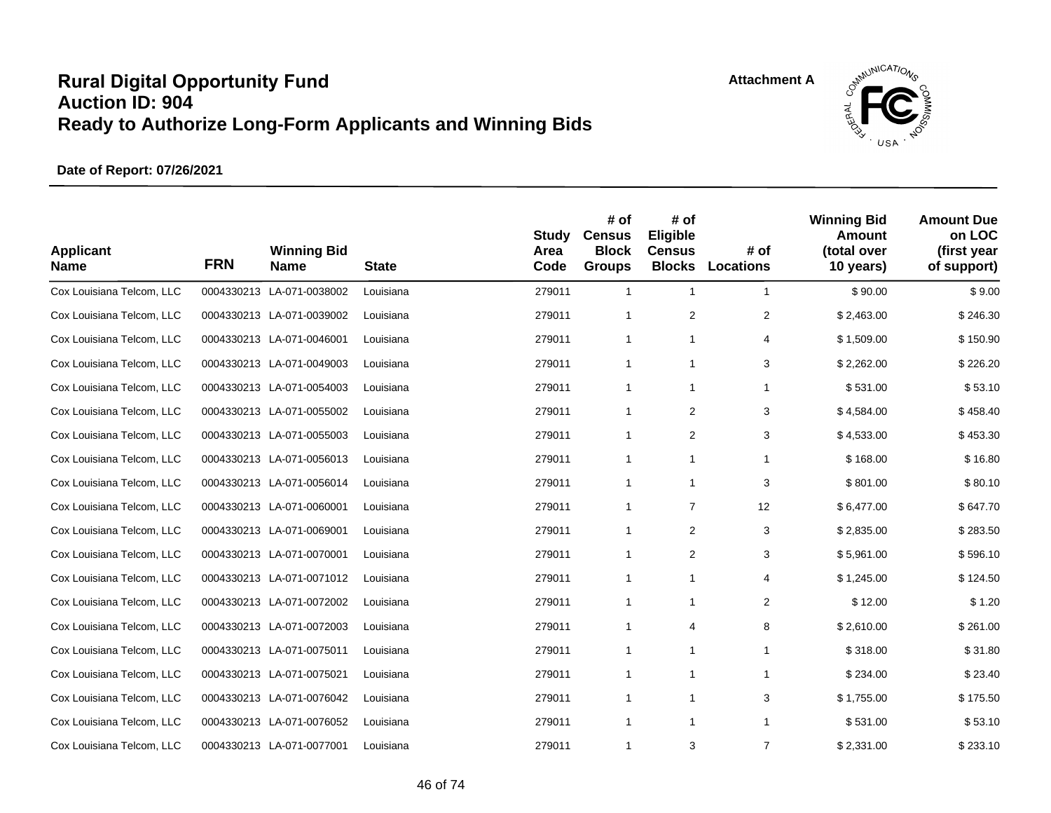

| <b>Applicant</b><br><b>Name</b> | <b>FRN</b> | <b>Winning Bid</b><br><b>Name</b> | <b>State</b> | <b>Study</b><br>Area<br>Code | # of<br><b>Census</b><br><b>Block</b><br><b>Groups</b> | # of<br>Eligible<br><b>Census</b><br><b>Blocks</b> | # of<br><b>Locations</b> | <b>Winning Bid</b><br>Amount<br>(total over<br>10 years) | <b>Amount Due</b><br>on LOC<br>(first year<br>of support) |
|---------------------------------|------------|-----------------------------------|--------------|------------------------------|--------------------------------------------------------|----------------------------------------------------|--------------------------|----------------------------------------------------------|-----------------------------------------------------------|
| Cox Louisiana Telcom, LLC       |            | 0004330213 LA-071-0038002         | Louisiana    | 279011                       | $\mathbf{1}$                                           | $\mathbf{1}$                                       | $\mathbf{1}$             | \$90.00                                                  | \$9.00                                                    |
| Cox Louisiana Telcom, LLC       |            | 0004330213 LA-071-0039002         | Louisiana    | 279011                       | $\mathbf{1}$                                           | 2                                                  | $\overline{2}$           | \$2,463.00                                               | \$246.30                                                  |
| Cox Louisiana Telcom, LLC       |            | 0004330213 LA-071-0046001         | Louisiana    | 279011                       | 1                                                      | $\mathbf{1}$                                       | 4                        | \$1,509.00                                               | \$150.90                                                  |
| Cox Louisiana Telcom, LLC       |            | 0004330213 LA-071-0049003         | Louisiana    | 279011                       | $\mathbf{1}$                                           | 1                                                  | 3                        | \$2.262.00                                               | \$226.20                                                  |
| Cox Louisiana Telcom, LLC       |            | 0004330213 LA-071-0054003         | Louisiana    | 279011                       | $\mathbf{1}$                                           | 1                                                  | 1                        | \$531.00                                                 | \$53.10                                                   |
| Cox Louisiana Telcom, LLC       |            | 0004330213 LA-071-0055002         | Louisiana    | 279011                       | 1                                                      | $\overline{\mathbf{c}}$                            | 3                        | \$4,584.00                                               | \$458.40                                                  |
| Cox Louisiana Telcom, LLC       |            | 0004330213 LA-071-0055003         | Louisiana    | 279011                       | $\mathbf{1}$                                           | 2                                                  | 3                        | \$4,533.00                                               | \$453.30                                                  |
| Cox Louisiana Telcom, LLC       |            | 0004330213 LA-071-0056013         | Louisiana    | 279011                       | 1                                                      | $\mathbf{1}$                                       | $\mathbf{1}$             | \$168.00                                                 | \$16.80                                                   |
| Cox Louisiana Telcom, LLC       |            | 0004330213 LA-071-0056014         | Louisiana    | 279011                       | 1                                                      | $\mathbf{1}$                                       | 3                        | \$801.00                                                 | \$80.10                                                   |
| Cox Louisiana Telcom, LLC       |            | 0004330213 LA-071-0060001         | Louisiana    | 279011                       | $\mathbf{1}$                                           | $\overline{7}$                                     | 12                       | \$6,477.00                                               | \$647.70                                                  |
| Cox Louisiana Telcom, LLC       |            | 0004330213 LA-071-0069001         | Louisiana    | 279011                       | 1                                                      | 2                                                  | 3                        | \$2,835.00                                               | \$283.50                                                  |
| Cox Louisiana Telcom, LLC       |            | 0004330213 LA-071-0070001         | Louisiana    | 279011                       | $\mathbf{1}$                                           | 2                                                  | 3                        | \$5,961.00                                               | \$596.10                                                  |
| Cox Louisiana Telcom, LLC       |            | 0004330213 LA-071-0071012         | Louisiana    | 279011                       | $\mathbf{1}$                                           | $\mathbf{1}$                                       | 4                        | \$1,245.00                                               | \$124.50                                                  |
| Cox Louisiana Telcom, LLC       |            | 0004330213 LA-071-0072002         | Louisiana    | 279011                       | $\mathbf{1}$                                           | $\mathbf{1}$                                       | 2                        | \$12.00                                                  | \$1.20                                                    |
| Cox Louisiana Telcom, LLC       |            | 0004330213 LA-071-0072003         | Louisiana    | 279011                       | $\mathbf{1}$                                           | 4                                                  | 8                        | \$2,610.00                                               | \$261.00                                                  |
| Cox Louisiana Telcom, LLC       |            | 0004330213 LA-071-0075011         | Louisiana    | 279011                       | 1                                                      | $\mathbf{1}$                                       | $\mathbf{1}$             | \$318.00                                                 | \$31.80                                                   |
| Cox Louisiana Telcom, LLC       |            | 0004330213 LA-071-0075021         | Louisiana    | 279011                       | 1                                                      | $\mathbf{1}$                                       | $\mathbf{1}$             | \$234.00                                                 | \$23.40                                                   |
| Cox Louisiana Telcom, LLC       |            | 0004330213 LA-071-0076042         | Louisiana    | 279011                       | $\mathbf{1}$                                           | $\mathbf{1}$                                       | 3                        | \$1,755.00                                               | \$175.50                                                  |
| Cox Louisiana Telcom, LLC       |            | 0004330213 LA-071-0076052         | Louisiana    | 279011                       | $\mathbf{1}$                                           | $\mathbf{1}$                                       | $\mathbf{1}$             | \$531.00                                                 | \$53.10                                                   |
| Cox Louisiana Telcom, LLC       |            | 0004330213 LA-071-0077001         | Louisiana    | 279011                       | $\mathbf{1}$                                           | 3                                                  | $\overline{7}$           | \$2,331.00                                               | \$233.10                                                  |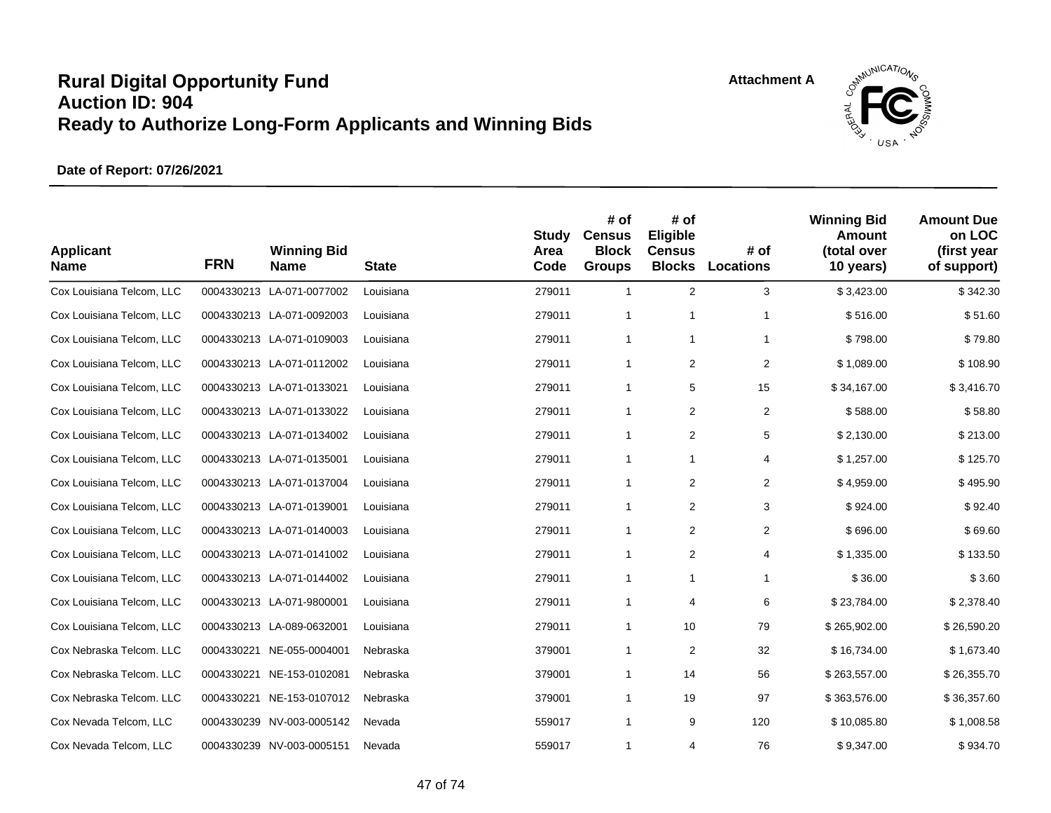

| <b>Applicant</b><br><b>Name</b> | <b>FRN</b> | <b>Winning Bid</b><br><b>Name</b> | <b>State</b> | <b>Study</b><br>Area<br>Code | # of<br><b>Census</b><br><b>Block</b><br><b>Groups</b> | # of<br>Eligible<br><b>Census</b><br><b>Blocks</b> | # of<br><b>Locations</b> | <b>Winning Bid</b><br>Amount<br>(total over<br>10 years) | <b>Amount Due</b><br>on LOC<br>(first year<br>of support) |
|---------------------------------|------------|-----------------------------------|--------------|------------------------------|--------------------------------------------------------|----------------------------------------------------|--------------------------|----------------------------------------------------------|-----------------------------------------------------------|
| Cox Louisiana Telcom, LLC       |            | 0004330213 LA-071-0077002         | Louisiana    | 279011                       | $\mathbf{1}$                                           | $\overline{2}$                                     | 3                        | \$3,423.00                                               | \$342.30                                                  |
| Cox Louisiana Telcom, LLC       |            | 0004330213 LA-071-0092003         | Louisiana    | 279011                       | 1                                                      | $\mathbf{1}$                                       | 1                        | \$516.00                                                 | \$51.60                                                   |
| Cox Louisiana Telcom, LLC       |            | 0004330213 LA-071-0109003         | Louisiana    | 279011                       | 1                                                      | 1                                                  | $\mathbf{1}$             | \$798.00                                                 | \$79.80                                                   |
| Cox Louisiana Telcom, LLC       |            | 0004330213 LA-071-0112002         | Louisiana    | 279011                       | $\mathbf{1}$                                           | 2                                                  | 2                        | \$1,089.00                                               | \$108.90                                                  |
| Cox Louisiana Telcom, LLC       |            | 0004330213 LA-071-0133021         | Louisiana    | 279011                       | $\mathbf{1}$                                           | 5                                                  | 15                       | \$34,167.00                                              | \$3,416.70                                                |
| Cox Louisiana Telcom, LLC       |            | 0004330213 LA-071-0133022         | Louisiana    | 279011                       | 1                                                      | $\overline{\mathbf{c}}$                            | $\overline{2}$           | \$588.00                                                 | \$58.80                                                   |
| Cox Louisiana Telcom, LLC       |            | 0004330213 LA-071-0134002         | Louisiana    | 279011                       | $\mathbf{1}$                                           | 2                                                  | 5                        | \$2,130.00                                               | \$213.00                                                  |
| Cox Louisiana Telcom, LLC       |            | 0004330213 LA-071-0135001         | Louisiana    | 279011                       | $\mathbf{1}$                                           | 1                                                  | 4                        | \$1,257.00                                               | \$125.70                                                  |
| Cox Louisiana Telcom, LLC       |            | 0004330213 LA-071-0137004         | Louisiana    | 279011                       | $\mathbf{1}$                                           | 2                                                  | $\overline{2}$           | \$4,959.00                                               | \$495.90                                                  |
| Cox Louisiana Telcom, LLC       |            | 0004330213 LA-071-0139001         | Louisiana    | 279011                       | $\mathbf{1}$                                           | 2                                                  | 3                        | \$924.00                                                 | \$92.40                                                   |
| Cox Louisiana Telcom, LLC       |            | 0004330213 LA-071-0140003         | Louisiana    | 279011                       | $\mathbf{1}$                                           | $\overline{\mathbf{c}}$                            | 2                        | \$696.00                                                 | \$69.60                                                   |
| Cox Louisiana Telcom, LLC       |            | 0004330213 LA-071-0141002         | Louisiana    | 279011                       | 1                                                      | $\overline{\mathbf{c}}$                            | 4                        | \$1,335.00                                               | \$133.50                                                  |
| Cox Louisiana Telcom, LLC       |            | 0004330213 LA-071-0144002         | Louisiana    | 279011                       | $\mathbf{1}$                                           | $\mathbf{1}$                                       | $\mathbf{1}$             | \$36.00                                                  | \$3.60                                                    |
| Cox Louisiana Telcom, LLC       |            | 0004330213 LA-071-9800001         | Louisiana    | 279011                       | $\mathbf{1}$                                           | 4                                                  | 6                        | \$23,784.00                                              | \$2,378.40                                                |
| Cox Louisiana Telcom, LLC       |            | 0004330213 LA-089-0632001         | Louisiana    | 279011                       | $\mathbf{1}$                                           | 10                                                 | 79                       | \$265,902.00                                             | \$26,590.20                                               |
| Cox Nebraska Telcom. LLC        | 0004330221 | NE-055-0004001                    | Nebraska     | 379001                       | $\mathbf{1}$                                           | 2                                                  | 32                       | \$16,734.00                                              | \$1,673.40                                                |
| Cox Nebraska Telcom. LLC        |            | 0004330221 NE-153-0102081         | Nebraska     | 379001                       | $\mathbf{1}$                                           | 14                                                 | 56                       | \$263,557.00                                             | \$26,355.70                                               |
| Cox Nebraska Telcom. LLC        |            | 0004330221 NE-153-0107012         | Nebraska     | 379001                       | $\mathbf{1}$                                           | 19                                                 | 97                       | \$363,576.00                                             | \$36,357.60                                               |
| Cox Nevada Telcom, LLC          |            | 0004330239 NV-003-0005142         | Nevada       | 559017                       | $\mathbf{1}$                                           | 9                                                  | 120                      | \$10,085.80                                              | \$1,008.58                                                |
| Cox Nevada Telcom, LLC          |            | 0004330239 NV-003-0005151         | Nevada       | 559017                       | 1                                                      | 4                                                  | 76                       | \$9,347.00                                               | \$934.70                                                  |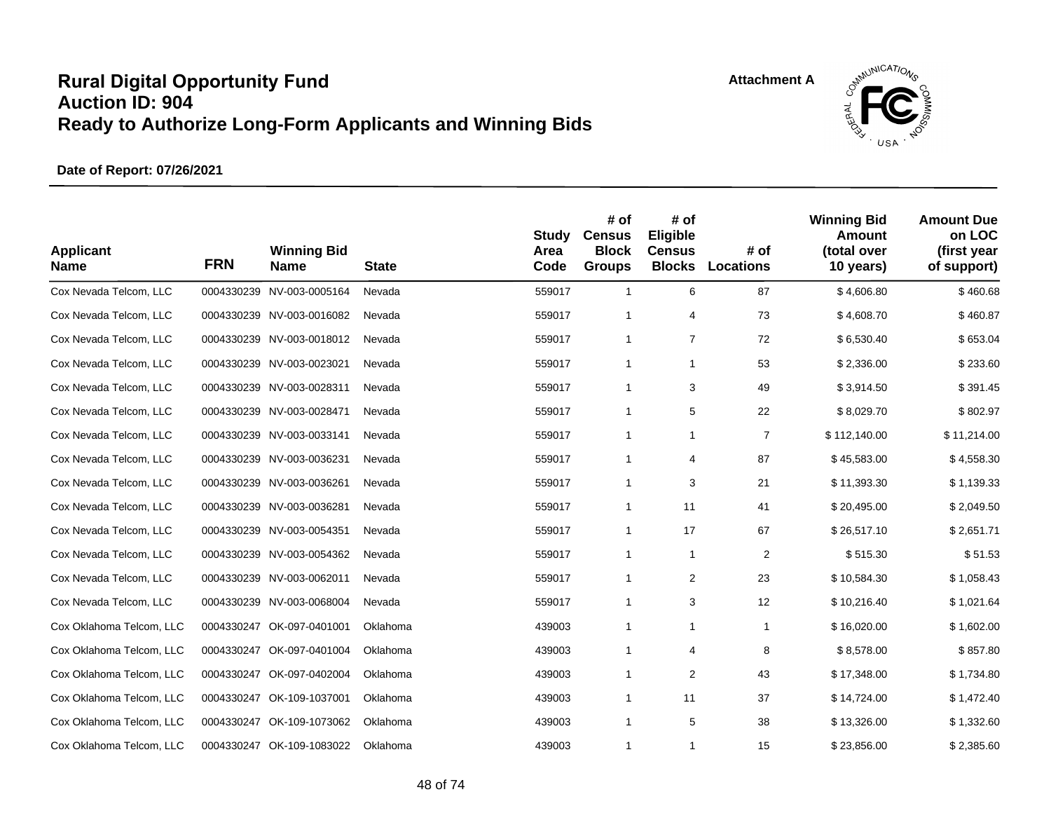



| <b>Applicant</b><br><b>Name</b> | <b>FRN</b> | <b>Winning Bid</b><br><b>Name</b> | <b>State</b> | <b>Study</b><br>Area<br>Code | # of<br><b>Census</b><br><b>Block</b><br><b>Groups</b> | # of<br>Eligible<br><b>Census</b><br><b>Blocks</b> | # of<br><b>Locations</b> | <b>Winning Bid</b><br>Amount<br>(total over<br>10 years) | <b>Amount Due</b><br>on LOC<br>(first year<br>of support) |
|---------------------------------|------------|-----------------------------------|--------------|------------------------------|--------------------------------------------------------|----------------------------------------------------|--------------------------|----------------------------------------------------------|-----------------------------------------------------------|
| Cox Nevada Telcom, LLC          |            | 0004330239 NV-003-0005164         | Nevada       | 559017                       | $\mathbf{1}$                                           | 6                                                  | 87                       | \$4,606.80                                               | \$460.68                                                  |
| Cox Nevada Telcom, LLC          |            | 0004330239 NV-003-0016082         | Nevada       | 559017                       | $\mathbf{1}$                                           | 4                                                  | 73                       | \$4,608.70                                               | \$460.87                                                  |
| Cox Nevada Telcom, LLC          |            | 0004330239 NV-003-0018012         | Nevada       | 559017                       | $\mathbf{1}$                                           | $\overline{7}$                                     | 72                       | \$6,530.40                                               | \$653.04                                                  |
| Cox Nevada Telcom, LLC          |            | 0004330239 NV-003-0023021         | Nevada       | 559017                       | $\mathbf{1}$                                           | 1                                                  | 53                       | \$2,336.00                                               | \$233.60                                                  |
| Cox Nevada Telcom, LLC          |            | 0004330239 NV-003-0028311         | Nevada       | 559017                       | $\mathbf{1}$                                           | 3                                                  | 49                       | \$3,914.50                                               | \$391.45                                                  |
| Cox Nevada Telcom, LLC          |            | 0004330239 NV-003-0028471         | Nevada       | 559017                       | $\mathbf{1}$                                           | 5                                                  | 22                       | \$8,029.70                                               | \$802.97                                                  |
| Cox Nevada Telcom, LLC          |            | 0004330239 NV-003-0033141         | Nevada       | 559017                       | $\mathbf{1}$                                           | $\mathbf{1}$                                       | $\overline{7}$           | \$112,140.00                                             | \$11,214.00                                               |
| Cox Nevada Telcom, LLC          |            | 0004330239 NV-003-0036231         | Nevada       | 559017                       | $\mathbf{1}$                                           | 4                                                  | 87                       | \$45,583.00                                              | \$4,558.30                                                |
| Cox Nevada Telcom, LLC          |            | 0004330239 NV-003-0036261         | Nevada       | 559017                       | $\mathbf{1}$                                           | 3                                                  | 21                       | \$11,393.30                                              | \$1,139.33                                                |
| Cox Nevada Telcom, LLC          |            | 0004330239 NV-003-0036281         | Nevada       | 559017                       | $\mathbf{1}$                                           | 11                                                 | 41                       | \$20,495.00                                              | \$2,049.50                                                |
| Cox Nevada Telcom, LLC          |            | 0004330239 NV-003-0054351         | Nevada       | 559017                       | $\mathbf{1}$                                           | 17                                                 | 67                       | \$26,517.10                                              | \$2,651.71                                                |
| Cox Nevada Telcom, LLC          |            | 0004330239 NV-003-0054362         | Nevada       | 559017                       | $\mathbf{1}$                                           | $\mathbf{1}$                                       | 2                        | \$515.30                                                 | \$51.53                                                   |
| Cox Nevada Telcom, LLC          |            | 0004330239 NV-003-0062011         | Nevada       | 559017                       | $\mathbf{1}$                                           | 2                                                  | 23                       | \$10,584.30                                              | \$1,058.43                                                |
| Cox Nevada Telcom, LLC          |            | 0004330239 NV-003-0068004         | Nevada       | 559017                       | $\mathbf{1}$                                           | 3                                                  | 12                       | \$10,216.40                                              | \$1,021.64                                                |
| Cox Oklahoma Telcom, LLC        |            | 0004330247 OK-097-0401001         | Oklahoma     | 439003                       | $\mathbf{1}$                                           | $\mathbf{1}$                                       | $\mathbf{1}$             | \$16,020.00                                              | \$1,602.00                                                |
| Cox Oklahoma Telcom, LLC        |            | 0004330247 OK-097-0401004         | Oklahoma     | 439003                       | $\mathbf{1}$                                           | 4                                                  | 8                        | \$8,578.00                                               | \$857.80                                                  |
| Cox Oklahoma Telcom, LLC        | 0004330247 | OK-097-0402004                    | Oklahoma     | 439003                       | $\mathbf{1}$                                           | $\overline{\mathbf{c}}$                            | 43                       | \$17,348.00                                              | \$1,734.80                                                |
| Cox Oklahoma Telcom, LLC        |            | 0004330247 OK-109-1037001         | Oklahoma     | 439003                       | $\mathbf{1}$                                           | 11                                                 | 37                       | \$14,724.00                                              | \$1,472.40                                                |
| Cox Oklahoma Telcom, LLC        | 0004330247 | OK-109-1073062                    | Oklahoma     | 439003                       | $\mathbf{1}$                                           | 5                                                  | 38                       | \$13,326.00                                              | \$1,332.60                                                |
| Cox Oklahoma Telcom, LLC        |            | 0004330247 OK-109-1083022         | Oklahoma     | 439003                       | 1                                                      | 1                                                  | 15                       | \$23,856.00                                              | \$2,385.60                                                |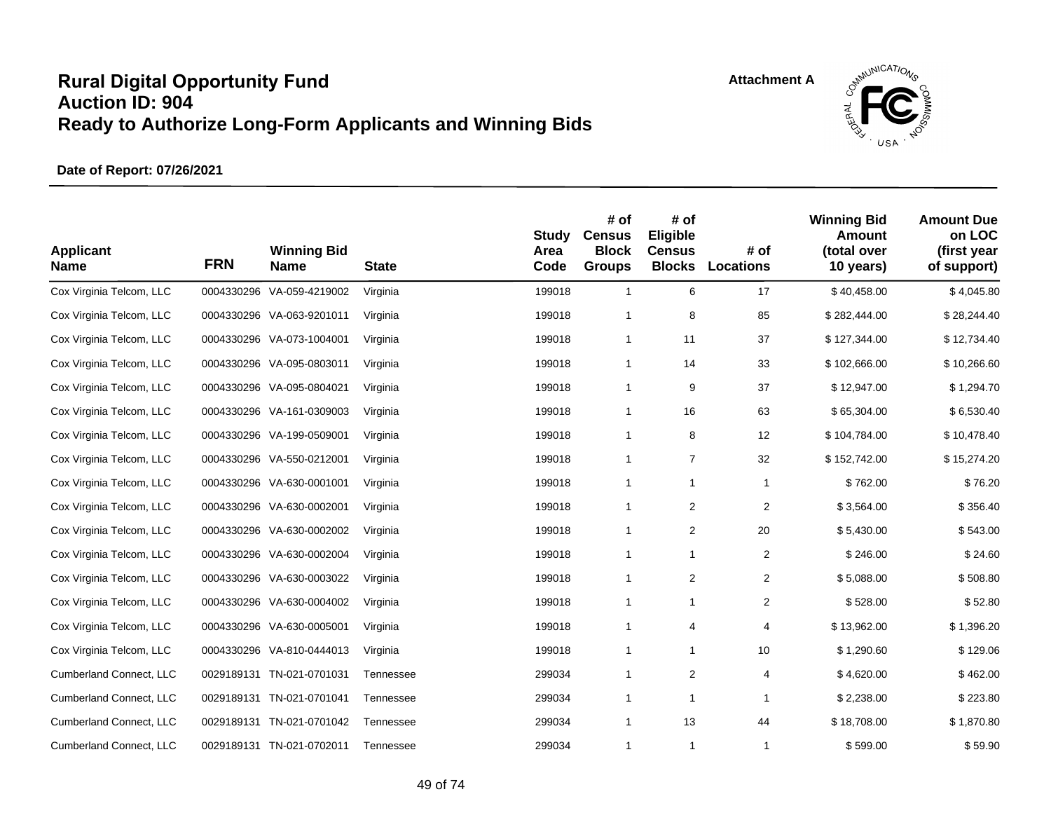

| <b>Applicant</b><br><b>Name</b> | <b>FRN</b> | <b>Winning Bid</b><br><b>Name</b> | <b>State</b> | <b>Study</b><br>Area<br>Code | # of<br><b>Census</b><br><b>Block</b><br><b>Groups</b> | # of<br>Eligible<br><b>Census</b><br><b>Blocks</b> | # of<br>Locations | <b>Winning Bid</b><br>Amount<br>(total over<br>10 years) | <b>Amount Due</b><br>on LOC<br>(first year<br>of support) |
|---------------------------------|------------|-----------------------------------|--------------|------------------------------|--------------------------------------------------------|----------------------------------------------------|-------------------|----------------------------------------------------------|-----------------------------------------------------------|
| Cox Virginia Telcom, LLC        |            | 0004330296 VA-059-4219002         | Virginia     | 199018                       | $\mathbf{1}$                                           | 6                                                  | 17                | \$40,458.00                                              | \$4,045.80                                                |
| Cox Virginia Telcom, LLC        |            | 0004330296 VA-063-9201011         | Virginia     | 199018                       | $\mathbf{1}$                                           | 8                                                  | 85                | \$282,444.00                                             | \$28,244.40                                               |
| Cox Virginia Telcom, LLC        |            | 0004330296 VA-073-1004001         | Virginia     | 199018                       | $\mathbf{1}$                                           | 11                                                 | 37                | \$127,344.00                                             | \$12,734.40                                               |
| Cox Virginia Telcom, LLC        |            | 0004330296 VA-095-0803011         | Virginia     | 199018                       | $\mathbf{1}$                                           | 14                                                 | 33                | \$102,666.00                                             | \$10,266.60                                               |
| Cox Virginia Telcom, LLC        |            | 0004330296 VA-095-0804021         | Virginia     | 199018                       | $\mathbf{1}$                                           | 9                                                  | 37                | \$12,947.00                                              | \$1,294.70                                                |
| Cox Virginia Telcom, LLC        |            | 0004330296 VA-161-0309003         | Virginia     | 199018                       | $\mathbf{1}$                                           | 16                                                 | 63                | \$65,304.00                                              | \$6,530.40                                                |
| Cox Virginia Telcom, LLC        |            | 0004330296 VA-199-0509001         | Virginia     | 199018                       | $\mathbf{1}$                                           | 8                                                  | 12                | \$104,784.00                                             | \$10,478.40                                               |
| Cox Virginia Telcom, LLC        |            | 0004330296 VA-550-0212001         | Virginia     | 199018                       | $\mathbf{1}$                                           | $\overline{7}$                                     | 32                | \$152,742.00                                             | \$15,274.20                                               |
| Cox Virginia Telcom, LLC        |            | 0004330296 VA-630-0001001         | Virginia     | 199018                       | $\mathbf{1}$                                           | $\mathbf{1}$                                       | $\mathbf{1}$      | \$762.00                                                 | \$76.20                                                   |
| Cox Virginia Telcom, LLC        |            | 0004330296 VA-630-0002001         | Virginia     | 199018                       | $\mathbf{1}$                                           | 2                                                  | 2                 | \$3,564.00                                               | \$356.40                                                  |
| Cox Virginia Telcom, LLC        |            | 0004330296 VA-630-0002002         | Virginia     | 199018                       | $\mathbf{1}$                                           | 2                                                  | 20                | \$5,430.00                                               | \$543.00                                                  |
| Cox Virginia Telcom, LLC        |            | 0004330296 VA-630-0002004         | Virginia     | 199018                       | $\mathbf{1}$                                           | $\mathbf{1}$                                       | $\overline{2}$    | \$246.00                                                 | \$24.60                                                   |
| Cox Virginia Telcom, LLC        |            | 0004330296 VA-630-0003022         | Virginia     | 199018                       | $\mathbf{1}$                                           | $\overline{2}$                                     | $\overline{2}$    | \$5,088.00                                               | \$508.80                                                  |
| Cox Virginia Telcom, LLC        |            | 0004330296 VA-630-0004002         | Virginia     | 199018                       | $\mathbf{1}$                                           | 1                                                  | $\overline{2}$    | \$528.00                                                 | \$52.80                                                   |
| Cox Virginia Telcom, LLC        |            | 0004330296 VA-630-0005001         | Virginia     | 199018                       | $\mathbf{1}$                                           | 4                                                  | 4                 | \$13,962.00                                              | \$1,396.20                                                |
| Cox Virginia Telcom, LLC        |            | 0004330296 VA-810-0444013         | Virginia     | 199018                       | $\mathbf{1}$                                           | 1                                                  | 10                | \$1,290.60                                               | \$129.06                                                  |
| Cumberland Connect, LLC         | 0029189131 | TN-021-0701031                    | Tennessee    | 299034                       | $\mathbf{1}$                                           | $\overline{\mathbf{c}}$                            | 4                 | \$4,620.00                                               | \$462.00                                                  |
| Cumberland Connect, LLC         | 0029189131 | TN-021-0701041                    | Tennessee    | 299034                       | $\mathbf{1}$                                           | $\mathbf{1}$                                       | 1                 | \$2,238.00                                               | \$223.80                                                  |
| Cumberland Connect, LLC         | 0029189131 | TN-021-0701042                    | Tennessee    | 299034                       | $\mathbf{1}$                                           | 13                                                 | 44                | \$18,708.00                                              | \$1,870.80                                                |
| <b>Cumberland Connect, LLC</b>  |            | 0029189131 TN-021-0702011         | Tennessee    | 299034                       | 1                                                      | $\mathbf{1}$                                       | 1                 | \$599.00                                                 | \$59.90                                                   |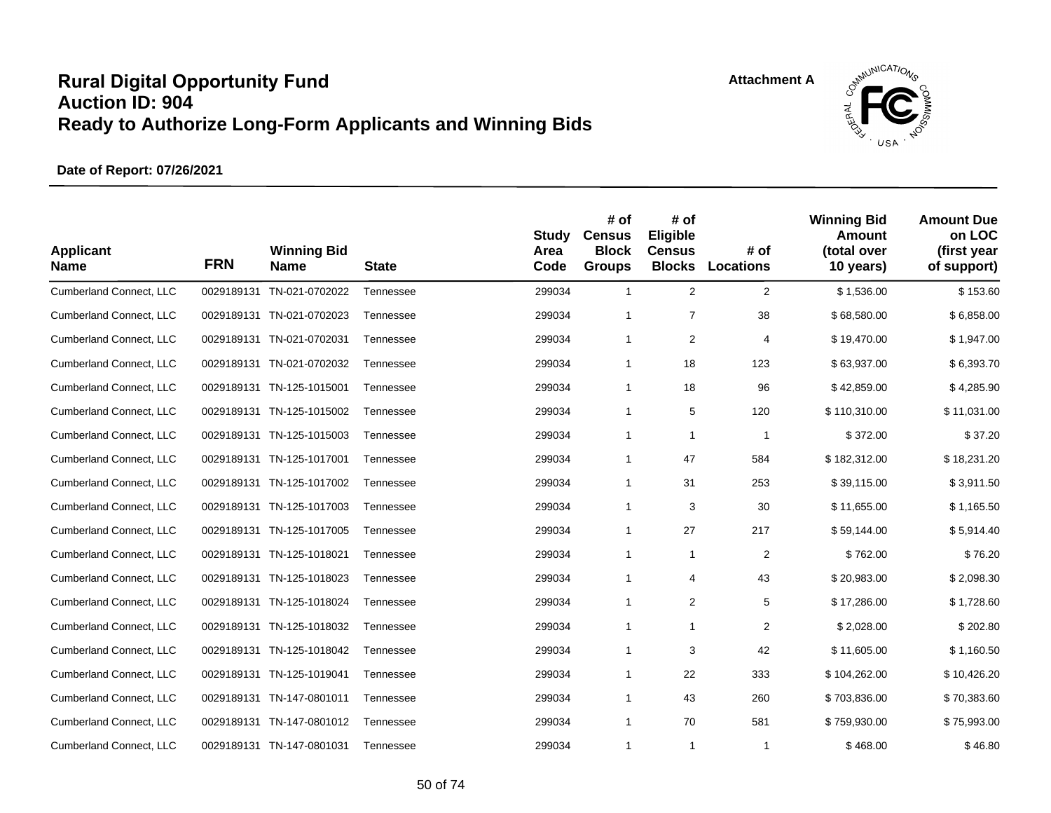

| <b>Applicant</b><br><b>Name</b> | <b>FRN</b> | <b>Winning Bid</b><br><b>Name</b> | <b>State</b> | <b>Study</b><br>Area<br>Code | # of<br><b>Census</b><br><b>Block</b><br><b>Groups</b> | # of<br>Eligible<br><b>Census</b><br><b>Blocks</b> | # of<br>Locations | <b>Winning Bid</b><br>Amount<br>(total over<br>10 years) | <b>Amount Due</b><br>on LOC<br>(first year<br>of support) |
|---------------------------------|------------|-----------------------------------|--------------|------------------------------|--------------------------------------------------------|----------------------------------------------------|-------------------|----------------------------------------------------------|-----------------------------------------------------------|
| Cumberland Connect, LLC         |            | 0029189131 TN-021-0702022         | Tennessee    | 299034                       | $\mathbf{1}$                                           | $\overline{2}$                                     | $\overline{2}$    | \$1,536.00                                               | \$153.60                                                  |
| Cumberland Connect, LLC         |            | 0029189131 TN-021-0702023         | Tennessee    | 299034                       | 1                                                      | $\overline{7}$                                     | 38                | \$68,580.00                                              | \$6,858.00                                                |
| Cumberland Connect, LLC         |            | 0029189131 TN-021-0702031         | Tennessee    | 299034                       | $\mathbf{1}$                                           | 2                                                  | 4                 | \$19,470.00                                              | \$1,947.00                                                |
| Cumberland Connect, LLC         |            | 0029189131 TN-021-0702032         | Tennessee    | 299034                       | $\mathbf{1}$                                           | 18                                                 | 123               | \$63,937.00                                              | \$6,393.70                                                |
| Cumberland Connect, LLC         |            | 0029189131 TN-125-1015001         | Tennessee    | 299034                       | $\mathbf{1}$                                           | 18                                                 | 96                | \$42,859.00                                              | \$4,285.90                                                |
| Cumberland Connect, LLC         | 0029189131 | TN-125-1015002                    | Tennessee    | 299034                       | $\mathbf{1}$                                           | 5                                                  | 120               | \$110,310.00                                             | \$11,031.00                                               |
| Cumberland Connect, LLC         |            | 0029189131 TN-125-1015003         | Tennessee    | 299034                       | $\mathbf{1}$                                           | $\mathbf{1}$                                       | $\mathbf{1}$      | \$372.00                                                 | \$37.20                                                   |
| Cumberland Connect, LLC         |            | 0029189131 TN-125-1017001         | Tennessee    | 299034                       | $\mathbf{1}$                                           | 47                                                 | 584               | \$182,312.00                                             | \$18,231.20                                               |
| Cumberland Connect, LLC         |            | 0029189131 TN-125-1017002         | Tennessee    | 299034                       | $\mathbf{1}$                                           | 31                                                 | 253               | \$39,115.00                                              | \$3,911.50                                                |
| Cumberland Connect, LLC         |            | 0029189131 TN-125-1017003         | Tennessee    | 299034                       | $\mathbf{1}$                                           | 3                                                  | 30                | \$11,655.00                                              | \$1,165.50                                                |
| Cumberland Connect, LLC         |            | 0029189131 TN-125-1017005         | Tennessee    | 299034                       | $\mathbf{1}$                                           | 27                                                 | 217               | \$59,144.00                                              | \$5,914.40                                                |
| Cumberland Connect, LLC         |            | 0029189131 TN-125-1018021         | Tennessee    | 299034                       | 1                                                      | $\mathbf{1}$                                       | $\overline{2}$    | \$762.00                                                 | \$76.20                                                   |
| Cumberland Connect, LLC         |            | 0029189131 TN-125-1018023         | Tennessee    | 299034                       | $\mathbf{1}$                                           | 4                                                  | 43                | \$20,983.00                                              | \$2,098.30                                                |
| Cumberland Connect, LLC         | 0029189131 | TN-125-1018024                    | Tennessee    | 299034                       | $\mathbf{1}$                                           | $\overline{\mathbf{c}}$                            | 5                 | \$17,286.00                                              | \$1,728.60                                                |
| Cumberland Connect, LLC         |            | 0029189131 TN-125-1018032         | Tennessee    | 299034                       | $\mathbf{1}$                                           | $\mathbf{1}$                                       | $\overline{2}$    | \$2,028.00                                               | \$202.80                                                  |
| Cumberland Connect, LLC         |            | 0029189131 TN-125-1018042         | Tennessee    | 299034                       | $\mathbf{1}$                                           | 3                                                  | 42                | \$11,605.00                                              | \$1,160.50                                                |
| Cumberland Connect, LLC         |            | 0029189131 TN-125-1019041         | Tennessee    | 299034                       | $\mathbf{1}$                                           | 22                                                 | 333               | \$104,262.00                                             | \$10,426.20                                               |
| Cumberland Connect, LLC         |            | 0029189131 TN-147-0801011         | Tennessee    | 299034                       | $\mathbf{1}$                                           | 43                                                 | 260               | \$703,836.00                                             | \$70,383.60                                               |
| Cumberland Connect, LLC         |            | 0029189131 TN-147-0801012         | Tennessee    | 299034                       | $\mathbf{1}$                                           | 70                                                 | 581               | \$759,930.00                                             | \$75,993.00                                               |
| Cumberland Connect, LLC         |            | 0029189131 TN-147-0801031         | Tennessee    | 299034                       | 1                                                      | $\mathbf{1}$                                       | $\mathbf 1$       | \$468.00                                                 | \$46.80                                                   |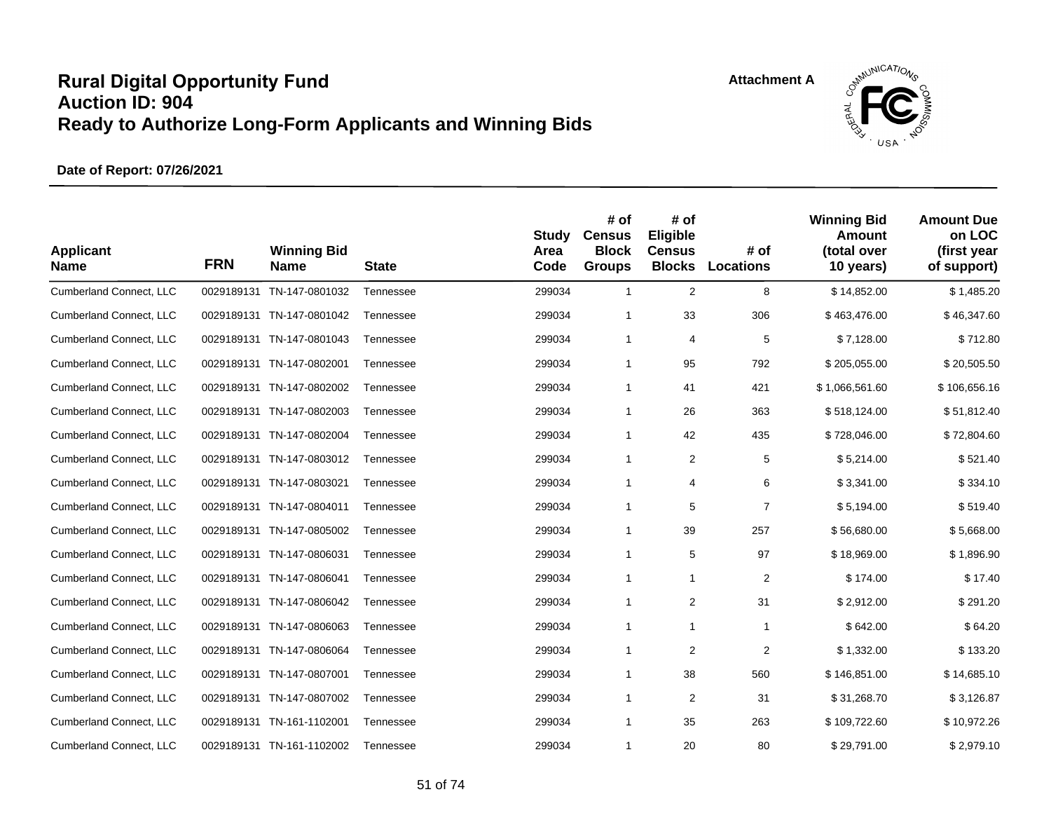

| <b>Applicant</b><br><b>Name</b> | <b>FRN</b> | <b>Winning Bid</b><br><b>Name</b> | <b>State</b> | <b>Study</b><br>Area<br>Code | # of<br><b>Census</b><br><b>Block</b><br><b>Groups</b> | # of<br>Eligible<br><b>Census</b><br><b>Blocks</b> | # of<br>Locations | <b>Winning Bid</b><br><b>Amount</b><br>(total over<br>10 years) | <b>Amount Due</b><br>on LOC<br>(first year<br>of support) |
|---------------------------------|------------|-----------------------------------|--------------|------------------------------|--------------------------------------------------------|----------------------------------------------------|-------------------|-----------------------------------------------------------------|-----------------------------------------------------------|
| Cumberland Connect, LLC         | 0029189131 | TN-147-0801032                    | Tennessee    | 299034                       | $\mathbf{1}$                                           | $\overline{2}$                                     | 8                 | \$14,852.00                                                     | \$1,485.20                                                |
| Cumberland Connect, LLC         | 0029189131 | TN-147-0801042                    | Tennessee    | 299034                       | $\mathbf{1}$                                           | 33                                                 | 306               | \$463,476.00                                                    | \$46,347.60                                               |
| Cumberland Connect, LLC         | 0029189131 | TN-147-0801043                    | Tennessee    | 299034                       | $\mathbf{1}$                                           | 4                                                  | 5                 | \$7,128.00                                                      | \$712.80                                                  |
| <b>Cumberland Connect, LLC</b>  |            | 0029189131 TN-147-0802001         | Tennessee    | 299034                       | $\mathbf{1}$                                           | 95                                                 | 792               | \$205,055.00                                                    | \$20,505.50                                               |
| Cumberland Connect, LLC         | 0029189131 | TN-147-0802002                    | Tennessee    | 299034                       | $\mathbf{1}$                                           | 41                                                 | 421               | \$1,066,561.60                                                  | \$106,656.16                                              |
| Cumberland Connect, LLC         | 0029189131 | TN-147-0802003                    | Tennessee    | 299034                       | $\mathbf{1}$                                           | 26                                                 | 363               | \$518,124.00                                                    | \$51,812.40                                               |
| Cumberland Connect, LLC         |            | 0029189131 TN-147-0802004         | Tennessee    | 299034                       | $\mathbf{1}$                                           | 42                                                 | 435               | \$728,046.00                                                    | \$72,804.60                                               |
| Cumberland Connect, LLC         | 0029189131 | TN-147-0803012                    | Tennessee    | 299034                       | $\mathbf{1}$                                           | $\overline{\mathbf{c}}$                            | 5                 | \$5,214.00                                                      | \$521.40                                                  |
| Cumberland Connect, LLC         | 0029189131 | TN-147-0803021                    | Tennessee    | 299034                       | $\mathbf{1}$                                           | 4                                                  | 6                 | \$3,341.00                                                      | \$334.10                                                  |
| Cumberland Connect, LLC         | 0029189131 | TN-147-0804011                    | Tennessee    | 299034                       | $\mathbf{1}$                                           | 5                                                  | $\overline{7}$    | \$5,194.00                                                      | \$519.40                                                  |
| Cumberland Connect, LLC         | 0029189131 | TN-147-0805002                    | Tennessee    | 299034                       | $\mathbf{1}$                                           | 39                                                 | 257               | \$56,680.00                                                     | \$5,668.00                                                |
| Cumberland Connect, LLC         |            | 0029189131 TN-147-0806031         | Tennessee    | 299034                       | $\mathbf{1}$                                           | 5                                                  | 97                | \$18,969.00                                                     | \$1,896.90                                                |
| Cumberland Connect, LLC         | 0029189131 | TN-147-0806041                    | Tennessee    | 299034                       | $\mathbf{1}$                                           | $\mathbf{1}$                                       | $\overline{2}$    | \$174.00                                                        | \$17.40                                                   |
| Cumberland Connect, LLC         | 0029189131 | TN-147-0806042                    | Tennessee    | 299034                       | $\mathbf{1}$                                           | $\overline{\mathbf{c}}$                            | 31                | \$2,912.00                                                      | \$291.20                                                  |
| Cumberland Connect, LLC         |            | 0029189131 TN-147-0806063         | Tennessee    | 299034                       | $\mathbf{1}$                                           | $\mathbf{1}$                                       | $\mathbf{1}$      | \$642.00                                                        | \$64.20                                                   |
| Cumberland Connect, LLC         | 0029189131 | TN-147-0806064                    | Tennessee    | 299034                       | $\mathbf{1}$                                           | $\overline{2}$                                     | $\overline{c}$    | \$1,332.00                                                      | \$133.20                                                  |
| Cumberland Connect, LLC         | 0029189131 | TN-147-0807001                    | Tennessee    | 299034                       | $\mathbf{1}$                                           | 38                                                 | 560               | \$146,851.00                                                    | \$14,685.10                                               |
| Cumberland Connect, LLC         | 0029189131 | TN-147-0807002                    | Tennessee    | 299034                       | $\mathbf{1}$                                           | 2                                                  | 31                | \$31,268.70                                                     | \$3,126.87                                                |
| Cumberland Connect, LLC         |            | 0029189131 TN-161-1102001         | Tennessee    | 299034                       | $\mathbf{1}$                                           | 35                                                 | 263               | \$109,722.60                                                    | \$10,972.26                                               |
| <b>Cumberland Connect, LLC</b>  |            | 0029189131 TN-161-1102002         | Tennessee    | 299034                       | 1                                                      | 20                                                 | 80                | \$29,791.00                                                     | \$2,979.10                                                |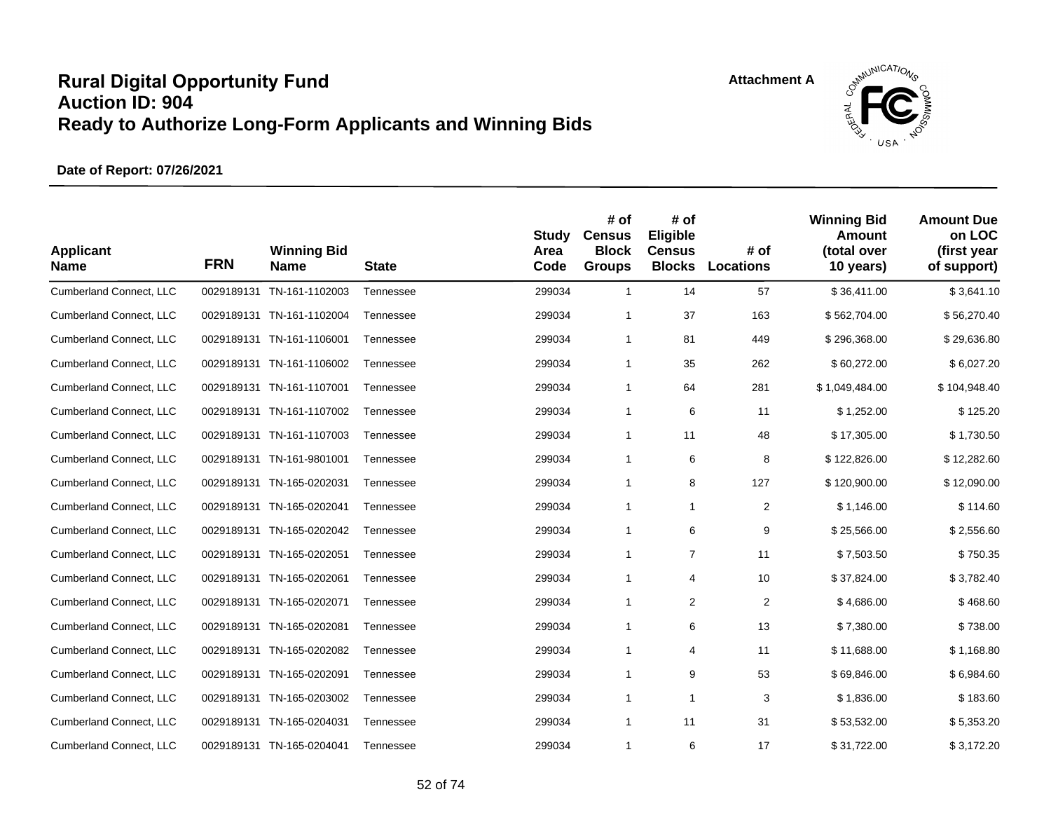

| <b>Applicant</b><br><b>Name</b> | <b>FRN</b> | <b>Winning Bid</b><br><b>Name</b> | <b>State</b> | <b>Study</b><br>Area<br>Code | # of<br><b>Census</b><br><b>Block</b><br><b>Groups</b> | # of<br>Eligible<br><b>Census</b><br><b>Blocks</b> | # of<br><b>Locations</b> | <b>Winning Bid</b><br>Amount<br>(total over<br>10 years) | <b>Amount Due</b><br>on LOC<br>(first year<br>of support) |
|---------------------------------|------------|-----------------------------------|--------------|------------------------------|--------------------------------------------------------|----------------------------------------------------|--------------------------|----------------------------------------------------------|-----------------------------------------------------------|
| Cumberland Connect, LLC         | 0029189131 | TN-161-1102003                    | Tennessee    | 299034                       | $\mathbf{1}$                                           | 14                                                 | 57                       | \$36,411.00                                              | \$3,641.10                                                |
| Cumberland Connect, LLC         |            | 0029189131 TN-161-1102004         | Tennessee    | 299034                       | $\mathbf{1}$                                           | 37                                                 | 163                      | \$562,704.00                                             | \$56,270.40                                               |
| Cumberland Connect, LLC         |            | 0029189131 TN-161-1106001         | Tennessee    | 299034                       | $\mathbf{1}$                                           | 81                                                 | 449                      | \$296,368.00                                             | \$29,636.80                                               |
| Cumberland Connect, LLC         |            | 0029189131 TN-161-1106002         | Tennessee    | 299034                       | $\mathbf{1}$                                           | 35                                                 | 262                      | \$60,272.00                                              | \$6,027.20                                                |
| Cumberland Connect, LLC         |            | 0029189131 TN-161-1107001         | Tennessee    | 299034                       | $\mathbf{1}$                                           | 64                                                 | 281                      | \$1,049,484.00                                           | \$104,948.40                                              |
| Cumberland Connect, LLC         |            | 0029189131 TN-161-1107002         | Tennessee    | 299034                       | $\mathbf{1}$                                           | 6                                                  | 11                       | \$1,252.00                                               | \$125.20                                                  |
| Cumberland Connect, LLC         |            | 0029189131 TN-161-1107003         | Tennessee    | 299034                       | $\mathbf{1}$                                           | 11                                                 | 48                       | \$17,305.00                                              | \$1,730.50                                                |
| Cumberland Connect, LLC         |            | 0029189131 TN-161-9801001         | Tennessee    | 299034                       | $\mathbf{1}$                                           | 6                                                  | 8                        | \$122,826.00                                             | \$12,282.60                                               |
| Cumberland Connect, LLC         |            | 0029189131 TN-165-0202031         | Tennessee    | 299034                       | $\mathbf{1}$                                           | 8                                                  | 127                      | \$120,900.00                                             | \$12,090.00                                               |
| Cumberland Connect, LLC         |            | 0029189131 TN-165-0202041         | Tennessee    | 299034                       | $\mathbf{1}$                                           | $\mathbf{1}$                                       | $\overline{2}$           | \$1,146.00                                               | \$114.60                                                  |
| Cumberland Connect, LLC         |            | 0029189131 TN-165-0202042         | Tennessee    | 299034                       | $\mathbf{1}$                                           | 6                                                  | 9                        | \$25,566.00                                              | \$2,556.60                                                |
| Cumberland Connect, LLC         |            | 0029189131 TN-165-0202051         | Tennessee    | 299034                       | $\mathbf{1}$                                           | $\overline{7}$                                     | 11                       | \$7,503.50                                               | \$750.35                                                  |
| Cumberland Connect, LLC         |            | 0029189131 TN-165-0202061         | Tennessee    | 299034                       | 1                                                      | 4                                                  | 10                       | \$37,824.00                                              | \$3,782.40                                                |
| Cumberland Connect, LLC         | 0029189131 | TN-165-0202071                    | Tennessee    | 299034                       | $\mathbf{1}$                                           | $\overline{c}$                                     | $\overline{2}$           | \$4,686.00                                               | \$468.60                                                  |
| Cumberland Connect, LLC         |            | 0029189131 TN-165-0202081         | Tennessee    | 299034                       | $\mathbf{1}$                                           | 6                                                  | 13                       | \$7,380.00                                               | \$738.00                                                  |
| Cumberland Connect, LLC         | 0029189131 | TN-165-0202082                    | Tennessee    | 299034                       | $\mathbf{1}$                                           | 4                                                  | 11                       | \$11,688.00                                              | \$1,168.80                                                |
| Cumberland Connect, LLC         | 0029189131 | TN-165-0202091                    | Tennessee    | 299034                       | 1                                                      | 9                                                  | 53                       | \$69,846.00                                              | \$6,984.60                                                |
| Cumberland Connect, LLC         |            | 0029189131 TN-165-0203002         | Tennessee    | 299034                       | $\mathbf{1}$                                           | $\mathbf{1}$                                       | 3                        | \$1,836.00                                               | \$183.60                                                  |
| Cumberland Connect, LLC         |            | 0029189131 TN-165-0204031         | Tennessee    | 299034                       | $\mathbf{1}$                                           | 11                                                 | 31                       | \$53,532.00                                              | \$5,353.20                                                |
| Cumberland Connect, LLC         |            | 0029189131 TN-165-0204041         | Tennessee    | 299034                       | 1                                                      | 6                                                  | 17                       | \$31,722.00                                              | \$3,172.20                                                |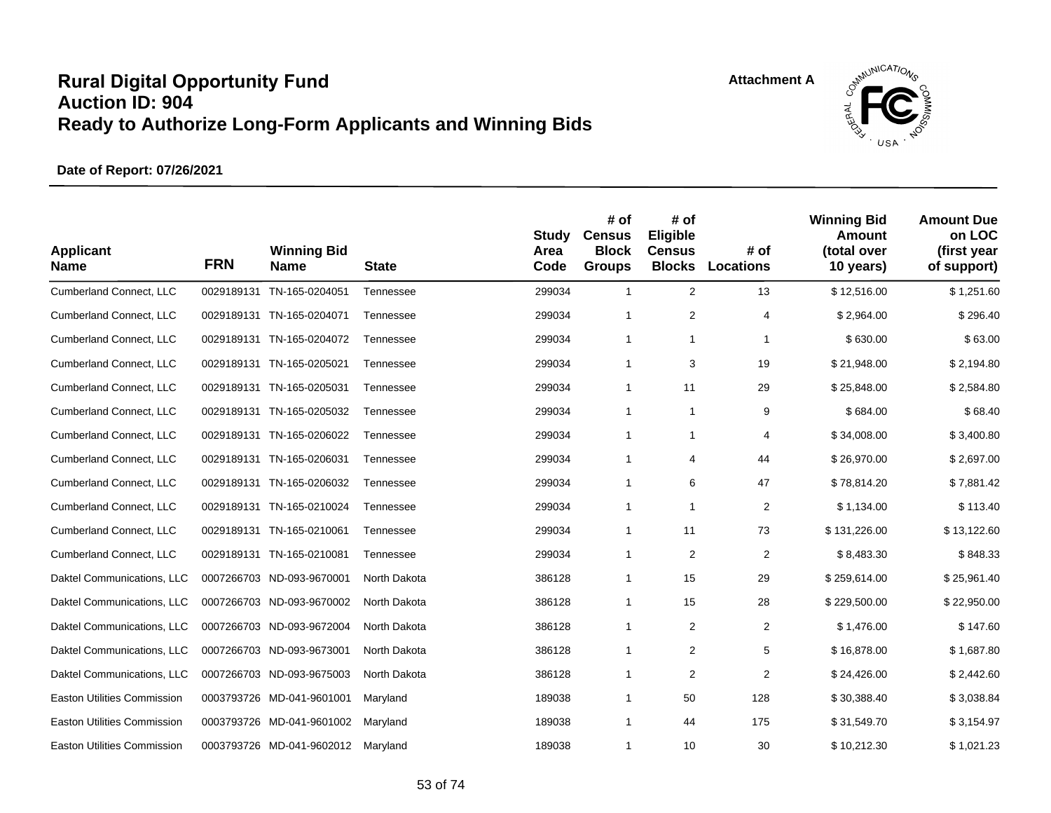



| <b>Applicant</b><br><b>Name</b>    | <b>FRN</b> | <b>Winning Bid</b><br><b>Name</b> | <b>State</b> | <b>Study</b><br>Area<br>Code | # of<br><b>Census</b><br><b>Block</b><br><b>Groups</b> | # of<br>Eligible<br><b>Census</b><br><b>Blocks</b> | # of<br><b>Locations</b> | <b>Winning Bid</b><br>Amount<br>(total over<br>10 years) | <b>Amount Due</b><br>on LOC<br>(first year<br>of support) |
|------------------------------------|------------|-----------------------------------|--------------|------------------------------|--------------------------------------------------------|----------------------------------------------------|--------------------------|----------------------------------------------------------|-----------------------------------------------------------|
| Cumberland Connect, LLC            | 0029189131 | TN-165-0204051                    | Tennessee    | 299034                       | $\mathbf{1}$                                           | $\overline{2}$                                     | 13                       | \$12,516.00                                              | \$1,251.60                                                |
| Cumberland Connect, LLC            | 0029189131 | TN-165-0204071                    | Tennessee    | 299034                       | $\mathbf{1}$                                           | $\overline{2}$                                     | 4                        | \$2,964.00                                               | \$296.40                                                  |
| Cumberland Connect, LLC            | 0029189131 | TN-165-0204072                    | Tennessee    | 299034                       | $\mathbf{1}$                                           | 1                                                  | 1                        | \$630.00                                                 | \$63.00                                                   |
| Cumberland Connect, LLC            |            | 0029189131 TN-165-0205021         | Tennessee    | 299034                       | $\mathbf{1}$                                           | 3                                                  | 19                       | \$21,948.00                                              | \$2,194.80                                                |
| Cumberland Connect, LLC            | 0029189131 | TN-165-0205031                    | Tennessee    | 299034                       | $\mathbf{1}$                                           | 11                                                 | 29                       | \$25,848.00                                              | \$2,584.80                                                |
| Cumberland Connect, LLC            | 0029189131 | TN-165-0205032                    | Tennessee    | 299034                       | $\mathbf{1}$                                           | 1                                                  | 9                        | \$684.00                                                 | \$68.40                                                   |
| <b>Cumberland Connect, LLC</b>     |            | 0029189131 TN-165-0206022         | Tennessee    | 299034                       | $\mathbf{1}$                                           | $\mathbf{1}$                                       | 4                        | \$34,008.00                                              | \$3,400.80                                                |
| Cumberland Connect, LLC            | 0029189131 | TN-165-0206031                    | Tennessee    | 299034                       | $\mathbf{1}$                                           | 4                                                  | 44                       | \$26,970.00                                              | \$2,697.00                                                |
| <b>Cumberland Connect, LLC</b>     | 0029189131 | TN-165-0206032                    | Tennessee    | 299034                       | $\mathbf{1}$                                           | 6                                                  | 47                       | \$78,814.20                                              | \$7,881.42                                                |
| <b>Cumberland Connect, LLC</b>     | 0029189131 | TN-165-0210024                    | Tennessee    | 299034                       | $\mathbf{1}$                                           | 1                                                  | $\overline{2}$           | \$1,134.00                                               | \$113.40                                                  |
| <b>Cumberland Connect, LLC</b>     | 0029189131 | TN-165-0210061                    | Tennessee    | 299034                       | $\mathbf{1}$                                           | 11                                                 | 73                       | \$131,226.00                                             | \$13,122.60                                               |
| Cumberland Connect, LLC            | 0029189131 | TN-165-0210081                    | Tennessee    | 299034                       | $\mathbf{1}$                                           | $\overline{2}$                                     | $\overline{2}$           | \$8,483.30                                               | \$848.33                                                  |
| Daktel Communications, LLC         |            | 0007266703 ND-093-9670001         | North Dakota | 386128                       | $\mathbf{1}$                                           | 15                                                 | 29                       | \$259,614.00                                             | \$25,961.40                                               |
| Daktel Communications, LLC         |            | 0007266703 ND-093-9670002         | North Dakota | 386128                       | $\mathbf{1}$                                           | 15                                                 | 28                       | \$229,500.00                                             | \$22,950.00                                               |
| Daktel Communications, LLC         |            | 0007266703 ND-093-9672004         | North Dakota | 386128                       | $\mathbf{1}$                                           | $\overline{2}$                                     | $\overline{2}$           | \$1,476.00                                               | \$147.60                                                  |
| Daktel Communications, LLC         |            | 0007266703 ND-093-9673001         | North Dakota | 386128                       | $\mathbf{1}$                                           | 2                                                  | 5                        | \$16,878.00                                              | \$1,687.80                                                |
| Daktel Communications, LLC         |            | 0007266703 ND-093-9675003         | North Dakota | 386128                       | $\mathbf{1}$                                           | $\overline{\mathbf{c}}$                            | $\overline{2}$           | \$24,426.00                                              | \$2,442.60                                                |
| Easton Utilities Commission        |            | 0003793726 MD-041-9601001         | Maryland     | 189038                       | $\mathbf{1}$                                           | 50                                                 | 128                      | \$30,388.40                                              | \$3,038.84                                                |
| <b>Easton Utilities Commission</b> |            | 0003793726 MD-041-9601002         | Maryland     | 189038                       | $\mathbf{1}$                                           | 44                                                 | 175                      | \$31,549.70                                              | \$3,154.97                                                |
| <b>Easton Utilities Commission</b> |            | 0003793726 MD-041-9602012         | Maryland     | 189038                       | 1                                                      | 10                                                 | 30                       | \$10,212.30                                              | \$1,021.23                                                |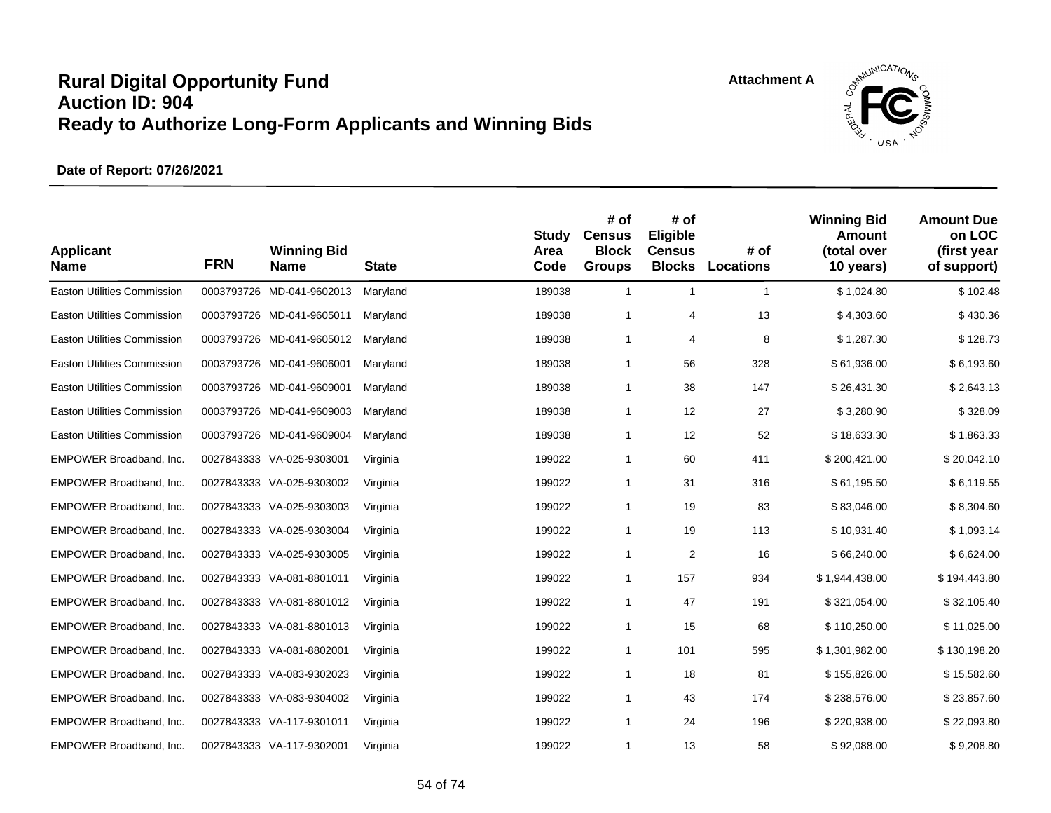

| <b>Applicant</b><br><b>Name</b>    | <b>FRN</b> | <b>Winning Bid</b><br><b>Name</b> | <b>State</b> | <b>Study</b><br>Area<br>Code | # of<br><b>Census</b><br><b>Block</b><br><b>Groups</b> | # of<br>Eligible<br><b>Census</b><br><b>Blocks</b> | # of<br><b>Locations</b> | <b>Winning Bid</b><br>Amount<br>(total over<br>10 years) | <b>Amount Due</b><br>on LOC<br>(first year<br>of support) |
|------------------------------------|------------|-----------------------------------|--------------|------------------------------|--------------------------------------------------------|----------------------------------------------------|--------------------------|----------------------------------------------------------|-----------------------------------------------------------|
| <b>Easton Utilities Commission</b> |            | 0003793726 MD-041-9602013         | Maryland     | 189038                       | $\mathbf{1}$                                           | $\mathbf{1}$                                       | $\mathbf{1}$             | \$1,024.80                                               | \$102.48                                                  |
| <b>Easton Utilities Commission</b> |            | 0003793726 MD-041-9605011         | Maryland     | 189038                       | $\mathbf{1}$                                           | $\overline{4}$                                     | 13                       | \$4,303.60                                               | \$430.36                                                  |
| <b>Easton Utilities Commission</b> |            | 0003793726 MD-041-9605012         | Maryland     | 189038                       | $\mathbf{1}$                                           | 4                                                  | 8                        | \$1,287.30                                               | \$128.73                                                  |
| <b>Easton Utilities Commission</b> |            | 0003793726 MD-041-9606001         | Maryland     | 189038                       | $\mathbf{1}$                                           | 56                                                 | 328                      | \$61,936.00                                              | \$6,193.60                                                |
| <b>Easton Utilities Commission</b> |            | 0003793726 MD-041-9609001         | Maryland     | 189038                       | $\mathbf{1}$                                           | 38                                                 | 147                      | \$26,431.30                                              | \$2,643.13                                                |
| <b>Easton Utilities Commission</b> |            | 0003793726 MD-041-9609003         | Maryland     | 189038                       | $\mathbf{1}$                                           | 12                                                 | 27                       | \$3,280.90                                               | \$328.09                                                  |
| <b>Easton Utilities Commission</b> |            | 0003793726 MD-041-9609004         | Maryland     | 189038                       | $\mathbf{1}$                                           | 12                                                 | 52                       | \$18,633.30                                              | \$1,863.33                                                |
| EMPOWER Broadband, Inc.            |            | 0027843333 VA-025-9303001         | Virginia     | 199022                       | $\mathbf{1}$                                           | 60                                                 | 411                      | \$200,421.00                                             | \$20,042.10                                               |
| EMPOWER Broadband, Inc.            |            | 0027843333 VA-025-9303002         | Virginia     | 199022                       | $\mathbf{1}$                                           | 31                                                 | 316                      | \$61,195.50                                              | \$6,119.55                                                |
| EMPOWER Broadband, Inc.            |            | 0027843333 VA-025-9303003         | Virginia     | 199022                       | $\mathbf{1}$                                           | 19                                                 | 83                       | \$83,046.00                                              | \$8,304.60                                                |
| EMPOWER Broadband, Inc.            |            | 0027843333 VA-025-9303004         | Virginia     | 199022                       | $\mathbf{1}$                                           | 19                                                 | 113                      | \$10,931.40                                              | \$1,093.14                                                |
| EMPOWER Broadband, Inc.            |            | 0027843333 VA-025-9303005         | Virginia     | 199022                       | $\mathbf{1}$                                           | $\overline{2}$                                     | 16                       | \$66,240.00                                              | \$6,624.00                                                |
| EMPOWER Broadband, Inc.            |            | 0027843333 VA-081-8801011         | Virginia     | 199022                       | $\mathbf{1}$                                           | 157                                                | 934                      | \$1,944,438.00                                           | \$194,443.80                                              |
| EMPOWER Broadband, Inc.            |            | 0027843333 VA-081-8801012         | Virginia     | 199022                       | $\mathbf{1}$                                           | 47                                                 | 191                      | \$321,054.00                                             | \$32,105.40                                               |
| EMPOWER Broadband, Inc.            |            | 0027843333 VA-081-8801013         | Virginia     | 199022                       | $\mathbf{1}$                                           | 15                                                 | 68                       | \$110,250.00                                             | \$11,025.00                                               |
| EMPOWER Broadband, Inc.            |            | 0027843333 VA-081-8802001         | Virginia     | 199022                       | $\mathbf{1}$                                           | 101                                                | 595                      | \$1,301,982.00                                           | \$130,198.20                                              |
| EMPOWER Broadband, Inc.            |            | 0027843333 VA-083-9302023         | Virginia     | 199022                       | $\mathbf{1}$                                           | 18                                                 | 81                       | \$155,826.00                                             | \$15,582.60                                               |
| EMPOWER Broadband, Inc.            |            | 0027843333 VA-083-9304002         | Virginia     | 199022                       | $\mathbf{1}$                                           | 43                                                 | 174                      | \$238,576.00                                             | \$23,857.60                                               |
| EMPOWER Broadband, Inc.            |            | 0027843333 VA-117-9301011         | Virginia     | 199022                       | $\mathbf{1}$                                           | 24                                                 | 196                      | \$220,938.00                                             | \$22,093.80                                               |
| EMPOWER Broadband, Inc.            |            | 0027843333 VA-117-9302001         | Virginia     | 199022                       | 1                                                      | 13                                                 | 58                       | \$92,088.00                                              | \$9,208.80                                                |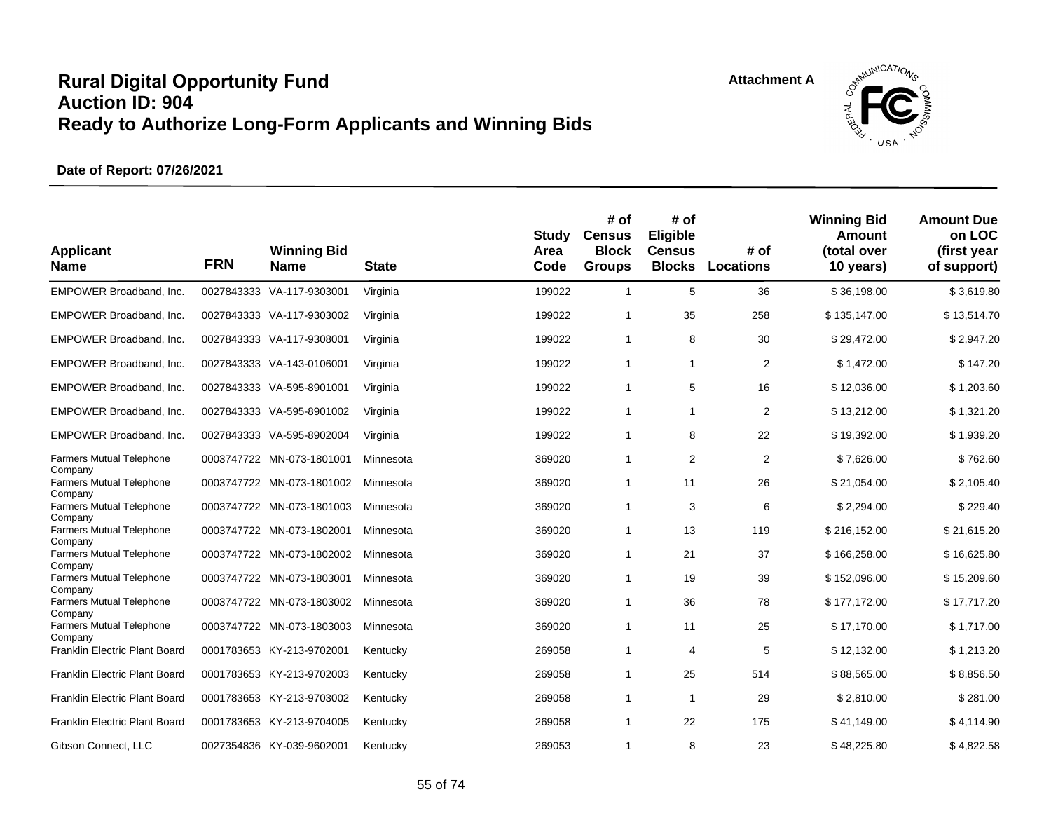

| <b>Applicant</b><br><b>Name</b>                       | <b>FRN</b> | <b>Winning Bid</b><br><b>Name</b> | <b>State</b> | Study<br>Area<br>Code | # of<br><b>Census</b><br><b>Block</b><br><b>Groups</b> | # of<br>Eligible<br><b>Census</b><br><b>Blocks</b> | # of<br><b>Locations</b> | <b>Winning Bid</b><br>Amount<br>(total over<br>10 years) | <b>Amount Due</b><br>on LOC<br>(first year<br>of support) |
|-------------------------------------------------------|------------|-----------------------------------|--------------|-----------------------|--------------------------------------------------------|----------------------------------------------------|--------------------------|----------------------------------------------------------|-----------------------------------------------------------|
| EMPOWER Broadband, Inc.                               |            | 0027843333 VA-117-9303001         | Virginia     | 199022                | $\mathbf{1}$                                           | 5                                                  | 36                       | \$36,198.00                                              | \$3,619.80                                                |
| EMPOWER Broadband, Inc.                               |            | 0027843333 VA-117-9303002         | Virginia     | 199022                | 1                                                      | 35                                                 | 258                      | \$135,147.00                                             | \$13,514.70                                               |
| EMPOWER Broadband, Inc.                               |            | 0027843333 VA-117-9308001         | Virginia     | 199022                | $\mathbf{1}$                                           | 8                                                  | 30                       | \$29,472.00                                              | \$2,947.20                                                |
| EMPOWER Broadband, Inc.                               |            | 0027843333 VA-143-0106001         | Virginia     | 199022                | $\mathbf{1}$                                           | 1                                                  | $\overline{2}$           | \$1,472.00                                               | \$147.20                                                  |
| EMPOWER Broadband, Inc.                               |            | 0027843333 VA-595-8901001         | Virginia     | 199022                | $\mathbf{1}$                                           | 5                                                  | 16                       | \$12,036.00                                              | \$1,203.60                                                |
| EMPOWER Broadband, Inc.                               |            | 0027843333 VA-595-8901002         | Virginia     | 199022                | 1                                                      | $\overline{1}$                                     | 2                        | \$13,212.00                                              | \$1,321.20                                                |
| EMPOWER Broadband, Inc.                               |            | 0027843333 VA-595-8902004         | Virginia     | 199022                | $\mathbf{1}$                                           | 8                                                  | 22                       | \$19,392.00                                              | \$1,939.20                                                |
| <b>Farmers Mutual Telephone</b>                       |            | 0003747722 MN-073-1801001         | Minnesota    | 369020                | 1                                                      | $\overline{2}$                                     | 2                        | \$7,626.00                                               | \$762.60                                                  |
| Company<br><b>Farmers Mutual Telephone</b>            |            | 0003747722 MN-073-1801002         | Minnesota    | 369020                | $\mathbf{1}$                                           | 11                                                 | 26                       | \$21,054.00                                              | \$2,105.40                                                |
| Company<br><b>Farmers Mutual Telephone</b><br>Company |            | 0003747722 MN-073-1801003         | Minnesota    | 369020                | $\mathbf{1}$                                           | 3                                                  | 6                        | \$2,294.00                                               | \$229.40                                                  |
| Farmers Mutual Telephone                              |            | 0003747722 MN-073-1802001         | Minnesota    | 369020                | $\mathbf{1}$                                           | 13                                                 | 119                      | \$216,152.00                                             | \$21,615.20                                               |
| Company<br><b>Farmers Mutual Telephone</b>            |            | 0003747722 MN-073-1802002         | Minnesota    | 369020                | 1                                                      | 21                                                 | 37                       | \$166,258.00                                             | \$16,625.80                                               |
| Company<br>Farmers Mutual Telephone                   |            | 0003747722 MN-073-1803001         | Minnesota    | 369020                | 1                                                      | 19                                                 | 39                       | \$152,096.00                                             | \$15,209.60                                               |
| Company<br><b>Farmers Mutual Telephone</b>            |            | 0003747722 MN-073-1803002         | Minnesota    | 369020                | $\mathbf 1$                                            | 36                                                 | 78                       | \$177,172.00                                             | \$17,717.20                                               |
| Company<br><b>Farmers Mutual Telephone</b>            |            | 0003747722 MN-073-1803003         | Minnesota    | 369020                | $\mathbf{1}$                                           | 11                                                 | 25                       | \$17,170.00                                              | \$1,717.00                                                |
| Company<br>Franklin Electric Plant Board              |            | 0001783653 KY-213-9702001         | Kentucky     | 269058                | 1                                                      | 4                                                  | 5                        | \$12,132.00                                              | \$1,213.20                                                |
| Franklin Electric Plant Board                         |            | 0001783653 KY-213-9702003         | Kentucky     | 269058                | $\mathbf{1}$                                           | 25                                                 | 514                      | \$88,565.00                                              | \$8,856.50                                                |
| Franklin Electric Plant Board                         |            | 0001783653 KY-213-9703002         | Kentucky     | 269058                | 1                                                      | $\mathbf{1}$                                       | 29                       | \$2,810.00                                               | \$281.00                                                  |
| Franklin Electric Plant Board                         |            | 0001783653 KY-213-9704005         | Kentucky     | 269058                | $\mathbf{1}$                                           | 22                                                 | 175                      | \$41,149.00                                              | \$4,114.90                                                |
| Gibson Connect, LLC                                   |            | 0027354836 KY-039-9602001         | Kentucky     | 269053                | 1                                                      | 8                                                  | 23                       | \$48,225.80                                              | \$4,822.58                                                |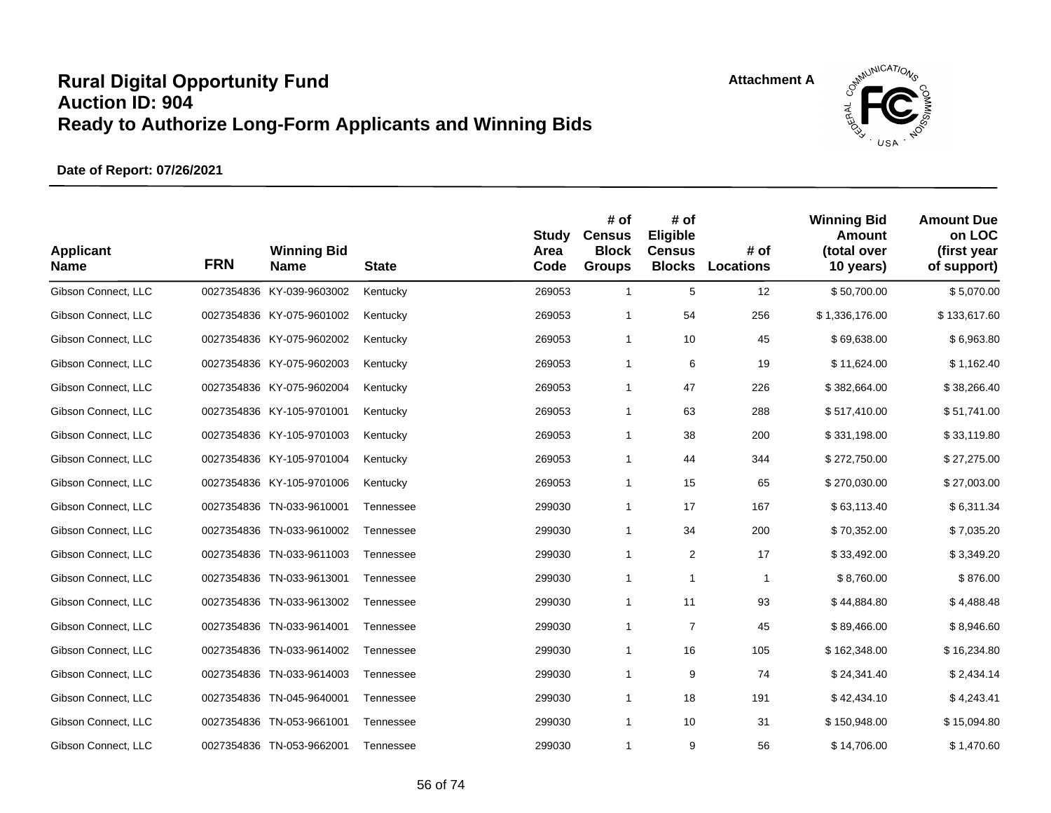

| <b>Applicant</b><br><b>Name</b> | <b>FRN</b> | <b>Winning Bid</b><br><b>Name</b> | <b>State</b> | <b>Study</b><br>Area<br>Code | # of<br><b>Census</b><br><b>Block</b><br><b>Groups</b> | # of<br>Eligible<br><b>Census</b><br><b>Blocks</b> | # of<br><b>Locations</b> | <b>Winning Bid</b><br>Amount<br>(total over<br>10 years) | <b>Amount Due</b><br>on LOC<br>(first year<br>of support) |
|---------------------------------|------------|-----------------------------------|--------------|------------------------------|--------------------------------------------------------|----------------------------------------------------|--------------------------|----------------------------------------------------------|-----------------------------------------------------------|
| Gibson Connect, LLC             |            | 0027354836 KY-039-9603002         | Kentucky     | 269053                       | $\mathbf{1}$                                           | 5                                                  | 12                       | \$50,700.00                                              | \$5,070.00                                                |
| Gibson Connect, LLC             |            | 0027354836 KY-075-9601002         | Kentucky     | 269053                       | $\mathbf{1}$                                           | 54                                                 | 256                      | \$1,336,176.00                                           | \$133,617.60                                              |
| Gibson Connect, LLC             |            | 0027354836 KY-075-9602002         | Kentucky     | 269053                       | $\mathbf{1}$                                           | 10                                                 | 45                       | \$69,638.00                                              | \$6,963.80                                                |
| Gibson Connect, LLC             |            | 0027354836 KY-075-9602003         | Kentucky     | 269053                       | $\mathbf{1}$                                           | 6                                                  | 19                       | \$11,624.00                                              | \$1,162.40                                                |
| Gibson Connect, LLC             |            | 0027354836 KY-075-9602004         | Kentucky     | 269053                       | $\mathbf{1}$                                           | 47                                                 | 226                      | \$382,664.00                                             | \$38,266.40                                               |
| Gibson Connect, LLC             |            | 0027354836 KY-105-9701001         | Kentucky     | 269053                       | $\mathbf{1}$                                           | 63                                                 | 288                      | \$517,410.00                                             | \$51,741.00                                               |
| Gibson Connect, LLC             |            | 0027354836 KY-105-9701003         | Kentucky     | 269053                       | $\mathbf{1}$                                           | 38                                                 | 200                      | \$331,198.00                                             | \$33,119.80                                               |
| Gibson Connect, LLC             |            | 0027354836 KY-105-9701004         | Kentucky     | 269053                       | $\mathbf{1}$                                           | 44                                                 | 344                      | \$272,750.00                                             | \$27,275.00                                               |
| Gibson Connect, LLC             |            | 0027354836 KY-105-9701006         | Kentucky     | 269053                       | $\mathbf{1}$                                           | 15                                                 | 65                       | \$270,030.00                                             | \$27,003.00                                               |
| Gibson Connect, LLC             |            | 0027354836 TN-033-9610001         | Tennessee    | 299030                       | $\mathbf{1}$                                           | 17                                                 | 167                      | \$63,113.40                                              | \$6,311.34                                                |
| Gibson Connect, LLC             |            | 0027354836 TN-033-9610002         | Tennessee    | 299030                       | $\mathbf{1}$                                           | 34                                                 | 200                      | \$70,352.00                                              | \$7,035.20                                                |
| Gibson Connect, LLC             |            | 0027354836 TN-033-9611003         | Tennessee    | 299030                       | $\mathbf{1}$                                           | $\overline{\mathbf{c}}$                            | 17                       | \$33,492.00                                              | \$3,349.20                                                |
| Gibson Connect, LLC             |            | 0027354836 TN-033-9613001         | Tennessee    | 299030                       | $\mathbf{1}$                                           | $\mathbf{1}$                                       | $\mathbf{1}$             | \$8,760.00                                               | \$876.00                                                  |
| Gibson Connect, LLC             |            | 0027354836 TN-033-9613002         | Tennessee    | 299030                       | $\mathbf{1}$                                           | 11                                                 | 93                       | \$44,884.80                                              | \$4,488.48                                                |
| Gibson Connect, LLC             |            | 0027354836 TN-033-9614001         | Tennessee    | 299030                       | $\mathbf{1}$                                           | 7                                                  | 45                       | \$89,466.00                                              | \$8,946.60                                                |
| Gibson Connect, LLC             |            | 0027354836 TN-033-9614002         | Tennessee    | 299030                       | $\mathbf{1}$                                           | 16                                                 | 105                      | \$162,348.00                                             | \$16,234.80                                               |
| Gibson Connect, LLC             |            | 0027354836 TN-033-9614003         | Tennessee    | 299030                       | $\mathbf{1}$                                           | 9                                                  | 74                       | \$24,341.40                                              | \$2,434.14                                                |
| Gibson Connect, LLC             |            | 0027354836 TN-045-9640001         | Tennessee    | 299030                       | $\mathbf{1}$                                           | 18                                                 | 191                      | \$42,434.10                                              | \$4,243.41                                                |
| Gibson Connect, LLC             |            | 0027354836 TN-053-9661001         | Tennessee    | 299030                       | $\mathbf{1}$                                           | 10                                                 | 31                       | \$150,948.00                                             | \$15,094.80                                               |
| Gibson Connect, LLC             |            | 0027354836 TN-053-9662001         | Tennessee    | 299030                       | $\mathbf{1}$                                           | 9                                                  | 56                       | \$14,706.00                                              | \$1,470.60                                                |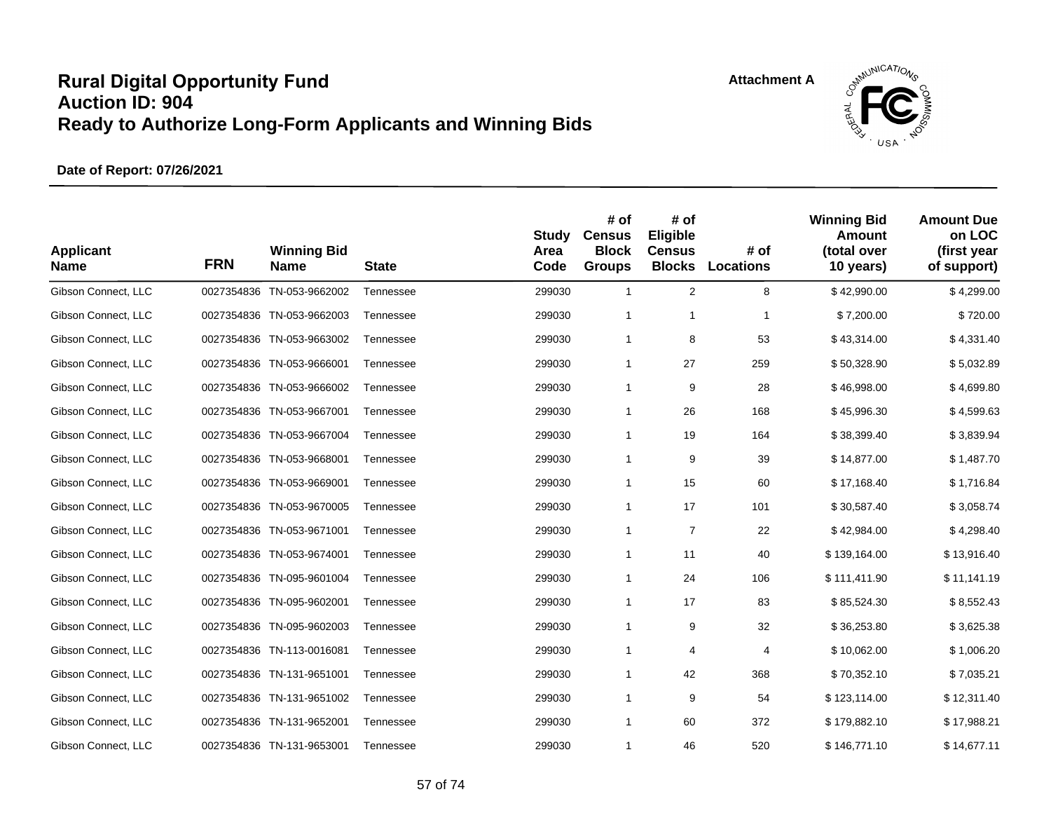



| <b>Applicant</b><br><b>Name</b> | <b>FRN</b> | <b>Winning Bid</b><br><b>Name</b> | <b>State</b> | <b>Study</b><br>Area<br>Code | # of<br><b>Census</b><br><b>Block</b><br><b>Groups</b> | # of<br>Eligible<br><b>Census</b><br><b>Blocks</b> | # of<br>Locations | <b>Winning Bid</b><br>Amount<br>(total over<br>10 years) | <b>Amount Due</b><br>on LOC<br>(first year<br>of support) |
|---------------------------------|------------|-----------------------------------|--------------|------------------------------|--------------------------------------------------------|----------------------------------------------------|-------------------|----------------------------------------------------------|-----------------------------------------------------------|
| Gibson Connect, LLC             |            | 0027354836 TN-053-9662002         | Tennessee    | 299030                       | $\mathbf{1}$                                           | $\overline{2}$                                     | 8                 | \$42,990.00                                              | \$4,299.00                                                |
| Gibson Connect, LLC             |            | 0027354836 TN-053-9662003         | Tennessee    | 299030                       | 1                                                      | $\mathbf{1}$                                       | 1                 | \$7,200.00                                               | \$720.00                                                  |
| Gibson Connect, LLC             |            | 0027354836 TN-053-9663002         | Tennessee    | 299030                       | $\mathbf{1}$                                           | 8                                                  | 53                | \$43,314.00                                              | \$4,331.40                                                |
| Gibson Connect, LLC             |            | 0027354836 TN-053-9666001         | Tennessee    | 299030                       | $\mathbf{1}$                                           | 27                                                 | 259               | \$50,328.90                                              | \$5,032.89                                                |
| Gibson Connect, LLC             |            | 0027354836 TN-053-9666002         | Tennessee    | 299030                       | $\mathbf{1}$                                           | 9                                                  | 28                | \$46,998.00                                              | \$4,699.80                                                |
| Gibson Connect, LLC             |            | 0027354836 TN-053-9667001         | Tennessee    | 299030                       | $\mathbf{1}$                                           | 26                                                 | 168               | \$45,996.30                                              | \$4,599.63                                                |
| Gibson Connect, LLC             |            | 0027354836 TN-053-9667004         | Tennessee    | 299030                       | $\mathbf{1}$                                           | 19                                                 | 164               | \$38,399.40                                              | \$3,839.94                                                |
| Gibson Connect, LLC             |            | 0027354836 TN-053-9668001         | Tennessee    | 299030                       | $\mathbf{1}$                                           | 9                                                  | 39                | \$14,877.00                                              | \$1,487.70                                                |
| Gibson Connect, LLC             |            | 0027354836 TN-053-9669001         | Tennessee    | 299030                       | $\mathbf{1}$                                           | 15                                                 | 60                | \$17,168.40                                              | \$1,716.84                                                |
| Gibson Connect, LLC             |            | 0027354836 TN-053-9670005         | Tennessee    | 299030                       | $\mathbf{1}$                                           | 17                                                 | 101               | \$30,587.40                                              | \$3,058.74                                                |
| Gibson Connect, LLC             |            | 0027354836 TN-053-9671001         | Tennessee    | 299030                       | $\mathbf{1}$                                           | $\overline{7}$                                     | 22                | \$42,984.00                                              | \$4,298.40                                                |
| Gibson Connect, LLC             |            | 0027354836 TN-053-9674001         | Tennessee    | 299030                       | $\mathbf{1}$                                           | 11                                                 | 40                | \$139,164.00                                             | \$13,916.40                                               |
| Gibson Connect, LLC             |            | 0027354836 TN-095-9601004         | Tennessee    | 299030                       | $\mathbf{1}$                                           | 24                                                 | 106               | \$111,411.90                                             | \$11,141.19                                               |
| Gibson Connect, LLC             |            | 0027354836 TN-095-9602001         | Tennessee    | 299030                       | $\mathbf{1}$                                           | 17                                                 | 83                | \$85,524.30                                              | \$8,552.43                                                |
| Gibson Connect, LLC             |            | 0027354836 TN-095-9602003         | Tennessee    | 299030                       | $\mathbf{1}$                                           | 9                                                  | 32                | \$36,253.80                                              | \$3,625.38                                                |
| Gibson Connect, LLC             |            | 0027354836 TN-113-0016081         | Tennessee    | 299030                       | $\mathbf{1}$                                           | 4                                                  | 4                 | \$10,062.00                                              | \$1,006.20                                                |
| Gibson Connect, LLC             |            | 0027354836 TN-131-9651001         | Tennessee    | 299030                       | $\mathbf{1}$                                           | 42                                                 | 368               | \$70,352.10                                              | \$7,035.21                                                |
| Gibson Connect, LLC             |            | 0027354836 TN-131-9651002         | Tennessee    | 299030                       | $\mathbf{1}$                                           | 9                                                  | 54                | \$123,114.00                                             | \$12,311.40                                               |
| Gibson Connect, LLC             |            | 0027354836 TN-131-9652001         | Tennessee    | 299030                       | $\mathbf{1}$                                           | 60                                                 | 372               | \$179,882.10                                             | \$17,988.21                                               |
| Gibson Connect, LLC             |            | 0027354836 TN-131-9653001         | Tennessee    | 299030                       | 1                                                      | 46                                                 | 520               | \$146,771.10                                             | \$14,677.11                                               |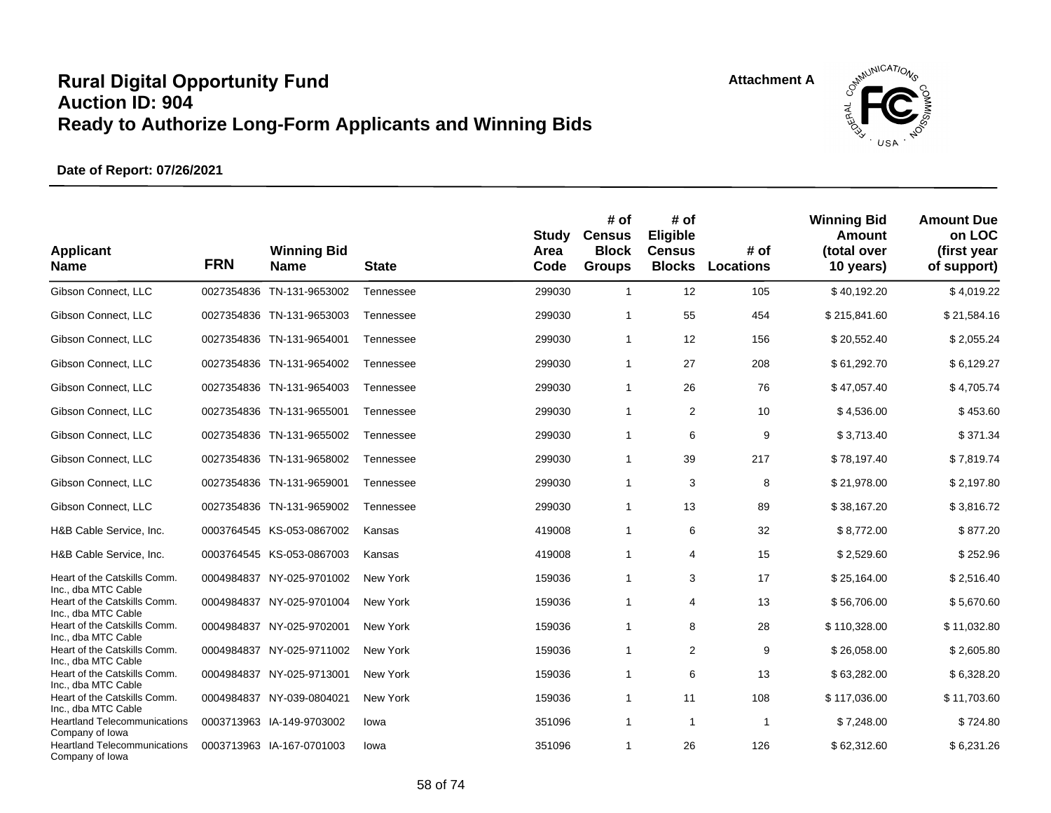

| <b>Applicant</b><br><b>Name</b>                                            | <b>FRN</b> | <b>Winning Bid</b><br><b>Name</b> | <b>State</b> | <b>Study</b><br>Area<br>Code | # of<br><b>Census</b><br><b>Block</b><br><b>Groups</b> | # of<br>Eligible<br><b>Census</b><br><b>Blocks</b> | # of<br><b>Locations</b> | <b>Winning Bid</b><br><b>Amount</b><br>(total over<br>10 years) | <b>Amount Due</b><br>on LOC<br>(first year<br>of support) |
|----------------------------------------------------------------------------|------------|-----------------------------------|--------------|------------------------------|--------------------------------------------------------|----------------------------------------------------|--------------------------|-----------------------------------------------------------------|-----------------------------------------------------------|
| Gibson Connect, LLC                                                        |            | 0027354836 TN-131-9653002         | Tennessee    | 299030                       | $\mathbf{1}$                                           | 12                                                 | 105                      | \$40,192.20                                                     | \$4,019.22                                                |
| Gibson Connect, LLC                                                        |            | 0027354836 TN-131-9653003         | Tennessee    | 299030                       | 1                                                      | 55                                                 | 454                      | \$215,841.60                                                    | \$21,584.16                                               |
| Gibson Connect, LLC                                                        |            | 0027354836 TN-131-9654001         | Tennessee    | 299030                       | $\mathbf{1}$                                           | 12                                                 | 156                      | \$20,552.40                                                     | \$2,055.24                                                |
| Gibson Connect, LLC                                                        |            | 0027354836 TN-131-9654002         | Tennessee    | 299030                       | 1                                                      | 27                                                 | 208                      | \$61,292.70                                                     | \$6,129.27                                                |
| Gibson Connect, LLC                                                        |            | 0027354836 TN-131-9654003         | Tennessee    | 299030                       | $\mathbf{1}$                                           | 26                                                 | 76                       | \$47,057.40                                                     | \$4,705.74                                                |
| Gibson Connect, LLC                                                        |            | 0027354836 TN-131-9655001         | Tennessee    | 299030                       | $\mathbf{1}$                                           | 2                                                  | 10                       | \$4,536.00                                                      | \$453.60                                                  |
| Gibson Connect, LLC                                                        |            | 0027354836 TN-131-9655002         | Tennessee    | 299030                       | $\mathbf{1}$                                           | 6                                                  | 9                        | \$3,713.40                                                      | \$371.34                                                  |
| Gibson Connect, LLC                                                        |            | 0027354836 TN-131-9658002         | Tennessee    | 299030                       | $\mathbf{1}$                                           | 39                                                 | 217                      | \$78,197.40                                                     | \$7,819.74                                                |
| Gibson Connect, LLC                                                        |            | 0027354836 TN-131-9659001         | Tennessee    | 299030                       | 1                                                      | 3                                                  | 8                        | \$21,978.00                                                     | \$2,197.80                                                |
| Gibson Connect, LLC                                                        |            | 0027354836 TN-131-9659002         | Tennessee    | 299030                       | $\mathbf{1}$                                           | 13                                                 | 89                       | \$38,167.20                                                     | \$3,816.72                                                |
| H&B Cable Service, Inc.                                                    |            | 0003764545 KS-053-0867002         | Kansas       | 419008                       | $\mathbf{1}$                                           | 6                                                  | 32                       | \$8,772.00                                                      | \$877.20                                                  |
| H&B Cable Service, Inc.                                                    |            | 0003764545 KS-053-0867003         | Kansas       | 419008                       | $\mathbf{1}$                                           | 4                                                  | 15                       | \$2,529.60                                                      | \$252.96                                                  |
| Heart of the Catskills Comm.                                               | 0004984837 | NY-025-9701002                    | New York     | 159036                       | $\mathbf{1}$                                           | 3                                                  | 17                       | \$25,164.00                                                     | \$2,516.40                                                |
| Inc., dba MTC Cable<br>Heart of the Catskills Comm.<br>Inc., dba MTC Cable |            | 0004984837 NY-025-9701004         | New York     | 159036                       | 1                                                      | 4                                                  | 13                       | \$56,706.00                                                     | \$5,670.60                                                |
| Heart of the Catskills Comm.                                               |            | 0004984837 NY-025-9702001         | New York     | 159036                       | $\mathbf{1}$                                           | 8                                                  | 28                       | \$110,328.00                                                    | \$11,032.80                                               |
| Inc., dba MTC Cable<br>Heart of the Catskills Comm.                        |            | 0004984837 NY-025-9711002         | New York     | 159036                       | $\mathbf{1}$                                           | 2                                                  | 9                        | \$26,058.00                                                     | \$2,605.80                                                |
| Inc., dba MTC Cable<br>Heart of the Catskills Comm.<br>Inc., dba MTC Cable | 0004984837 | NY-025-9713001                    | New York     | 159036                       | 1                                                      | 6                                                  | 13                       | \$63,282.00                                                     | \$6,328.20                                                |
| Heart of the Catskills Comm.<br>Inc., dba MTC Cable                        | 0004984837 | NY-039-0804021                    | New York     | 159036                       | $\mathbf{1}$                                           | 11                                                 | 108                      | \$117,036.00                                                    | \$11,703.60                                               |
| <b>Heartland Telecommunications</b>                                        |            | 0003713963 IA-149-9703002         | lowa         | 351096                       | $\mathbf{1}$                                           | $\mathbf{1}$                                       | -1                       | \$7,248.00                                                      | \$724.80                                                  |
| Company of Iowa<br><b>Heartland Telecommunications</b><br>Company of Iowa  |            | 0003713963 IA-167-0701003         | lowa         | 351096                       | 1                                                      | 26                                                 | 126                      | \$62,312.60                                                     | \$6,231.26                                                |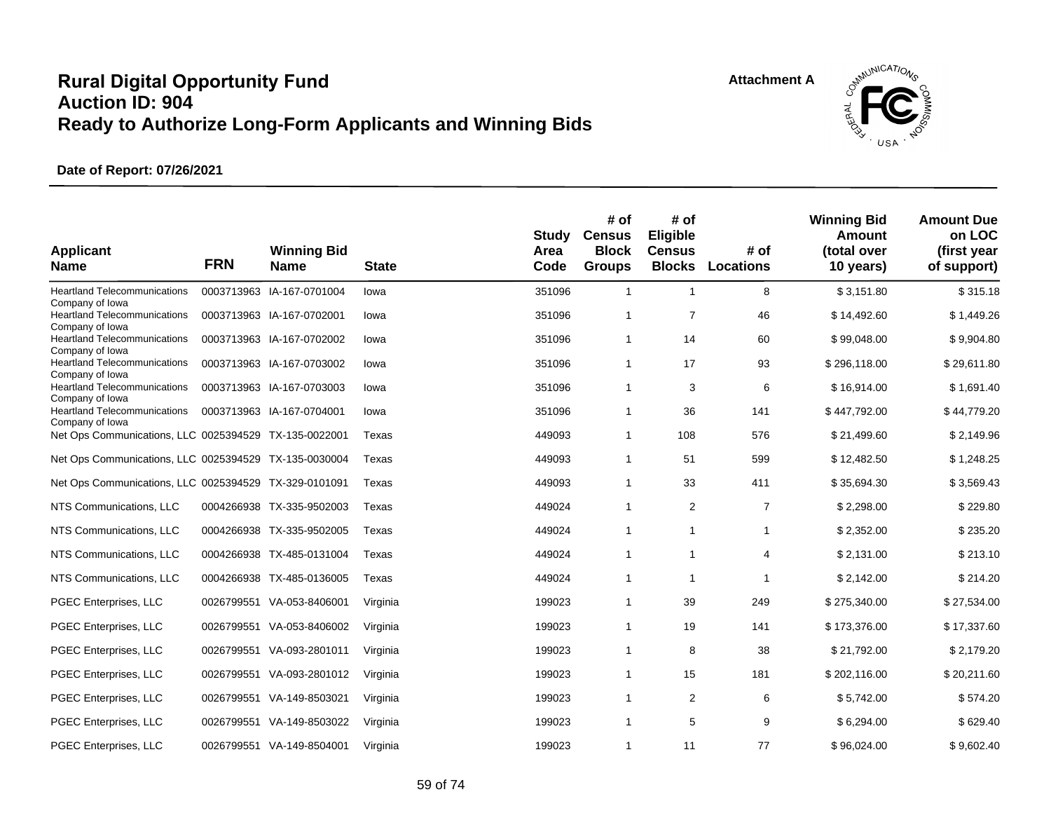**Attachment A**



| <b>Applicant</b><br><b>Name</b>                                           | <b>FRN</b> | <b>Winning Bid</b><br><b>Name</b> | <b>State</b> | Study<br>Area<br>Code | # of<br><b>Census</b><br><b>Block</b><br><b>Groups</b> | # of<br>Eligible<br><b>Census</b><br><b>Blocks</b> | # of<br><b>Locations</b> | <b>Winning Bid</b><br>Amount<br>(total over<br>10 years) | <b>Amount Due</b><br>on LOC<br>(first year<br>of support) |
|---------------------------------------------------------------------------|------------|-----------------------------------|--------------|-----------------------|--------------------------------------------------------|----------------------------------------------------|--------------------------|----------------------------------------------------------|-----------------------------------------------------------|
| <b>Heartland Telecommunications</b>                                       |            | 0003713963 IA-167-0701004         | lowa         | 351096                | $\overline{1}$                                         | $\mathbf{1}$                                       | 8                        | \$3,151.80                                               | \$315.18                                                  |
| Company of Iowa<br><b>Heartland Telecommunications</b>                    |            | 0003713963 IA-167-0702001         | lowa         | 351096                | $\overline{1}$                                         | $\overline{7}$                                     | 46                       | \$14,492.60                                              | \$1,449.26                                                |
| Company of Iowa<br><b>Heartland Telecommunications</b><br>Company of Iowa |            | 0003713963 IA-167-0702002         | lowa         | 351096                | $\mathbf{1}$                                           | 14                                                 | 60                       | \$99,048.00                                              | \$9,904.80                                                |
| <b>Heartland Telecommunications</b>                                       |            | 0003713963 IA-167-0703002         | lowa         | 351096                | $\overline{1}$                                         | 17                                                 | 93                       | \$296,118.00                                             | \$29,611.80                                               |
| Company of Iowa<br><b>Heartland Telecommunications</b>                    |            | 0003713963 IA-167-0703003         | lowa         | 351096                | $\overline{1}$                                         | 3                                                  | 6                        | \$16,914.00                                              | \$1,691.40                                                |
| Company of Iowa<br><b>Heartland Telecommunications</b>                    |            | 0003713963 IA-167-0704001         | lowa         | 351096                | $\overline{1}$                                         | 36                                                 | 141                      | \$447,792.00                                             | \$44,779.20                                               |
| Company of Iowa<br>Net Ops Communications, LLC 0025394529 TX-135-0022001  |            |                                   | Texas        | 449093                | $\overline{1}$                                         | 108                                                | 576                      | \$21,499.60                                              | \$2,149.96                                                |
| Net Ops Communications, LLC 0025394529                                    |            | TX-135-0030004                    | Texas        | 449093                | $\overline{1}$                                         | 51                                                 | 599                      | \$12,482.50                                              | \$1,248.25                                                |
| Net Ops Communications, LLC 0025394529 TX-329-0101091                     |            |                                   | Texas        | 449093                | $\mathbf{1}$                                           | 33                                                 | 411                      | \$35,694.30                                              | \$3,569.43                                                |
| NTS Communications, LLC                                                   |            | 0004266938 TX-335-9502003         | Texas        | 449024                | $\overline{1}$                                         | 2                                                  | $\overline{7}$           | \$2,298.00                                               | \$229.80                                                  |
| NTS Communications, LLC                                                   |            | 0004266938 TX-335-9502005         | Texas        | 449024                | $\overline{1}$                                         | $\mathbf{1}$                                       | 1                        | \$2,352.00                                               | \$235.20                                                  |
| NTS Communications, LLC                                                   |            | 0004266938 TX-485-0131004         | Texas        | 449024                | $\mathbf{1}$                                           | $\overline{1}$                                     | 4                        | \$2,131.00                                               | \$213.10                                                  |
| NTS Communications, LLC                                                   |            | 0004266938 TX-485-0136005         | Texas        | 449024                | $\overline{1}$                                         | $\overline{1}$                                     | 1                        | \$2,142.00                                               | \$214.20                                                  |
| PGEC Enterprises, LLC                                                     | 0026799551 | VA-053-8406001                    | Virginia     | 199023                | $\overline{1}$                                         | 39                                                 | 249                      | \$275,340.00                                             | \$27,534.00                                               |
| PGEC Enterprises, LLC                                                     |            | 0026799551 VA-053-8406002         | Virginia     | 199023                | $\mathbf{1}$                                           | 19                                                 | 141                      | \$173,376.00                                             | \$17,337.60                                               |
| PGEC Enterprises, LLC                                                     | 0026799551 | VA-093-2801011                    | Virginia     | 199023                | $\overline{1}$                                         | 8                                                  | 38                       | \$21,792.00                                              | \$2,179.20                                                |
| PGEC Enterprises, LLC                                                     | 0026799551 | VA-093-2801012                    | Virginia     | 199023                | $\mathbf{1}$                                           | 15                                                 | 181                      | \$202,116.00                                             | \$20,211.60                                               |
| PGEC Enterprises, LLC                                                     |            | 0026799551 VA-149-8503021         | Virginia     | 199023                | $\overline{1}$                                         | 2                                                  | 6                        | \$5,742.00                                               | \$574.20                                                  |
| PGEC Enterprises, LLC                                                     |            | 0026799551 VA-149-8503022         | Virginia     | 199023                | $\mathbf{1}$                                           | 5                                                  | 9                        | \$6,294.00                                               | \$629.40                                                  |
| PGEC Enterprises, LLC                                                     |            | 0026799551 VA-149-8504001         | Virginia     | 199023                | $\mathbf{1}$                                           | 11                                                 | 77                       | \$96,024.00                                              | \$9,602.40                                                |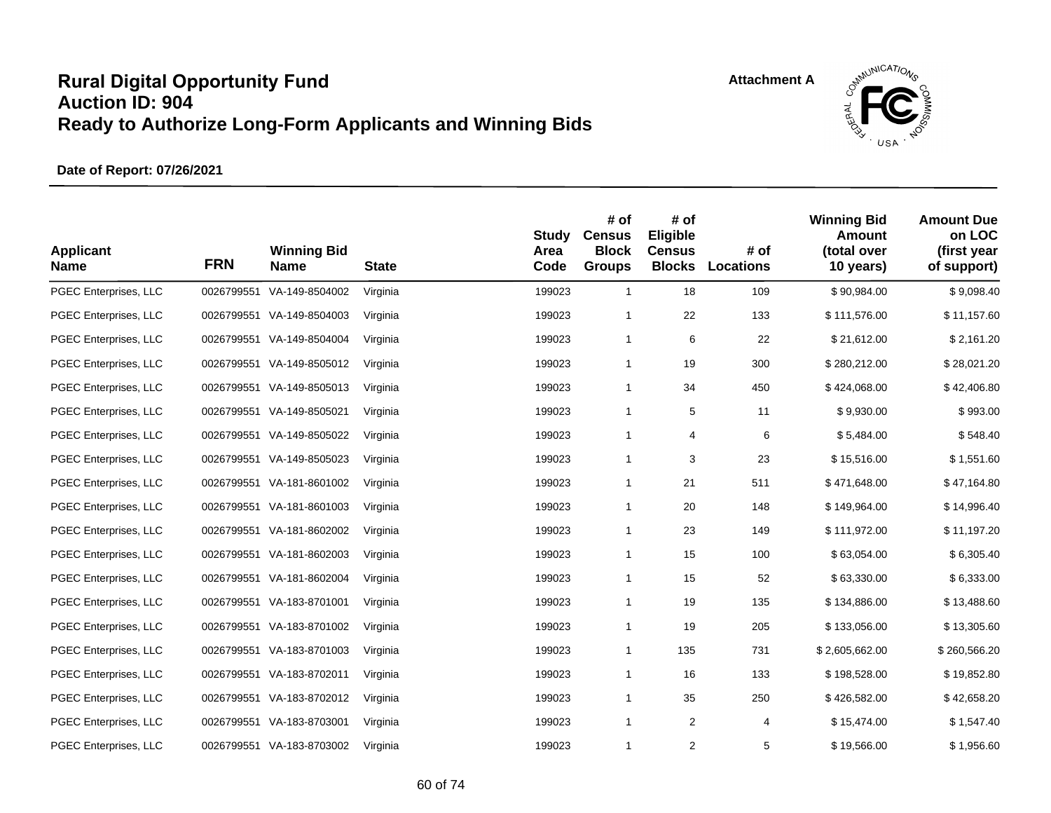

| <b>Applicant</b><br><b>Name</b> | <b>FRN</b> | <b>Winning Bid</b><br><b>Name</b> | <b>State</b> | <b>Study</b><br>Area<br>Code | # of<br><b>Census</b><br><b>Block</b><br><b>Groups</b> | # of<br>Eligible<br><b>Census</b><br><b>Blocks</b> | # of<br><b>Locations</b> | <b>Winning Bid</b><br><b>Amount</b><br>(total over<br>10 years) | <b>Amount Due</b><br>on LOC<br>(first year<br>of support) |
|---------------------------------|------------|-----------------------------------|--------------|------------------------------|--------------------------------------------------------|----------------------------------------------------|--------------------------|-----------------------------------------------------------------|-----------------------------------------------------------|
| PGEC Enterprises, LLC           |            | 0026799551 VA-149-8504002         | Virginia     | 199023                       | $\mathbf{1}$                                           | 18                                                 | 109                      | \$90,984.00                                                     | \$9,098.40                                                |
| PGEC Enterprises, LLC           |            | 0026799551 VA-149-8504003         | Virginia     | 199023                       | $\mathbf{1}$                                           | 22                                                 | 133                      | \$111,576.00                                                    | \$11,157.60                                               |
| PGEC Enterprises, LLC           |            | 0026799551 VA-149-8504004         | Virginia     | 199023                       | $\mathbf{1}$                                           | 6                                                  | 22                       | \$21,612.00                                                     | \$2,161.20                                                |
| PGEC Enterprises, LLC           |            | 0026799551 VA-149-8505012         | Virginia     | 199023                       | $\mathbf{1}$                                           | 19                                                 | 300                      | \$280,212.00                                                    | \$28,021.20                                               |
| PGEC Enterprises, LLC           |            | 0026799551 VA-149-8505013         | Virginia     | 199023                       | $\mathbf{1}$                                           | 34                                                 | 450                      | \$424,068.00                                                    | \$42,406.80                                               |
| PGEC Enterprises, LLC           |            | 0026799551 VA-149-8505021         | Virginia     | 199023                       | $\mathbf{1}$                                           | 5                                                  | 11                       | \$9,930.00                                                      | \$993.00                                                  |
| PGEC Enterprises, LLC           |            | 0026799551 VA-149-8505022         | Virginia     | 199023                       | $\mathbf{1}$                                           | 4                                                  | 6                        | \$5,484.00                                                      | \$548.40                                                  |
| PGEC Enterprises, LLC           |            | 0026799551 VA-149-8505023         | Virginia     | 199023                       | $\mathbf{1}$                                           | 3                                                  | 23                       | \$15,516.00                                                     | \$1,551.60                                                |
| PGEC Enterprises, LLC           |            | 0026799551 VA-181-8601002         | Virginia     | 199023                       | $\mathbf{1}$                                           | 21                                                 | 511                      | \$471,648.00                                                    | \$47,164.80                                               |
| PGEC Enterprises, LLC           |            | 0026799551 VA-181-8601003         | Virginia     | 199023                       | $\mathbf{1}$                                           | 20                                                 | 148                      | \$149,964.00                                                    | \$14,996.40                                               |
| PGEC Enterprises, LLC           |            | 0026799551 VA-181-8602002         | Virginia     | 199023                       | $\mathbf{1}$                                           | 23                                                 | 149                      | \$111,972.00                                                    | \$11,197.20                                               |
| PGEC Enterprises, LLC           |            | 0026799551 VA-181-8602003         | Virginia     | 199023                       | $\mathbf{1}$                                           | 15                                                 | 100                      | \$63,054.00                                                     | \$6,305.40                                                |
| PGEC Enterprises, LLC           |            | 0026799551 VA-181-8602004         | Virginia     | 199023                       | $\mathbf{1}$                                           | 15                                                 | 52                       | \$63,330.00                                                     | \$6,333.00                                                |
| PGEC Enterprises, LLC           |            | 0026799551 VA-183-8701001         | Virginia     | 199023                       | $\mathbf{1}$                                           | 19                                                 | 135                      | \$134,886.00                                                    | \$13,488.60                                               |
| PGEC Enterprises, LLC           |            | 0026799551 VA-183-8701002         | Virginia     | 199023                       | $\mathbf{1}$                                           | 19                                                 | 205                      | \$133,056.00                                                    | \$13,305.60                                               |
| PGEC Enterprises, LLC           |            | 0026799551 VA-183-8701003         | Virginia     | 199023                       | $\mathbf{1}$                                           | 135                                                | 731                      | \$2,605,662.00                                                  | \$260,566.20                                              |
| PGEC Enterprises, LLC           |            | 0026799551 VA-183-8702011         | Virginia     | 199023                       | $\mathbf{1}$                                           | 16                                                 | 133                      | \$198,528.00                                                    | \$19,852.80                                               |
| PGEC Enterprises, LLC           |            | 0026799551 VA-183-8702012         | Virginia     | 199023                       | $\mathbf{1}$                                           | 35                                                 | 250                      | \$426,582.00                                                    | \$42,658.20                                               |
| PGEC Enterprises, LLC           |            | 0026799551 VA-183-8703001         | Virginia     | 199023                       | $\mathbf{1}$                                           | 2                                                  | 4                        | \$15,474.00                                                     | \$1,547.40                                                |
| PGEC Enterprises, LLC           |            | 0026799551 VA-183-8703002         | Virginia     | 199023                       | 1                                                      | 2                                                  | 5                        | \$19,566.00                                                     | \$1,956.60                                                |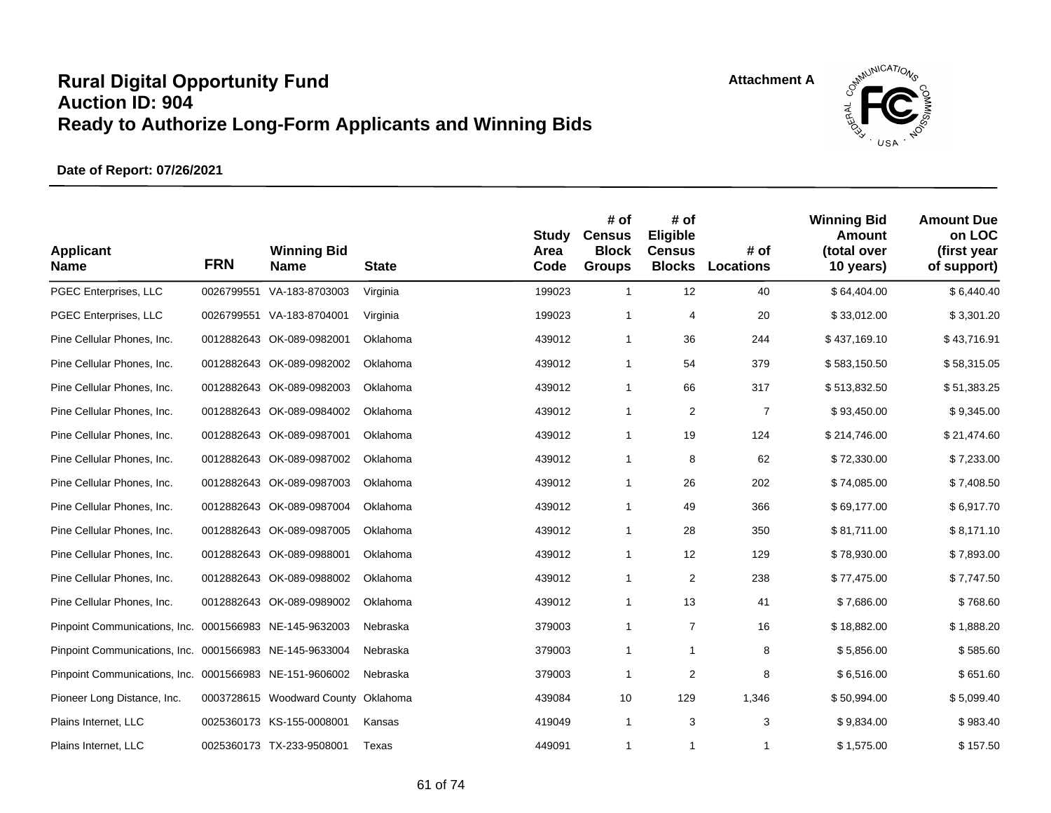

| <b>Applicant</b><br><b>Name</b>                         | <b>FRN</b> | <b>Winning Bid</b><br><b>Name</b>   | <b>State</b> | <b>Study</b><br>Area<br>Code | # of<br><b>Census</b><br><b>Block</b><br><b>Groups</b> | # of<br>Eligible<br><b>Census</b><br><b>Blocks</b> | # of<br>Locations | <b>Winning Bid</b><br><b>Amount</b><br>(total over<br>10 years) | <b>Amount Due</b><br>on LOC<br>(first year<br>of support) |
|---------------------------------------------------------|------------|-------------------------------------|--------------|------------------------------|--------------------------------------------------------|----------------------------------------------------|-------------------|-----------------------------------------------------------------|-----------------------------------------------------------|
| PGEC Enterprises, LLC                                   | 0026799551 | VA-183-8703003                      | Virginia     | 199023                       | $\mathbf{1}$                                           | 12                                                 | 40                | \$64,404.00                                                     | \$6,440.40                                                |
| PGEC Enterprises, LLC                                   |            | 0026799551 VA-183-8704001           | Virginia     | 199023                       | $\mathbf{1}$                                           | 4                                                  | 20                | \$33,012.00                                                     | \$3,301.20                                                |
| Pine Cellular Phones, Inc.                              |            | 0012882643 OK-089-0982001           | Oklahoma     | 439012                       | $\mathbf{1}$                                           | 36                                                 | 244               | \$437,169.10                                                    | \$43,716.91                                               |
| Pine Cellular Phones, Inc.                              |            | 0012882643 OK-089-0982002           | Oklahoma     | 439012                       | $\mathbf{1}$                                           | 54                                                 | 379               | \$583,150.50                                                    | \$58,315.05                                               |
| Pine Cellular Phones, Inc.                              |            | 0012882643 OK-089-0982003           | Oklahoma     | 439012                       | $\mathbf{1}$                                           | 66                                                 | 317               | \$513,832.50                                                    | \$51,383.25                                               |
| Pine Cellular Phones, Inc.                              |            | 0012882643 OK-089-0984002           | Oklahoma     | 439012                       | $\mathbf{1}$                                           | $\boldsymbol{2}$                                   | $\overline{7}$    | \$93,450.00                                                     | \$9,345.00                                                |
| Pine Cellular Phones, Inc.                              |            | 0012882643 OK-089-0987001           | Oklahoma     | 439012                       | $\mathbf{1}$                                           | 19                                                 | 124               | \$214,746.00                                                    | \$21,474.60                                               |
| Pine Cellular Phones, Inc.                              |            | 0012882643 OK-089-0987002           | Oklahoma     | 439012                       | $\mathbf{1}$                                           | 8                                                  | 62                | \$72,330.00                                                     | \$7,233.00                                                |
| Pine Cellular Phones, Inc.                              |            | 0012882643 OK-089-0987003           | Oklahoma     | 439012                       | $\mathbf{1}$                                           | 26                                                 | 202               | \$74,085.00                                                     | \$7,408.50                                                |
| Pine Cellular Phones, Inc.                              |            | 0012882643 OK-089-0987004           | Oklahoma     | 439012                       | $\mathbf{1}$                                           | 49                                                 | 366               | \$69,177.00                                                     | \$6,917.70                                                |
| Pine Cellular Phones, Inc.                              |            | 0012882643 OK-089-0987005           | Oklahoma     | 439012                       | $\mathbf{1}$                                           | 28                                                 | 350               | \$81,711.00                                                     | \$8,171.10                                                |
| Pine Cellular Phones, Inc.                              |            | 0012882643 OK-089-0988001           | Oklahoma     | 439012                       | $\mathbf{1}$                                           | 12                                                 | 129               | \$78,930.00                                                     | \$7,893.00                                                |
| Pine Cellular Phones, Inc.                              |            | 0012882643 OK-089-0988002           | Oklahoma     | 439012                       | $\mathbf{1}$                                           | $\boldsymbol{2}$                                   | 238               | \$77,475.00                                                     | \$7,747.50                                                |
| Pine Cellular Phones, Inc.                              |            | 0012882643 OK-089-0989002           | Oklahoma     | 439012                       | 1                                                      | 13                                                 | 41                | \$7,686.00                                                      | \$768.60                                                  |
| Pinpoint Communications, Inc. 0001566983 NE-145-9632003 |            |                                     | Nebraska     | 379003                       | $\mathbf{1}$                                           | $\overline{7}$                                     | 16                | \$18,882.00                                                     | \$1,888.20                                                |
| Pinpoint Communications, Inc. 0001566983 NE-145-9633004 |            |                                     | Nebraska     | 379003                       | $\mathbf{1}$                                           | $\mathbf{1}$                                       | 8                 | \$5,856.00                                                      | \$585.60                                                  |
| Pinpoint Communications, Inc. 0001566983 NE-151-9606002 |            |                                     | Nebraska     | 379003                       | 1                                                      | $\overline{c}$                                     | 8                 | \$6,516.00                                                      | \$651.60                                                  |
| Pioneer Long Distance, Inc.                             |            | 0003728615 Woodward County Oklahoma |              | 439084                       | 10                                                     | 129                                                | 1,346             | \$50,994.00                                                     | \$5,099.40                                                |
| Plains Internet, LLC                                    |            | 0025360173 KS-155-0008001           | Kansas       | 419049                       | $\mathbf{1}$                                           | 3                                                  | 3                 | \$9,834.00                                                      | \$983.40                                                  |
| Plains Internet, LLC                                    |            | 0025360173 TX-233-9508001           | Texas        | 449091                       | $\mathbf{1}$                                           | 1                                                  | 1                 | \$1,575.00                                                      | \$157.50                                                  |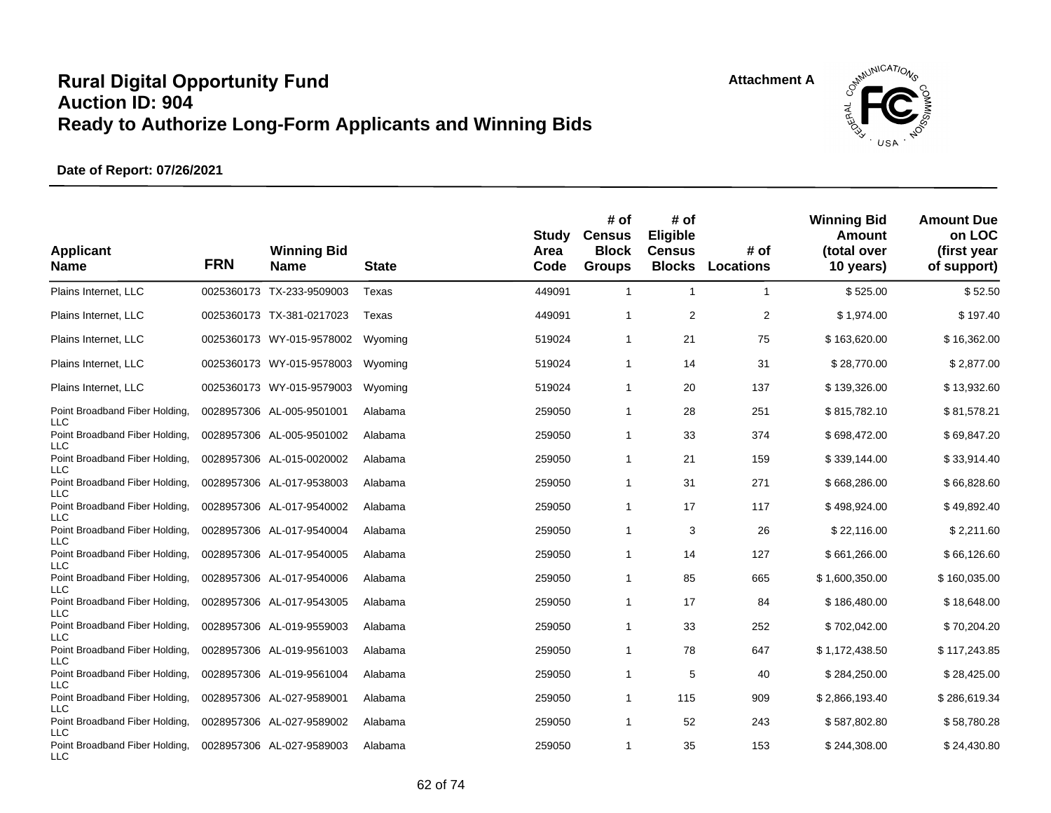

| <b>Applicant</b><br><b>Name</b>                            | <b>FRN</b> | <b>Winning Bid</b><br><b>Name</b> | <b>State</b> | Study<br>Area<br>Code | # of<br><b>Census</b><br><b>Block</b><br><b>Groups</b> | # of<br>Eligible<br><b>Census</b><br><b>Blocks</b> | # of<br>Locations | <b>Winning Bid</b><br>Amount<br>(total over<br>10 years) | <b>Amount Due</b><br>on LOC<br>(first year<br>of support) |
|------------------------------------------------------------|------------|-----------------------------------|--------------|-----------------------|--------------------------------------------------------|----------------------------------------------------|-------------------|----------------------------------------------------------|-----------------------------------------------------------|
| Plains Internet, LLC                                       |            | 0025360173 TX-233-9509003         | Texas        | 449091                | $\overline{1}$                                         | $\overline{1}$                                     | 1                 | \$525.00                                                 | \$52.50                                                   |
| Plains Internet, LLC                                       |            | 0025360173 TX-381-0217023         | Texas        | 449091                | $\mathbf{1}$                                           | $\overline{2}$                                     | $\overline{2}$    | \$1,974.00                                               | \$197.40                                                  |
| Plains Internet, LLC                                       |            | 0025360173 WY-015-9578002         | Wyoming      | 519024                | $\mathbf{1}$                                           | 21                                                 | 75                | \$163,620.00                                             | \$16,362.00                                               |
| Plains Internet, LLC                                       |            | 0025360173 WY-015-9578003         | Wyoming      | 519024                | $\mathbf{1}$                                           | 14                                                 | 31                | \$28,770.00                                              | \$2,877.00                                                |
| Plains Internet, LLC                                       |            | 0025360173 WY-015-9579003         | Wyoming      | 519024                | $\mathbf{1}$                                           | 20                                                 | 137               | \$139,326.00                                             | \$13,932.60                                               |
| Point Broadband Fiber Holding,                             |            | 0028957306 AL-005-9501001         | Alabama      | 259050                | $\mathbf{1}$                                           | 28                                                 | 251               | \$815,782.10                                             | \$81,578.21                                               |
| <b>LLC</b><br>Point Broadband Fiber Holding,<br><b>LLC</b> |            | 0028957306 AL-005-9501002         | Alabama      | 259050                | $\overline{1}$                                         | 33                                                 | 374               | \$698,472.00                                             | \$69,847.20                                               |
| Point Broadband Fiber Holding,                             |            | 0028957306 AL-015-0020002         | Alabama      | 259050                | $\overline{1}$                                         | 21                                                 | 159               | \$339,144.00                                             | \$33,914.40                                               |
| <b>LLC</b><br>Point Broadband Fiber Holding,               |            | 0028957306 AL-017-9538003         | Alabama      | 259050                | $\mathbf{1}$                                           | 31                                                 | 271               | \$668,286.00                                             | \$66,828.60                                               |
| <b>LLC</b><br>Point Broadband Fiber Holding,               |            | 0028957306 AL-017-9540002         | Alabama      | 259050                | $\mathbf{1}$                                           | 17                                                 | 117               | \$498,924.00                                             | \$49,892.40                                               |
| <b>LLC</b><br>Point Broadband Fiber Holding,               |            | 0028957306 AL-017-9540004         | Alabama      | 259050                | $\mathbf{1}$                                           | 3                                                  | 26                | \$22,116.00                                              | \$2,211.60                                                |
| <b>LLC</b><br>Point Broadband Fiber Holding,               |            | 0028957306 AL-017-9540005         | Alabama      | 259050                | $\mathbf{1}$                                           | 14                                                 | 127               | \$661,266.00                                             | \$66,126.60                                               |
| <b>LLC</b><br>Point Broadband Fiber Holding,               |            | 0028957306 AL-017-9540006         | Alabama      | 259050                | $\overline{1}$                                         | 85                                                 | 665               | \$1,600,350.00                                           | \$160,035.00                                              |
| <b>LLC</b><br>Point Broadband Fiber Holding,               |            | 0028957306 AL-017-9543005         | Alabama      | 259050                | $\mathbf{1}$                                           | 17                                                 | 84                | \$186,480.00                                             | \$18,648.00                                               |
| <b>LLC</b><br>Point Broadband Fiber Holding,               |            | 0028957306 AL-019-9559003         | Alabama      | 259050                | $\overline{1}$                                         | 33                                                 | 252               | \$702,042.00                                             | \$70,204.20                                               |
| <b>LLC</b><br>Point Broadband Fiber Holding,               |            | 0028957306 AL-019-9561003         | Alabama      | 259050                | $\overline{1}$                                         | 78                                                 | 647               | \$1,172,438.50                                           | \$117,243.85                                              |
| <b>LLC</b><br>Point Broadband Fiber Holding,               |            | 0028957306 AL-019-9561004         | Alabama      | 259050                | $\mathbf{1}$                                           | 5                                                  | 40                | \$284,250.00                                             | \$28,425.00                                               |
| <b>LLC</b><br>Point Broadband Fiber Holding,               |            | 0028957306 AL-027-9589001         | Alabama      | 259050                | $\mathbf{1}$                                           | 115                                                | 909               | \$2,866,193.40                                           | \$286,619.34                                              |
| <b>LLC</b><br>Point Broadband Fiber Holding,               |            | 0028957306 AL-027-9589002         | Alabama      | 259050                | $\mathbf{1}$                                           | 52                                                 | 243               | \$587,802.80                                             | \$58,780.28                                               |
| <b>LLC</b><br>Point Broadband Fiber Holding,<br>LLC        |            | 0028957306 AL-027-9589003         | Alabama      | 259050                | $\mathbf{1}$                                           | 35                                                 | 153               | \$244,308.00                                             | \$24,430.80                                               |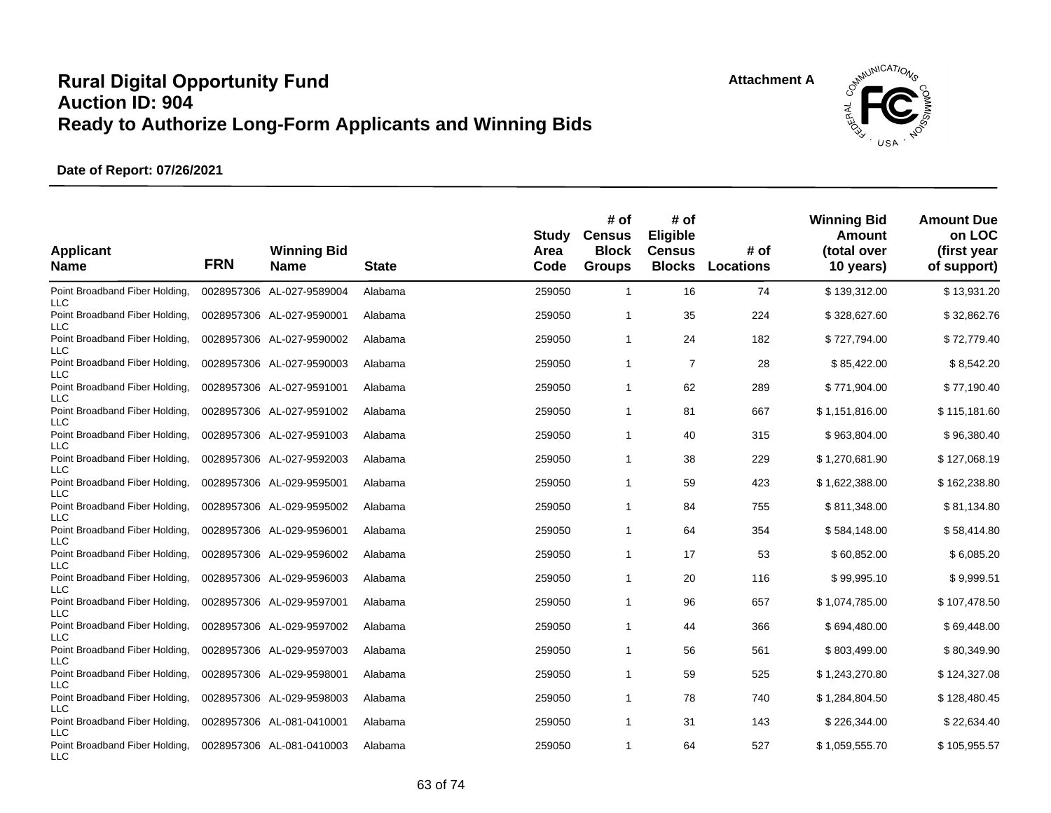

| <b>Applicant</b><br><b>Name</b>                            | <b>FRN</b> | <b>Winning Bid</b><br><b>Name</b> | <b>State</b> | Study<br>Area<br>Code | # of<br><b>Census</b><br><b>Block</b><br><b>Groups</b> | # of<br>Eligible<br><b>Census</b><br><b>Blocks</b> | # of<br><b>Locations</b> | <b>Winning Bid</b><br>Amount<br>(total over<br>10 years) | <b>Amount Due</b><br>on LOC<br>(first year<br>of support) |
|------------------------------------------------------------|------------|-----------------------------------|--------------|-----------------------|--------------------------------------------------------|----------------------------------------------------|--------------------------|----------------------------------------------------------|-----------------------------------------------------------|
| Point Broadband Fiber Holding.<br><b>LLC</b>               |            | 0028957306 AL-027-9589004         | Alabama      | 259050                | $\overline{1}$                                         | 16                                                 | 74                       | \$139,312.00                                             | \$13,931.20                                               |
| Point Broadband Fiber Holding,<br><b>LLC</b>               |            | 0028957306 AL-027-9590001         | Alabama      | 259050                | $\mathbf{1}$                                           | 35                                                 | 224                      | \$328,627.60                                             | \$32,862.76                                               |
| Point Broadband Fiber Holding,<br><b>LLC</b>               |            | 0028957306 AL-027-9590002         | Alabama      | 259050                | $\overline{1}$                                         | 24                                                 | 182                      | \$727,794.00                                             | \$72,779.40                                               |
| Point Broadband Fiber Holding,<br><b>LLC</b>               |            | 0028957306 AL-027-9590003         | Alabama      | 259050                | $\mathbf{1}$                                           | $\overline{7}$                                     | 28                       | \$85,422.00                                              | \$8,542.20                                                |
| Point Broadband Fiber Holding,<br><b>LLC</b>               |            | 0028957306 AL-027-9591001         | Alabama      | 259050                | $\mathbf{1}$                                           | 62                                                 | 289                      | \$771,904.00                                             | \$77,190.40                                               |
| Point Broadband Fiber Holding,<br><b>LLC</b>               |            | 0028957306 AL-027-9591002         | Alabama      | 259050                | $\mathbf 1$                                            | 81                                                 | 667                      | \$1,151,816.00                                           | \$115,181.60                                              |
| Point Broadband Fiber Holding,<br><b>LLC</b>               |            | 0028957306 AL-027-9591003         | Alabama      | 259050                | $\mathbf{1}$                                           | 40                                                 | 315                      | \$963,804.00                                             | \$96,380.40                                               |
| Point Broadband Fiber Holding,<br><b>LLC</b>               |            | 0028957306 AL-027-9592003         | Alabama      | 259050                | $\overline{1}$                                         | 38                                                 | 229                      | \$1,270,681.90                                           | \$127,068.19                                              |
| Point Broadband Fiber Holding,<br><b>LLC</b>               |            | 0028957306 AL-029-9595001         | Alabama      | 259050                | $\mathbf{1}$                                           | 59                                                 | 423                      | \$1,622,388.00                                           | \$162,238.80                                              |
| Point Broadband Fiber Holding,<br><b>LLC</b>               |            | 0028957306 AL-029-9595002         | Alabama      | 259050                | $\mathbf{1}$                                           | 84                                                 | 755                      | \$811,348.00                                             | \$81,134.80                                               |
| Point Broadband Fiber Holding,<br><b>LLC</b>               |            | 0028957306 AL-029-9596001         | Alabama      | 259050                | $\mathbf{1}$                                           | 64                                                 | 354                      | \$584,148.00                                             | \$58,414.80                                               |
| Point Broadband Fiber Holding,                             |            | 0028957306 AL-029-9596002         | Alabama      | 259050                | $\mathbf{1}$                                           | 17                                                 | 53                       | \$60,852.00                                              | \$6,085.20                                                |
| <b>LLC</b><br>Point Broadband Fiber Holding,               |            | 0028957306 AL-029-9596003         | Alabama      | 259050                | $\mathbf{1}$                                           | 20                                                 | 116                      | \$99,995.10                                              | \$9,999.51                                                |
| <b>LLC</b><br>Point Broadband Fiber Holding,               |            | 0028957306 AL-029-9597001         | Alabama      | 259050                | $\mathbf{1}$                                           | 96                                                 | 657                      | \$1,074,785.00                                           | \$107,478.50                                              |
| LLC<br>Point Broadband Fiber Holding,                      |            | 0028957306 AL-029-9597002         | Alabama      | 259050                | $\overline{1}$                                         | 44                                                 | 366                      | \$694,480.00                                             | \$69,448.00                                               |
| <b>LLC</b><br>Point Broadband Fiber Holding,               |            | 0028957306 AL-029-9597003         | Alabama      | 259050                | $\mathbf{1}$                                           | 56                                                 | 561                      | \$803,499.00                                             | \$80,349.90                                               |
| <b>LLC</b><br>Point Broadband Fiber Holding,               |            | 0028957306 AL-029-9598001         | Alabama      | 259050                | $\mathbf{1}$                                           | 59                                                 | 525                      | \$1,243,270.80                                           | \$124,327.08                                              |
| <b>LLC</b><br>Point Broadband Fiber Holding,               |            | 0028957306 AL-029-9598003         | Alabama      | 259050                | $\mathbf{1}$                                           | 78                                                 | 740                      | \$1,284,804.50                                           | \$128,480.45                                              |
| <b>LLC</b><br>Point Broadband Fiber Holding,               |            | 0028957306 AL-081-0410001         | Alabama      | 259050                | 1                                                      | 31                                                 | 143                      | \$226,344.00                                             | \$22,634.40                                               |
| <b>LLC</b><br>Point Broadband Fiber Holding,<br><b>LLC</b> |            | 0028957306 AL-081-0410003         | Alabama      | 259050                | $\mathbf{1}$                                           | 64                                                 | 527                      | \$1,059,555.70                                           | \$105,955.57                                              |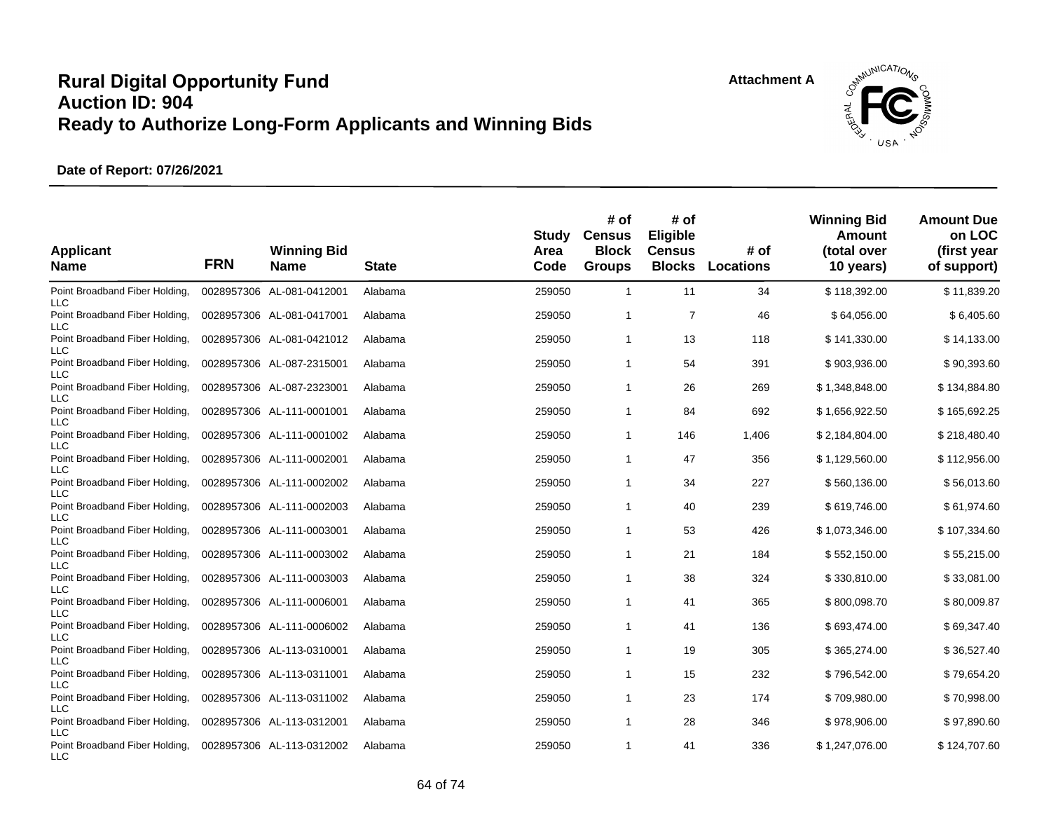

| <b>Applicant</b><br><b>Name</b>                            | <b>FRN</b> | <b>Winning Bid</b><br><b>Name</b> | <b>State</b> | Study<br>Area<br>Code | # of<br><b>Census</b><br><b>Block</b><br><b>Groups</b> | # of<br>Eligible<br><b>Census</b><br><b>Blocks</b> | # of<br>Locations | <b>Winning Bid</b><br>Amount<br>(total over<br>10 years) | <b>Amount Due</b><br>on LOC<br>(first year<br>of support) |
|------------------------------------------------------------|------------|-----------------------------------|--------------|-----------------------|--------------------------------------------------------|----------------------------------------------------|-------------------|----------------------------------------------------------|-----------------------------------------------------------|
| Point Broadband Fiber Holding,<br><b>LLC</b>               |            | 0028957306 AL-081-0412001         | Alabama      | 259050                | $\mathbf{1}$                                           | 11                                                 | 34                | \$118,392.00                                             | \$11,839.20                                               |
| Point Broadband Fiber Holding,<br><b>LLC</b>               |            | 0028957306 AL-081-0417001         | Alabama      | 259050                | $\mathbf{1}$                                           | $\overline{7}$                                     | 46                | \$64,056.00                                              | \$6,405.60                                                |
| Point Broadband Fiber Holding,<br><b>LLC</b>               |            | 0028957306 AL-081-0421012         | Alabama      | 259050                | $\mathbf{1}$                                           | 13                                                 | 118               | \$141,330.00                                             | \$14,133.00                                               |
| Point Broadband Fiber Holding,<br><b>LLC</b>               |            | 0028957306 AL-087-2315001         | Alabama      | 259050                | $\mathbf{1}$                                           | 54                                                 | 391               | \$903,936.00                                             | \$90,393.60                                               |
| Point Broadband Fiber Holding,<br><b>LLC</b>               |            | 0028957306 AL-087-2323001         | Alabama      | 259050                | $\mathbf{1}$                                           | 26                                                 | 269               | \$1,348,848.00                                           | \$134,884.80                                              |
| Point Broadband Fiber Holding,<br><b>LLC</b>               |            | 0028957306 AL-111-0001001         | Alabama      | 259050                | $\overline{1}$                                         | 84                                                 | 692               | \$1,656,922.50                                           | \$165,692.25                                              |
| Point Broadband Fiber Holding,<br><b>LLC</b>               |            | 0028957306 AL-111-0001002         | Alabama      | 259050                | $\overline{1}$                                         | 146                                                | 1,406             | \$2,184,804.00                                           | \$218,480.40                                              |
| Point Broadband Fiber Holding,<br><b>LLC</b>               |            | 0028957306 AL-111-0002001         | Alabama      | 259050                | $\overline{1}$                                         | 47                                                 | 356               | \$1,129,560.00                                           | \$112,956.00                                              |
| Point Broadband Fiber Holding,<br>LLC                      |            | 0028957306 AL-111-0002002         | Alabama      | 259050                | $\mathbf{1}$                                           | 34                                                 | 227               | \$560,136.00                                             | \$56,013.60                                               |
| Point Broadband Fiber Holding,<br><b>LLC</b>               |            | 0028957306 AL-111-0002003         | Alabama      | 259050                | $\mathbf{1}$                                           | 40                                                 | 239               | \$619,746.00                                             | \$61,974.60                                               |
| Point Broadband Fiber Holding,<br><b>LLC</b>               |            | 0028957306 AL-111-0003001         | Alabama      | 259050                | $\mathbf{1}$                                           | 53                                                 | 426               | \$1,073,346.00                                           | \$107,334.60                                              |
| Point Broadband Fiber Holding,<br><b>LLC</b>               |            | 0028957306 AL-111-0003002         | Alabama      | 259050                | $\mathbf{1}$                                           | 21                                                 | 184               | \$552,150.00                                             | \$55,215.00                                               |
| Point Broadband Fiber Holding,<br><b>LLC</b>               |            | 0028957306 AL-111-0003003         | Alabama      | 259050                | $\mathbf{1}$                                           | 38                                                 | 324               | \$330,810.00                                             | \$33,081.00                                               |
| Point Broadband Fiber Holding,                             |            | 0028957306 AL-111-0006001         | Alabama      | 259050                | $\mathbf{1}$                                           | 41                                                 | 365               | \$800,098.70                                             | \$80,009.87                                               |
| <b>LLC</b><br>Point Broadband Fiber Holding,               |            | 0028957306 AL-111-0006002         | Alabama      | 259050                | $\overline{1}$                                         | 41                                                 | 136               | \$693,474.00                                             | \$69,347.40                                               |
| <b>LLC</b><br>Point Broadband Fiber Holding,               |            | 0028957306 AL-113-0310001         | Alabama      | 259050                | $\mathbf{1}$                                           | 19                                                 | 305               | \$365,274.00                                             | \$36,527.40                                               |
| <b>LLC</b><br>Point Broadband Fiber Holding,               |            | 0028957306 AL-113-0311001         | Alabama      | 259050                | $\mathbf{1}$                                           | 15                                                 | 232               | \$796,542.00                                             | \$79,654.20                                               |
| <b>LLC</b><br>Point Broadband Fiber Holding,               |            | 0028957306 AL-113-0311002         | Alabama      | 259050                | $\mathbf{1}$                                           | 23                                                 | 174               | \$709,980.00                                             | \$70,998.00                                               |
| <b>LLC</b><br>Point Broadband Fiber Holding,               |            | 0028957306 AL-113-0312001         | Alabama      | 259050                | 1                                                      | 28                                                 | 346               | \$978,906.00                                             | \$97,890.60                                               |
| <b>LLC</b><br>Point Broadband Fiber Holding,<br><b>LLC</b> |            | 0028957306 AL-113-0312002         | Alabama      | 259050                | $\mathbf{1}$                                           | 41                                                 | 336               | \$1,247,076.00                                           | \$124,707.60                                              |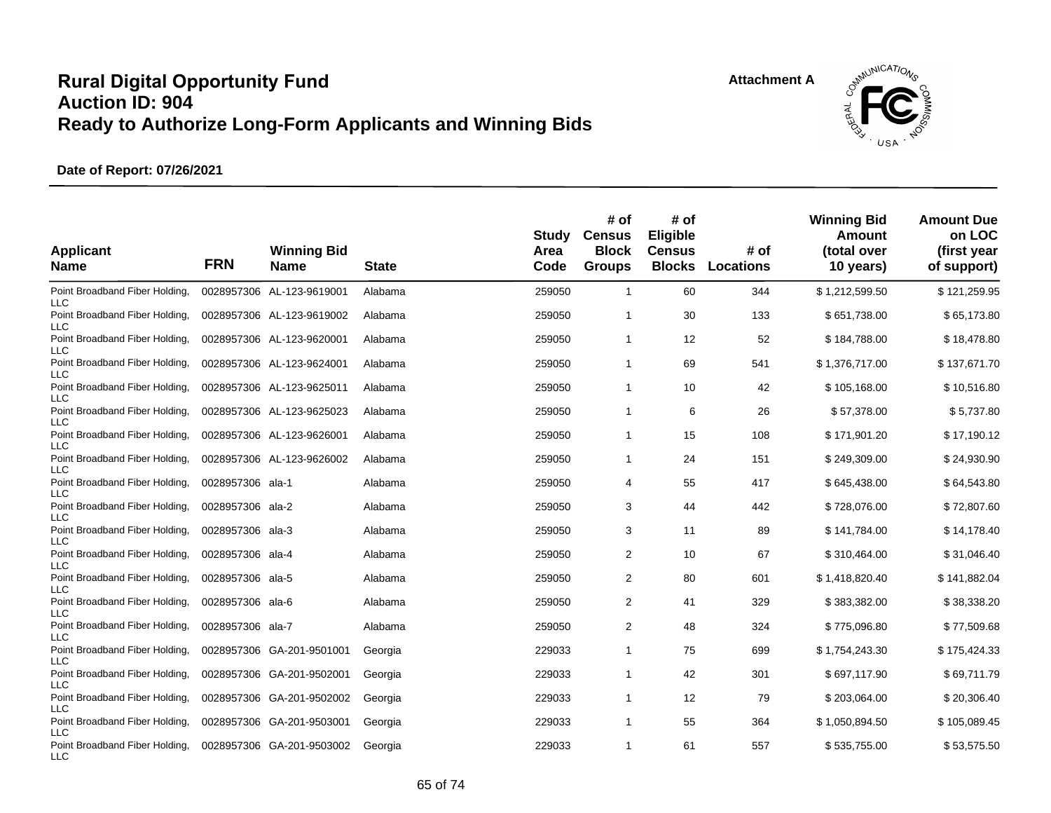

| <b>Applicant</b><br><b>Name</b>                            | <b>FRN</b>       | <b>Winning Bid</b><br><b>Name</b> | <b>State</b> | Study<br>Area<br>Code | # of<br><b>Census</b><br><b>Block</b><br><b>Groups</b> | # of<br>Eligible<br><b>Census</b><br><b>Blocks</b> | # of<br><b>Locations</b> | <b>Winning Bid</b><br>Amount<br>(total over<br>10 years) | <b>Amount Due</b><br>on LOC<br>(first year<br>of support) |
|------------------------------------------------------------|------------------|-----------------------------------|--------------|-----------------------|--------------------------------------------------------|----------------------------------------------------|--------------------------|----------------------------------------------------------|-----------------------------------------------------------|
| Point Broadband Fiber Holding,<br><b>LLC</b>               |                  | 0028957306 AL-123-9619001         | Alabama      | 259050                | $\overline{1}$                                         | 60                                                 | 344                      | \$1,212,599.50                                           | \$121,259.95                                              |
| Point Broadband Fiber Holding,<br><b>LLC</b>               |                  | 0028957306 AL-123-9619002         | Alabama      | 259050                | $\overline{1}$                                         | 30                                                 | 133                      | \$651,738.00                                             | \$65,173.80                                               |
| Point Broadband Fiber Holding,<br><b>LLC</b>               |                  | 0028957306 AL-123-9620001         | Alabama      | 259050                | $\mathbf 1$                                            | 12                                                 | 52                       | \$184,788.00                                             | \$18,478.80                                               |
| Point Broadband Fiber Holding,<br><b>LLC</b>               |                  | 0028957306 AL-123-9624001         | Alabama      | 259050                | -1                                                     | 69                                                 | 541                      | \$1,376,717.00                                           | \$137,671.70                                              |
| Point Broadband Fiber Holding,<br><b>LLC</b>               |                  | 0028957306 AL-123-9625011         | Alabama      | 259050                | $\mathbf 1$                                            | 10                                                 | 42                       | \$105,168.00                                             | \$10,516.80                                               |
| Point Broadband Fiber Holding,<br><b>LLC</b>               |                  | 0028957306 AL-123-9625023         | Alabama      | 259050                | -1                                                     | 6                                                  | 26                       | \$57,378.00                                              | \$5,737.80                                                |
| Point Broadband Fiber Holding,<br><b>LLC</b>               |                  | 0028957306 AL-123-9626001         | Alabama      | 259050                | -1                                                     | 15                                                 | 108                      | \$171,901.20                                             | \$17,190.12                                               |
| Point Broadband Fiber Holding,<br><b>LLC</b>               |                  | 0028957306 AL-123-9626002         | Alabama      | 259050                | $\mathbf{1}$                                           | 24                                                 | 151                      | \$249,309.00                                             | \$24,930.90                                               |
| Point Broadband Fiber Holding,<br><b>LLC</b>               | 0028957306 ala-1 |                                   | Alabama      | 259050                | 4                                                      | 55                                                 | 417                      | \$645,438.00                                             | \$64,543.80                                               |
| Point Broadband Fiber Holding,<br><b>LLC</b>               | 0028957306       | ala-2                             | Alabama      | 259050                | 3                                                      | 44                                                 | 442                      | \$728,076.00                                             | \$72,807.60                                               |
| Point Broadband Fiber Holding,<br><b>LLC</b>               | 0028957306       | ala-3                             | Alabama      | 259050                | 3                                                      | 11                                                 | 89                       | \$141,784.00                                             | \$14,178.40                                               |
| Point Broadband Fiber Holding,<br><b>LLC</b>               | 0028957306 ala-4 |                                   | Alabama      | 259050                | $\overline{\mathbf{c}}$                                | 10                                                 | 67                       | \$310,464.00                                             | \$31,046.40                                               |
| Point Broadband Fiber Holding,<br><b>LLC</b>               | 0028957306 ala-5 |                                   | Alabama      | 259050                | 2                                                      | 80                                                 | 601                      | \$1,418,820.40                                           | \$141,882.04                                              |
| Point Broadband Fiber Holding,<br><b>LLC</b>               | 0028957306 ala-6 |                                   | Alabama      | 259050                | $\overline{\mathbf{c}}$                                | 41                                                 | 329                      | \$383,382.00                                             | \$38,338.20                                               |
| Point Broadband Fiber Holding,<br><b>LLC</b>               | 0028957306 ala-7 |                                   | Alabama      | 259050                | $\overline{\mathbf{c}}$                                | 48                                                 | 324                      | \$775,096.80                                             | \$77,509.68                                               |
| Point Broadband Fiber Holding,<br><b>LLC</b>               | 0028957306       | GA-201-9501001                    | Georgia      | 229033                | -1                                                     | 75                                                 | 699                      | \$1,754,243.30                                           | \$175,424.33                                              |
| Point Broadband Fiber Holding,<br><b>LLC</b>               |                  | 0028957306 GA-201-9502001         | Georgia      | 229033                | $\overline{1}$                                         | 42                                                 | 301                      | \$697,117.90                                             | \$69,711.79                                               |
| Point Broadband Fiber Holding,                             |                  | 0028957306 GA-201-9502002         | Georgia      | 229033                | -1                                                     | 12                                                 | 79                       | \$203,064.00                                             | \$20,306.40                                               |
| <b>LLC</b><br>Point Broadband Fiber Holding,               |                  | 0028957306 GA-201-9503001         | Georgia      | 229033                | -1                                                     | 55                                                 | 364                      | \$1,050,894.50                                           | \$105,089.45                                              |
| <b>LLC</b><br>Point Broadband Fiber Holding,<br><b>LLC</b> |                  | 0028957306 GA-201-9503002         | Georgia      | 229033                | $\overline{1}$                                         | 61                                                 | 557                      | \$535,755.00                                             | \$53,575.50                                               |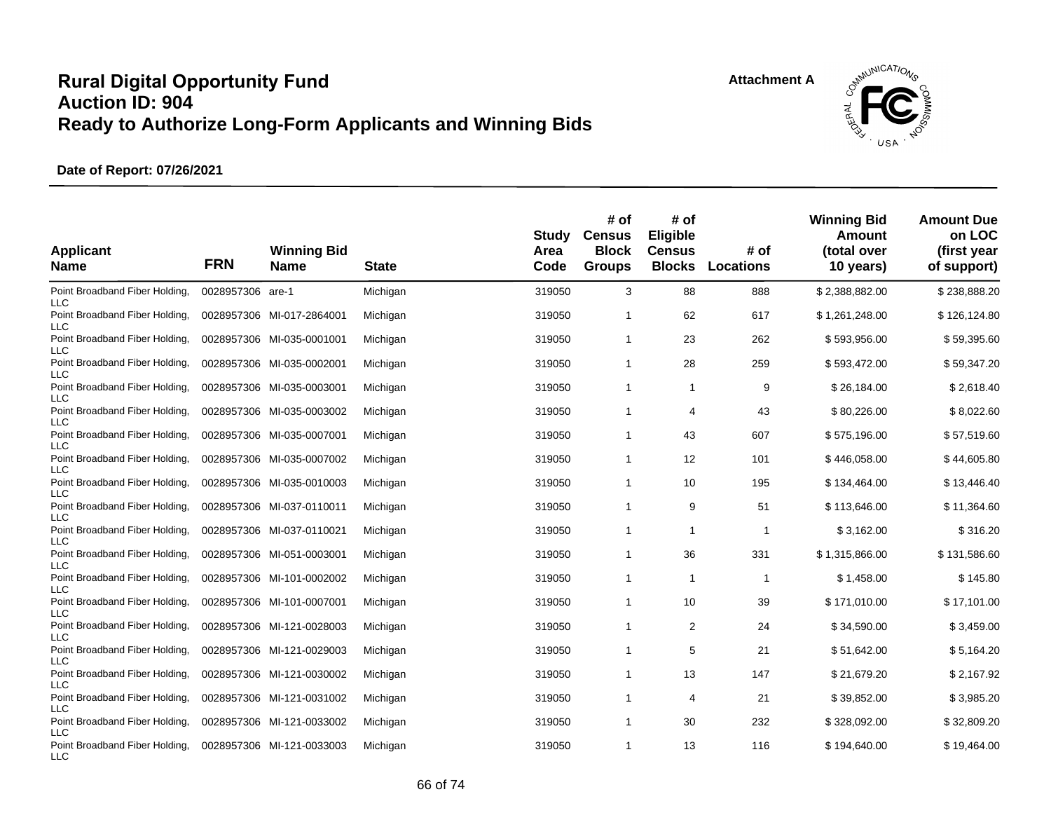**Attachment A**



| <b>Applicant</b><br><b>Name</b>                            | <b>FRN</b>       | <b>Winning Bid</b><br><b>Name</b> | <b>State</b> | Study<br>Area<br>Code | # of<br><b>Census</b><br><b>Block</b><br><b>Groups</b> | # of<br>Eligible<br><b>Census</b><br><b>Blocks</b> | # of<br>Locations | <b>Winning Bid</b><br>Amount<br>(total over<br>10 years) | <b>Amount Due</b><br>on LOC<br>(first year<br>of support) |
|------------------------------------------------------------|------------------|-----------------------------------|--------------|-----------------------|--------------------------------------------------------|----------------------------------------------------|-------------------|----------------------------------------------------------|-----------------------------------------------------------|
| Point Broadband Fiber Holding,<br><b>LLC</b>               | 0028957306 are-1 |                                   | Michigan     | 319050                | 3                                                      | 88                                                 | 888               | \$2,388,882.00                                           | \$238,888.20                                              |
| Point Broadband Fiber Holding,<br>LLC                      |                  | 0028957306 MI-017-2864001         | Michigan     | 319050                | $\mathbf 1$                                            | 62                                                 | 617               | \$1,261,248.00                                           | \$126,124.80                                              |
| Point Broadband Fiber Holding,<br>LLC                      |                  | 0028957306 MI-035-0001001         | Michigan     | 319050                | $\mathbf{1}$                                           | 23                                                 | 262               | \$593,956.00                                             | \$59,395.60                                               |
| Point Broadband Fiber Holding,<br><b>LLC</b>               |                  | 0028957306 MI-035-0002001         | Michigan     | 319050                | $\mathbf 1$                                            | 28                                                 | 259               | \$593,472.00                                             | \$59,347.20                                               |
| Point Broadband Fiber Holding,<br><b>LLC</b>               |                  | 0028957306 MI-035-0003001         | Michigan     | 319050                | $\mathbf 1$                                            | $\mathbf{1}$                                       | 9                 | \$26,184.00                                              | \$2,618.40                                                |
| Point Broadband Fiber Holding,<br><b>LLC</b>               |                  | 0028957306 MI-035-0003002         | Michigan     | 319050                | $\mathbf{1}$                                           | 4                                                  | 43                | \$80,226.00                                              | \$8,022.60                                                |
| Point Broadband Fiber Holding,<br><b>LLC</b>               |                  | 0028957306 MI-035-0007001         | Michigan     | 319050                | $\mathbf{1}$                                           | 43                                                 | 607               | \$575,196.00                                             | \$57,519.60                                               |
| Point Broadband Fiber Holding,<br><b>LLC</b>               |                  | 0028957306 MI-035-0007002         | Michigan     | 319050                | $\mathbf{1}$                                           | 12                                                 | 101               | \$446,058.00                                             | \$44,605.80                                               |
| Point Broadband Fiber Holding,<br>LLC                      |                  | 0028957306 MI-035-0010003         | Michigan     | 319050                | $\mathbf{1}$                                           | 10                                                 | 195               | \$134,464.00                                             | \$13,446.40                                               |
| Point Broadband Fiber Holding,<br><b>LLC</b>               |                  | 0028957306 MI-037-0110011         | Michigan     | 319050                | $\mathbf{1}$                                           | 9                                                  | 51                | \$113,646.00                                             | \$11,364.60                                               |
| Point Broadband Fiber Holding,<br><b>LLC</b>               |                  | 0028957306 MI-037-0110021         | Michigan     | 319050                | $\mathbf{1}$                                           | $\mathbf{1}$                                       | 1                 | \$3,162.00                                               | \$316.20                                                  |
| Point Broadband Fiber Holding,                             |                  | 0028957306 MI-051-0003001         | Michigan     | 319050                | $\mathbf{1}$                                           | 36                                                 | 331               | \$1,315,866.00                                           | \$131,586.60                                              |
| <b>LLC</b><br>Point Broadband Fiber Holding,               |                  | 0028957306 MI-101-0002002         | Michigan     | 319050                | $\overline{1}$                                         | $\mathbf{1}$                                       | 1                 | \$1,458.00                                               | \$145.80                                                  |
| <b>LLC</b><br>Point Broadband Fiber Holding,               |                  | 0028957306 MI-101-0007001         | Michigan     | 319050                | $\mathbf{1}$                                           | 10                                                 | 39                | \$171,010.00                                             | \$17,101.00                                               |
| LLC<br>Point Broadband Fiber Holding,                      |                  | 0028957306 MI-121-0028003         | Michigan     | 319050                | $\mathbf{1}$                                           | $\overline{2}$                                     | 24                | \$34,590.00                                              | \$3,459.00                                                |
| <b>LLC</b><br>Point Broadband Fiber Holding,               |                  | 0028957306 MI-121-0029003         | Michigan     | 319050                | $\mathbf{1}$                                           | 5                                                  | 21                | \$51,642.00                                              | \$5,164.20                                                |
| <b>LLC</b><br>Point Broadband Fiber Holding,               |                  | 0028957306 MI-121-0030002         | Michigan     | 319050                | $\mathbf{1}$                                           | 13                                                 | 147               | \$21,679.20                                              | \$2,167.92                                                |
| <b>LLC</b><br>Point Broadband Fiber Holding,               |                  | 0028957306 MI-121-0031002         | Michigan     | 319050                | $\mathbf{1}$                                           | 4                                                  | 21                | \$39,852.00                                              | \$3,985.20                                                |
| <b>LLC</b><br>Point Broadband Fiber Holding,               |                  | 0028957306 MI-121-0033002         | Michigan     | 319050                | $\mathbf 1$                                            | 30                                                 | 232               | \$328,092.00                                             | \$32,809.20                                               |
| <b>LLC</b><br>Point Broadband Fiber Holding,<br><b>LLC</b> |                  | 0028957306 MI-121-0033003         | Michigan     | 319050                | $\mathbf{1}$                                           | 13                                                 | 116               | \$194,640.00                                             | \$19,464.00                                               |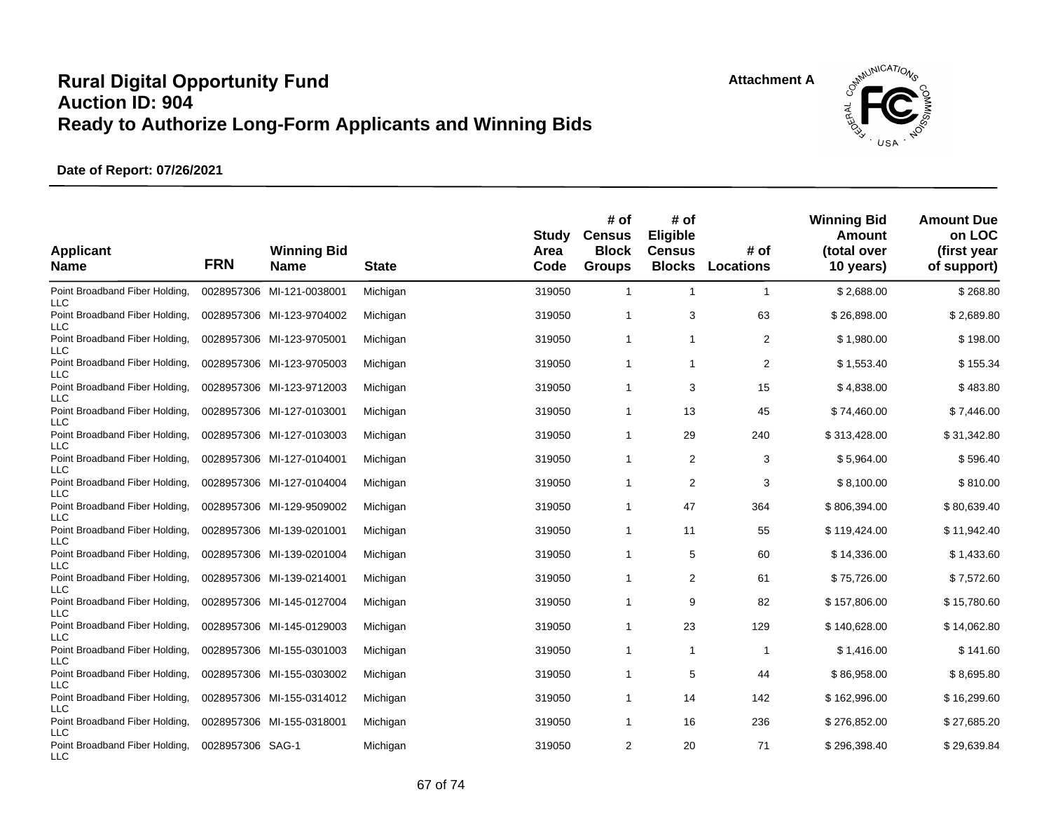

| <b>Applicant</b><br><b>Name</b>                            | <b>FRN</b>       | <b>Winning Bid</b><br><b>Name</b> | <b>State</b> | Study<br>Area<br>Code | # of<br><b>Census</b><br><b>Block</b><br><b>Groups</b> | # of<br>Eligible<br><b>Census</b><br><b>Blocks</b> | # of<br><b>Locations</b> | <b>Winning Bid</b><br>Amount<br>(total over<br>10 years) | <b>Amount Due</b><br>on LOC<br>(first year<br>of support) |
|------------------------------------------------------------|------------------|-----------------------------------|--------------|-----------------------|--------------------------------------------------------|----------------------------------------------------|--------------------------|----------------------------------------------------------|-----------------------------------------------------------|
| Point Broadband Fiber Holding,<br><b>LLC</b>               |                  | 0028957306 MI-121-0038001         | Michigan     | 319050                | $\overline{1}$                                         | $\mathbf{1}$                                       | $\mathbf{1}$             | \$2,688.00                                               | \$268.80                                                  |
| Point Broadband Fiber Holding,<br><b>LLC</b>               |                  | 0028957306 MI-123-9704002         | Michigan     | 319050                | $\mathbf 1$                                            | 3                                                  | 63                       | \$26,898.00                                              | \$2,689.80                                                |
| Point Broadband Fiber Holding,<br><b>LLC</b>               |                  | 0028957306 MI-123-9705001         | Michigan     | 319050                | $\mathbf{1}$                                           | $\mathbf{1}$                                       | $\overline{c}$           | \$1,980.00                                               | \$198.00                                                  |
| Point Broadband Fiber Holding,<br>LLC                      |                  | 0028957306 MI-123-9705003         | Michigan     | 319050                | $\overline{1}$                                         | -1                                                 | $\overline{2}$           | \$1,553.40                                               | \$155.34                                                  |
| Point Broadband Fiber Holding,<br><b>LLC</b>               |                  | 0028957306 MI-123-9712003         | Michigan     | 319050                | -1                                                     | 3                                                  | 15                       | \$4,838.00                                               | \$483.80                                                  |
| Point Broadband Fiber Holding,<br><b>LLC</b>               |                  | 0028957306 MI-127-0103001         | Michigan     | 319050                | $\mathbf 1$                                            | 13                                                 | 45                       | \$74,460.00                                              | \$7,446.00                                                |
| Point Broadband Fiber Holding,<br><b>LLC</b>               |                  | 0028957306 MI-127-0103003         | Michigan     | 319050                | -1                                                     | 29                                                 | 240                      | \$313,428.00                                             | \$31,342.80                                               |
| Point Broadband Fiber Holding,<br><b>LLC</b>               |                  | 0028957306 MI-127-0104001         | Michigan     | 319050                | $\overline{1}$                                         | $\overline{2}$                                     | 3                        | \$5,964.00                                               | \$596.40                                                  |
| Point Broadband Fiber Holding,<br><b>LLC</b>               |                  | 0028957306 MI-127-0104004         | Michigan     | 319050                | -1                                                     | $\overline{\mathbf{c}}$                            | 3                        | \$8,100.00                                               | \$810.00                                                  |
| Point Broadband Fiber Holding,<br>LLC                      |                  | 0028957306 MI-129-9509002         | Michigan     | 319050                | -1                                                     | 47                                                 | 364                      | \$806,394.00                                             | \$80,639.40                                               |
| Point Broadband Fiber Holding,<br><b>LLC</b>               |                  | 0028957306 MI-139-0201001         | Michigan     | 319050                | $\mathbf 1$                                            | 11                                                 | 55                       | \$119,424.00                                             | \$11,942.40                                               |
| Point Broadband Fiber Holding,<br><b>LLC</b>               |                  | 0028957306 MI-139-0201004         | Michigan     | 319050                | -1                                                     | 5                                                  | 60                       | \$14,336.00                                              | \$1,433.60                                                |
| Point Broadband Fiber Holding,<br>LLC                      |                  | 0028957306 MI-139-0214001         | Michigan     | 319050                | $\overline{1}$                                         | $\overline{2}$                                     | 61                       | \$75,726.00                                              | \$7,572.60                                                |
| Point Broadband Fiber Holding,<br><b>LLC</b>               |                  | 0028957306 MI-145-0127004         | Michigan     | 319050                | $\mathbf{1}$                                           | 9                                                  | 82                       | \$157,806.00                                             | \$15,780.60                                               |
| Point Broadband Fiber Holding,                             |                  | 0028957306 MI-145-0129003         | Michigan     | 319050                | $\mathbf{1}$                                           | 23                                                 | 129                      | \$140,628.00                                             | \$14,062.80                                               |
| <b>LLC</b><br>Point Broadband Fiber Holding,               |                  | 0028957306 MI-155-0301003         | Michigan     | 319050                | $\mathbf{1}$                                           | $\mathbf{1}$                                       | 1                        | \$1,416.00                                               | \$141.60                                                  |
| <b>LLC</b><br>Point Broadband Fiber Holding,               |                  | 0028957306 MI-155-0303002         | Michigan     | 319050                | $\mathbf 1$                                            | 5                                                  | 44                       | \$86,958.00                                              | \$8,695.80                                                |
| <b>LLC</b><br>Point Broadband Fiber Holding,               |                  | 0028957306 MI-155-0314012         | Michigan     | 319050                | $\mathbf 1$                                            | 14                                                 | 142                      | \$162,996.00                                             | \$16,299.60                                               |
| <b>LLC</b><br>Point Broadband Fiber Holding,               |                  | 0028957306 MI-155-0318001         | Michigan     | 319050                | $\mathbf{1}$                                           | 16                                                 | 236                      | \$276,852.00                                             | \$27,685.20                                               |
| <b>LLC</b><br>Point Broadband Fiber Holding,<br><b>LLC</b> | 0028957306 SAG-1 |                                   | Michigan     | 319050                | 2                                                      | 20                                                 | 71                       | \$296,398.40                                             | \$29,639.84                                               |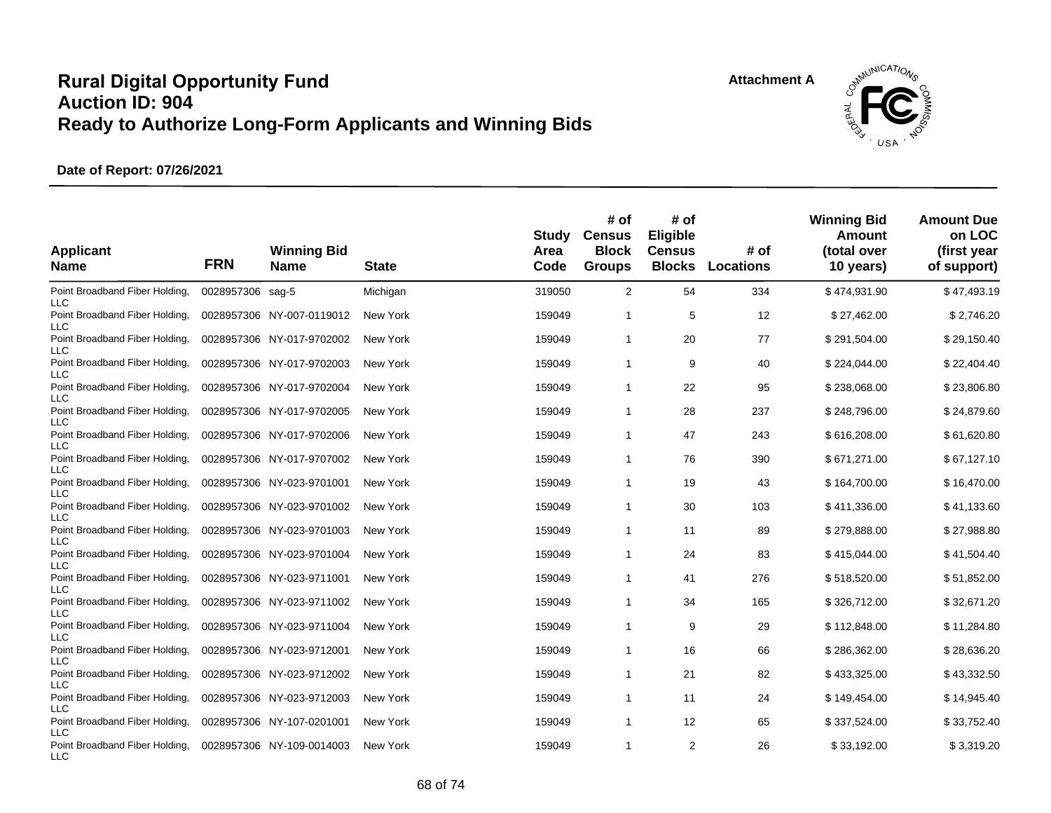

| <b>Applicant</b><br><b>Name</b>                            | <b>FRN</b>       | <b>Winning Bid</b><br><b>Name</b> | <b>State</b> | Study<br>Area<br>Code | # of<br><b>Census</b><br><b>Block</b><br><b>Groups</b> | # of<br>Eligible<br><b>Census</b><br><b>Blocks</b> | # of<br><b>Locations</b> | <b>Winning Bid</b><br>Amount<br>(total over<br>10 years) | <b>Amount Due</b><br>on LOC<br>(first year<br>of support) |
|------------------------------------------------------------|------------------|-----------------------------------|--------------|-----------------------|--------------------------------------------------------|----------------------------------------------------|--------------------------|----------------------------------------------------------|-----------------------------------------------------------|
| Point Broadband Fiber Holding,<br><b>LLC</b>               | 0028957306 sag-5 |                                   | Michigan     | 319050                | $\overline{2}$                                         | 54                                                 | 334                      | \$474,931.90                                             | \$47,493.19                                               |
| Point Broadband Fiber Holding,<br><b>LLC</b>               |                  | 0028957306 NY-007-0119012         | New York     | 159049                | -1                                                     | 5                                                  | 12                       | \$27,462.00                                              | \$2,746.20                                                |
| Point Broadband Fiber Holding,<br>LLC                      |                  | 0028957306 NY-017-9702002         | New York     | 159049                | $\mathbf 1$                                            | 20                                                 | 77                       | \$291,504.00                                             | \$29,150.40                                               |
| Point Broadband Fiber Holding,<br><b>LLC</b>               |                  | 0028957306 NY-017-9702003         | New York     | 159049                | $\overline{1}$                                         | 9                                                  | 40                       | \$224,044.00                                             | \$22,404.40                                               |
| Point Broadband Fiber Holding,<br><b>LLC</b>               |                  | 0028957306 NY-017-9702004         | New York     | 159049                | -1                                                     | 22                                                 | 95                       | \$238,068.00                                             | \$23,806.80                                               |
| Point Broadband Fiber Holding,<br><b>LLC</b>               |                  | 0028957306 NY-017-9702005         | New York     | 159049                | -1                                                     | 28                                                 | 237                      | \$248,796.00                                             | \$24,879.60                                               |
| Point Broadband Fiber Holding,<br><b>LLC</b>               |                  | 0028957306 NY-017-9702006         | New York     | 159049                | $\overline{1}$                                         | 47                                                 | 243                      | \$616,208.00                                             | \$61,620.80                                               |
| Point Broadband Fiber Holding,<br>LLC                      |                  | 0028957306 NY-017-9707002         | New York     | 159049                | $\mathbf 1$                                            | 76                                                 | 390                      | \$671,271.00                                             | \$67,127.10                                               |
| Point Broadband Fiber Holding,<br><b>LLC</b>               |                  | 0028957306 NY-023-9701001         | New York     | 159049                | -1                                                     | 19                                                 | 43                       | \$164,700.00                                             | \$16,470.00                                               |
| Point Broadband Fiber Holding,<br><b>LLC</b>               |                  | 0028957306 NY-023-9701002         | New York     | 159049                | $\mathbf 1$                                            | 30                                                 | 103                      | \$411,336.00                                             | \$41,133.60                                               |
| Point Broadband Fiber Holding,<br><b>LLC</b>               |                  | 0028957306 NY-023-9701003         | New York     | 159049                | -1                                                     | 11                                                 | 89                       | \$279,888.00                                             | \$27,988.80                                               |
| Point Broadband Fiber Holding,<br><b>LLC</b>               |                  | 0028957306 NY-023-9701004         | New York     | 159049                | $\overline{1}$                                         | 24                                                 | 83                       | \$415,044.00                                             | \$41,504.40                                               |
| Point Broadband Fiber Holding,<br><b>LLC</b>               |                  | 0028957306 NY-023-9711001         | New York     | 159049                | $\mathbf 1$                                            | 41                                                 | 276                      | \$518,520.00                                             | \$51,852.00                                               |
| Point Broadband Fiber Holding,<br><b>LLC</b>               |                  | 0028957306 NY-023-9711002         | New York     | 159049                | -1                                                     | 34                                                 | 165                      | \$326,712.00                                             | \$32,671.20                                               |
| Point Broadband Fiber Holding,<br><b>LLC</b>               |                  | 0028957306 NY-023-9711004         | New York     | 159049                | $\mathbf 1$                                            | 9                                                  | 29                       | \$112,848.00                                             | \$11,284.80                                               |
| Point Broadband Fiber Holding,<br><b>LLC</b>               |                  | 0028957306 NY-023-9712001         | New York     | 159049                | -1                                                     | 16                                                 | 66                       | \$286,362.00                                             | \$28,636.20                                               |
| Point Broadband Fiber Holding,<br><b>LLC</b>               |                  | 0028957306 NY-023-9712002         | New York     | 159049                | $\overline{1}$                                         | 21                                                 | 82                       | \$433,325.00                                             | \$43,332.50                                               |
| Point Broadband Fiber Holding,                             |                  | 0028957306 NY-023-9712003         | New York     | 159049                | $\mathbf 1$                                            | 11                                                 | 24                       | \$149,454.00                                             | \$14,945.40                                               |
| <b>LLC</b><br>Point Broadband Fiber Holding,               |                  | 0028957306 NY-107-0201001         | New York     | 159049                | -1                                                     | 12                                                 | 65                       | \$337,524.00                                             | \$33,752.40                                               |
| <b>LLC</b><br>Point Broadband Fiber Holding,<br><b>LLC</b> |                  | 0028957306 NY-109-0014003         | New York     | 159049                | $\overline{1}$                                         | $\overline{2}$                                     | 26                       | \$33,192.00                                              | \$3,319.20                                                |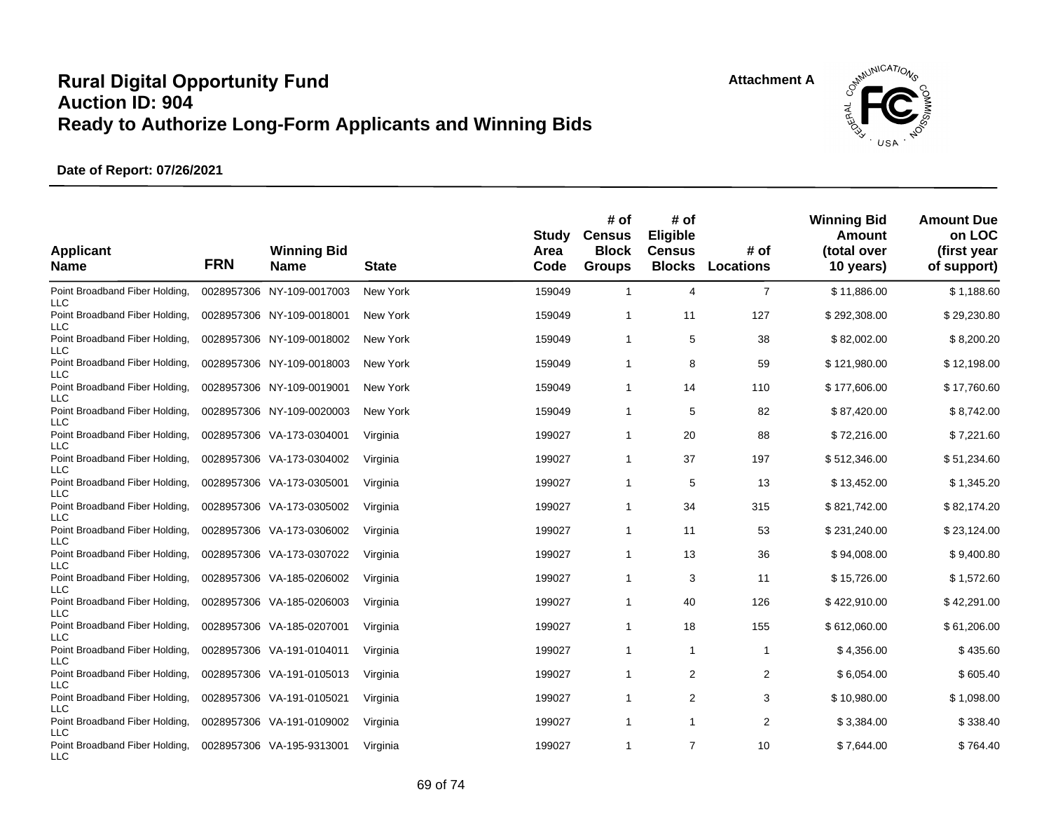**Attachment A**



| <b>Applicant</b><br><b>Name</b>                            | <b>FRN</b> | <b>Winning Bid</b><br><b>Name</b> | <b>State</b> | Study<br>Area<br>Code | # of<br><b>Census</b><br><b>Block</b><br><b>Groups</b> | # of<br>Eligible<br><b>Census</b><br><b>Blocks</b> | # of<br><b>Locations</b> | <b>Winning Bid</b><br>Amount<br>(total over<br>10 years) | <b>Amount Due</b><br>on LOC<br>(first year<br>of support) |
|------------------------------------------------------------|------------|-----------------------------------|--------------|-----------------------|--------------------------------------------------------|----------------------------------------------------|--------------------------|----------------------------------------------------------|-----------------------------------------------------------|
| Point Broadband Fiber Holding,<br><b>LLC</b>               |            | 0028957306 NY-109-0017003         | New York     | 159049                | $\overline{1}$                                         | 4                                                  | $\overline{7}$           | \$11,886.00                                              | \$1,188.60                                                |
| Point Broadband Fiber Holding,<br><b>LLC</b>               |            | 0028957306 NY-109-0018001         | New York     | 159049                | $\mathbf 1$                                            | 11                                                 | 127                      | \$292,308.00                                             | \$29,230.80                                               |
| Point Broadband Fiber Holding,<br>LLC                      |            | 0028957306 NY-109-0018002         | New York     | 159049                | $\mathbf 1$                                            | 5                                                  | 38                       | \$82,002.00                                              | \$8,200.20                                                |
| Point Broadband Fiber Holding,<br><b>LLC</b>               |            | 0028957306 NY-109-0018003         | New York     | 159049                | $\overline{1}$                                         | 8                                                  | 59                       | \$121,980.00                                             | \$12,198.00                                               |
| Point Broadband Fiber Holding,<br><b>LLC</b>               |            | 0028957306 NY-109-0019001         | New York     | 159049                | -1                                                     | 14                                                 | 110                      | \$177,606.00                                             | \$17,760.60                                               |
| Point Broadband Fiber Holding,<br><b>LLC</b>               |            | 0028957306 NY-109-0020003         | New York     | 159049                | -1                                                     | 5                                                  | 82                       | \$87,420.00                                              | \$8,742.00                                                |
| Point Broadband Fiber Holding,<br><b>LLC</b>               |            | 0028957306 VA-173-0304001         | Virginia     | 199027                | -1                                                     | 20                                                 | 88                       | \$72,216.00                                              | \$7,221.60                                                |
| Point Broadband Fiber Holding,<br><b>LLC</b>               |            | 0028957306 VA-173-0304002         | Virginia     | 199027                | $\mathbf 1$                                            | 37                                                 | 197                      | \$512,346.00                                             | \$51,234.60                                               |
| Point Broadband Fiber Holding,<br><b>LLC</b>               |            | 0028957306 VA-173-0305001         | Virginia     | 199027                | -1                                                     | 5                                                  | 13                       | \$13,452.00                                              | \$1,345.20                                                |
| Point Broadband Fiber Holding,<br><b>LLC</b>               |            | 0028957306 VA-173-0305002         | Virginia     | 199027                | -1                                                     | 34                                                 | 315                      | \$821,742.00                                             | \$82,174.20                                               |
| Point Broadband Fiber Holding,<br><b>LLC</b>               |            | 0028957306 VA-173-0306002         | Virginia     | 199027                | -1                                                     | 11                                                 | 53                       | \$231,240.00                                             | \$23,124.00                                               |
| Point Broadband Fiber Holding,<br><b>LLC</b>               |            | 0028957306 VA-173-0307022         | Virginia     | 199027                | -1                                                     | 13                                                 | 36                       | \$94,008.00                                              | \$9,400.80                                                |
| Point Broadband Fiber Holding,<br><b>LLC</b>               |            | 0028957306 VA-185-0206002         | Virginia     | 199027                | -1                                                     | 3                                                  | 11                       | \$15,726.00                                              | \$1,572.60                                                |
| Point Broadband Fiber Holding,<br><b>LLC</b>               |            | 0028957306 VA-185-0206003         | Virginia     | 199027                | -1                                                     | 40                                                 | 126                      | \$422,910.00                                             | \$42,291.00                                               |
| Point Broadband Fiber Holding,                             |            | 0028957306 VA-185-0207001         | Virginia     | 199027                | $\mathbf 1$                                            | 18                                                 | 155                      | \$612,060.00                                             | \$61,206.00                                               |
| <b>LLC</b><br>Point Broadband Fiber Holding,               |            | 0028957306 VA-191-0104011         | Virginia     | 199027                | -1                                                     | $\mathbf{1}$                                       | 1                        | \$4,356.00                                               | \$435.60                                                  |
| <b>LLC</b><br>Point Broadband Fiber Holding,               |            | 0028957306 VA-191-0105013         | Virginia     | 199027                | $\overline{1}$                                         | 2                                                  | 2                        | \$6,054.00                                               | \$605.40                                                  |
| <b>LLC</b><br>Point Broadband Fiber Holding,               |            | 0028957306 VA-191-0105021         | Virginia     | 199027                | -1                                                     | $\overline{2}$                                     | 3                        | \$10,980.00                                              | \$1,098.00                                                |
| <b>LLC</b><br>Point Broadband Fiber Holding,               |            | 0028957306 VA-191-0109002         | Virginia     | 199027                | -1                                                     | 1                                                  | 2                        | \$3,384.00                                               | \$338.40                                                  |
| <b>LLC</b><br>Point Broadband Fiber Holding,<br><b>LLC</b> |            | 0028957306 VA-195-9313001         | Virginia     | 199027                | $\overline{1}$                                         | $\overline{7}$                                     | 10                       | \$7,644.00                                               | \$764.40                                                  |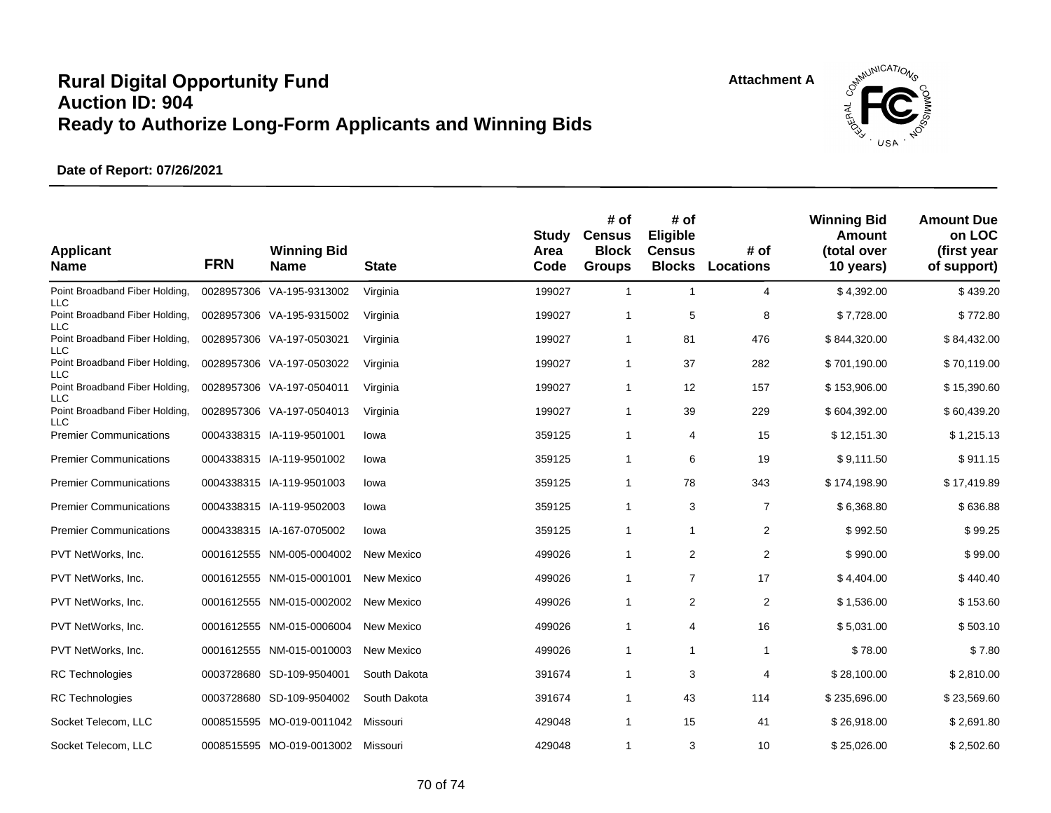

| <b>Applicant</b><br><b>Name</b>              | <b>FRN</b> | <b>Winning Bid</b><br><b>Name</b> | <b>State</b> | Study<br>Area<br>Code | # of<br><b>Census</b><br><b>Block</b><br><b>Groups</b> | # of<br>Eligible<br><b>Census</b><br><b>Blocks</b> | # of<br>Locations | <b>Winning Bid</b><br>Amount<br>(total over<br>10 years) | <b>Amount Due</b><br>on LOC<br>(first year<br>of support) |
|----------------------------------------------|------------|-----------------------------------|--------------|-----------------------|--------------------------------------------------------|----------------------------------------------------|-------------------|----------------------------------------------------------|-----------------------------------------------------------|
| Point Broadband Fiber Holding,<br><b>LLC</b> |            | 0028957306 VA-195-9313002         | Virginia     | 199027                | $\mathbf{1}$                                           | $\mathbf{1}$                                       | 4                 | \$4,392.00                                               | \$439.20                                                  |
| Point Broadband Fiber Holding,<br><b>LLC</b> |            | 0028957306 VA-195-9315002         | Virginia     | 199027                | $\mathbf{1}$                                           | 5                                                  | 8                 | \$7,728.00                                               | \$772.80                                                  |
| Point Broadband Fiber Holding,<br><b>LLC</b> |            | 0028957306 VA-197-0503021         | Virginia     | 199027                | $\mathbf{1}$                                           | 81                                                 | 476               | \$844,320.00                                             | \$84,432.00                                               |
| Point Broadband Fiber Holding,<br><b>LLC</b> |            | 0028957306 VA-197-0503022         | Virginia     | 199027                | $\overline{1}$                                         | 37                                                 | 282               | \$701,190.00                                             | \$70,119.00                                               |
| Point Broadband Fiber Holding,<br>LLC        |            | 0028957306 VA-197-0504011         | Virginia     | 199027                | $\mathbf{1}$                                           | 12                                                 | 157               | \$153,906.00                                             | \$15,390.60                                               |
| Point Broadband Fiber Holding,<br>ПC         |            | 0028957306 VA-197-0504013         | Virginia     | 199027                | $\overline{1}$                                         | 39                                                 | 229               | \$604,392.00                                             | \$60,439.20                                               |
| <b>Premier Communications</b>                |            | 0004338315 IA-119-9501001         | lowa         | 359125                | $\mathbf{1}$                                           | 4                                                  | 15                | \$12,151.30                                              | \$1,215.13                                                |
| <b>Premier Communications</b>                |            | 0004338315 IA-119-9501002         | lowa         | 359125                | $\mathbf 1$                                            | 6                                                  | 19                | \$9,111.50                                               | \$911.15                                                  |
| <b>Premier Communications</b>                |            | 0004338315 IA-119-9501003         | lowa         | 359125                | $\mathbf{1}$                                           | 78                                                 | 343               | \$174,198.90                                             | \$17,419.89                                               |
| <b>Premier Communications</b>                |            | 0004338315 IA-119-9502003         | lowa         | 359125                | $\mathbf{1}$                                           | 3                                                  | $\overline{7}$    | \$6,368.80                                               | \$636.88                                                  |
| <b>Premier Communications</b>                |            | 0004338315 IA-167-0705002         | lowa         | 359125                | $\mathbf{1}$                                           | $\mathbf{1}$                                       | 2                 | \$992.50                                                 | \$99.25                                                   |
| PVT NetWorks, Inc.                           |            | 0001612555 NM-005-0004002         | New Mexico   | 499026                | $\mathbf{1}$                                           | 2                                                  | 2                 | \$990.00                                                 | \$99.00                                                   |
| PVT NetWorks, Inc.                           |            | 0001612555 NM-015-0001001         | New Mexico   | 499026                | $\overline{1}$                                         | $\overline{7}$                                     | 17                | \$4,404.00                                               | \$440.40                                                  |
| PVT NetWorks, Inc.                           |            | 0001612555 NM-015-0002002         | New Mexico   | 499026                | $\overline{1}$                                         | 2                                                  | $\overline{2}$    | \$1,536.00                                               | \$153.60                                                  |
| PVT NetWorks, Inc.                           |            | 0001612555 NM-015-0006004         | New Mexico   | 499026                | $\mathbf{1}$                                           | 4                                                  | 16                | \$5,031.00                                               | \$503.10                                                  |
| PVT NetWorks, Inc.                           |            | 0001612555 NM-015-0010003         | New Mexico   | 499026                | $\mathbf{1}$                                           | $\mathbf{1}$                                       | 1                 | \$78.00                                                  | \$7.80                                                    |
| <b>RC</b> Technologies                       |            | 0003728680 SD-109-9504001         | South Dakota | 391674                | $\mathbf{1}$                                           | 3                                                  | 4                 | \$28,100.00                                              | \$2,810.00                                                |
| <b>RC</b> Technologies                       |            | 0003728680 SD-109-9504002         | South Dakota | 391674                | $\mathbf{1}$                                           | 43                                                 | 114               | \$235,696.00                                             | \$23,569.60                                               |
| Socket Telecom, LLC                          |            | 0008515595 MO-019-0011042         | Missouri     | 429048                | $\overline{1}$                                         | 15                                                 | 41                | \$26,918.00                                              | \$2,691.80                                                |
| Socket Telecom, LLC                          |            | 0008515595 MO-019-0013002         | Missouri     | 429048                | $\overline{1}$                                         | 3                                                  | 10                | \$25,026.00                                              | \$2,502.60                                                |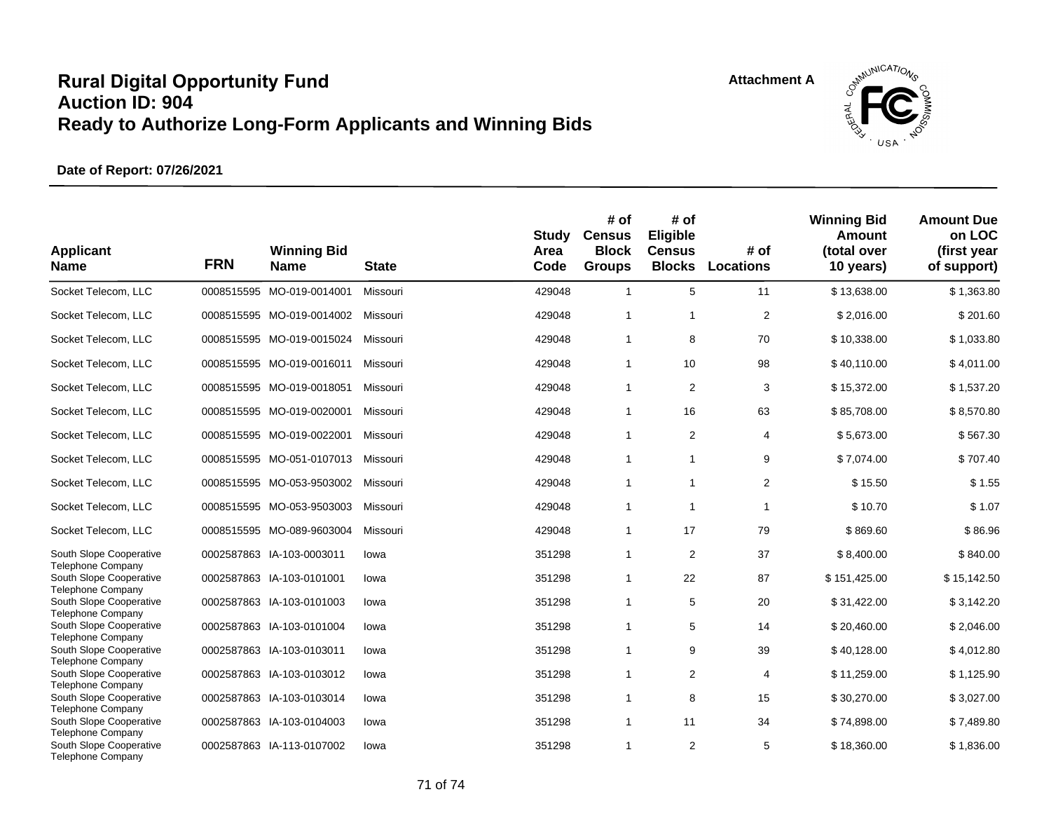

| <b>Applicant</b><br><b>Name</b>                                                 | <b>FRN</b> | <b>Winning Bid</b><br><b>Name</b> | <b>State</b> | <b>Study</b><br>Area<br>Code | # of<br><b>Census</b><br><b>Block</b><br><b>Groups</b> | # of<br>Eligible<br><b>Census</b><br><b>Blocks</b> | # of<br><b>Locations</b> | <b>Winning Bid</b><br><b>Amount</b><br>(total over<br>10 years) | <b>Amount Due</b><br>on LOC<br>(first year<br>of support) |
|---------------------------------------------------------------------------------|------------|-----------------------------------|--------------|------------------------------|--------------------------------------------------------|----------------------------------------------------|--------------------------|-----------------------------------------------------------------|-----------------------------------------------------------|
| Socket Telecom, LLC                                                             |            | 0008515595 MO-019-0014001         | Missouri     | 429048                       | $\mathbf{1}$                                           | 5                                                  | 11                       | \$13,638.00                                                     | \$1,363.80                                                |
| Socket Telecom, LLC                                                             |            | 0008515595 MO-019-0014002         | Missouri     | 429048                       | $\mathbf{1}$                                           | 1                                                  | $\overline{2}$           | \$2,016.00                                                      | \$201.60                                                  |
| Socket Telecom, LLC                                                             |            | 0008515595 MO-019-0015024         | Missouri     | 429048                       | $\mathbf{1}$                                           | 8                                                  | 70                       | \$10,338.00                                                     | \$1,033.80                                                |
| Socket Telecom, LLC                                                             |            | 0008515595 MO-019-0016011         | Missouri     | 429048                       | 1                                                      | 10                                                 | 98                       | \$40,110.00                                                     | \$4,011.00                                                |
| Socket Telecom, LLC                                                             |            | 0008515595 MO-019-0018051         | Missouri     | 429048                       | $\mathbf{1}$                                           | $\overline{2}$                                     | 3                        | \$15,372.00                                                     | \$1,537.20                                                |
| Socket Telecom, LLC                                                             |            | 0008515595 MO-019-0020001         | Missouri     | 429048                       | 1                                                      | 16                                                 | 63                       | \$85,708.00                                                     | \$8,570.80                                                |
| Socket Telecom, LLC                                                             |            | 0008515595 MO-019-0022001         | Missouri     | 429048                       | $\mathbf{1}$                                           | $\overline{2}$                                     | 4                        | \$5,673.00                                                      | \$567.30                                                  |
| Socket Telecom, LLC                                                             |            | 0008515595 MO-051-0107013         | Missouri     | 429048                       | $\mathbf{1}$                                           | $\mathbf{1}$                                       | 9                        | \$7,074.00                                                      | \$707.40                                                  |
| Socket Telecom, LLC                                                             |            | 0008515595 MO-053-9503002         | Missouri     | 429048                       | $\mathbf{1}$                                           | $\mathbf{1}$                                       | $\overline{2}$           | \$15.50                                                         | \$1.55                                                    |
| Socket Telecom, LLC                                                             |            | 0008515595 MO-053-9503003         | Missouri     | 429048                       | $\mathbf{1}$                                           | $\mathbf{1}$                                       | $\overline{1}$           | \$10.70                                                         | \$1.07                                                    |
| Socket Telecom, LLC                                                             |            | 0008515595 MO-089-9603004         | Missouri     | 429048                       | 1                                                      | 17                                                 | 79                       | \$869.60                                                        | \$86.96                                                   |
| South Slope Cooperative                                                         |            | 0002587863 IA-103-0003011         | lowa         | 351298                       | $\mathbf{1}$                                           | $\overline{2}$                                     | 37                       | \$8,400.00                                                      | \$840.00                                                  |
| <b>Telephone Company</b><br>South Slope Cooperative<br><b>Telephone Company</b> |            | 0002587863 IA-103-0101001         | lowa         | 351298                       | $\mathbf{1}$                                           | 22                                                 | 87                       | \$151,425.00                                                    | \$15,142.50                                               |
| South Slope Cooperative                                                         |            | 0002587863 IA-103-0101003         | lowa         | 351298                       | $\mathbf{1}$                                           | 5                                                  | 20                       | \$31,422.00                                                     | \$3,142.20                                                |
| <b>Telephone Company</b><br>South Slope Cooperative                             |            | 0002587863 IA-103-0101004         | lowa         | 351298                       | $\mathbf{1}$                                           | 5                                                  | 14                       | \$20,460.00                                                     | \$2,046.00                                                |
| <b>Telephone Company</b><br>South Slope Cooperative                             |            | 0002587863 IA-103-0103011         | lowa         | 351298                       | 1                                                      | 9                                                  | 39                       | \$40,128.00                                                     | \$4,012.80                                                |
| Telephone Company<br>South Slope Cooperative                                    |            | 0002587863 IA-103-0103012         | lowa         | 351298                       | $\mathbf{1}$                                           | $\overline{2}$                                     | $\overline{4}$           | \$11,259.00                                                     | \$1,125.90                                                |
| <b>Telephone Company</b><br>South Slope Cooperative                             |            | 0002587863 IA-103-0103014         | lowa         | 351298                       | $\mathbf{1}$                                           | 8                                                  | 15                       | \$30,270.00                                                     | \$3,027.00                                                |
| <b>Telephone Company</b><br>South Slope Cooperative                             |            | 0002587863 IA-103-0104003         | lowa         | 351298                       | $\mathbf{1}$                                           | 11                                                 | 34                       | \$74,898.00                                                     | \$7,489.80                                                |
| <b>Telephone Company</b><br>South Slope Cooperative<br><b>Telephone Company</b> |            | 0002587863 IA-113-0107002         | lowa         | 351298                       | 1                                                      | 2                                                  | 5                        | \$18,360.00                                                     | \$1,836.00                                                |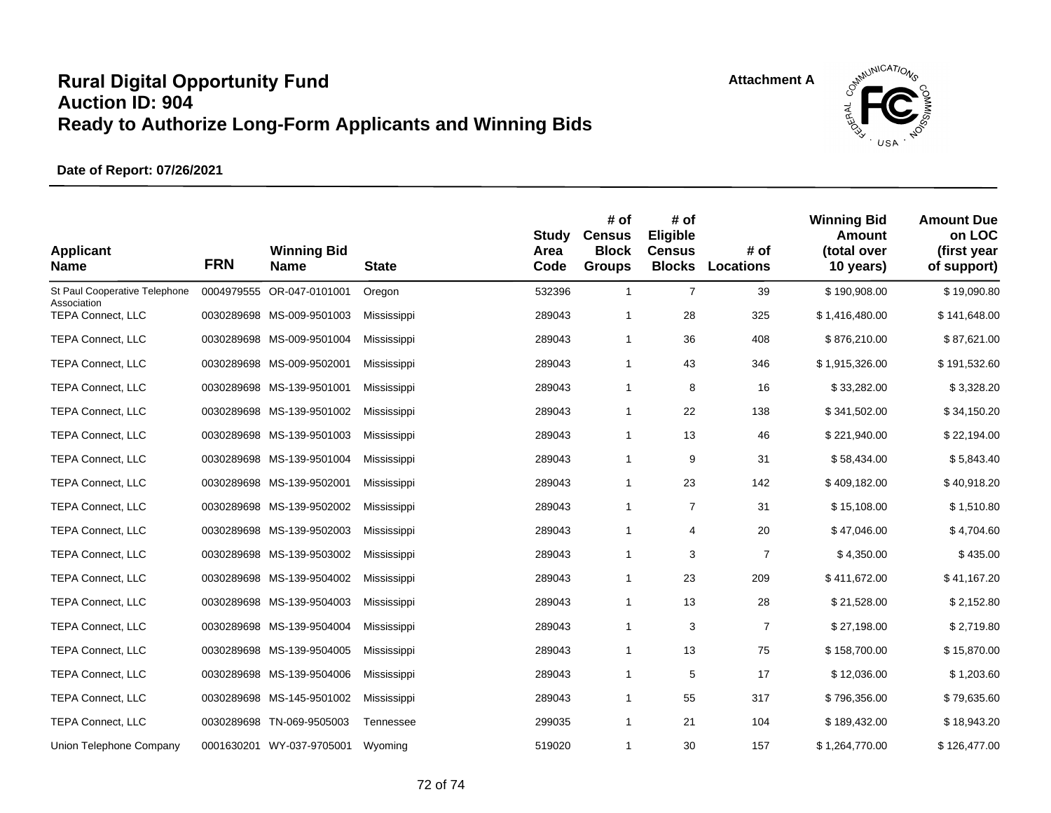

| <b>Applicant</b><br><b>Name</b>              | <b>FRN</b> | <b>Winning Bid</b><br>Name | <b>State</b> | <b>Study</b><br>Area<br>Code | # of<br><b>Census</b><br><b>Block</b><br><b>Groups</b> | # of<br>Eligible<br><b>Census</b><br><b>Blocks</b> | # of<br>Locations | <b>Winning Bid</b><br>Amount<br>(total over<br>10 years) | <b>Amount Due</b><br>on LOC<br>(first year<br>of support) |
|----------------------------------------------|------------|----------------------------|--------------|------------------------------|--------------------------------------------------------|----------------------------------------------------|-------------------|----------------------------------------------------------|-----------------------------------------------------------|
| St Paul Cooperative Telephone<br>Association | 0004979555 | OR-047-0101001             | Oregon       | 532396                       | $\mathbf{1}$                                           | $\overline{7}$                                     | 39                | \$190,908.00                                             | \$19,090.80                                               |
| <b>TEPA Connect, LLC</b>                     |            | 0030289698 MS-009-9501003  | Mississippi  | 289043                       | $\mathbf{1}$                                           | 28                                                 | 325               | \$1,416,480.00                                           | \$141,648.00                                              |
| <b>TEPA Connect, LLC</b>                     |            | 0030289698 MS-009-9501004  | Mississippi  | 289043                       | $\mathbf{1}$                                           | 36                                                 | 408               | \$876,210.00                                             | \$87,621.00                                               |
| <b>TEPA Connect, LLC</b>                     |            | 0030289698 MS-009-9502001  | Mississippi  | 289043                       | $\mathbf{1}$                                           | 43                                                 | 346               | \$1,915,326.00                                           | \$191,532.60                                              |
| <b>TEPA Connect, LLC</b>                     |            | 0030289698 MS-139-9501001  | Mississippi  | 289043                       | $\mathbf{1}$                                           | 8                                                  | 16                | \$33,282.00                                              | \$3,328.20                                                |
| <b>TEPA Connect, LLC</b>                     |            | 0030289698 MS-139-9501002  | Mississippi  | 289043                       | $\mathbf{1}$                                           | 22                                                 | 138               | \$341,502.00                                             | \$34,150.20                                               |
| <b>TEPA Connect, LLC</b>                     |            | 0030289698 MS-139-9501003  | Mississippi  | 289043                       | $\mathbf{1}$                                           | 13                                                 | 46                | \$221,940.00                                             | \$22,194.00                                               |
| <b>TEPA Connect, LLC</b>                     |            | 0030289698 MS-139-9501004  | Mississippi  | 289043                       | $\mathbf{1}$                                           | 9                                                  | 31                | \$58,434.00                                              | \$5,843.40                                                |
| <b>TEPA Connect, LLC</b>                     |            | 0030289698 MS-139-9502001  | Mississippi  | 289043                       | $\mathbf{1}$                                           | 23                                                 | 142               | \$409,182.00                                             | \$40,918.20                                               |
| <b>TEPA Connect, LLC</b>                     |            | 0030289698 MS-139-9502002  | Mississippi  | 289043                       | $\mathbf{1}$                                           | $\overline{7}$                                     | 31                | \$15,108.00                                              | \$1,510.80                                                |
| <b>TEPA Connect, LLC</b>                     |            | 0030289698 MS-139-9502003  | Mississippi  | 289043                       | $\mathbf{1}$                                           | 4                                                  | 20                | \$47,046.00                                              | \$4,704.60                                                |
| <b>TEPA Connect, LLC</b>                     |            | 0030289698 MS-139-9503002  | Mississippi  | 289043                       | $\mathbf{1}$                                           | 3                                                  | $\overline{7}$    | \$4,350.00                                               | \$435.00                                                  |
| TEPA Connect, LLC                            |            | 0030289698 MS-139-9504002  | Mississippi  | 289043                       | $\mathbf{1}$                                           | 23                                                 | 209               | \$411,672.00                                             | \$41,167.20                                               |
| TEPA Connect, LLC                            |            | 0030289698 MS-139-9504003  | Mississippi  | 289043                       | $\mathbf{1}$                                           | 13                                                 | 28                | \$21,528.00                                              | \$2,152.80                                                |
| <b>TEPA Connect, LLC</b>                     |            | 0030289698 MS-139-9504004  | Mississippi  | 289043                       | $\mathbf{1}$                                           | 3                                                  | $\overline{7}$    | \$27,198.00                                              | \$2,719.80                                                |
| TEPA Connect, LLC                            |            | 0030289698 MS-139-9504005  | Mississippi  | 289043                       | $\mathbf{1}$                                           | 13                                                 | 75                | \$158,700.00                                             | \$15,870.00                                               |
| TEPA Connect, LLC                            |            | 0030289698 MS-139-9504006  | Mississippi  | 289043                       | $\mathbf{1}$                                           | 5                                                  | 17                | \$12,036.00                                              | \$1,203.60                                                |
| <b>TEPA Connect, LLC</b>                     |            | 0030289698 MS-145-9501002  | Mississippi  | 289043                       | $\mathbf{1}$                                           | 55                                                 | 317               | \$796,356.00                                             | \$79,635.60                                               |
| <b>TEPA Connect, LLC</b>                     |            | 0030289698 TN-069-9505003  | Tennessee    | 299035                       | $\mathbf{1}$                                           | 21                                                 | 104               | \$189,432.00                                             | \$18,943.20                                               |
| Union Telephone Company                      | 0001630201 | WY-037-9705001             | Wyoming      | 519020                       | $\mathbf{1}$                                           | 30                                                 | 157               | \$1,264,770.00                                           | \$126,477.00                                              |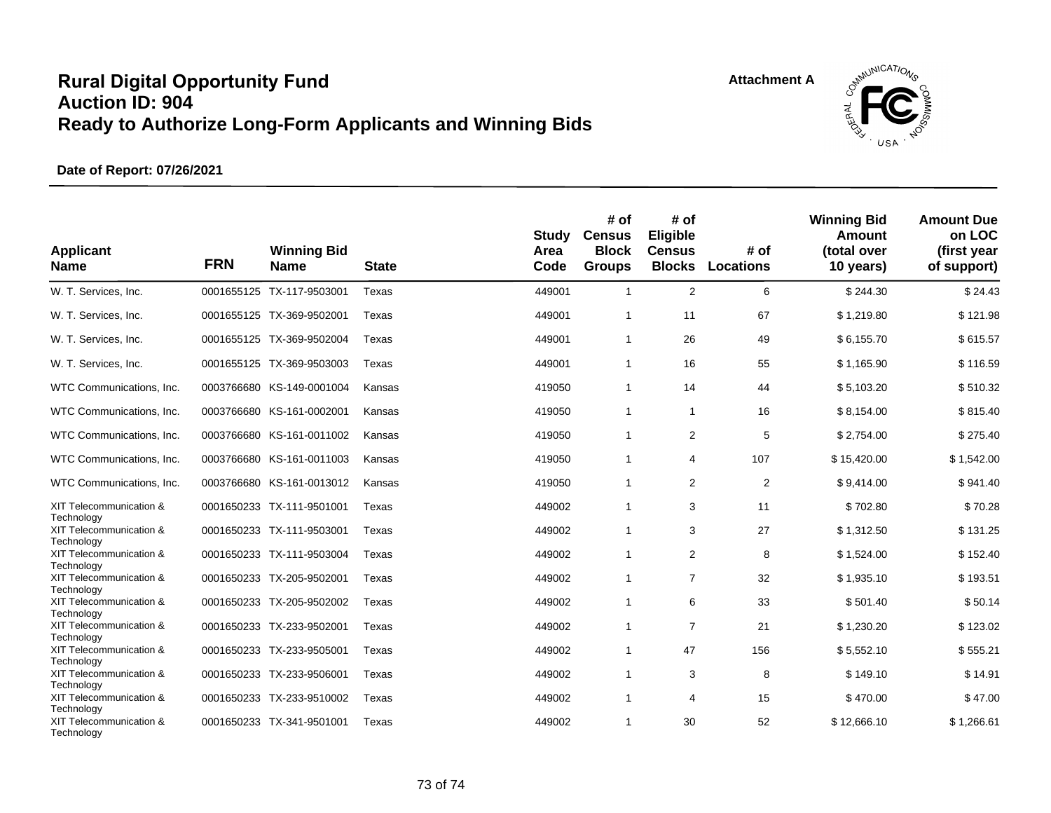## **Rural Digital Opportunity Fund Auction ID: 904 Ready to Authorize Long-Form Applicants and Winning Bids**



## **Date of Report: 07/26/2021**

| <b>Applicant</b><br><b>Name</b>       | <b>FRN</b> | <b>Winning Bid</b><br><b>Name</b> | <b>State</b> | <b>Study</b><br>Area<br>Code | # of<br><b>Census</b><br><b>Block</b><br><b>Groups</b> | # of<br>Eligible<br><b>Census</b><br><b>Blocks</b> | # of<br><b>Locations</b> | <b>Winning Bid</b><br>Amount<br>(total over<br>10 years) | <b>Amount Due</b><br>on LOC<br>(first year<br>of support) |
|---------------------------------------|------------|-----------------------------------|--------------|------------------------------|--------------------------------------------------------|----------------------------------------------------|--------------------------|----------------------------------------------------------|-----------------------------------------------------------|
| W. T. Services, Inc.                  |            | 0001655125 TX-117-9503001         | Texas        | 449001                       | $\overline{1}$                                         | 2                                                  | 6                        | \$244.30                                                 | \$24.43                                                   |
| W. T. Services, Inc.                  |            | 0001655125 TX-369-9502001         | Texas        | 449001                       | $\overline{1}$                                         | 11                                                 | 67                       | \$1,219.80                                               | \$121.98                                                  |
| W. T. Services, Inc.                  |            | 0001655125 TX-369-9502004         | Texas        | 449001                       | $\overline{1}$                                         | 26                                                 | 49                       | \$6,155.70                                               | \$615.57                                                  |
| W. T. Services, Inc.                  |            | 0001655125 TX-369-9503003         | Texas        | 449001                       | $\overline{1}$                                         | 16                                                 | 55                       | \$1,165.90                                               | \$116.59                                                  |
| WTC Communications, Inc.              |            | 0003766680 KS-149-0001004         | Kansas       | 419050                       | $\mathbf{1}$                                           | 14                                                 | 44                       | \$5,103.20                                               | \$510.32                                                  |
| WTC Communications, Inc.              |            | 0003766680 KS-161-0002001         | Kansas       | 419050                       | $\overline{1}$                                         | $\mathbf{1}$                                       | 16                       | \$8,154.00                                               | \$815.40                                                  |
| WTC Communications, Inc.              |            | 0003766680 KS-161-0011002         | Kansas       | 419050                       | $\overline{1}$                                         | 2                                                  | 5                        | \$2,754.00                                               | \$275.40                                                  |
| WTC Communications, Inc.              |            | 0003766680 KS-161-0011003         | Kansas       | 419050                       | $\mathbf{1}$                                           | 4                                                  | 107                      | \$15,420.00                                              | \$1,542.00                                                |
| WTC Communications, Inc.              |            | 0003766680 KS-161-0013012         | Kansas       | 419050                       | $\overline{1}$                                         | 2                                                  | $\overline{2}$           | \$9,414.00                                               | \$941.40                                                  |
| XIT Telecommunication &               |            | 0001650233 TX-111-9501001         | Texas        | 449002                       | $\overline{1}$                                         | 3                                                  | 11                       | \$702.80                                                 | \$70.28                                                   |
| Technology<br>XIT Telecommunication & |            | 0001650233 TX-111-9503001         | Texas        | 449002                       | $\overline{1}$                                         | 3                                                  | 27                       | \$1,312.50                                               | \$131.25                                                  |
| Technology<br>XIT Telecommunication & |            | 0001650233 TX-111-9503004         | Texas        | 449002                       | $\mathbf{1}$                                           | $\overline{2}$                                     | 8                        | \$1.524.00                                               | \$152.40                                                  |
| Technology<br>XIT Telecommunication & |            | 0001650233 TX-205-9502001         | Texas        | 449002                       | $\mathbf{1}$                                           | $\overline{7}$                                     | 32                       | \$1,935.10                                               | \$193.51                                                  |
| Technology<br>XIT Telecommunication & |            | 0001650233 TX-205-9502002         | Texas        | 449002                       | $\overline{1}$                                         | 6                                                  | 33                       | \$501.40                                                 | \$50.14                                                   |
| Technology                            |            |                                   |              |                              |                                                        |                                                    |                          |                                                          |                                                           |
| XIT Telecommunication &<br>Technology |            | 0001650233 TX-233-9502001         | Texas        | 449002                       | -1                                                     | $\overline{7}$                                     | 21                       | \$1,230.20                                               | \$123.02                                                  |
| XIT Telecommunication &               |            | 0001650233 TX-233-9505001         | Texas        | 449002                       | $\overline{1}$                                         | 47                                                 | 156                      | \$5,552.10                                               | \$555.21                                                  |
| Technology                            |            |                                   |              |                              |                                                        |                                                    |                          |                                                          |                                                           |
| XIT Telecommunication &<br>Technology |            | 0001650233 TX-233-9506001         | Texas        | 449002                       | $\overline{1}$                                         | 3                                                  | 8                        | \$149.10                                                 | \$14.91                                                   |
| XIT Telecommunication &<br>Technology |            | 0001650233 TX-233-9510002         | Texas        | 449002                       | $\overline{1}$                                         | 4                                                  | 15                       | \$470.00                                                 | \$47.00                                                   |
| XIT Telecommunication &<br>Technology |            | 0001650233 TX-341-9501001         | Texas        | 449002                       | 1                                                      | 30                                                 | 52                       | \$12,666.10                                              | \$1,266.61                                                |